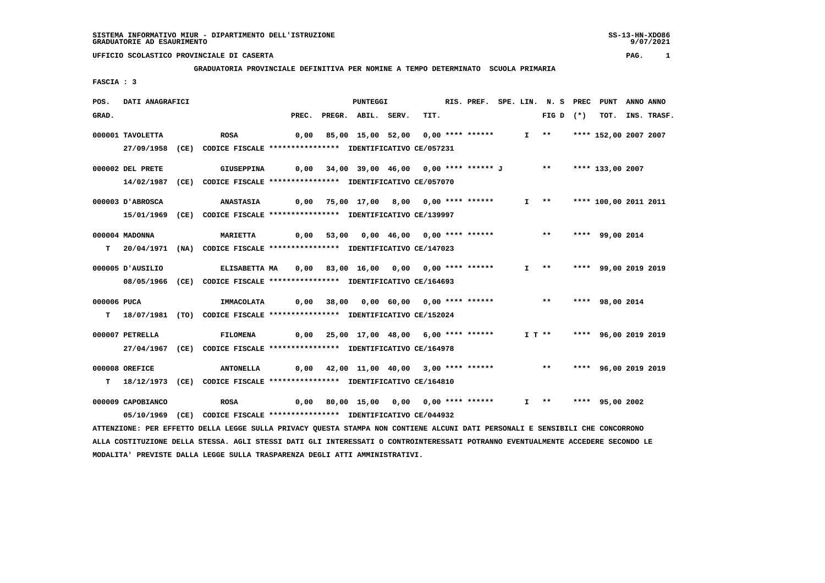### **GRADUATORIA PROVINCIALE DEFINITIVA PER NOMINE A TEMPO DETERMINATO SCUOLA PRIMARIA**

 **FASCIA : 3**

| POS.        | DATI ANAGRAFICI   |                                                                                                                                 |                                        | <b>PUNTEGGI</b>                           |      |  |  |                       | RIS. PREF. SPE. LIN. N. S PREC PUNT | ANNO ANNO   |
|-------------|-------------------|---------------------------------------------------------------------------------------------------------------------------------|----------------------------------------|-------------------------------------------|------|--|--|-----------------------|-------------------------------------|-------------|
| GRAD.       |                   |                                                                                                                                 | PREC.                                  | PREGR. ABIL. SERV.                        | TIT. |  |  | FIG D $(*)$           | тот.                                | INS. TRASF. |
|             | 000001 TAVOLETTA  | <b>ROSA</b>                                                                                                                     | 0,00                                   | 85,00 15,00 52,00 0,00 **** ******        |      |  |  | $I \rightarrow \star$ | **** 152,00 2007 2007               |             |
|             |                   |                                                                                                                                 |                                        |                                           |      |  |  |                       |                                     |             |
|             | 27/09/1958        | (CE) CODICE FISCALE **************** IDENTIFICATIVO CE/057231                                                                   |                                        |                                           |      |  |  |                       |                                     |             |
|             | 000002 DEL PRETE  | GIUSEPPINA                                                                                                                      |                                        | 0,00 34,00 39,00 46,00 0,00 **** ****** J |      |  |  | $***$                 | **** 133,00 2007                    |             |
|             | 14/02/1987        | (CE) CODICE FISCALE **************** IDENTIFICATIVO CE/057070                                                                   |                                        |                                           |      |  |  |                       |                                     |             |
|             |                   |                                                                                                                                 |                                        |                                           |      |  |  |                       |                                     |             |
|             | 000003 D'ABROSCA  | ANASTASIA                                                                                                                       |                                        | 0,00 75,00 17,00 8,00 0,00 **** ******    |      |  |  |                       | I ** **** 100,00 2011 2011          |             |
|             |                   | 15/01/1969 (CE) CODICE FISCALE *************** IDENTIFICATIVO CE/139997                                                         |                                        |                                           |      |  |  |                       |                                     |             |
|             |                   |                                                                                                                                 |                                        |                                           |      |  |  |                       |                                     |             |
|             | 000004 MADONNA    | <b>MARIETTA</b>                                                                                                                 |                                        | 0,00 53,00 0,00 46,00 0,00 **** ******    |      |  |  | $\star\star$          | **** 99,00 2014                     |             |
|             |                   | T 20/04/1971 (NA) CODICE FISCALE *************** IDENTIFICATIVO CE/147023                                                       |                                        |                                           |      |  |  |                       |                                     |             |
|             |                   |                                                                                                                                 |                                        |                                           |      |  |  |                       |                                     |             |
|             | 000005 D'AUSILIO  | <b>ELISABETTA MA</b>                                                                                                            |                                        | 0,00 83,00 16,00 0,00 0,00 **** ******    |      |  |  | $I \quad * \quad$     | **** 99,00 2019 2019                |             |
|             |                   | 08/05/1966 (CE) CODICE FISCALE *************** IDENTIFICATIVO CE/164693                                                         |                                        |                                           |      |  |  |                       |                                     |             |
|             |                   |                                                                                                                                 |                                        |                                           |      |  |  |                       |                                     |             |
| 000006 PUCA |                   | IMMACOLATA                                                                                                                      | 0,00 38,00 0,00 60,00 0,00 **** ****** |                                           |      |  |  |                       | ** **** 98,00 2014                  |             |
|             |                   | T 18/07/1981 (TO) CODICE FISCALE **************** IDENTIFICATIVO CE/152024                                                      |                                        |                                           |      |  |  |                       |                                     |             |
|             | 000007 PETRELLA   | <b>FILOMENA</b>                                                                                                                 |                                        | 0,00 25,00 17,00 48,00 6,00 **** ******   |      |  |  |                       | I T ** **** 96,00 2019 2019         |             |
|             |                   | 27/04/1967 (CE) CODICE FISCALE *************** IDENTIFICATIVO CE/164978                                                         |                                        |                                           |      |  |  |                       |                                     |             |
|             |                   |                                                                                                                                 |                                        |                                           |      |  |  |                       |                                     |             |
|             | 000008 OREFICE    | <b>ANTONELLA</b>                                                                                                                |                                        | 0,00 42,00 11,00 40,00 3,00 **** ******   |      |  |  | $***$                 | **** 96,00 2019 2019                |             |
|             |                   | T 18/12/1973 (CE) CODICE FISCALE **************** IDENTIFICATIVO CE/164810                                                      |                                        |                                           |      |  |  |                       |                                     |             |
|             |                   |                                                                                                                                 |                                        |                                           |      |  |  |                       |                                     |             |
|             | 000009 CAPOBIANCO | <b>ROSA</b>                                                                                                                     |                                        | 0,00 80,00 15,00 0,00 0,00 **** ******    |      |  |  | $I \rightarrow \star$ | **** 95,00 2002                     |             |
|             |                   | 05/10/1969 (CE) CODICE FISCALE *************** IDENTIFICATIVO CE/044932                                                         |                                        |                                           |      |  |  |                       |                                     |             |
|             |                   | ATTENZIONE: PER EFFETTO DELLA LEGGE SULLA PRIVACY QUESTA STAMPA NON CONTIENE ALCUNI DATI PERSONALI E SENSIBILI CHE CONCORRONO   |                                        |                                           |      |  |  |                       |                                     |             |
|             |                   | ALLA COSTITUZIONE DELLA STESSA. AGLI STESSI DATI GLI INTERESSATI O CONTROINTERESSATI POTRANNO EVENTUALMENTE ACCEDERE SECONDO LE |                                        |                                           |      |  |  |                       |                                     |             |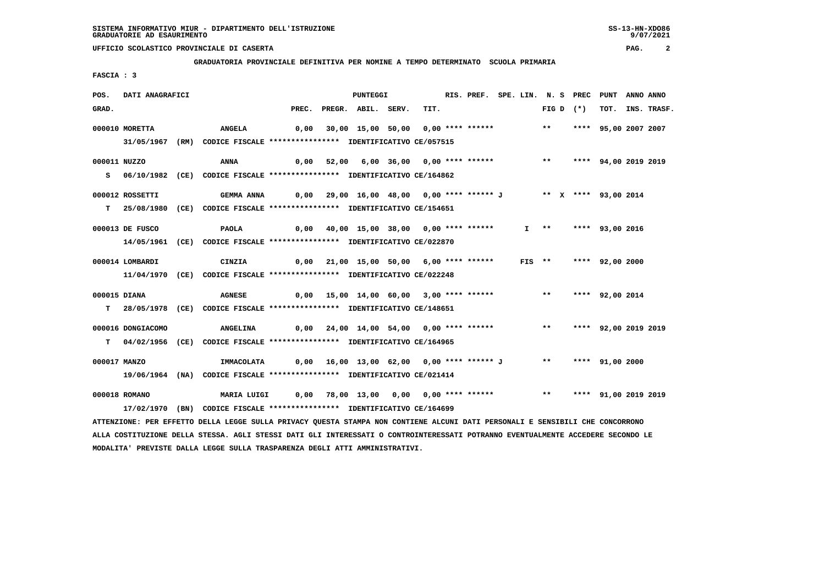**GRADUATORIA PROVINCIALE DEFINITIVA PER NOMINE A TEMPO DETERMINATO SCUOLA PRIMARIA**

 **FASCIA : 3**

| POS.  | DATI ANAGRAFICI   |                                                                                                                                 |                                                    | <b>PUNTEGGI</b>                                                          |      | RIS. PREF. SPE. LIN. N. S PREC PUNT |  |  |             |                         | ANNO ANNO |                  |
|-------|-------------------|---------------------------------------------------------------------------------------------------------------------------------|----------------------------------------------------|--------------------------------------------------------------------------|------|-------------------------------------|--|--|-------------|-------------------------|-----------|------------------|
| GRAD. |                   |                                                                                                                                 |                                                    | PREC. PREGR. ABIL. SERV.                                                 | TIT. |                                     |  |  | FIG D $(*)$ |                         |           | TOT. INS. TRASF. |
|       | 000010 MORETTA    | ANGELA                                                                                                                          |                                                    | 0,00 30,00 15,00 50,00 0,00 **** ****** *** **** 95,00 2007 2007         |      |                                     |  |  |             |                         |           |                  |
|       |                   |                                                                                                                                 |                                                    |                                                                          |      |                                     |  |  |             |                         |           |                  |
|       |                   | 31/05/1967 (RM) CODICE FISCALE *************** IDENTIFICATIVO CE/057515                                                         |                                                    |                                                                          |      |                                     |  |  |             |                         |           |                  |
|       | 000011 NUZZO      | ANNA                                                                                                                            |                                                    | 0,00 52,00 6,00 36,00 0,00 **** ****** *** *** **** 94,00 2019 2019      |      |                                     |  |  |             |                         |           |                  |
|       |                   | S 06/10/1982 (CE) CODICE FISCALE **************** IDENTIFICATIVO CE/164862                                                      |                                                    |                                                                          |      |                                     |  |  |             |                         |           |                  |
|       |                   |                                                                                                                                 |                                                    |                                                                          |      |                                     |  |  |             |                         |           |                  |
|       | 000012 ROSSETTI   | <b>GEMMA ANNA</b>                                                                                                               |                                                    | 0,00 29,00 16,00 48,00  0,00 **** ****** J *** ****** 93,00 2014         |      |                                     |  |  |             |                         |           |                  |
|       |                   | T 25/08/1980 (CE) CODICE FISCALE **************** IDENTIFICATIVO CE/154651                                                      |                                                    |                                                                          |      |                                     |  |  |             |                         |           |                  |
|       | 000013 DE FUSCO   | PAOLA                                                                                                                           |                                                    | 0,00 40,00 15,00 38,00 0,00 **** ******                                  |      |                                     |  |  |             | I ** **** 93,00 2016    |           |                  |
|       |                   | 14/05/1961 (CE) CODICE FISCALE *************** IDENTIFICATIVO CE/022870                                                         |                                                    |                                                                          |      |                                     |  |  |             |                         |           |                  |
|       |                   |                                                                                                                                 |                                                    |                                                                          |      |                                     |  |  |             |                         |           |                  |
|       | 000014 LOMBARDI   | CINZIA                                                                                                                          |                                                    | 0,00 21,00 15,00 50,00 6,00 **** ****** FIS ** **** 92,00 2000           |      |                                     |  |  |             |                         |           |                  |
|       |                   | 11/04/1970 (CE) CODICE FISCALE *************** IDENTIFICATIVO CE/022248                                                         |                                                    |                                                                          |      |                                     |  |  |             |                         |           |                  |
|       |                   |                                                                                                                                 |                                                    |                                                                          |      |                                     |  |  |             |                         |           |                  |
|       | 000015 DIANA      | <b>AGNESE</b>                                                                                                                   |                                                    | 0,00 15,00 14,00 60,00 3,00 **** ******           **     **** 92,00 2014 |      |                                     |  |  |             |                         |           |                  |
|       |                   | T 28/05/1978 (CE) CODICE FISCALE *************** IDENTIFICATIVO CE/148651                                                       |                                                    |                                                                          |      |                                     |  |  |             |                         |           |                  |
|       | 000016 DONGIACOMO | ANGELINA                                                                                                                        |                                                    | 0,00 24,00 14,00 54,00 0,00 **** ****** *** *** **** 92,00 2019 2019     |      |                                     |  |  |             |                         |           |                  |
|       |                   | T 04/02/1956 (CE) CODICE FISCALE **************** IDENTIFICATIVO CE/164965                                                      |                                                    |                                                                          |      |                                     |  |  |             |                         |           |                  |
|       |                   |                                                                                                                                 |                                                    |                                                                          |      |                                     |  |  |             |                         |           |                  |
|       | 000017 MANZO      | IMMACOLATA                                                                                                                      |                                                    | 0,00 16,00 13,00 62,00 0,00 **** ****** J ** **** 91,00 2000             |      |                                     |  |  |             |                         |           |                  |
|       |                   | 19/06/1964 (NA) CODICE FISCALE **************** IDENTIFICATIVO CE/021414                                                        |                                                    |                                                                          |      |                                     |  |  |             |                         |           |                  |
|       | 000018 ROMANO     |                                                                                                                                 | MARIA LUIGI 0,00 78,00 13,00 0,00 0,00 **** ****** |                                                                          |      |                                     |  |  |             | ** **** 91,00 2019 2019 |           |                  |
|       |                   |                                                                                                                                 |                                                    |                                                                          |      |                                     |  |  |             |                         |           |                  |
|       |                   | 17/02/1970 (BN) CODICE FISCALE *************** IDENTIFICATIVO CE/164699                                                         |                                                    |                                                                          |      |                                     |  |  |             |                         |           |                  |
|       |                   | ATTENZIONE: PER EFFETTO DELLA LEGGE SULLA PRIVACY QUESTA STAMPA NON CONTIENE ALCUNI DATI PERSONALI E SENSIBILI CHE CONCORRONO   |                                                    |                                                                          |      |                                     |  |  |             |                         |           |                  |
|       |                   | ALLA COSTITUZIONE DELLA STESSA. AGLI STESSI DATI GLI INTERESSATI O CONTROINTERESSATI POTRANNO EVENTUALMENTE ACCEDERE SECONDO LE |                                                    |                                                                          |      |                                     |  |  |             |                         |           |                  |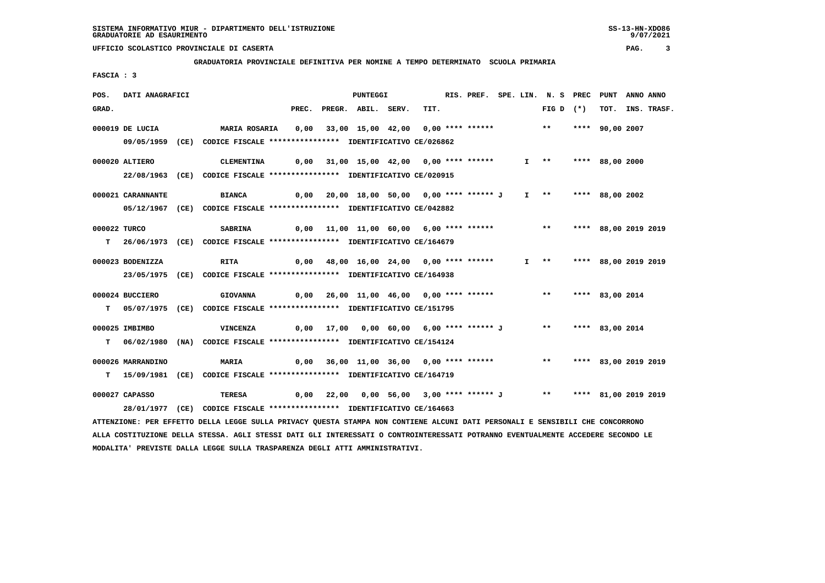**GRADUATORIA PROVINCIALE DEFINITIVA PER NOMINE A TEMPO DETERMINATO SCUOLA PRIMARIA**

 **FASCIA : 3**

| POS.         | DATI ANAGRAFICI   |                                                                                                                                 |      | <b>PUNTEGGI</b>                                                  |      |  |  |                       | RIS. PREF. SPE. LIN. N. S PREC PUNT |                      | ANNO ANNO |                  |
|--------------|-------------------|---------------------------------------------------------------------------------------------------------------------------------|------|------------------------------------------------------------------|------|--|--|-----------------------|-------------------------------------|----------------------|-----------|------------------|
| GRAD.        |                   |                                                                                                                                 |      | PREC. PREGR. ABIL. SERV.                                         | TIT. |  |  |                       | FIG D $(*)$                         |                      |           | TOT. INS. TRASF. |
|              | 000019 DE LUCIA   | MARIA ROSARIA                                                                                                                   | 0,00 | 33,00 15,00 42,00 0,00 **** ****** *** **                        |      |  |  |                       |                                     | **** 90,00 2007      |           |                  |
|              |                   |                                                                                                                                 |      |                                                                  |      |  |  |                       |                                     |                      |           |                  |
|              |                   | 09/05/1959 (CE) CODICE FISCALE *************** IDENTIFICATIVO CE/026862                                                         |      |                                                                  |      |  |  |                       |                                     |                      |           |                  |
|              | 000020 ALTIERO    | CLEMENTINA                                                                                                                      |      | 0,00 31,00 15,00 42,00 0,00 **** ******                          |      |  |  | $I \rightarrow *$     |                                     | **** 88,00 2000      |           |                  |
|              |                   | 22/08/1963 (CE) CODICE FISCALE *************** IDENTIFICATIVO CE/020915                                                         |      |                                                                  |      |  |  |                       |                                     |                      |           |                  |
|              |                   |                                                                                                                                 |      |                                                                  |      |  |  |                       |                                     |                      |           |                  |
|              | 000021 CARANNANTE | <b>BIANCA</b>                                                                                                                   |      |                                                                  |      |  |  |                       | I ** **** 88,00 2002                |                      |           |                  |
|              |                   | 05/12/1967 (CE) CODICE FISCALE *************** IDENTIFICATIVO CE/042882                                                         |      |                                                                  |      |  |  |                       |                                     |                      |           |                  |
| 000022 TURCO |                   | <b>SABRINA</b>                                                                                                                  |      | $0,00$ 11,00 11,00 60,00 6,00 **** ****** *** **                 |      |  |  |                       |                                     | **** 88,00 2019 2019 |           |                  |
|              |                   | T 26/06/1973 (CE) CODICE FISCALE **************** IDENTIFICATIVO CE/164679                                                      |      |                                                                  |      |  |  |                       |                                     |                      |           |                  |
|              |                   |                                                                                                                                 |      |                                                                  |      |  |  |                       |                                     |                      |           |                  |
|              | 000023 BODENIZZA  | <b>RITA</b>                                                                                                                     |      | $0,00$ 48,00 16,00 24,00 0,00 **** ******                        |      |  |  | $I \rightarrow \star$ |                                     | **** 88,00 2019 2019 |           |                  |
|              |                   | 23/05/1975 (CE) CODICE FISCALE *************** IDENTIFICATIVO CE/164938                                                         |      |                                                                  |      |  |  |                       |                                     |                      |           |                  |
|              |                   |                                                                                                                                 |      |                                                                  |      |  |  |                       |                                     |                      |           |                  |
|              | 000024 BUCCIERO   | <b>GIOVANNA</b>                                                                                                                 |      | 0,00 26,00 11,00 46,00 0,00 **** ******                          |      |  |  |                       | ** **** 83,00 2014                  |                      |           |                  |
|              |                   | T 05/07/1975 (CE) CODICE FISCALE **************** IDENTIFICATIVO CE/151795                                                      |      |                                                                  |      |  |  |                       |                                     |                      |           |                  |
|              | 000025 IMBIMBO    | <b>VINCENZA</b>                                                                                                                 |      | 0,00 17,00 0,00 60,00 6,00 **** ****** J ** **** 83,00 2014      |      |  |  |                       |                                     |                      |           |                  |
|              |                   | T 06/02/1980 (NA) CODICE FISCALE *************** IDENTIFICATIVO CE/154124                                                       |      |                                                                  |      |  |  |                       |                                     |                      |           |                  |
|              |                   |                                                                                                                                 |      |                                                                  |      |  |  |                       |                                     |                      |           |                  |
|              | 000026 MARRANDINO | <b>MARIA</b>                                                                                                                    |      | $0,00$ 36,00 11,00 36,00 0,00 **** ******                        |      |  |  |                       | ** **** 83,00 2019 2019             |                      |           |                  |
| т            |                   | 15/09/1981 (CE) CODICE FISCALE *************** IDENTIFICATIVO CE/164719                                                         |      |                                                                  |      |  |  |                       |                                     |                      |           |                  |
|              |                   |                                                                                                                                 |      |                                                                  |      |  |  |                       |                                     |                      |           |                  |
|              | 000027 CAPASSO    | TERESA                                                                                                                          |      | 0,00 22,00 0,00 56,00 3,00 **** ****** J ** **** 81,00 2019 2019 |      |  |  |                       |                                     |                      |           |                  |
|              |                   | 28/01/1977 (CE) CODICE FISCALE *************** IDENTIFICATIVO CE/164663                                                         |      |                                                                  |      |  |  |                       |                                     |                      |           |                  |
|              |                   | ATTENZIONE: PER EFFETTO DELLA LEGGE SULLA PRIVACY QUESTA STAMPA NON CONTIENE ALCUNI DATI PERSONALI E SENSIBILI CHE CONCORRONO   |      |                                                                  |      |  |  |                       |                                     |                      |           |                  |
|              |                   | ALLA COSTITUZIONE DELLA STESSA. AGLI STESSI DATI GLI INTERESSATI O CONTROINTERESSATI POTRANNO EVENTUALMENTE ACCEDERE SECONDO LE |      |                                                                  |      |  |  |                       |                                     |                      |           |                  |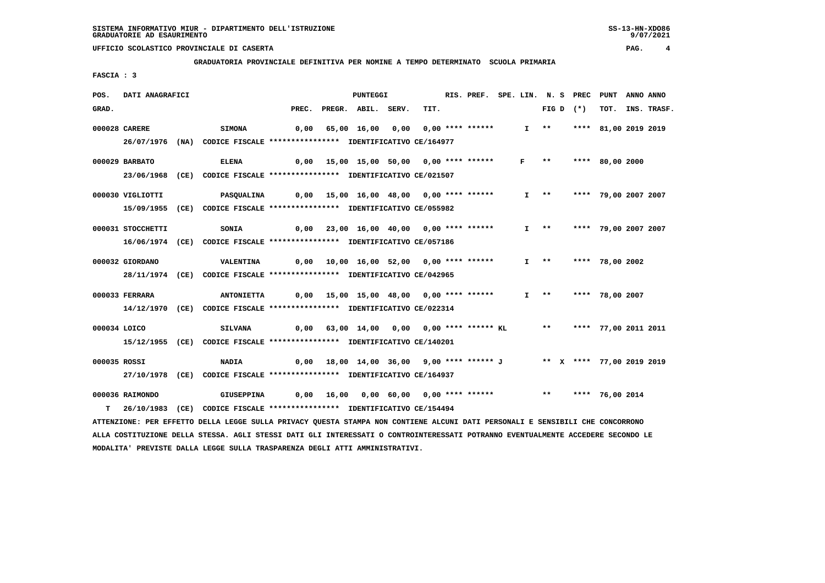#### **GRADUATORIA PROVINCIALE DEFINITIVA PER NOMINE A TEMPO DETERMINATO SCUOLA PRIMARIA**

 **FASCIA : 3**

| POS.  | DATI ANAGRAFICI   |                                                                                                                               |       | PUNTEGGI                                                            |      | RIS. PREF. SPE. LIN. N. S PREC |  |                       |             | PUNT                      | ANNO ANNO |                  |
|-------|-------------------|-------------------------------------------------------------------------------------------------------------------------------|-------|---------------------------------------------------------------------|------|--------------------------------|--|-----------------------|-------------|---------------------------|-----------|------------------|
| GRAD. |                   |                                                                                                                               | PREC. | PREGR. ABIL. SERV.                                                  | TIT. |                                |  |                       | FIG D $(*)$ |                           |           | TOT. INS. TRASF. |
|       | 000028 CARERE     | <b>SIMONA</b>                                                                                                                 | 0,00  | 65,00 16,00 0,00 0,00 **** ******                                   |      |                                |  |                       |             | I ** **** 81,00 2019 2019 |           |                  |
|       |                   | 26/07/1976 (NA) CODICE FISCALE *************** IDENTIFICATIVO CE/164977                                                       |       |                                                                     |      |                                |  |                       |             |                           |           |                  |
|       |                   |                                                                                                                               |       |                                                                     |      |                                |  |                       |             |                           |           |                  |
|       | 000029 BARBATO    | <b>ELENA</b>                                                                                                                  | 0,00  | 15,00 15,00 50,00 0,00 **** ******                                  |      |                                |  | $F \rightarrow \star$ |             | **** 80,00 2000           |           |                  |
|       |                   | 23/06/1968 (CE) CODICE FISCALE *************** IDENTIFICATIVO CE/021507                                                       |       |                                                                     |      |                                |  |                       |             |                           |           |                  |
|       | 000030 VIGLIOTTI  | <b>PASQUALINA</b>                                                                                                             |       | 0,00 15,00 16,00 48,00 0,00 **** ******                             |      |                                |  |                       |             | I ** **** 79,00 2007 2007 |           |                  |
|       |                   | 15/09/1955 (CE) CODICE FISCALE *************** IDENTIFICATIVO CE/055982                                                       |       |                                                                     |      |                                |  |                       |             |                           |           |                  |
|       |                   |                                                                                                                               |       |                                                                     |      |                                |  |                       |             |                           |           |                  |
|       | 000031 STOCCHETTI | SONIA                                                                                                                         |       | 0,00 23,00 16,00 40,00 0,00 **** ******                             |      |                                |  |                       |             | I ** **** 79,00 2007 2007 |           |                  |
|       |                   | 16/06/1974 (CE) CODICE FISCALE *************** IDENTIFICATIVO CE/057186                                                       |       |                                                                     |      |                                |  |                       |             |                           |           |                  |
|       | 000032 GIORDANO   | <b>VALENTINA</b>                                                                                                              |       |                                                                     |      |                                |  |                       |             | I ** **** 78,00 2002      |           |                  |
|       |                   | 28/11/1974 (CE) CODICE FISCALE *************** IDENTIFICATIVO CE/042965                                                       |       |                                                                     |      |                                |  |                       |             |                           |           |                  |
|       |                   |                                                                                                                               |       |                                                                     |      |                                |  |                       |             |                           |           |                  |
|       | 000033 FERRARA    | <b>ANTONIETTA</b>                                                                                                             |       | 0,00 15,00 15,00 48,00 0,00 **** ******                             |      |                                |  |                       |             | I ** **** 78,00 2007      |           |                  |
|       |                   | 14/12/1970 (CE) CODICE FISCALE *************** IDENTIFICATIVO CE/022314                                                       |       |                                                                     |      |                                |  |                       |             |                           |           |                  |
|       | 000034 LOICO      | <b>SILVANA</b>                                                                                                                |       | 0,00 63,00 14,00 0,00 0,00 **** ****** KL ** **** 77,00 2011 2011   |      |                                |  |                       |             |                           |           |                  |
|       |                   | 15/12/1955 (CE) CODICE FISCALE *************** IDENTIFICATIVO CE/140201                                                       |       |                                                                     |      |                                |  |                       |             |                           |           |                  |
|       |                   |                                                                                                                               |       |                                                                     |      |                                |  |                       |             |                           |           |                  |
|       | 000035 ROSSI      | <b>NADIA</b>                                                                                                                  |       | 0,00 18,00 14,00 36,00 9,00 **** ****** J ** X **** 77,00 2019 2019 |      |                                |  |                       |             |                           |           |                  |
|       |                   | 27/10/1978 (CE) CODICE FISCALE *************** IDENTIFICATIVO CE/164937                                                       |       |                                                                     |      |                                |  |                       |             |                           |           |                  |
|       | 000036 RAIMONDO   | <b>GIUSEPPINA</b>                                                                                                             |       | 0,00 16,00 0,00 60,00 0,00 **** ****** *** *** **** 76,00 2014      |      |                                |  |                       |             |                           |           |                  |
| т     |                   | 26/10/1983 (CE) CODICE FISCALE *************** IDENTIFICATIVO CE/154494                                                       |       |                                                                     |      |                                |  |                       |             |                           |           |                  |
|       |                   | ATTENZIONE: PER EFFETTO DELLA LEGGE SULLA PRIVACY QUESTA STAMPA NON CONTIENE ALCUNI DATI PERSONALI E SENSIBILI CHE CONCORRONO |       |                                                                     |      |                                |  |                       |             |                           |           |                  |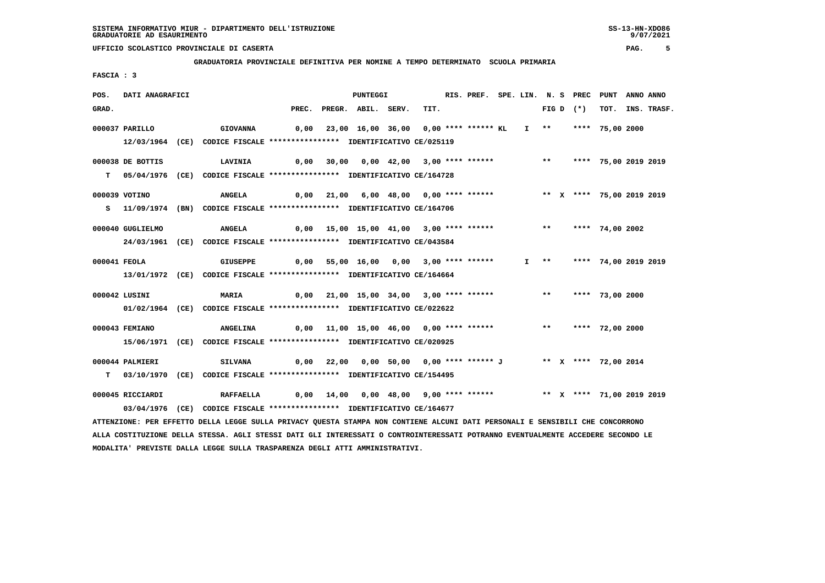**GRADUATORIA PROVINCIALE DEFINITIVA PER NOMINE A TEMPO DETERMINATO SCUOLA PRIMARIA**

 **FASCIA : 3**

| POS.         | DATI ANAGRAFICI  |                                                                                                                                 |  | PUNTEGGI                                                              |      | RIS. PREF. SPE. LIN. N. S PREC PUNT ANNO ANNO |  |               |             |                           |                  |
|--------------|------------------|---------------------------------------------------------------------------------------------------------------------------------|--|-----------------------------------------------------------------------|------|-----------------------------------------------|--|---------------|-------------|---------------------------|------------------|
| GRAD.        |                  |                                                                                                                                 |  | PREC. PREGR. ABIL. SERV.                                              | TIT. |                                               |  |               | FIG D $(*)$ |                           | TOT. INS. TRASF. |
|              | 000037 PARILLO   | <b>GIOVANNA</b>                                                                                                                 |  | 0,00 23,00 16,00 36,00 0,00 **** ****** KL = I ** ***** 75,00 2000    |      |                                               |  |               |             |                           |                  |
|              |                  |                                                                                                                                 |  |                                                                       |      |                                               |  |               |             |                           |                  |
|              |                  | 12/03/1964 (CE) CODICE FISCALE *************** IDENTIFICATIVO CE/025119                                                         |  |                                                                       |      |                                               |  |               |             |                           |                  |
|              | 000038 DE BOTTIS | LAVINIA                                                                                                                         |  | 0,00 30,00 0,00 42,00 3,00 **** ****** *** **** 75,00 2019 2019       |      |                                               |  |               |             |                           |                  |
|              |                  | T 05/04/1976 (CE) CODICE FISCALE **************** IDENTIFICATIVO CE/164728                                                      |  |                                                                       |      |                                               |  |               |             |                           |                  |
|              |                  |                                                                                                                                 |  |                                                                       |      |                                               |  |               |             |                           |                  |
|              | 000039 VOTINO    | <b>ANGELA</b>                                                                                                                   |  | 0,00 21,00 6,00 48,00 0,00 **** ****** *** ** ** **** 75,00 2019 2019 |      |                                               |  |               |             |                           |                  |
|              |                  | S 11/09/1974 (BN) CODICE FISCALE **************** IDENTIFICATIVO CE/164706                                                      |  |                                                                       |      |                                               |  |               |             |                           |                  |
|              | 000040 GUGLIELMO | <b>ANGELA</b>                                                                                                                   |  | 0,00 15,00 15,00 41,00 3,00 **** ******                               |      |                                               |  | $\star \star$ |             | **** 74,00 2002           |                  |
|              |                  | 24/03/1961 (CE) CODICE FISCALE *************** IDENTIFICATIVO CE/043584                                                         |  |                                                                       |      |                                               |  |               |             |                           |                  |
|              |                  |                                                                                                                                 |  |                                                                       |      |                                               |  |               |             |                           |                  |
| 000041 FEOLA |                  | GIUSEPPE                                                                                                                        |  | 0,00 55,00 16,00 0,00 3,00 **** ******                                |      |                                               |  |               |             | I ** **** 74,00 2019 2019 |                  |
|              |                  | 13/01/1972 (CE) CODICE FISCALE *************** IDENTIFICATIVO CE/164664                                                         |  |                                                                       |      |                                               |  |               |             |                           |                  |
|              |                  |                                                                                                                                 |  |                                                                       |      |                                               |  |               |             |                           |                  |
|              | 000042 LUSINI    | <b>MARIA</b>                                                                                                                    |  | 0,00 21,00 15,00 34,00 3,00 **** ****** *** **** 73,00 2000           |      |                                               |  |               |             |                           |                  |
|              |                  | 01/02/1964 (CE) CODICE FISCALE *************** IDENTIFICATIVO CE/022622                                                         |  |                                                                       |      |                                               |  |               |             |                           |                  |
|              | 000043 FEMIANO   | ANGELINA                                                                                                                        |  | 0,00 11,00 15,00 46,00 0,00 **** ******                               |      |                                               |  |               |             | ** **** 72,00 2000        |                  |
|              |                  | 15/06/1971 (CE) CODICE FISCALE *************** IDENTIFICATIVO CE/020925                                                         |  |                                                                       |      |                                               |  |               |             |                           |                  |
|              |                  |                                                                                                                                 |  |                                                                       |      |                                               |  |               |             |                           |                  |
|              | 000044 PALMIERI  | <b>SILVANA</b>                                                                                                                  |  | 0,00 22,00 0,00 50,00 0,00 **** ****** J ** X **** 72,00 2014         |      |                                               |  |               |             |                           |                  |
|              |                  | T 03/10/1970 (CE) CODICE FISCALE **************** IDENTIFICATIVO CE/154495                                                      |  |                                                                       |      |                                               |  |               |             |                           |                  |
|              |                  |                                                                                                                                 |  |                                                                       |      |                                               |  |               |             |                           |                  |
|              | 000045 RICCIARDI | <b>RAFFAELLA</b>                                                                                                                |  | 0,00 14,00 0,00 48,00 9,00 **** ****** *** ** **** 71,00 2019 2019    |      |                                               |  |               |             |                           |                  |
|              |                  | 03/04/1976 (CE) CODICE FISCALE *************** IDENTIFICATIVO CE/164677                                                         |  |                                                                       |      |                                               |  |               |             |                           |                  |
|              |                  | ATTENZIONE: PER EFFETTO DELLA LEGGE SULLA PRIVACY QUESTA STAMPA NON CONTIENE ALCUNI DATI PERSONALI E SENSIBILI CHE CONCORRONO   |  |                                                                       |      |                                               |  |               |             |                           |                  |
|              |                  | ALLA COSTITUZIONE DELLA STESSA. AGLI STESSI DATI GLI INTERESSATI O CONTROINTERESSATI POTRANNO EVENTUALMENTE ACCEDERE SECONDO LE |  |                                                                       |      |                                               |  |               |             |                           |                  |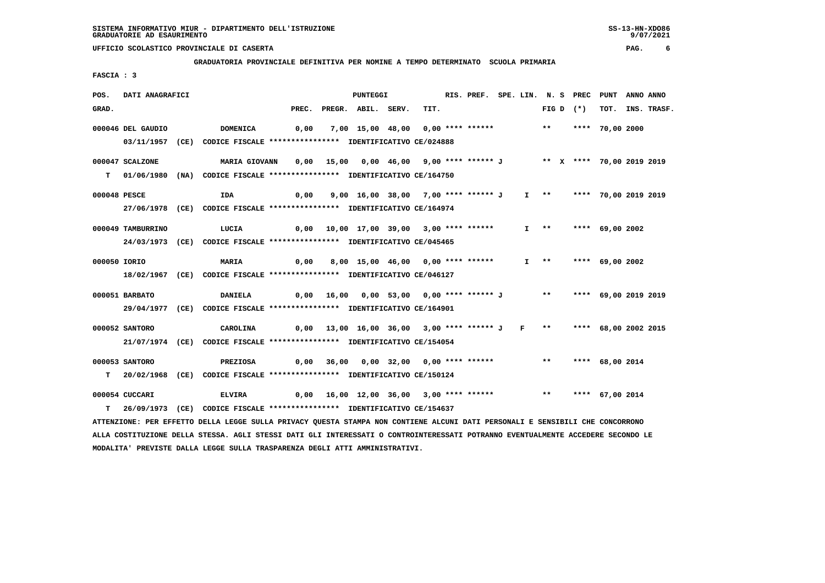**GRADUATORIA PROVINCIALE DEFINITIVA PER NOMINE A TEMPO DETERMINATO SCUOLA PRIMARIA**

 **FASCIA : 3**

| POS.         | DATI ANAGRAFICI   |                                                                                                                                 |       | <b>PUNTEGGI</b>                                                        |      | RIS. PREF. SPE. LIN. N. S PREC PUNT |  |        |             |                           | ANNO ANNO |                  |
|--------------|-------------------|---------------------------------------------------------------------------------------------------------------------------------|-------|------------------------------------------------------------------------|------|-------------------------------------|--|--------|-------------|---------------------------|-----------|------------------|
| GRAD.        |                   |                                                                                                                                 | PREC. | PREGR. ABIL. SERV.                                                     | TIT. |                                     |  |        | FIG D $(*)$ |                           |           | TOT. INS. TRASF. |
|              | 000046 DEL GAUDIO | <b>DOMENICA</b>                                                                                                                 | 0,00  | 7,00 15,00 48,00 0,00 **** ******             **       **** 70,00 2000 |      |                                     |  |        |             |                           |           |                  |
|              |                   | 03/11/1957 (CE) CODICE FISCALE *************** IDENTIFICATIVO CE/024888                                                         |       |                                                                        |      |                                     |  |        |             |                           |           |                  |
|              |                   |                                                                                                                                 |       |                                                                        |      |                                     |  |        |             |                           |           |                  |
|              | 000047 SCALZONE   | <b>MARIA GIOVANN</b>                                                                                                            |       | 0,00 15,00 0,00 46,00 9,00 **** ****** J ** X **** 70,00 2019 2019     |      |                                     |  |        |             |                           |           |                  |
|              |                   | T 01/06/1980 (NA) CODICE FISCALE **************** IDENTIFICATIVO CE/164750                                                      |       |                                                                        |      |                                     |  |        |             |                           |           |                  |
| 000048 PESCE |                   | IDA                                                                                                                             | 0,00  | 9,00 16,00 38,00 7,00 **** ****** J                                    |      |                                     |  |        |             | I ** **** 70,00 2019 2019 |           |                  |
|              |                   |                                                                                                                                 |       |                                                                        |      |                                     |  |        |             |                           |           |                  |
|              |                   | 27/06/1978 (CE) CODICE FISCALE *************** IDENTIFICATIVO CE/164974                                                         |       |                                                                        |      |                                     |  |        |             |                           |           |                  |
|              | 000049 TAMBURRINO | LUCIA                                                                                                                           |       | $0,00$ 10,00 17,00 39,00 3,00 **** ******                              |      |                                     |  | $I$ ** |             | **** 69,00 2002           |           |                  |
|              |                   | 24/03/1973 (CE) CODICE FISCALE *************** IDENTIFICATIVO CE/045465                                                         |       |                                                                        |      |                                     |  |        |             |                           |           |                  |
|              |                   |                                                                                                                                 |       |                                                                        |      |                                     |  |        |             |                           |           |                  |
| 000050 IORIO |                   | MARIA                                                                                                                           | 0,00  | 8,00 15,00 46,00 0,00 **** ******                                      |      |                                     |  |        |             | I ** **** 69,00 2002      |           |                  |
|              |                   | 18/02/1967 (CE) CODICE FISCALE *************** IDENTIFICATIVO CE/046127                                                         |       |                                                                        |      |                                     |  |        |             |                           |           |                  |
|              | 000051 BARBATO    | <b>DANIELA</b>                                                                                                                  |       | 0,00 16,00 0,00 53,00 0,00 **** ****** J ** **** 69,00 2019 2019       |      |                                     |  |        |             |                           |           |                  |
|              |                   | 29/04/1977 (CE) CODICE FISCALE *************** IDENTIFICATIVO CE/164901                                                         |       |                                                                        |      |                                     |  |        |             |                           |           |                  |
|              |                   |                                                                                                                                 |       |                                                                        |      |                                     |  |        |             |                           |           |                  |
|              | 000052 SANTORO    | CAROLINA                                                                                                                        |       | 0,00 13,00 16,00 36,00 3,00 **** ****** J F ** **** 68,00 2002 2015    |      |                                     |  |        |             |                           |           |                  |
|              |                   | 21/07/1974 (CE) CODICE FISCALE *************** IDENTIFICATIVO CE/154054                                                         |       |                                                                        |      |                                     |  |        |             |                           |           |                  |
|              | 000053 SANTORO    | PREZIOSA                                                                                                                        |       | 0,00 36,00 0,00 32,00 0,00 **** ******                                 |      |                                     |  |        |             | ** **** 68,00 2014        |           |                  |
|              |                   | T 20/02/1968 (CE) CODICE FISCALE **************** IDENTIFICATIVO CE/150124                                                      |       |                                                                        |      |                                     |  |        |             |                           |           |                  |
|              |                   |                                                                                                                                 |       |                                                                        |      |                                     |  |        |             |                           |           |                  |
|              | 000054 CUCCARI    | <b>ELVIRA</b>                                                                                                                   |       | $0,00$ 16,00 12,00 36,00 3,00 **** ******                              |      |                                     |  |        |             | ** **** 67,00 2014        |           |                  |
|              |                   | T 26/09/1973 (CE) CODICE FISCALE *************** IDENTIFICATIVO CE/154637                                                       |       |                                                                        |      |                                     |  |        |             |                           |           |                  |
|              |                   | ATTENZIONE: PER EFFETTO DELLA LEGGE SULLA PRIVACY QUESTA STAMPA NON CONTIENE ALCUNI DATI PERSONALI E SENSIBILI CHE CONCORRONO   |       |                                                                        |      |                                     |  |        |             |                           |           |                  |
|              |                   | ALLA COSTITUZIONE DELLA STESSA. AGLI STESSI DATI GLI INTERESSATI O CONTROINTERESSATI POTRANNO EVENTUALMENTE ACCEDERE SECONDO LE |       |                                                                        |      |                                     |  |        |             |                           |           |                  |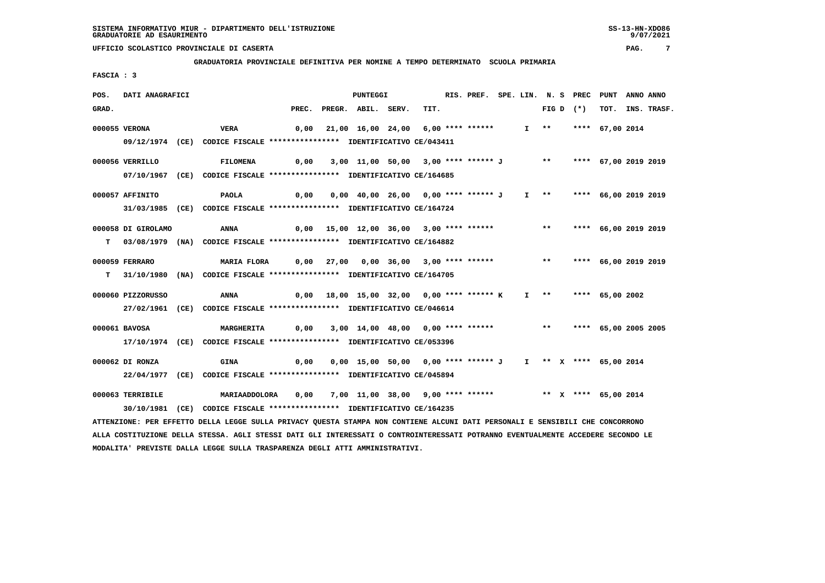**GRADUATORIA PROVINCIALE DEFINITIVA PER NOMINE A TEMPO DETERMINATO SCUOLA PRIMARIA**

 **FASCIA : 3**

| POS.            | DATI ANAGRAFICI    |                                                                                                                                 |       | PUNTEGGI                                                    |      | RIS. PREF. SPE. LIN. N. S PREC |  |                       |             | PUNT                      | ANNO ANNO        |
|-----------------|--------------------|---------------------------------------------------------------------------------------------------------------------------------|-------|-------------------------------------------------------------|------|--------------------------------|--|-----------------------|-------------|---------------------------|------------------|
| GRAD.           |                    |                                                                                                                                 | PREC. | PREGR. ABIL. SERV.                                          | TIT. |                                |  |                       | FIG D $(*)$ |                           | TOT. INS. TRASF. |
| 000055 VERONA   |                    | VERA                                                                                                                            | 0,00  | 21,00 16,00 24,00 6,00 **** ******                          |      |                                |  | $I \rightarrow \star$ |             | **** 67,00 2014           |                  |
|                 |                    | 09/12/1974 (CE) CODICE FISCALE *************** IDENTIFICATIVO CE/043411                                                         |       |                                                             |      |                                |  |                       |             |                           |                  |
| 000056 VERRILLO |                    | FILOMENA                                                                                                                        | 0,00  | 3,00 11,00 50,00 3,00 **** ****** J ** **** 67,00 2019 2019 |      |                                |  |                       |             |                           |                  |
|                 |                    | 07/10/1967 (CE) CODICE FISCALE *************** IDENTIFICATIVO CE/164685                                                         |       |                                                             |      |                                |  |                       |             |                           |                  |
|                 |                    |                                                                                                                                 |       |                                                             |      |                                |  |                       |             |                           |                  |
| 000057 AFFINITO |                    | PAOLA                                                                                                                           | 0,00  | 0,00 40,00 26,00 0,00 **** ****** J                         |      |                                |  |                       |             | I ** **** 66,00 2019 2019 |                  |
|                 |                    | 31/03/1985 (CE) CODICE FISCALE *************** IDENTIFICATIVO CE/164724                                                         |       |                                                             |      |                                |  |                       |             |                           |                  |
|                 | 000058 DI GIROLAMO | ANNA                                                                                                                            |       | $0,00$ 15,00 12,00 36,00 3,00 **** ****** *** **            |      |                                |  |                       |             | **** 66,00 2019 2019      |                  |
| т               |                    | 03/08/1979 (NA) CODICE FISCALE **************** IDENTIFICATIVO CE/164882                                                        |       |                                                             |      |                                |  |                       |             |                           |                  |
|                 |                    |                                                                                                                                 |       |                                                             |      |                                |  |                       |             |                           |                  |
| 000059 FERRARO  |                    | MARIA FLORA                                                                                                                     |       | $0,00$ 27,00 0,00 36,00 3,00 **** ******                    |      |                                |  |                       |             | ** **** 66,00 2019 2019   |                  |
|                 |                    | T 31/10/1980 (NA) CODICE FISCALE *************** IDENTIFICATIVO CE/164705                                                       |       |                                                             |      |                                |  |                       |             |                           |                  |
|                 | 000060 PIZZORUSSO  | ANNA                                                                                                                            | 0,00  | 18,00 15,00 32,00 0,00 **** ****** K                        |      |                                |  |                       |             | I ** **** 65,00 2002      |                  |
|                 |                    | 27/02/1961 (CE) CODICE FISCALE *************** IDENTIFICATIVO CE/046614                                                         |       |                                                             |      |                                |  |                       |             |                           |                  |
| 000061 BAVOSA   |                    | MARGHERITA                                                                                                                      | 0,00  | 3,00 14,00 48,00 0,00 **** ******                           |      |                                |  |                       |             | ** **** 65,00 2005 2005   |                  |
|                 |                    | 17/10/1974 (CE) CODICE FISCALE *************** IDENTIFICATIVO CE/053396                                                         |       |                                                             |      |                                |  |                       |             |                           |                  |
|                 |                    |                                                                                                                                 |       |                                                             |      |                                |  |                       |             |                           |                  |
| 000062 DI RONZA |                    | <b>GINA</b>                                                                                                                     | 0,00  | 0,00 15,00 50,00 0,00 **** ****** J I ** X **** 65,00 2014  |      |                                |  |                       |             |                           |                  |
|                 |                    | 22/04/1977 (CE) CODICE FISCALE *************** IDENTIFICATIVO CE/045894                                                         |       |                                                             |      |                                |  |                       |             |                           |                  |
|                 | 000063 TERRIBILE   | MARIAADDOLORA                                                                                                                   | 0,00  | 7,00 11,00 38,00 9,00 **** ******                           |      |                                |  |                       |             | ** X **** 65,00 2014      |                  |
|                 |                    | 30/10/1981 (CE) CODICE FISCALE *************** IDENTIFICATIVO CE/164235                                                         |       |                                                             |      |                                |  |                       |             |                           |                  |
|                 |                    | ATTENZIONE: PER EFFETTO DELLA LEGGE SULLA PRIVACY OUESTA STAMPA NON CONTIENE ALCUNI DATI PERSONALI E SENSIBILI CHE CONCORRONO   |       |                                                             |      |                                |  |                       |             |                           |                  |
|                 |                    | ALLA COSTITUZIONE DELLA STESSA. AGLI STESSI DATI GLI INTERESSATI O CONTROINTERESSATI POTRANNO EVENTUALMENTE ACCEDERE SECONDO LE |       |                                                             |      |                                |  |                       |             |                           |                  |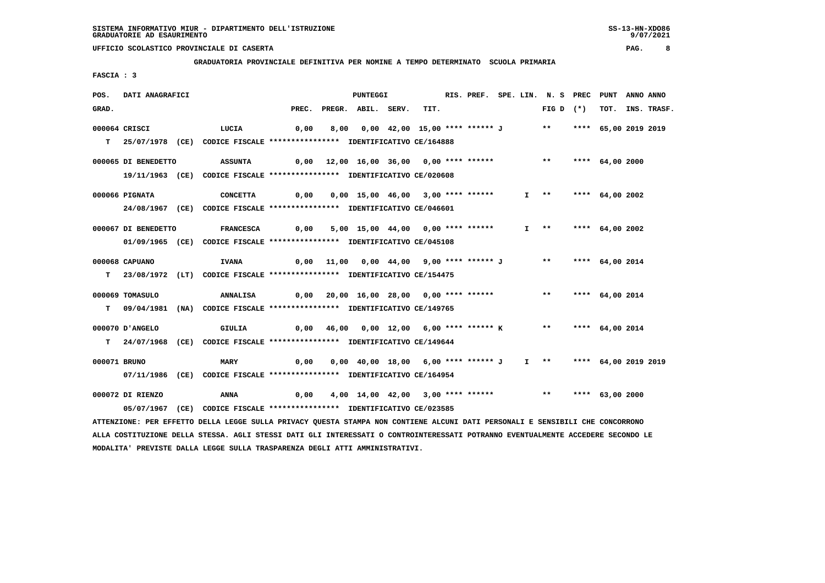**GRADUATORIA PROVINCIALE DEFINITIVA PER NOMINE A TEMPO DETERMINATO SCUOLA PRIMARIA**

 **FASCIA : 3**

| POS.         | DATI ANAGRAFICI     |                                                                                                                               |       | PUNTEGGI                                                          |      |  |  | RIS. PREF. SPE. LIN. N. S PREC PUNT |                   | ANNO ANNO |                  |
|--------------|---------------------|-------------------------------------------------------------------------------------------------------------------------------|-------|-------------------------------------------------------------------|------|--|--|-------------------------------------|-------------------|-----------|------------------|
| GRAD.        |                     |                                                                                                                               | PREC. | PREGR. ABIL. SERV.                                                | TIT. |  |  | FIG D $(*)$                         |                   |           | TOT. INS. TRASF. |
|              | 000064 CRISCI       | LUCIA                                                                                                                         | 0,00  | 8,00 0,00 42,00 15,00 **** ****** J ** **** 65,00 2019 2019       |      |  |  |                                     |                   |           |                  |
|              |                     | T 25/07/1978 (CE) CODICE FISCALE **************** IDENTIFICATIVO CE/164888                                                    |       |                                                                   |      |  |  |                                     |                   |           |                  |
|              | 000065 DI BENEDETTO | <b>ASSUNTA</b>                                                                                                                |       | 0,00 12,00 16,00 36,00 0,00 **** ******                           |      |  |  | $***$                               | **** $64,00$ 2000 |           |                  |
|              |                     | 19/11/1963 (CE) CODICE FISCALE *************** IDENTIFICATIVO CE/020608                                                       |       |                                                                   |      |  |  |                                     |                   |           |                  |
|              | 000066 PIGNATA      | CONCETTA                                                                                                                      | 0,00  | 0,00 15,00 46,00 3,00 **** ******                                 |      |  |  | $I \longrightarrow$ $**$            | **** 64,00 2002   |           |                  |
|              |                     | 24/08/1967 (CE) CODICE FISCALE *************** IDENTIFICATIVO CE/046601                                                       |       |                                                                   |      |  |  |                                     |                   |           |                  |
|              | 000067 DI BENEDETTO | <b>FRANCESCA</b>                                                                                                              |       | $0,00$ 5,00 15,00 44,00 0,00 **** ******                          |      |  |  | $I$ ** **** 64,00 2002              |                   |           |                  |
|              |                     | 01/09/1965 (CE) CODICE FISCALE *************** IDENTIFICATIVO CE/045108                                                       |       |                                                                   |      |  |  |                                     |                   |           |                  |
|              | 000068 CAPUANO      | <b>IVANA</b>                                                                                                                  | 0,00  | 11,00  0,00  44,00  9,00  ****  ******  J  **  ****  64,00  2014  |      |  |  |                                     |                   |           |                  |
|              |                     | T 23/08/1972 (LT) CODICE FISCALE **************** IDENTIFICATIVO CE/154475                                                    |       |                                                                   |      |  |  |                                     |                   |           |                  |
|              | 000069 TOMASULO     | ANNALISA                                                                                                                      |       | 0,00 20,00 16,00 28,00 0,00 **** ****** *** **                    |      |  |  |                                     | **** $64,00$ 2014 |           |                  |
|              |                     | T 09/04/1981 (NA) CODICE FISCALE **************** IDENTIFICATIVO CE/149765                                                    |       |                                                                   |      |  |  |                                     |                   |           |                  |
|              |                     |                                                                                                                               |       |                                                                   |      |  |  |                                     |                   |           |                  |
|              | 000070 D'ANGELO     | GIULIA                                                                                                                        |       | 0,00 46,00 0,00 12,00 6,00 **** ****** K ** **** 64,00 2014       |      |  |  |                                     |                   |           |                  |
|              |                     | T 24/07/1968 (CE) CODICE FISCALE *************** IDENTIFICATIVO CE/149644                                                     |       |                                                                   |      |  |  |                                     |                   |           |                  |
| 000071 BRUNO |                     | <b>MARY</b>                                                                                                                   | 0,00  | 0,00 40,00 18,00 6,00 **** ****** J I **     **** 64,00 2019 2019 |      |  |  |                                     |                   |           |                  |
|              |                     | 07/11/1986 (CE) CODICE FISCALE *************** IDENTIFICATIVO CE/164954                                                       |       |                                                                   |      |  |  |                                     |                   |           |                  |
|              | 000072 DI RIENZO    | ANNA                                                                                                                          | 0,00  | 4,00 14,00 42,00 3,00 **** ******                                 |      |  |  | $\star \star$                       | **** 63,00 2000   |           |                  |
|              |                     | 05/07/1967 (CE) CODICE FISCALE *************** IDENTIFICATIVO CE/023585                                                       |       |                                                                   |      |  |  |                                     |                   |           |                  |
|              |                     | ATTENZIONE: PER EFFETTO DELLA LEGGE SULLA PRIVACY QUESTA STAMPA NON CONTIENE ALCUNI DATI PERSONALI E SENSIBILI CHE CONCORRONO |       |                                                                   |      |  |  |                                     |                   |           |                  |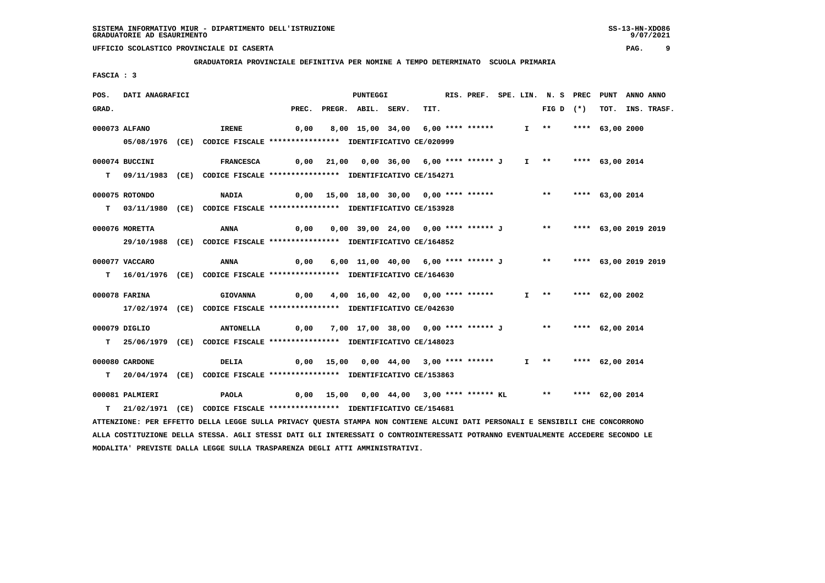**GRADUATORIA PROVINCIALE DEFINITIVA PER NOMINE A TEMPO DETERMINATO SCUOLA PRIMARIA**

 **FASCIA : 3**

| POS.  | DATI ANAGRAFICI |                                                                                                                                 |      | PUNTEGGI                                                     |      | RIS. PREF. SPE. LIN. N. S PREC PUNT |  |                       |                        |                 | ANNO ANNO |                  |
|-------|-----------------|---------------------------------------------------------------------------------------------------------------------------------|------|--------------------------------------------------------------|------|-------------------------------------|--|-----------------------|------------------------|-----------------|-----------|------------------|
| GRAD. |                 |                                                                                                                                 |      | PREC. PREGR. ABIL. SERV.                                     | TIT. |                                     |  | FIG D $(*)$           |                        |                 |           | TOT. INS. TRASF. |
|       | 000073 ALFANO   | <b>IRENE</b>                                                                                                                    | 0,00 | 8,00 15,00 34,00 6,00 **** ******                            |      |                                     |  | $I \rightarrow \star$ |                        | **** 63,00 2000 |           |                  |
|       |                 |                                                                                                                                 |      |                                                              |      |                                     |  |                       |                        |                 |           |                  |
|       |                 | 05/08/1976 (CE) CODICE FISCALE *************** IDENTIFICATIVO CE/020999                                                         |      |                                                              |      |                                     |  |                       |                        |                 |           |                  |
|       | 000074 BUCCINI  | <b>FRANCESCA</b>                                                                                                                |      | 0,00 21,00 0,00 36,00 6,00 **** ****** J                     |      |                                     |  |                       | I ** **** 63,00 2014   |                 |           |                  |
|       |                 | T 09/11/1983 (CE) CODICE FISCALE *************** IDENTIFICATIVO CE/154271                                                       |      |                                                              |      |                                     |  |                       |                        |                 |           |                  |
|       |                 |                                                                                                                                 |      |                                                              |      |                                     |  |                       |                        |                 |           |                  |
|       | 000075 ROTONDO  | <b>NADIA</b>                                                                                                                    |      | 0,00 15,00 18,00 30,00 0,00 **** ******                      |      |                                     |  |                       | ** **** 63,00 2014     |                 |           |                  |
|       |                 | T 03/11/1980 (CE) CODICE FISCALE *************** IDENTIFICATIVO CE/153928                                                       |      |                                                              |      |                                     |  |                       |                        |                 |           |                  |
|       |                 |                                                                                                                                 |      |                                                              |      |                                     |  |                       |                        |                 |           |                  |
|       | 000076 MORETTA  | ANNA                                                                                                                            | 0,00 | 0,00 39,00 24,00 0,00 **** ****** J ** **** 63,00 2019 2019  |      |                                     |  |                       |                        |                 |           |                  |
|       |                 | 29/10/1988 (CE) CODICE FISCALE *************** IDENTIFICATIVO CE/164852                                                         |      |                                                              |      |                                     |  |                       |                        |                 |           |                  |
|       | 000077 VACCARO  | <b>ANNA</b>                                                                                                                     | 0,00 | 6,00 11,00 40,00 6,00 **** ****** J ** **** 63,00 2019 2019  |      |                                     |  |                       |                        |                 |           |                  |
|       |                 | T 16/01/1976 (CE) CODICE FISCALE **************** IDENTIFICATIVO CE/164630                                                      |      |                                                              |      |                                     |  |                       |                        |                 |           |                  |
|       |                 |                                                                                                                                 |      |                                                              |      |                                     |  |                       |                        |                 |           |                  |
|       | 000078 FARINA   | <b>GIOVANNA</b>                                                                                                                 |      | 0,00 4,00 16,00 42,00 0,00 **** ******                       |      |                                     |  |                       | $I$ ** **** 62,00 2002 |                 |           |                  |
|       |                 | 17/02/1974 (CE) CODICE FISCALE *************** IDENTIFICATIVO CE/042630                                                         |      |                                                              |      |                                     |  |                       |                        |                 |           |                  |
|       |                 |                                                                                                                                 |      |                                                              |      |                                     |  |                       |                        |                 |           |                  |
|       | 000079 DIGLIO   | <b>ANTONELLA</b>                                                                                                                |      | 0,00 7,00 17,00 38,00 0,00 **** ****** J ** **** 62,00 2014  |      |                                     |  |                       |                        |                 |           |                  |
|       |                 | T 25/06/1979 (CE) CODICE FISCALE **************** IDENTIFICATIVO CE/148023                                                      |      |                                                              |      |                                     |  |                       |                        |                 |           |                  |
|       |                 |                                                                                                                                 |      |                                                              |      |                                     |  |                       |                        |                 |           |                  |
|       | 000080 CARDONE  | DELIA                                                                                                                           |      | $0,00$ 15,00 0,00 44,00 3,00 **** ******                     |      |                                     |  |                       | $I$ ** **** 62,00 2014 |                 |           |                  |
|       |                 | T 20/04/1974 (CE) CODICE FISCALE *************** IDENTIFICATIVO CE/153863                                                       |      |                                                              |      |                                     |  |                       |                        |                 |           |                  |
|       | 000081 PALMIERI | PAOLA                                                                                                                           |      | 0,00 15,00 0,00 44,00 3,00 **** ****** KL ** **** 62,00 2014 |      |                                     |  |                       |                        |                 |           |                  |
|       |                 | T 21/02/1971 (CE) CODICE FISCALE **************** IDENTIFICATIVO CE/154681                                                      |      |                                                              |      |                                     |  |                       |                        |                 |           |                  |
|       |                 | ATTENZIONE: PER EFFETTO DELLA LEGGE SULLA PRIVACY QUESTA STAMPA NON CONTIENE ALCUNI DATI PERSONALI E SENSIBILI CHE CONCORRONO   |      |                                                              |      |                                     |  |                       |                        |                 |           |                  |
|       |                 | ALLA COSTITUZIONE DELLA STESSA. AGLI STESSI DATI GLI INTERESSATI O CONTROINTERESSATI POTRANNO EVENTUALMENTE ACCEDERE SECONDO LE |      |                                                              |      |                                     |  |                       |                        |                 |           |                  |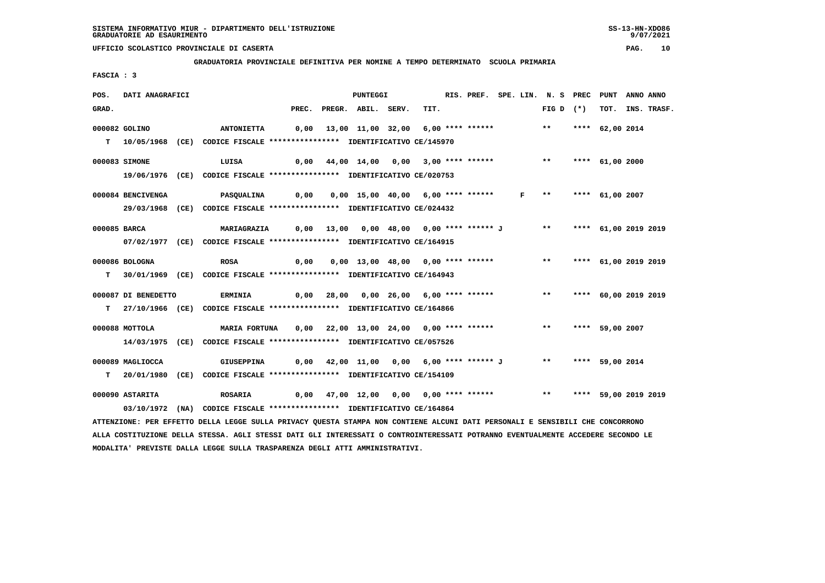**GRADUATORIA PROVINCIALE DEFINITIVA PER NOMINE A TEMPO DETERMINATO SCUOLA PRIMARIA**

 **FASCIA : 3**

| POS.         | DATI ANAGRAFICI     |                                                                                                                                 |       | <b>PUNTEGGI</b>                                             |      | RIS. PREF. SPE. LIN. N. S PREC PUNT |  |                        |                      | ANNO ANNO |             |
|--------------|---------------------|---------------------------------------------------------------------------------------------------------------------------------|-------|-------------------------------------------------------------|------|-------------------------------------|--|------------------------|----------------------|-----------|-------------|
| GRAD.        |                     |                                                                                                                                 | PREC. | PREGR. ABIL. SERV.                                          | TIT. |                                     |  | FIG D $(*)$            | тот.                 |           | INS. TRASF. |
|              | 000082 GOLINO       | <b>ANTONIETTA</b>                                                                                                               |       | $0,00$ 13,00 11,00 32,00 6,00 **** ****** *** **            |      |                                     |  |                        | **** 62,00 2014      |           |             |
|              |                     |                                                                                                                                 |       |                                                             |      |                                     |  |                        |                      |           |             |
| т            |                     | 10/05/1968 (CE) CODICE FISCALE **************** IDENTIFICATIVO CE/145970                                                        |       |                                                             |      |                                     |  |                        |                      |           |             |
|              | 000083 SIMONE       | LUISA                                                                                                                           |       | 0,00 44,00 14,00 0,00 3,00 **** ******                      |      |                                     |  | $***$                  | **** 61,00 2000      |           |             |
|              |                     | 19/06/1976 (CE) CODICE FISCALE *************** IDENTIFICATIVO CE/020753                                                         |       |                                                             |      |                                     |  |                        |                      |           |             |
|              | 000084 BENCIVENGA   | <b>PASQUALINA</b>                                                                                                               | 0,00  | 0,00 15,00 40,00 6,00 **** ******                           |      |                                     |  | $F$ ** **** 61,00 2007 |                      |           |             |
|              |                     |                                                                                                                                 |       |                                                             |      |                                     |  |                        |                      |           |             |
|              |                     | 29/03/1968 (CE) CODICE FISCALE *************** IDENTIFICATIVO CE/024432                                                         |       |                                                             |      |                                     |  |                        |                      |           |             |
| 000085 BARCA |                     | MARIAGRAZIA                                                                                                                     |       | 0,00 13,00 0,00 48,00 0,00 **** ****** J                    |      |                                     |  | $\star\star$           | **** 61,00 2019 2019 |           |             |
|              |                     | 07/02/1977 (CE) CODICE FISCALE *************** IDENTIFICATIVO CE/164915                                                         |       |                                                             |      |                                     |  |                        |                      |           |             |
|              |                     |                                                                                                                                 |       |                                                             |      |                                     |  |                        |                      |           |             |
|              | 000086 BOLOGNA      | <b>ROSA</b>                                                                                                                     | 0,00  | 0,00 13,00 48,00 0,00 **** ******                           |      |                                     |  | $***$                  | **** 61,00 2019 2019 |           |             |
|              |                     | T 30/01/1969 (CE) CODICE FISCALE **************** IDENTIFICATIVO CE/164943                                                      |       |                                                             |      |                                     |  |                        |                      |           |             |
|              | 000087 DI BENEDETTO | <b>ERMINIA</b>                                                                                                                  |       | 0,00 28,00 0,00 26,00 6,00 **** ******                      |      |                                     |  | $***$                  | **** 60,00 2019 2019 |           |             |
|              |                     |                                                                                                                                 |       |                                                             |      |                                     |  |                        |                      |           |             |
|              |                     | T 27/10/1966 (CE) CODICE FISCALE *************** IDENTIFICATIVO CE/164866                                                       |       |                                                             |      |                                     |  |                        |                      |           |             |
|              | 000088 MOTTOLA      | <b>MARIA FORTUNA</b>                                                                                                            |       | 0,00 22,00 13,00 24,00 0,00 **** ******                     |      |                                     |  | $***$                  | **** 59,00 2007      |           |             |
|              |                     | 14/03/1975 (CE) CODICE FISCALE *************** IDENTIFICATIVO CE/057526                                                         |       |                                                             |      |                                     |  |                        |                      |           |             |
|              |                     |                                                                                                                                 |       |                                                             |      |                                     |  |                        |                      |           |             |
|              | 000089 MAGLIOCCA    | <b>GIUSEPPINA</b>                                                                                                               |       | 0,00 42,00 11,00 0,00 6,00 **** ****** J ** **** 59,00 2014 |      |                                     |  |                        |                      |           |             |
|              |                     | T 20/01/1980 (CE) CODICE FISCALE **************** IDENTIFICATIVO CE/154109                                                      |       |                                                             |      |                                     |  |                        |                      |           |             |
|              | 000090 ASTARITA     | <b>ROSARIA</b>                                                                                                                  |       | $0,00$ 47,00 12,00 0,00 0,00 **** ******                    |      |                                     |  | $\star\star$           | **** 59,00 2019 2019 |           |             |
|              |                     | 03/10/1972 (NA) CODICE FISCALE *************** IDENTIFICATIVO CE/164864                                                         |       |                                                             |      |                                     |  |                        |                      |           |             |
|              |                     | ATTENZIONE: PER EFFETTO DELLA LEGGE SULLA PRIVACY QUESTA STAMPA NON CONTIENE ALCUNI DATI PERSONALI E SENSIBILI CHE CONCORRONO   |       |                                                             |      |                                     |  |                        |                      |           |             |
|              |                     |                                                                                                                                 |       |                                                             |      |                                     |  |                        |                      |           |             |
|              |                     | ALLA COSTITUZIONE DELLA STESSA. AGLI STESSI DATI GLI INTERESSATI O CONTROINTERESSATI POTRANNO EVENTUALMENTE ACCEDERE SECONDO LE |       |                                                             |      |                                     |  |                        |                      |           |             |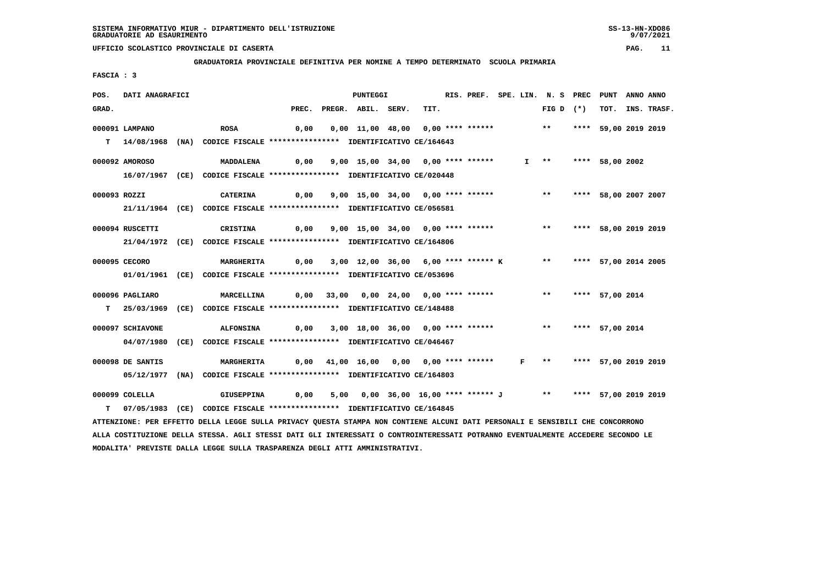**GRADUATORIA PROVINCIALE DEFINITIVA PER NOMINE A TEMPO DETERMINATO SCUOLA PRIMARIA**

 **FASCIA : 3**

| POS.         | DATI ANAGRAFICI  |                                                                                                                               |       | PUNTEGGI                                                       |      |  |   | RIS. PREF. SPE. LIN. N. S PREC PUNT |                      | ANNO ANNO |             |
|--------------|------------------|-------------------------------------------------------------------------------------------------------------------------------|-------|----------------------------------------------------------------|------|--|---|-------------------------------------|----------------------|-----------|-------------|
| GRAD.        |                  |                                                                                                                               | PREC. | PREGR. ABIL. SERV.                                             | TIT. |  |   | FIG D $(*)$                         | тот.                 |           | INS. TRASF. |
|              | 000091 LAMPANO   | <b>ROSA</b>                                                                                                                   | 0,00  | $0,00$ 11,00 48,00 0,00 **** ******                            |      |  |   | $***$                               | **** 59,00 2019 2019 |           |             |
|              |                  |                                                                                                                               |       |                                                                |      |  |   |                                     |                      |           |             |
|              |                  | T 14/08/1968 (NA) CODICE FISCALE *************** IDENTIFICATIVO CE/164643                                                     |       |                                                                |      |  |   |                                     |                      |           |             |
|              | 000092 AMOROSO   | MADDALENA                                                                                                                     | 0,00  | 9,00 15,00 34,00 0,00 **** ******                              |      |  |   | $I \rightarrow \star$               | **** 58,00 2002      |           |             |
|              |                  | 16/07/1967 (CE) CODICE FISCALE *************** IDENTIFICATIVO CE/020448                                                       |       |                                                                |      |  |   |                                     |                      |           |             |
|              |                  |                                                                                                                               |       |                                                                |      |  |   |                                     |                      |           |             |
| 000093 ROZZI |                  | <b>CATERINA</b>                                                                                                               | 0,00  | 9,00 15,00 34,00 0,00 **** ****** *** **                       |      |  |   |                                     | **** 58,00 2007 2007 |           |             |
|              |                  | 21/11/1964 (CE) CODICE FISCALE *************** IDENTIFICATIVO CE/056581                                                       |       |                                                                |      |  |   |                                     |                      |           |             |
|              |                  |                                                                                                                               |       |                                                                |      |  |   |                                     |                      |           |             |
|              | 000094 RUSCETTI  | CRISTINA                                                                                                                      | 0,00  | 9,00 15,00 34,00 0,00 **** ****** *** *** **** 58,00 2019 2019 |      |  |   |                                     |                      |           |             |
|              |                  | 21/04/1972 (CE) CODICE FISCALE *************** IDENTIFICATIVO CE/164806                                                       |       |                                                                |      |  |   |                                     |                      |           |             |
|              |                  |                                                                                                                               |       |                                                                |      |  |   |                                     |                      |           |             |
|              | 000095 CECORO    | <b>MARGHERITA</b>                                                                                                             | 0,00  | 3,00 12,00 36,00 6,00 **** ****** K **                         |      |  |   |                                     | **** 57,00 2014 2005 |           |             |
|              |                  | 01/01/1961 (CE) CODICE FISCALE *************** IDENTIFICATIVO CE/053696                                                       |       |                                                                |      |  |   |                                     |                      |           |             |
|              | 000096 PAGLIARO  | MARCELLINA                                                                                                                    | 0,00  | 33,00  0,00  24,00  0,00  ****  ******                         |      |  |   | $***$                               | **** 57,00 2014      |           |             |
|              |                  | T 25/03/1969 (CE) CODICE FISCALE *************** IDENTIFICATIVO CE/148488                                                     |       |                                                                |      |  |   |                                     |                      |           |             |
|              |                  |                                                                                                                               |       |                                                                |      |  |   |                                     |                      |           |             |
|              | 000097 SCHIAVONE | <b>ALFONSINA</b>                                                                                                              | 0,00  | 3,00 18,00 36,00 0,00 **** ******                              |      |  |   | ** **** 57,00 2014                  |                      |           |             |
|              | 04/07/1980       | (CE) CODICE FISCALE **************** IDENTIFICATIVO CE/046467                                                                 |       |                                                                |      |  |   |                                     |                      |           |             |
|              |                  |                                                                                                                               |       |                                                                |      |  |   |                                     |                      |           |             |
|              | 000098 DE SANTIS | <b>MARGHERITA</b>                                                                                                             |       | $0,00$ 41,00 16,00 0,00 0,00 **** ******                       |      |  | F | $***$                               | **** 57,00 2019 2019 |           |             |
|              |                  | 05/12/1977 (NA) CODICE FISCALE *************** IDENTIFICATIVO CE/164803                                                       |       |                                                                |      |  |   |                                     |                      |           |             |
|              |                  |                                                                                                                               |       |                                                                |      |  |   |                                     |                      |           |             |
|              | $000099$ COLELLA | GIUSEPPINA                                                                                                                    | 0,00  | 5,00 0,00 36,00 16,00 **** ****** J ** **** 57,00 2019 2019    |      |  |   |                                     |                      |           |             |
| T.           | 07/05/1983       | (CE) CODICE FISCALE **************** IDENTIFICATIVO CE/164845                                                                 |       |                                                                |      |  |   |                                     |                      |           |             |
|              |                  | ATTENZIONE: PER EFFETTO DELLA LEGGE SULLA PRIVACY QUESTA STAMPA NON CONTIENE ALCUNI DATI PERSONALI E SENSIBILI CHE CONCORRONO |       |                                                                |      |  |   |                                     |                      |           |             |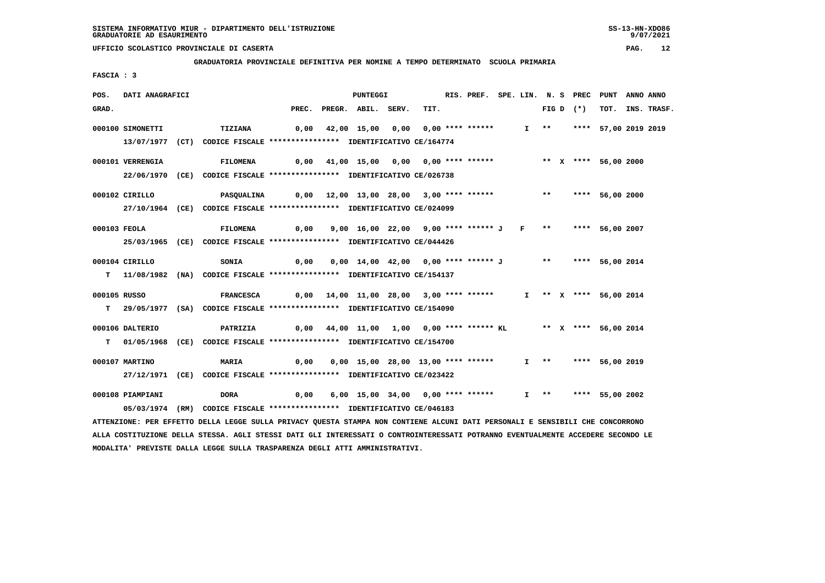**GRADUATORIA PROVINCIALE DEFINITIVA PER NOMINE A TEMPO DETERMINATO SCUOLA PRIMARIA**

 **FASCIA : 3**

| POS.  | DATI ANAGRAFICI  |                                                                                                                               |                                                                 | PUNTEGGI                 |                                                                         | RIS. PREF. SPE. LIN. N. S PREC PUNT ANNO ANNO |  |  |             |                           |                  |
|-------|------------------|-------------------------------------------------------------------------------------------------------------------------------|-----------------------------------------------------------------|--------------------------|-------------------------------------------------------------------------|-----------------------------------------------|--|--|-------------|---------------------------|------------------|
| GRAD. |                  |                                                                                                                               |                                                                 | PREC. PREGR. ABIL. SERV. |                                                                         | TIT.                                          |  |  | FIG D $(*)$ |                           | TOT. INS. TRASF. |
|       | 000100 SIMONETTI | TIZIANA                                                                                                                       |                                                                 |                          | 0,00 42,00 15,00 0,00 0,00 **** ******                                  |                                               |  |  |             | I ** **** 57,00 2019 2019 |                  |
|       |                  | 13/07/1977 (CT) CODICE FISCALE *************** IDENTIFICATIVO CE/164774                                                       |                                                                 |                          |                                                                         |                                               |  |  |             |                           |                  |
|       |                  |                                                                                                                               |                                                                 |                          |                                                                         |                                               |  |  |             |                           |                  |
|       | 000101 VERRENGIA | <b>FILOMENA</b>                                                                                                               |                                                                 |                          | 0,00 41,00 15,00 0,00 0,00 **** ******             ** X **** 56,00 2000 |                                               |  |  |             |                           |                  |
|       |                  | 22/06/1970 (CE) CODICE FISCALE *************** IDENTIFICATIVO CE/026738                                                       |                                                                 |                          |                                                                         |                                               |  |  |             |                           |                  |
|       | 000102 CIRILLO   | <b>PASQUALINA</b>                                                                                                             | 0,00 12,00 13,00 28,00 3,00 **** ****** *** *** **** 56,00 2000 |                          |                                                                         |                                               |  |  |             |                           |                  |
|       |                  | 27/10/1964 (CE) CODICE FISCALE *************** IDENTIFICATIVO CE/024099                                                       |                                                                 |                          |                                                                         |                                               |  |  |             |                           |                  |
|       |                  |                                                                                                                               |                                                                 |                          |                                                                         |                                               |  |  |             |                           |                  |
|       | 000103 FEOLA     | <b>FILOMENA</b>                                                                                                               |                                                                 |                          | 0,00 9,00 16,00 22,00 9,00 **** ****** J F ** **** 56,00 2007           |                                               |  |  |             |                           |                  |
|       |                  | 25/03/1965 (CE) CODICE FISCALE *************** IDENTIFICATIVO CE/044426                                                       |                                                                 |                          |                                                                         |                                               |  |  |             |                           |                  |
|       | 000104 CIRILLO   | <b>SONIA</b>                                                                                                                  | $\overline{0,00}$                                               |                          | 0,00 14,00 42,00 0,00 **** ****** J ** **** 56,00 2014                  |                                               |  |  |             |                           |                  |
|       |                  | T                 11/08/1982 (NA)                    CODICE FISCALE **************** IDENTIFICATIVO CE/154137                 |                                                                 |                          |                                                                         |                                               |  |  |             |                           |                  |
|       |                  |                                                                                                                               |                                                                 |                          |                                                                         |                                               |  |  |             |                           |                  |
|       | 000105 RUSSO     | <b>FRANCESCA</b>                                                                                                              |                                                                 |                          | 0,00  14,00  11,00  28,00  3,00  ****  ******                           |                                               |  |  |             | I ** X **** 56,00 2014    |                  |
|       |                  | T 29/05/1977 (SA) CODICE FISCALE **************** IDENTIFICATIVO CE/154090                                                    |                                                                 |                          |                                                                         |                                               |  |  |             |                           |                  |
|       | 000106 DALTERIO  | PATRIZIA                                                                                                                      |                                                                 |                          | 0,00 44,00 11,00 1,00 0,00 **** ****** KL ** X **** 56,00 2014          |                                               |  |  |             |                           |                  |
|       |                  | T 01/05/1968 (CE) CODICE FISCALE **************** IDENTIFICATIVO CE/154700                                                    |                                                                 |                          |                                                                         |                                               |  |  |             |                           |                  |
|       |                  |                                                                                                                               |                                                                 |                          |                                                                         |                                               |  |  |             |                           |                  |
|       | 000107 MARTINO   | <b>MARIA</b>                                                                                                                  | 0,00                                                            |                          | 0,00 15,00 28,00 13,00 **** ******                                      |                                               |  |  |             | I ** **** 56,00 2019      |                  |
|       |                  | 27/12/1971 (CE) CODICE FISCALE *************** IDENTIFICATIVO CE/023422                                                       |                                                                 |                          |                                                                         |                                               |  |  |             |                           |                  |
|       | 000108 PIAMPIANI | DORA                                                                                                                          |                                                                 |                          | $0,00$ 6,00 15,00 34,00 0,00 **** ******                                |                                               |  |  |             | I ** **** 55,00 2002      |                  |
|       |                  | 05/03/1974 (RM) CODICE FISCALE *************** IDENTIFICATIVO CE/046183                                                       |                                                                 |                          |                                                                         |                                               |  |  |             |                           |                  |
|       |                  | ATTENZIONE: PER EFFETTO DELLA LEGGE SULLA PRIVACY QUESTA STAMPA NON CONTIENE ALCUNI DATI PERSONALI E SENSIBILI CHE CONCORRONO |                                                                 |                          |                                                                         |                                               |  |  |             |                           |                  |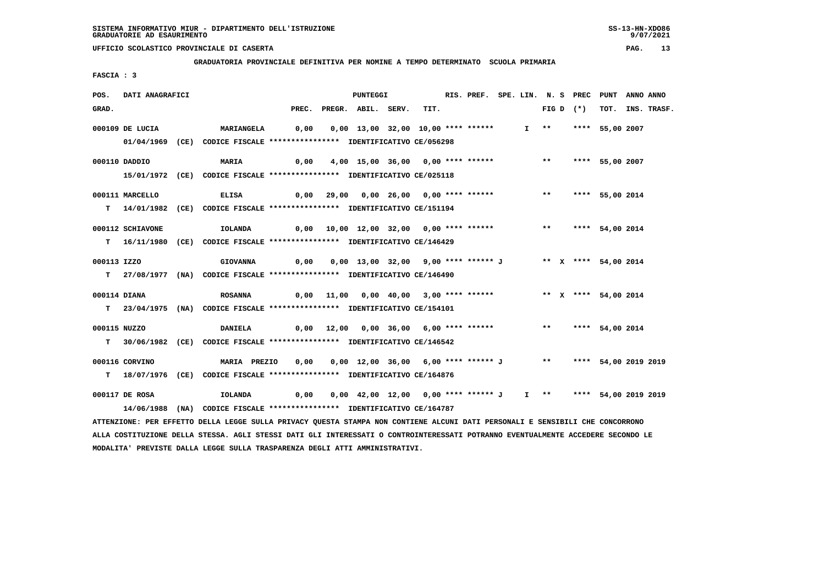**GRADUATORIA PROVINCIALE DEFINITIVA PER NOMINE A TEMPO DETERMINATO SCUOLA PRIMARIA**

 **FASCIA : 3**

| POS.         | DATI ANAGRAFICI  |                                                                                                                               |       | PUNTEGGI                                                                  |      | RIS. PREF. SPE. LIN. N. S PREC PUNT |  |                      |                 | ANNO ANNO |                  |
|--------------|------------------|-------------------------------------------------------------------------------------------------------------------------------|-------|---------------------------------------------------------------------------|------|-------------------------------------|--|----------------------|-----------------|-----------|------------------|
| GRAD.        |                  |                                                                                                                               | PREC. | PREGR. ABIL. SERV.                                                        | TIT. |                                     |  | FIG D $(*)$          |                 |           | TOT. INS. TRASF. |
|              | 000109 DE LUCIA  | <b>MARIANGELA</b>                                                                                                             | 0,00  | 0,00 13,00 32,00 10,00 **** ******                                        |      |                                     |  | I ** **** 55,00 2007 |                 |           |                  |
|              |                  | 01/04/1969 (CE) CODICE FISCALE *************** IDENTIFICATIVO CE/056298                                                       |       |                                                                           |      |                                     |  |                      |                 |           |                  |
|              | 000110 DADDIO    | <b>MARIA</b>                                                                                                                  | 0,00  | 4,00 15,00 36,00 0,00 **** ****** *** **                                  |      |                                     |  |                      | **** 55,00 2007 |           |                  |
|              |                  | 15/01/1972 (CE) CODICE FISCALE *************** IDENTIFICATIVO CE/025118                                                       |       |                                                                           |      |                                     |  |                      |                 |           |                  |
|              | 000111 MARCELLO  | ELISA                                                                                                                         |       | 0,00 29,00 0,00 26,00 0,00 **** ******             **     **** 55,00 2014 |      |                                     |  |                      |                 |           |                  |
|              |                  | T 14/01/1982 (CE) CODICE FISCALE **************** IDENTIFICATIVO CE/151194                                                    |       |                                                                           |      |                                     |  |                      |                 |           |                  |
|              | 000112 SCHIAVONE | <b>IOLANDA</b>                                                                                                                |       | 0,00 10,00 12,00 32,00 0,00 **** ****** *** **** 54,00 2014               |      |                                     |  |                      |                 |           |                  |
|              |                  | T 16/11/1980 (CE) CODICE FISCALE *************** IDENTIFICATIVO CE/146429                                                     |       |                                                                           |      |                                     |  |                      |                 |           |                  |
| 000113 IZZO  |                  | <b>GIOVANNA</b>                                                                                                               | 0,00  | 0,00 13,00 32,00 9,00 **** ****** J ** X **** 54,00 2014                  |      |                                     |  |                      |                 |           |                  |
|              |                  | T 27/08/1977 (NA) CODICE FISCALE *************** IDENTIFICATIVO CE/146490                                                     |       |                                                                           |      |                                     |  |                      |                 |           |                  |
| 000114 DIANA |                  | <b>ROSANNA</b>                                                                                                                |       | 0,00 11,00 0,00 40,00 3,00 **** ******                                    |      |                                     |  | ** X **** 54,00 2014 |                 |           |                  |
|              |                  | T 23/04/1975 (NA) CODICE FISCALE *************** IDENTIFICATIVO CE/154101                                                     |       |                                                                           |      |                                     |  |                      |                 |           |                  |
| 000115 NUZZO |                  | <b>DANIELA</b>                                                                                                                |       | 0,00 12,00 0,00 36,00 6,00 **** ****** *** **** 54,00 2014                |      |                                     |  |                      |                 |           |                  |
|              |                  | T 30/06/1982 (CE) CODICE FISCALE **************** IDENTIFICATIVO CE/146542                                                    |       |                                                                           |      |                                     |  |                      |                 |           |                  |
|              | 000116 CORVINO   | <b>MARIA PREZIO</b>                                                                                                           | 0,00  | 0,00 12,00 36,00 6,00 **** ****** J ** **** 54,00 2019 2019               |      |                                     |  |                      |                 |           |                  |
|              |                  | T 18/07/1976 (CE) CODICE FISCALE *************** IDENTIFICATIVO CE/164876                                                     |       |                                                                           |      |                                     |  |                      |                 |           |                  |
|              | 000117 DE ROSA   | IOLANDA                                                                                                                       | 0,00  | 0,00 42,00 12,00 0,00 **** ****** J I **     **** 54,00 2019 2019         |      |                                     |  |                      |                 |           |                  |
|              |                  | 14/06/1988 (NA) CODICE FISCALE *************** IDENTIFICATIVO CE/164787                                                       |       |                                                                           |      |                                     |  |                      |                 |           |                  |
|              |                  | ATTENZIONE: PER EFFETTO DELLA LEGGE SULLA PRIVACY QUESTA STAMPA NON CONTIENE ALCUNI DATI PERSONALI E SENSIBILI CHE CONCORRONO |       |                                                                           |      |                                     |  |                      |                 |           |                  |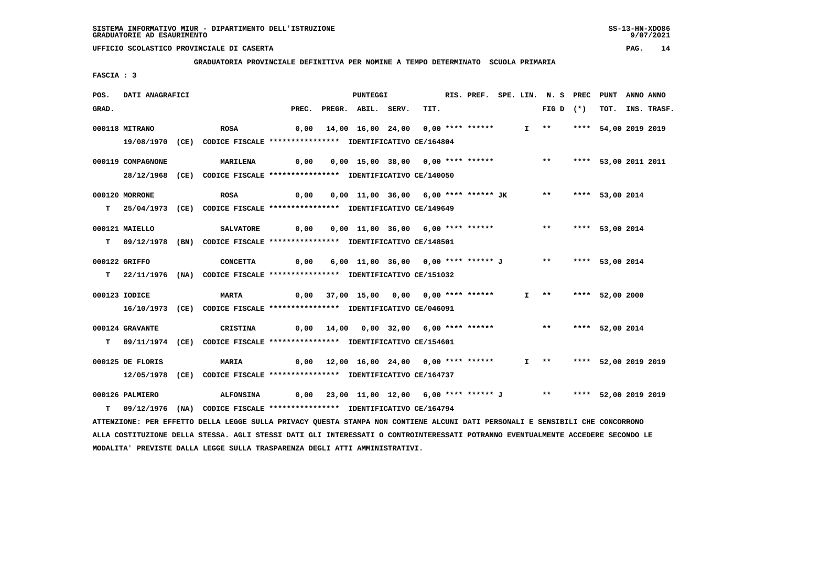**GRADUATORIA PROVINCIALE DEFINITIVA PER NOMINE A TEMPO DETERMINATO SCUOLA PRIMARIA**

 **FASCIA : 3**

| POS.  | DATI ANAGRAFICI   |                                                                                                                                 |      | <b>PUNTEGGI</b>                                                   |      | RIS. PREF. SPE. LIN. N. S PREC |  |                       | PUNT                      | ANNO ANNO |             |
|-------|-------------------|---------------------------------------------------------------------------------------------------------------------------------|------|-------------------------------------------------------------------|------|--------------------------------|--|-----------------------|---------------------------|-----------|-------------|
| GRAD. |                   |                                                                                                                                 |      | PREC. PREGR. ABIL. SERV.                                          | TIT. |                                |  | FIG D $(*)$           | тот.                      |           | INS. TRASF. |
|       | 000118 MITRANO    | <b>ROSA</b>                                                                                                                     | 0,00 | 14,00 16,00 24,00 0,00 **** ******                                |      |                                |  | $I \rightarrow \star$ | **** 54,00 2019 2019      |           |             |
|       |                   |                                                                                                                                 |      |                                                                   |      |                                |  |                       |                           |           |             |
|       |                   | 19/08/1970 (CE) CODICE FISCALE *************** IDENTIFICATIVO CE/164804                                                         |      |                                                                   |      |                                |  |                       |                           |           |             |
|       | 000119 COMPAGNONE | <b>MARILENA</b>                                                                                                                 | 0,00 | 0,00 15,00 38,00 0,00 **** ******                                 |      |                                |  | $***$                 | **** 53,00 2011 2011      |           |             |
|       |                   | 28/12/1968 (CE) CODICE FISCALE *************** IDENTIFICATIVO CE/140050                                                         |      |                                                                   |      |                                |  |                       |                           |           |             |
|       |                   |                                                                                                                                 |      |                                                                   |      |                                |  |                       |                           |           |             |
|       | 000120 MORRONE    | <b>ROSA</b>                                                                                                                     | 0,00 |                                                                   |      |                                |  |                       |                           |           |             |
|       |                   | T 25/04/1973 (CE) CODICE FISCALE *************** IDENTIFICATIVO CE/149649                                                       |      |                                                                   |      |                                |  |                       |                           |           |             |
|       | 000121 MAIELLO    | <b>SALVATORE</b>                                                                                                                | 0,00 | 0,00 11,00 36,00 6,00 **** ******                                 |      |                                |  | $\star\star$          | **** 53,00 2014           |           |             |
|       |                   | T 09/12/1978 (BN) CODICE FISCALE **************** IDENTIFICATIVO CE/148501                                                      |      |                                                                   |      |                                |  |                       |                           |           |             |
|       |                   |                                                                                                                                 |      |                                                                   |      |                                |  |                       |                           |           |             |
|       | 000122 GRIFFO     | <b>CONCETTA</b>                                                                                                                 | 0,00 | 6,00 11,00 36,00 0,00 **** ****** J ** **** 53,00 2014            |      |                                |  |                       |                           |           |             |
|       |                   | T 22/11/1976 (NA) CODICE FISCALE **************** IDENTIFICATIVO CE/151032                                                      |      |                                                                   |      |                                |  |                       |                           |           |             |
|       |                   |                                                                                                                                 |      |                                                                   |      |                                |  |                       |                           |           |             |
|       | 000123 IODICE     | <b>MARTA</b>                                                                                                                    |      | 0,00 37,00 15,00 0,00 0,00 **** ******                            |      |                                |  |                       | I ** **** 52,00 2000      |           |             |
|       |                   | 16/10/1973 (CE) CODICE FISCALE *************** IDENTIFICATIVO CE/046091                                                         |      |                                                                   |      |                                |  |                       |                           |           |             |
|       | 000124 GRAVANTE   | CRISTINA                                                                                                                        |      | 0,00 14,00 0,00 32,00 6,00 **** ****** *** **** 52,00 2014        |      |                                |  |                       |                           |           |             |
|       |                   | T 09/11/1974 (CE) CODICE FISCALE **************** IDENTIFICATIVO CE/154601                                                      |      |                                                                   |      |                                |  |                       |                           |           |             |
|       |                   |                                                                                                                                 |      |                                                                   |      |                                |  |                       |                           |           |             |
|       | 000125 DE FLORIS  | <b>MARIA</b>                                                                                                                    |      | 0,00 12,00 16,00 24,00 0,00 **** ******                           |      |                                |  |                       | I ** **** 52,00 2019 2019 |           |             |
|       |                   | 12/05/1978 (CE) CODICE FISCALE **************** IDENTIFICATIVO CE/164737                                                        |      |                                                                   |      |                                |  |                       |                           |           |             |
|       |                   |                                                                                                                                 |      |                                                                   |      |                                |  |                       |                           |           |             |
|       | 000126 PALMIERO   | <b>ALFONSINA</b>                                                                                                                |      | 0,00 23,00 11,00 12,00 6,00 **** ****** J ** **** 52,00 2019 2019 |      |                                |  |                       |                           |           |             |
| T.    |                   | 09/12/1976 (NA) CODICE FISCALE **************** IDENTIFICATIVO CE/164794                                                        |      |                                                                   |      |                                |  |                       |                           |           |             |
|       |                   | ATTENZIONE: PER EFFETTO DELLA LEGGE SULLA PRIVACY QUESTA STAMPA NON CONTIENE ALCUNI DATI PERSONALI E SENSIBILI CHE CONCORRONO   |      |                                                                   |      |                                |  |                       |                           |           |             |
|       |                   | ALLA COSTITUZIONE DELLA STESSA. AGLI STESSI DATI GLI INTERESSATI O CONTROINTERESSATI POTRANNO EVENTUALMENTE ACCEDERE SECONDO LE |      |                                                                   |      |                                |  |                       |                           |           |             |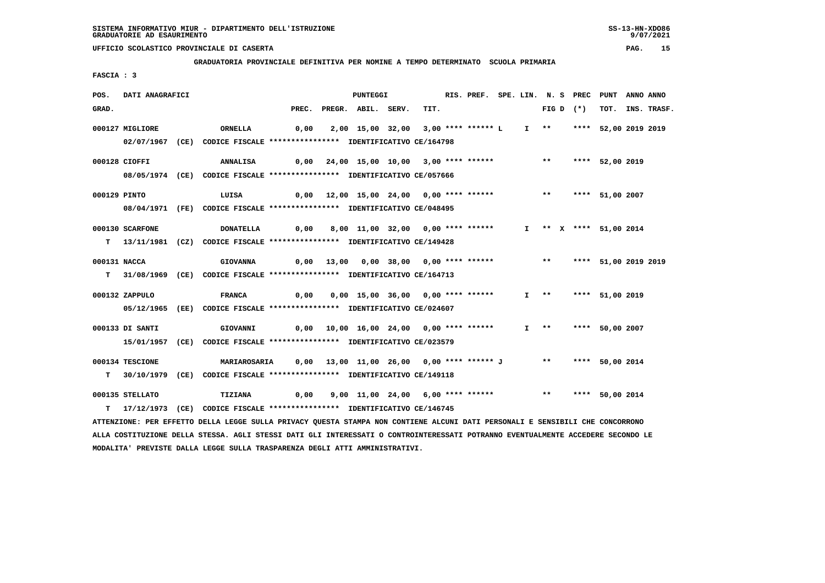**GRADUATORIA PROVINCIALE DEFINITIVA PER NOMINE A TEMPO DETERMINATO SCUOLA PRIMARIA**

 **FASCIA : 3**

| POS.         | DATI ANAGRAFICI |                                                                                                                                 |      | <b>PUNTEGGI</b>                                                         |      | RIS. PREF. SPE. LIN. N. S PREC PUNT ANNO ANNO |  |                   |             |                        |                  |
|--------------|-----------------|---------------------------------------------------------------------------------------------------------------------------------|------|-------------------------------------------------------------------------|------|-----------------------------------------------|--|-------------------|-------------|------------------------|------------------|
| GRAD.        |                 |                                                                                                                                 |      | PREC. PREGR. ABIL. SERV.                                                | TIT. |                                               |  |                   | FIG D $(*)$ |                        | TOT. INS. TRASF. |
|              | 000127 MIGLIORE | ORNELLA                                                                                                                         |      | 0,00 2,00 15,00 32,00 3,00 **** ****** L 1 ** ***** 52,00 2019 2019     |      |                                               |  |                   |             |                        |                  |
|              |                 |                                                                                                                                 |      |                                                                         |      |                                               |  |                   |             |                        |                  |
|              |                 | 02/07/1967 (CE) CODICE FISCALE *************** IDENTIFICATIVO CE/164798                                                         |      |                                                                         |      |                                               |  |                   |             |                        |                  |
|              | 000128 CIOFFI   | ANNALISA                                                                                                                        |      | 0,00 24,00 15,00 10,00 3,00 **** ****** *** **                          |      |                                               |  |                   |             | **** 52,00 2019        |                  |
|              |                 | 08/05/1974 (CE) CODICE FISCALE *************** IDENTIFICATIVO CE/057666                                                         |      |                                                                         |      |                                               |  |                   |             |                        |                  |
|              |                 |                                                                                                                                 |      |                                                                         |      |                                               |  |                   |             |                        |                  |
| 000129 PINTO |                 | LUISA                                                                                                                           |      | 0,00 12,00 15,00 24,00 0,00 **** ****** *** **** 51,00 2007             |      |                                               |  |                   |             |                        |                  |
|              |                 | 08/04/1971 (FE) CODICE FISCALE *************** IDENTIFICATIVO CE/048495                                                         |      |                                                                         |      |                                               |  |                   |             |                        |                  |
|              | 000130 SCARFONE | <b>DONATELLA</b>                                                                                                                |      |                                                                         |      |                                               |  |                   |             | I ** X **** 51,00 2014 |                  |
|              |                 |                                                                                                                                 | 0,00 | 8,00 11,00 32,00 0,00 **** ******                                       |      |                                               |  |                   |             |                        |                  |
|              |                 | T 13/11/1981 (CZ) CODICE FISCALE *************** IDENTIFICATIVO CE/149428                                                       |      |                                                                         |      |                                               |  |                   |             |                        |                  |
| 000131 NACCA |                 | <b>GIOVANNA</b>                                                                                                                 |      | 0,00 13,00 0,00 38,00 0,00 **** ****** *** *** **** 51,00 2019 2019     |      |                                               |  |                   |             |                        |                  |
|              |                 | T 31/08/1969 (CE) CODICE FISCALE **************** IDENTIFICATIVO CE/164713                                                      |      |                                                                         |      |                                               |  |                   |             |                        |                  |
|              |                 |                                                                                                                                 |      |                                                                         |      |                                               |  |                   |             |                        |                  |
|              | 000132 ZAPPULO  | <b>FRANCA</b>                                                                                                                   | 0,00 | 0,00 15,00 36,00 0,00 **** ******                                       |      |                                               |  |                   |             | I ** **** 51,00 2019   |                  |
|              |                 | 05/12/1965 (EE) CODICE FISCALE *************** IDENTIFICATIVO CE/024607                                                         |      |                                                                         |      |                                               |  |                   |             |                        |                  |
|              |                 |                                                                                                                                 |      |                                                                         |      |                                               |  |                   |             |                        |                  |
|              | 000133 DI SANTI | GIOVANNI                                                                                                                        |      | 0,00 10,00 16,00 24,00 0,00 **** ******                                 |      |                                               |  | $I \quad * \quad$ |             | **** 50,00 2007        |                  |
|              |                 | 15/01/1957 (CE) CODICE FISCALE *************** IDENTIFICATIVO CE/023579                                                         |      |                                                                         |      |                                               |  |                   |             |                        |                  |
|              | 000134 TESCIONE |                                                                                                                                 |      |                                                                         |      |                                               |  |                   |             |                        |                  |
|              |                 | T 30/10/1979 (CE) CODICE FISCALE *************** IDENTIFICATIVO CE/149118                                                       |      |                                                                         |      |                                               |  |                   |             |                        |                  |
|              |                 |                                                                                                                                 |      |                                                                         |      |                                               |  |                   |             |                        |                  |
|              | 000135 STELLATO | <b>TIZIANA</b>                                                                                                                  |      | 0,00 9,00 11,00 24,00 6,00 **** ******           **     **** 50,00 2014 |      |                                               |  |                   |             |                        |                  |
|              |                 | T 17/12/1973 (CE) CODICE FISCALE *************** IDENTIFICATIVO CE/146745                                                       |      |                                                                         |      |                                               |  |                   |             |                        |                  |
|              |                 | ATTENZIONE: PER EFFETTO DELLA LEGGE SULLA PRIVACY OUESTA STAMPA NON CONTIENE ALCUNI DATI PERSONALI E SENSIBILI CHE CONCORRONO   |      |                                                                         |      |                                               |  |                   |             |                        |                  |
|              |                 | ALLA COSTITUZIONE DELLA STESSA. AGLI STESSI DATI GLI INTERESSATI O CONTROINTERESSATI POTRANNO EVENTUALMENTE ACCEDERE SECONDO LE |      |                                                                         |      |                                               |  |                   |             |                        |                  |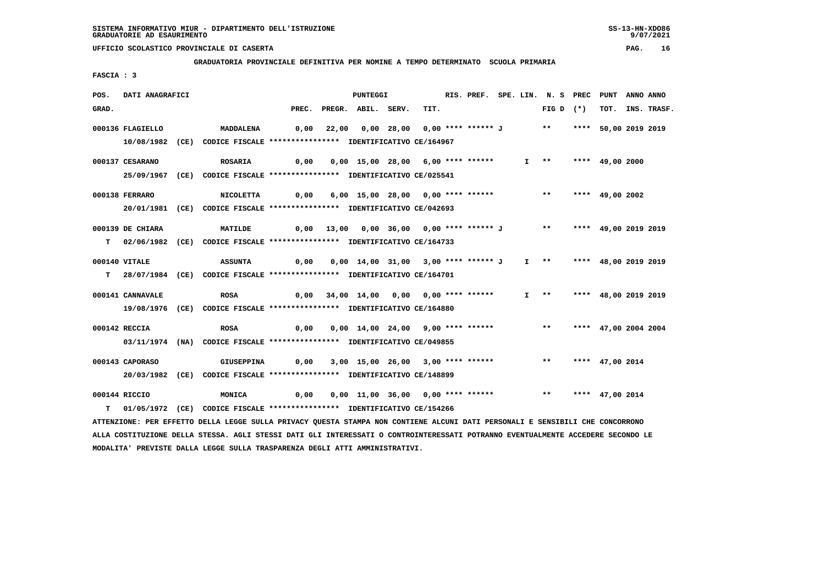**GRADUATORIA PROVINCIALE DEFINITIVA PER NOMINE A TEMPO DETERMINATO SCUOLA PRIMARIA**

 **FASCIA : 3**

| POS.  | DATI ANAGRAFICI  |                                                                                                                                 |       | <b>PUNTEGGI</b>                                                  |      | RIS. PREF. SPE. LIN. N. S PREC |  |                       |             | PUNT                      | ANNO ANNO |             |
|-------|------------------|---------------------------------------------------------------------------------------------------------------------------------|-------|------------------------------------------------------------------|------|--------------------------------|--|-----------------------|-------------|---------------------------|-----------|-------------|
| GRAD. |                  |                                                                                                                                 | PREC. | PREGR. ABIL. SERV.                                               | TIT. |                                |  |                       | FIG D $(*)$ | тот.                      |           | INS. TRASF. |
|       | 000136 FLAGIELLO | <b>MADDALENA</b>                                                                                                                |       | 0,00 22,00 0,00 28,00 0,00 **** ****** J ** **** 50,00 2019 2019 |      |                                |  |                       |             |                           |           |             |
|       |                  |                                                                                                                                 |       |                                                                  |      |                                |  |                       |             |                           |           |             |
|       |                  | 10/08/1982 (CE) CODICE FISCALE **************** IDENTIFICATIVO CE/164967                                                        |       |                                                                  |      |                                |  |                       |             |                           |           |             |
|       | 000137 CESARANO  | <b>ROSARIA</b>                                                                                                                  | 0,00  | 0,00 15,00 28,00 6,00 **** ******                                |      |                                |  | $I \rightarrow \star$ |             | **** 49,00 2000           |           |             |
|       |                  | 25/09/1967 (CE) CODICE FISCALE *************** IDENTIFICATIVO CE/025541                                                         |       |                                                                  |      |                                |  |                       |             |                           |           |             |
|       |                  |                                                                                                                                 |       |                                                                  |      |                                |  |                       |             |                           |           |             |
|       | 000138 FERRARO   | <b>NICOLETTA</b>                                                                                                                |       | $0,00$ 6,00 15,00 28,00 0,00 **** ******                         |      |                                |  |                       |             | ** **** 49,00 2002        |           |             |
|       |                  | 20/01/1981 (CE) CODICE FISCALE *************** IDENTIFICATIVO CE/042693                                                         |       |                                                                  |      |                                |  |                       |             |                           |           |             |
|       | 000139 DE CHIARA | <b>MATILDE</b>                                                                                                                  |       | 0,00 13,00 0,00 36,00 0,00 **** ****** J ** **                   |      |                                |  |                       |             | **** 49,00 2019 2019      |           |             |
|       |                  | T 02/06/1982 (CE) CODICE FISCALE **************** IDENTIFICATIVO CE/164733                                                      |       |                                                                  |      |                                |  |                       |             |                           |           |             |
|       |                  |                                                                                                                                 |       |                                                                  |      |                                |  |                       |             |                           |           |             |
|       | 000140 VITALE    | <b>ASSUNTA</b>                                                                                                                  | 0,00  | 0,00 14,00 31,00 3,00 **** ****** J                              |      |                                |  |                       |             | I ** **** 48,00 2019 2019 |           |             |
|       |                  | T 28/07/1984 (CE) CODICE FISCALE *************** IDENTIFICATIVO CE/164701                                                       |       |                                                                  |      |                                |  |                       |             |                           |           |             |
|       | 000141 CANNAVALE | <b>ROSA</b>                                                                                                                     |       | $0,00$ 34,00 14,00 0,00 0,00 **** ******                         |      |                                |  |                       |             | I ** **** 48,00 2019 2019 |           |             |
|       |                  |                                                                                                                                 |       |                                                                  |      |                                |  |                       |             |                           |           |             |
|       |                  | 19/08/1976 (CE) CODICE FISCALE *************** IDENTIFICATIVO CE/164880                                                         |       |                                                                  |      |                                |  |                       |             |                           |           |             |
|       | 000142 RECCIA    | <b>ROSA</b>                                                                                                                     | 0,00  | 0,00 14,00 24,00 9,00 **** ****** *** **                         |      |                                |  |                       |             | **** $47.00$ 2004 2004    |           |             |
|       |                  | 03/11/1974 (NA) CODICE FISCALE *************** IDENTIFICATIVO CE/049855                                                         |       |                                                                  |      |                                |  |                       |             |                           |           |             |
|       |                  |                                                                                                                                 |       |                                                                  |      |                                |  |                       |             |                           |           |             |
|       | 000143 CAPORASO  | <b>GIUSEPPINA</b>                                                                                                               |       | $0,00$ $3,00$ $15,00$ $26,00$ $3,00$ $***$ **** ******           |      |                                |  |                       |             | ** **** 47,00 2014        |           |             |
|       |                  | 20/03/1982 (CE) CODICE FISCALE *************** IDENTIFICATIVO CE/148899                                                         |       |                                                                  |      |                                |  |                       |             |                           |           |             |
|       | 000144 RICCIO    | <b>MONICA</b>                                                                                                                   | 0,00  | 0,00 11,00 36,00 0,00 **** ******                                |      |                                |  |                       |             | ** **** 47,00 2014        |           |             |
| т     |                  | 01/05/1972 (CE) CODICE FISCALE **************** IDENTIFICATIVO CE/154266                                                        |       |                                                                  |      |                                |  |                       |             |                           |           |             |
|       |                  | ATTENZIONE: PER EFFETTO DELLA LEGGE SULLA PRIVACY QUESTA STAMPA NON CONTIENE ALCUNI DATI PERSONALI E SENSIBILI CHE CONCORRONO   |       |                                                                  |      |                                |  |                       |             |                           |           |             |
|       |                  | ALLA COSTITUZIONE DELLA STESSA. AGLI STESSI DATI GLI INTERESSATI O CONTROINTERESSATI POTRANNO EVENTUALMENTE ACCEDERE SECONDO LE |       |                                                                  |      |                                |  |                       |             |                           |           |             |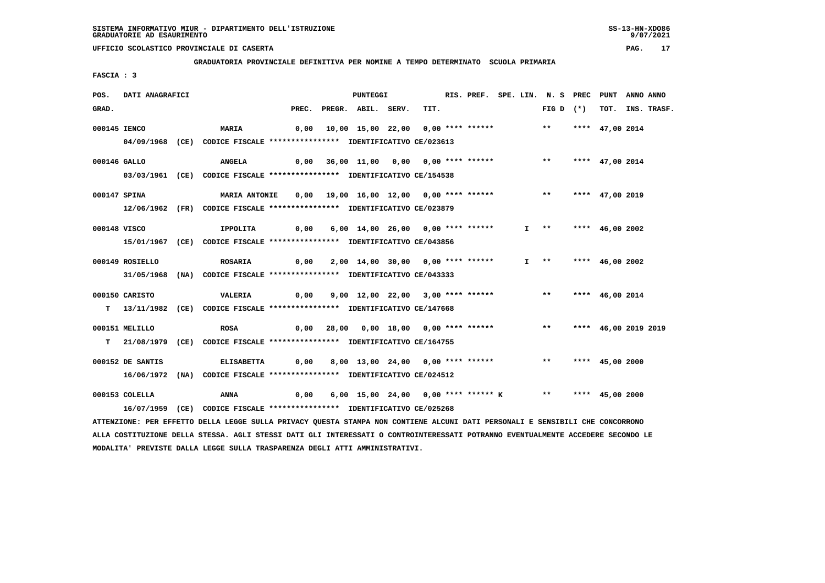**GRADUATORIA PROVINCIALE DEFINITIVA PER NOMINE A TEMPO DETERMINATO SCUOLA PRIMARIA**

 **FASCIA : 3**

| POS.  | DATI ANAGRAFICI  |                                                                                                                               |       |                                                                     | <b>PUNTEGGI</b>    |      | RIS. PREF. SPE. LIN. N. S PREC |  |                        | PUNT | ANNO ANNO |                  |
|-------|------------------|-------------------------------------------------------------------------------------------------------------------------------|-------|---------------------------------------------------------------------|--------------------|------|--------------------------------|--|------------------------|------|-----------|------------------|
| GRAD. |                  |                                                                                                                               | PREC. |                                                                     | PREGR. ABIL. SERV. | TIT. |                                |  | FIG D $(*)$            |      |           | TOT. INS. TRASF. |
|       | 000145 IENCO     | <b>MARIA</b>                                                                                                                  |       | 0,00 10,00 15,00 22,00 0,00 **** ****** *** *** **** 47,00 2014     |                    |      |                                |  |                        |      |           |                  |
|       |                  |                                                                                                                               |       |                                                                     |                    |      |                                |  |                        |      |           |                  |
|       |                  | 04/09/1968 (CE) CODICE FISCALE *************** IDENTIFICATIVO CE/023613                                                       |       |                                                                     |                    |      |                                |  |                        |      |           |                  |
|       | 000146 GALLO     | <b>ANGELA</b>                                                                                                                 |       | 0,00 36,00 11,00 0,00 0,00 **** ****** *** *** **** 47,00 2014      |                    |      |                                |  |                        |      |           |                  |
|       |                  | 03/03/1961 (CE) CODICE FISCALE *************** IDENTIFICATIVO CE/154538                                                       |       |                                                                     |                    |      |                                |  |                        |      |           |                  |
|       |                  |                                                                                                                               |       |                                                                     |                    |      |                                |  |                        |      |           |                  |
|       | 000147 SPINA     | <b>MARIA ANTONIE</b>                                                                                                          |       | 0,00 19,00 16,00 12,00 0,00 **** ****** *** *** **** 47,00 2019     |                    |      |                                |  |                        |      |           |                  |
|       |                  | 12/06/1962 (FR) CODICE FISCALE *************** IDENTIFICATIVO CE/023879                                                       |       |                                                                     |                    |      |                                |  |                        |      |           |                  |
|       | 000148 VISCO     | IPPOLITA                                                                                                                      |       | 0,00 6,00 14,00 26,00 0,00 **** ******                              |                    |      |                                |  | $I$ ** **** 46,00 2002 |      |           |                  |
|       |                  |                                                                                                                               |       |                                                                     |                    |      |                                |  |                        |      |           |                  |
|       |                  | 15/01/1967 (CE) CODICE FISCALE *************** IDENTIFICATIVO CE/043856                                                       |       |                                                                     |                    |      |                                |  |                        |      |           |                  |
|       | 000149 ROSIELLO  | <b>ROSARIA</b>                                                                                                                |       | 0,00 2,00 14,00 30,00 0,00 **** ******                              |                    |      |                                |  | $I$ ** **** 46,00 2002 |      |           |                  |
|       |                  | 31/05/1968 (NA) CODICE FISCALE *************** IDENTIFICATIVO CE/043333                                                       |       |                                                                     |                    |      |                                |  |                        |      |           |                  |
|       |                  |                                                                                                                               |       |                                                                     |                    |      |                                |  |                        |      |           |                  |
|       | 000150 CARISTO   | <b>VALERIA</b>                                                                                                                | 0,00  | 9,00 12,00 22,00 3,00 **** ****** **** *** **** 46,00 2014          |                    |      |                                |  |                        |      |           |                  |
|       |                  | T 13/11/1982 (CE) CODICE FISCALE *************** IDENTIFICATIVO CE/147668                                                     |       |                                                                     |                    |      |                                |  |                        |      |           |                  |
|       | 000151 MELILLO   | <b>ROSA</b>                                                                                                                   |       | 0,00 28,00 0,00 18,00 0,00 **** ****** *** *** **** 46,00 2019 2019 |                    |      |                                |  |                        |      |           |                  |
|       |                  |                                                                                                                               |       |                                                                     |                    |      |                                |  |                        |      |           |                  |
|       |                  | T 21/08/1979 (CE) CODICE FISCALE *************** IDENTIFICATIVO CE/164755                                                     |       |                                                                     |                    |      |                                |  |                        |      |           |                  |
|       | 000152 DE SANTIS | <b>ELISABETTA</b>                                                                                                             |       | 0,00 8,00 13,00 24,00 0,00 **** ****** **** *** **** 45,00 2000     |                    |      |                                |  |                        |      |           |                  |
|       |                  | 16/06/1972 (NA) CODICE FISCALE *************** IDENTIFICATIVO CE/024512                                                       |       |                                                                     |                    |      |                                |  |                        |      |           |                  |
|       |                  |                                                                                                                               |       |                                                                     |                    |      |                                |  |                        |      |           |                  |
|       | 000153 COLELLA   | ANNA                                                                                                                          | 0,00  | 6,00 15,00 24,00 0,00 **** ****** K *** **** 45,00 2000             |                    |      |                                |  |                        |      |           |                  |
|       |                  | 16/07/1959 (CE) CODICE FISCALE **************** IDENTIFICATIVO CE/025268                                                      |       |                                                                     |                    |      |                                |  |                        |      |           |                  |
|       |                  | ATTENZIONE: PER EFFETTO DELLA LEGGE SULLA PRIVACY QUESTA STAMPA NON CONTIENE ALCUNI DATI PERSONALI E SENSIBILI CHE CONCORRONO |       |                                                                     |                    |      |                                |  |                        |      |           |                  |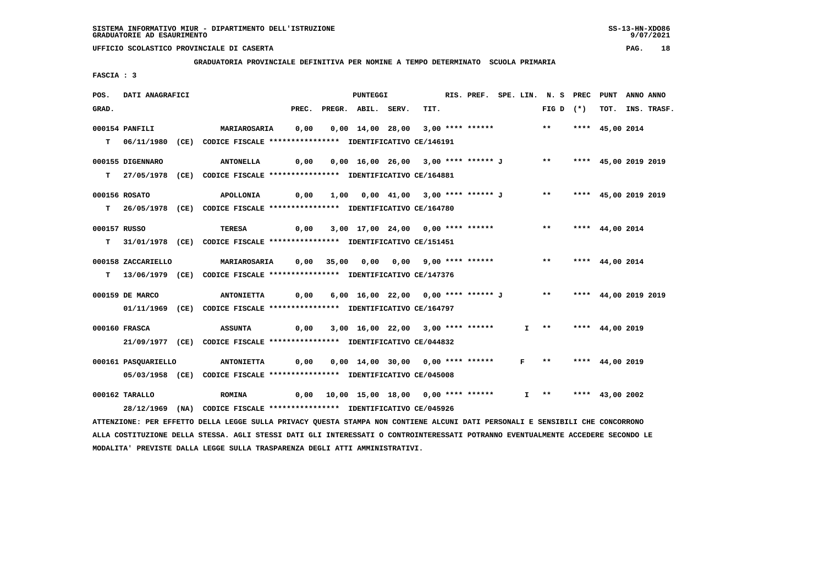**GRADUATORIA PROVINCIALE DEFINITIVA PER NOMINE A TEMPO DETERMINATO SCUOLA PRIMARIA**

 **FASCIA : 3**

| POS.         | DATI ANAGRAFICI     |                                                                                                                               |                                                                  | PUNTEGGI                                                         |      | RIS. PREF. SPE. LIN. N. S PREC PUNT |  |                        |  | ANNO ANNO |                  |
|--------------|---------------------|-------------------------------------------------------------------------------------------------------------------------------|------------------------------------------------------------------|------------------------------------------------------------------|------|-------------------------------------|--|------------------------|--|-----------|------------------|
| GRAD.        |                     |                                                                                                                               | PREC.                                                            | PREGR. ABIL. SERV.                                               | TIT. |                                     |  | FIG D $(*)$            |  |           | TOT. INS. TRASF. |
|              | 000154 PANFILI      | <b>MARIAROSARIA 0,00</b>                                                                                                      |                                                                  | 0,00 14,00 28,00 3,00 **** ******                                |      |                                     |  | ** **** 45,00 2014     |  |           |                  |
|              |                     | T 06/11/1980 (CE) CODICE FISCALE *************** IDENTIFICATIVO CE/146191                                                     |                                                                  |                                                                  |      |                                     |  |                        |  |           |                  |
|              |                     |                                                                                                                               |                                                                  |                                                                  |      |                                     |  |                        |  |           |                  |
|              | 000155 DIGENNARO    | <b>ANTONELLA</b>                                                                                                              | 0,00                                                             | 0,00 16,00 26,00 3,00 **** ****** J ** **** 45,00 2019 2019      |      |                                     |  |                        |  |           |                  |
|              |                     | T 27/05/1978 (CE) CODICE FISCALE *************** IDENTIFICATIVO CE/164881                                                     |                                                                  |                                                                  |      |                                     |  |                        |  |           |                  |
|              | 000156 ROSATO       | APOLLONIA                                                                                                                     |                                                                  | 0,00 1,00 0,00 41,00 3,00 **** ****** J ** **** 45,00 2019 2019  |      |                                     |  |                        |  |           |                  |
|              |                     | T 26/05/1978 (CE) CODICE FISCALE **************** IDENTIFICATIVO CE/164780                                                    |                                                                  |                                                                  |      |                                     |  |                        |  |           |                  |
|              |                     |                                                                                                                               |                                                                  |                                                                  |      |                                     |  |                        |  |           |                  |
| 000157 RUSSO |                     | TERESA                                                                                                                        |                                                                  | $0,00$ 3,00 17,00 24,00 0,00 **** ****** *** *** **** 44,00 2014 |      |                                     |  |                        |  |           |                  |
|              |                     | T 31/01/1978 (CE) CODICE FISCALE **************** IDENTIFICATIVO CE/151451                                                    |                                                                  |                                                                  |      |                                     |  |                        |  |           |                  |
|              | 000158 ZACCARIELLO  |                                                                                                                               |                                                                  |                                                                  |      |                                     |  |                        |  |           |                  |
|              |                     | T 13/06/1979 (CE) CODICE FISCALE *************** IDENTIFICATIVO CE/147376                                                     |                                                                  |                                                                  |      |                                     |  |                        |  |           |                  |
|              |                     |                                                                                                                               |                                                                  |                                                                  |      |                                     |  |                        |  |           |                  |
|              | 000159 DE MARCO     | <b>ANTONIETTA</b>                                                                                                             | 0,00 6,00 16,00 22,00 0,00 **** ****** J ** **** 44,00 2019 2019 |                                                                  |      |                                     |  |                        |  |           |                  |
|              |                     | 01/11/1969 (CE) CODICE FISCALE *************** IDENTIFICATIVO CE/164797                                                       |                                                                  |                                                                  |      |                                     |  |                        |  |           |                  |
|              | 000160 FRASCA       | <b>ASSUNTA</b>                                                                                                                |                                                                  | 0,00 3,00 16,00 22,00 3,00 **** ******                           |      |                                     |  | I ** **** 44,00 2019   |  |           |                  |
|              |                     | 21/09/1977 (CE) CODICE FISCALE *************** IDENTIFICATIVO CE/044832                                                       |                                                                  |                                                                  |      |                                     |  |                        |  |           |                  |
|              |                     |                                                                                                                               |                                                                  |                                                                  |      |                                     |  |                        |  |           |                  |
|              | 000161 PASQUARIELLO | <b>ANTONIETTA</b>                                                                                                             |                                                                  | $0,00$ $0,00$ $14,00$ $30,00$ $0,00$ $***$ **** *****            |      |                                     |  | $F$ ** **** 44,00 2019 |  |           |                  |
|              |                     | 05/03/1958 (CE) CODICE FISCALE *************** IDENTIFICATIVO CE/045008                                                       |                                                                  |                                                                  |      |                                     |  |                        |  |           |                  |
|              |                     |                                                                                                                               |                                                                  | 0,00 10,00 15,00 18,00 0,00 **** ******                          |      |                                     |  | $I$ ** **** 43,00 2002 |  |           |                  |
|              | 000162 TARALLO      | <b>ROMINA</b>                                                                                                                 |                                                                  |                                                                  |      |                                     |  |                        |  |           |                  |
|              |                     | 28/12/1969 (NA) CODICE FISCALE **************** IDENTIFICATIVO CE/045926                                                      |                                                                  |                                                                  |      |                                     |  |                        |  |           |                  |
|              |                     | ATTENZIONE: PER EFFETTO DELLA LEGGE SULLA PRIVACY QUESTA STAMPA NON CONTIENE ALCUNI DATI PERSONALI E SENSIBILI CHE CONCORRONO |                                                                  |                                                                  |      |                                     |  |                        |  |           |                  |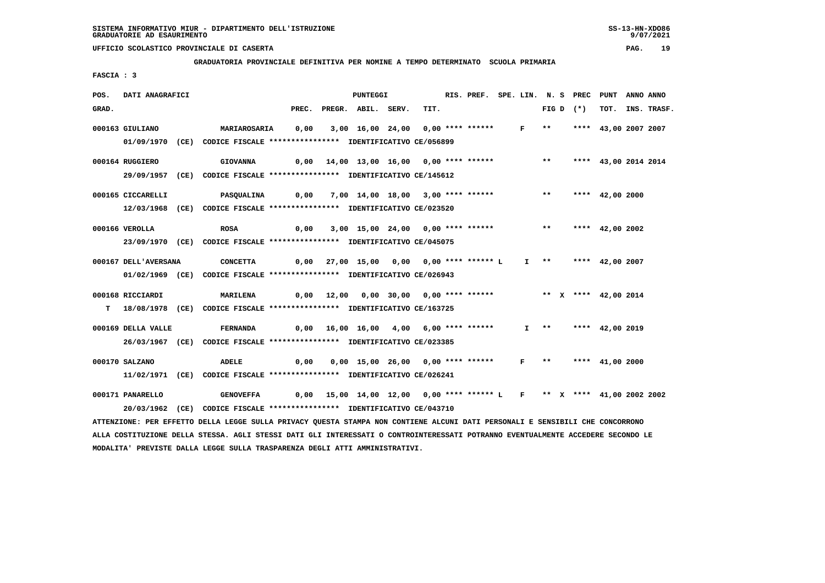**GRADUATORIA PROVINCIALE DEFINITIVA PER NOMINE A TEMPO DETERMINATO SCUOLA PRIMARIA**

 **FASCIA : 3**

| POS.  | DATI ANAGRAFICI                     |                                                                                                |                                                                 | PUNTEGGI                                      |      | RIS. PREF. SPE. LIN. N. S PREC |        |                           | PUNT                 | ANNO ANNO |                  |
|-------|-------------------------------------|------------------------------------------------------------------------------------------------|-----------------------------------------------------------------|-----------------------------------------------|------|--------------------------------|--------|---------------------------|----------------------|-----------|------------------|
| GRAD. |                                     |                                                                                                |                                                                 | PREC. PREGR. ABIL. SERV.                      | TIT. |                                |        | FIG D $(*)$               |                      |           | TOT. INS. TRASF. |
|       | 000163 GIULIANO                     | <b>MARIAROSARIA</b><br>01/09/1970 (CE) CODICE FISCALE *************** IDENTIFICATIVO CE/056899 | 0,00                                                            | 3,00 16,00 24,00 0,00 **** ******             |      |                                | $F$ ** |                           | **** 43,00 2007 2007 |           |                  |
|       | 000164 RUGGIERO                     | <b>GIOVANNA</b><br>29/09/1957 (CE) CODICE FISCALE *************** IDENTIFICATIVO CE/145612     | 0,00 14,00 13,00 16,00 0,00 **** ****** *** **                  |                                               |      |                                |        |                           | **** 43,00 2014 2014 |           |                  |
|       | 000165 CICCARELLI                   | <b>PASQUALINA</b><br>12/03/1968 (CE) CODICE FISCALE *************** IDENTIFICATIVO CE/023520   | 0,00 7,00 14,00 18,00 3,00 **** ******                          |                                               |      |                                |        | $***$                     | **** $42,00$ 2000    |           |                  |
|       | 000166 VEROLLA                      | <b>ROSA</b><br>23/09/1970 (CE) CODICE FISCALE *************** IDENTIFICATIVO CE/045075         |                                                                 | 0,00 3,00 15,00 24,00 0,00 **** ******        |      |                                |        | $\star \star$             | **** $42,00$ 2002    |           |                  |
|       | 000167 DELL'AVERSANA                | CONCETTA<br>01/02/1969 (CE) CODICE FISCALE *************** IDENTIFICATIVO CE/026943            | 0,00 27,00 15,00 0,00 0,00 **** ****** L                        |                                               |      |                                |        | $I$ ** **** 42,00 2007    |                      |           |                  |
|       | 000168 RICCIARDI                    | <b>MARILENA</b><br>T 18/08/1978 (CE) CODICE FISCALE *************** IDENTIFICATIVO CE/163725   | 0,00 12,00 0,00 30,00 0,00 **** ******     ** x **** 42,00 2014 |                                               |      |                                |        |                           |                      |           |                  |
|       | 000169 DELLA VALLE                  | <b>FERNANDA</b><br>26/03/1967 (CE) CODICE FISCALE *************** IDENTIFICATIVO CE/023385     |                                                                 | 0,00 16,00 16,00 4,00 6,00 **** ******        |      |                                |        | $I \rightarrow \star$     | **** $42,00$ 2019    |           |                  |
|       | 000170 SALZANO                      | ADELE<br>11/02/1971 (CE) CODICE FISCALE *************** IDENTIFICATIVO CE/026241               | 0,00                                                            | 0,00 15,00 26,00 0,00 **** ****** F **        |      |                                |        |                           | **** $41,00$ 2000    |           |                  |
|       | 000171 PANARELLO<br>20/03/1962 (CE) | <b>GENOVEFFA</b><br>CODICE FISCALE **************** IDENTIFICATIVO CE/043710                   |                                                                 | $0.00$ 15.00 14.00 12.00 0.00 **** ****** L F |      |                                |        | ** X **** 41,00 2002 2002 |                      |           |                  |

 **ATTENZIONE: PER EFFETTO DELLA LEGGE SULLA PRIVACY QUESTA STAMPA NON CONTIENE ALCUNI DATI PERSONALI E SENSIBILI CHE CONCORRONO ALLA COSTITUZIONE DELLA STESSA. AGLI STESSI DATI GLI INTERESSATI O CONTROINTERESSATI POTRANNO EVENTUALMENTE ACCEDERE SECONDO LE MODALITA' PREVISTE DALLA LEGGE SULLA TRASPARENZA DEGLI ATTI AMMINISTRATIVI.**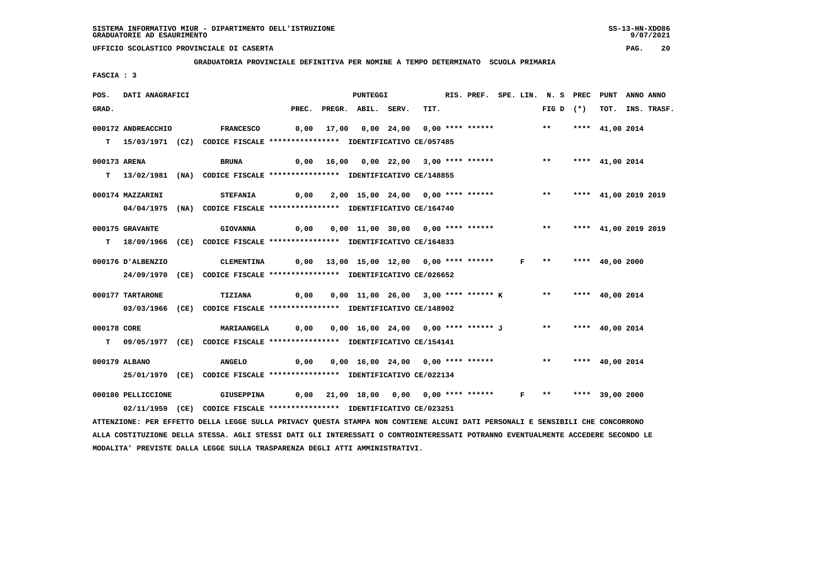**GRADUATORIA PROVINCIALE DEFINITIVA PER NOMINE A TEMPO DETERMINATO SCUOLA PRIMARIA**

 **FASCIA : 3**

| POS.         | DATI ANAGRAFICI    |                                                                                   |                                                                         | PUNTEGGI                                                                  |  | RIS. PREF. SPE. LIN. N. S PREC |              |             | PUNT                 | ANNO ANNO        |
|--------------|--------------------|-----------------------------------------------------------------------------------|-------------------------------------------------------------------------|---------------------------------------------------------------------------|--|--------------------------------|--------------|-------------|----------------------|------------------|
| GRAD.        |                    |                                                                                   | PREC.                                                                   | PREGR. ABIL. SERV.                                                        |  | TIT.                           |              | FIG D $(*)$ |                      | TOT. INS. TRASF. |
|              | 000172 ANDREACCHIO | <b>FRANCESCO</b>                                                                  |                                                                         | 0,00 17,00 0,00 24,00 0,00 **** ****** *** **** 41,00 2014                |  |                                |              |             |                      |                  |
|              |                    | T 15/03/1971 (CZ) CODICE FISCALE **************** IDENTIFICATIVO CE/057485        |                                                                         |                                                                           |  |                                |              |             |                      |                  |
|              |                    |                                                                                   |                                                                         |                                                                           |  |                                |              |             |                      |                  |
| 000173 ARENA |                    | BRUNA                                                                             |                                                                         | 0,00 16,00 0,00 22,00 3,00 **** ****** *** *** **** 41,00 2014            |  |                                |              |             |                      |                  |
|              |                    | T 13/02/1981 (NA) CODICE FISCALE **************** IDENTIFICATIVO CE/148855        |                                                                         |                                                                           |  |                                |              |             |                      |                  |
|              | 000174 MAZZARINI   | <b>STEFANIA</b>                                                                   | 0,00 2,00 15,00 24,00 0,00 **** ****** *** **                           |                                                                           |  |                                |              |             | **** 41,00 2019 2019 |                  |
|              |                    | 04/04/1975 (NA) CODICE FISCALE **************** IDENTIFICATIVO CE/164740          |                                                                         |                                                                           |  |                                |              |             |                      |                  |
|              |                    |                                                                                   |                                                                         |                                                                           |  |                                |              |             |                      |                  |
|              | 000175 GRAVANTE    | <b>GIOVANNA</b>                                                                   | 0,00                                                                    | 0,00 11,00 30,00 0,00 **** ******             **     **** 41,00 2019 2019 |  |                                |              |             |                      |                  |
|              |                    | T 18/09/1966 (CE) CODICE FISCALE **************** IDENTIFICATIVO CE/164833        |                                                                         |                                                                           |  |                                |              |             |                      |                  |
|              | 000176 D'ALBENZIO  |                                                                                   | 0,00 13,00 15,00 12,00 0,00 **** ****** F **                            |                                                                           |  |                                |              |             | **** 40,00 2000      |                  |
|              |                    | CLEMENTINA                                                                        |                                                                         |                                                                           |  |                                |              |             |                      |                  |
|              |                    | 24/09/1970 (CE) CODICE FISCALE *************** IDENTIFICATIVO CE/026652           |                                                                         |                                                                           |  |                                |              |             |                      |                  |
|              | 000177 TARTARONE   | TIZIANA                                                                           | 0,00  0,00  11,00  26,00  3,00  ****  ******  K  ***  ****  40,00  2014 |                                                                           |  |                                |              |             |                      |                  |
|              |                    | 03/03/1966 (CE) CODICE FISCALE *************** IDENTIFICATIVO CE/148902           |                                                                         |                                                                           |  |                                |              |             |                      |                  |
|              |                    |                                                                                   |                                                                         |                                                                           |  |                                |              |             |                      |                  |
| 000178 CORE  |                    | <b>MARIAANGELA</b>                                                                |                                                                         | 0,00  0,00  16,00  24,00  0,00  ****  ******  J  **  ****  40,00  2014    |  |                                |              |             |                      |                  |
|              |                    | T 09/05/1977 (CE) CODICE FISCALE *************** IDENTIFICATIVO CE/154141         |                                                                         |                                                                           |  |                                |              |             |                      |                  |
|              | 000179 ALBANO      | <b>ANGELO</b>                                                                     | 0,00                                                                    | 0,00 16,00 24,00 0,00 **** ****** **** *** **** 40,00 2014                |  |                                |              |             |                      |                  |
|              |                    | 25/01/1970 (CE) CODICE FISCALE *************** IDENTIFICATIVO CE/022134           |                                                                         |                                                                           |  |                                |              |             |                      |                  |
|              |                    |                                                                                   |                                                                         |                                                                           |  |                                |              |             |                      |                  |
|              | 000180 PELLICCIONE | GIUSEPPINA             0,00      21,00    18,00      0,00     0,00   ****  ****** |                                                                         |                                                                           |  |                                | $\mathbf{F}$ | $***$       | **** 39,00 2000      |                  |
|              |                    | 02/11/1959 (CE) CODICE FISCALE *************** IDENTIFICATIVO CE/023251           |                                                                         |                                                                           |  |                                |              |             |                      |                  |

 **ATTENZIONE: PER EFFETTO DELLA LEGGE SULLA PRIVACY QUESTA STAMPA NON CONTIENE ALCUNI DATI PERSONALI E SENSIBILI CHE CONCORRONO ALLA COSTITUZIONE DELLA STESSA. AGLI STESSI DATI GLI INTERESSATI O CONTROINTERESSATI POTRANNO EVENTUALMENTE ACCEDERE SECONDO LE MODALITA' PREVISTE DALLA LEGGE SULLA TRASPARENZA DEGLI ATTI AMMINISTRATIVI.**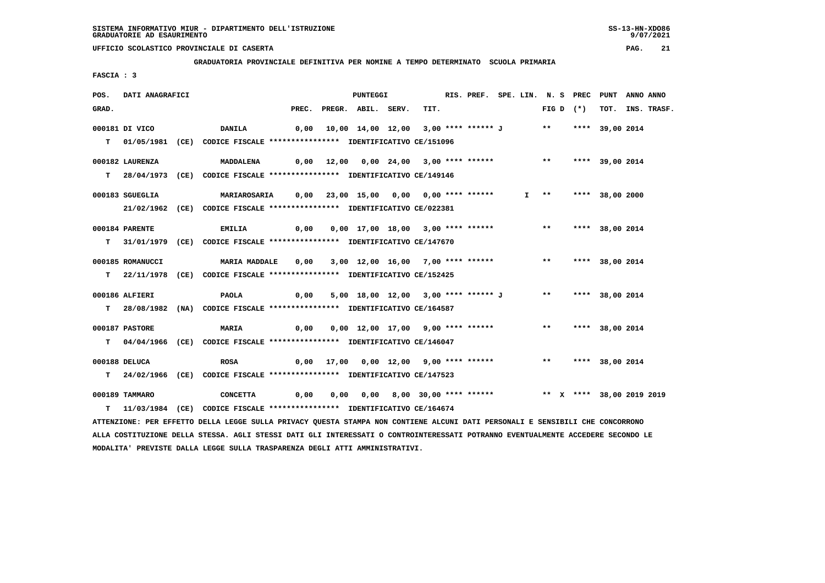**GRADUATORIA PROVINCIALE DEFINITIVA PER NOMINE A TEMPO DETERMINATO SCUOLA PRIMARIA**

 **FASCIA : 3**

| POS.  | DATI ANAGRAFICI  |                                                                                                                                 |      | <b>PUNTEGGI</b>                                                 |      | RIS. PREF. SPE. LIN. N. S PREC PUNT |  |       |                      |                 | ANNO ANNO |                  |
|-------|------------------|---------------------------------------------------------------------------------------------------------------------------------|------|-----------------------------------------------------------------|------|-------------------------------------|--|-------|----------------------|-----------------|-----------|------------------|
| GRAD. |                  |                                                                                                                                 |      | PREC. PREGR. ABIL. SERV.                                        | TIT. |                                     |  |       | FIG D $(*)$          |                 |           | TOT. INS. TRASF. |
|       | 000181 DI VICO   | <b>DANILA</b>                                                                                                                   |      | 0,00 10,00 14,00 12,00 3,00 **** ****** J ** **** 39,00 2014    |      |                                     |  |       |                      |                 |           |                  |
|       |                  |                                                                                                                                 |      |                                                                 |      |                                     |  |       |                      |                 |           |                  |
|       |                  | T 01/05/1981 (CE) CODICE FISCALE *************** IDENTIFICATIVO CE/151096                                                       |      |                                                                 |      |                                     |  |       |                      |                 |           |                  |
|       | 000182 LAURENZA  | <b>MADDALENA</b>                                                                                                                |      | $0,00$ 12,00 0,00 24,00 3,00 **** ******                        |      |                                     |  | $***$ |                      | **** 39,00 2014 |           |                  |
|       |                  | T 28/04/1973 (CE) CODICE FISCALE **************** IDENTIFICATIVO CE/149146                                                      |      |                                                                 |      |                                     |  |       |                      |                 |           |                  |
|       |                  |                                                                                                                                 |      |                                                                 |      |                                     |  |       |                      |                 |           |                  |
|       | 000183 SGUEGLIA  | MARIAROSARIA         0,00     23,00    15,00     0,00    0,00  ****  ******                                                     |      |                                                                 |      |                                     |  |       | I ** **** 38,00 2000 |                 |           |                  |
|       |                  | 21/02/1962 (CE) CODICE FISCALE *************** IDENTIFICATIVO CE/022381                                                         |      |                                                                 |      |                                     |  |       |                      |                 |           |                  |
|       | 000184 PARENTE   | <b>EMILIA</b>                                                                                                                   | 0,00 | 0,00 17,00 18,00 3,00 **** ****** *** *** **** 38,00 2014       |      |                                     |  |       |                      |                 |           |                  |
|       |                  | T 31/01/1979 (CE) CODICE FISCALE *************** IDENTIFICATIVO CE/147670                                                       |      |                                                                 |      |                                     |  |       |                      |                 |           |                  |
|       |                  |                                                                                                                                 |      |                                                                 |      |                                     |  |       |                      |                 |           |                  |
|       | 000185 ROMANUCCI | MARIA MADDALE                                                                                                                   | 0,00 | 3,00 12,00 16,00 7,00 **** ****** *** **                        |      |                                     |  |       |                      | **** 38,00 2014 |           |                  |
|       |                  | T 22/11/1978 (CE) CODICE FISCALE **************** IDENTIFICATIVO CE/152425                                                      |      |                                                                 |      |                                     |  |       |                      |                 |           |                  |
|       |                  |                                                                                                                                 |      |                                                                 |      |                                     |  |       |                      |                 |           |                  |
|       | 000186 ALFIERI   | <b>PAOLA</b>                                                                                                                    | 0,00 | 5,00 18,00 12,00 3,00 **** ****** J ** **** 38,00 2014          |      |                                     |  |       |                      |                 |           |                  |
|       |                  | T 28/08/1982 (NA) CODICE FISCALE **************** IDENTIFICATIVO CE/164587                                                      |      |                                                                 |      |                                     |  |       |                      |                 |           |                  |
|       | 000187 PASTORE   | MARIA                                                                                                                           | 0,00 | 0,00 12,00 17,00 9,00 **** ****** *** *** **** 38,00 2014       |      |                                     |  |       |                      |                 |           |                  |
|       |                  | T 04/04/1966 (CE) CODICE FISCALE *************** IDENTIFICATIVO CE/146047                                                       |      |                                                                 |      |                                     |  |       |                      |                 |           |                  |
|       |                  |                                                                                                                                 |      |                                                                 |      |                                     |  |       |                      |                 |           |                  |
|       | 000188 DELUCA    | <b>ROSA</b>                                                                                                                     |      | 0,00 17,00 0,00 12,00 9,00 **** ****** *** *** **** 38,00 2014  |      |                                     |  |       |                      |                 |           |                  |
|       |                  | T 24/02/1966 (CE) CODICE FISCALE **************** IDENTIFICATIVO CE/147523                                                      |      |                                                                 |      |                                     |  |       |                      |                 |           |                  |
|       |                  |                                                                                                                                 |      |                                                                 |      |                                     |  |       |                      |                 |           |                  |
|       | 000189 TAMMARO   | CONCETTA                                                                                                                        | 0,00 | 0,00 0,00 8,00 30,00 **** ****** *** ** ** **** 38,00 2019 2019 |      |                                     |  |       |                      |                 |           |                  |
|       |                  | T 11/03/1984 (CE) CODICE FISCALE **************** IDENTIFICATIVO CE/164674                                                      |      |                                                                 |      |                                     |  |       |                      |                 |           |                  |
|       |                  | ATTENZIONE: PER EFFETTO DELLA LEGGE SULLA PRIVACY QUESTA STAMPA NON CONTIENE ALCUNI DATI PERSONALI E SENSIBILI CHE CONCORRONO   |      |                                                                 |      |                                     |  |       |                      |                 |           |                  |
|       |                  | ALLA COSTITUZIONE DELLA STESSA. AGLI STESSI DATI GLI INTERESSATI O CONTROINTERESSATI POTRANNO EVENTUALMENTE ACCEDERE SECONDO LE |      |                                                                 |      |                                     |  |       |                      |                 |           |                  |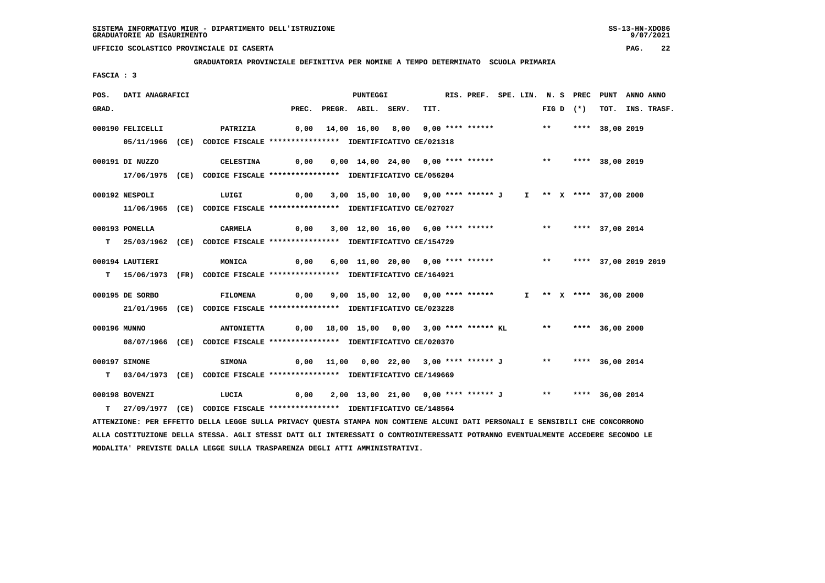**GRADUATORIA PROVINCIALE DEFINITIVA PER NOMINE A TEMPO DETERMINATO SCUOLA PRIMARIA**

 **FASCIA : 3**

| POS.         | DATI ANAGRAFICI  |                                                                                                                                 |                                                                            | <b>PUNTEGGI</b>                                                     |      | RIS. PREF. SPE. LIN. N. S PREC PUNT |  |  |             |                        | ANNO ANNO |                  |
|--------------|------------------|---------------------------------------------------------------------------------------------------------------------------------|----------------------------------------------------------------------------|---------------------------------------------------------------------|------|-------------------------------------|--|--|-------------|------------------------|-----------|------------------|
| GRAD.        |                  |                                                                                                                                 |                                                                            | PREC. PREGR. ABIL. SERV.                                            | TIT. |                                     |  |  | FIG D $(*)$ |                        |           | TOT. INS. TRASF. |
|              | 000190 FELICELLI | <b>PATRIZIA</b>                                                                                                                 |                                                                            | 0,00 14,00 16,00 8,00 0,00 **** ****** *** *** **** 38,00 2019      |      |                                     |  |  |             |                        |           |                  |
|              |                  |                                                                                                                                 |                                                                            |                                                                     |      |                                     |  |  |             |                        |           |                  |
|              |                  | 05/11/1966 (CE) CODICE FISCALE *************** IDENTIFICATIVO CE/021318                                                         |                                                                            |                                                                     |      |                                     |  |  |             |                        |           |                  |
|              | 000191 DI NUZZO  | CELESTINA                                                                                                                       | 0,00                                                                       | 0,00 14,00 24,00 0,00 **** ****** *** *** **** 38,00 2019           |      |                                     |  |  |             |                        |           |                  |
|              |                  | 17/06/1975 (CE) CODICE FISCALE *************** IDENTIFICATIVO CE/056204                                                         |                                                                            |                                                                     |      |                                     |  |  |             |                        |           |                  |
|              |                  |                                                                                                                                 |                                                                            |                                                                     |      |                                     |  |  |             |                        |           |                  |
|              | 000192 NESPOLI   | LUIGI                                                                                                                           |                                                                            | 0,00 3,00 15,00 10,00 9,00 **** ****** J I ** X **** 37,00 2000     |      |                                     |  |  |             |                        |           |                  |
|              |                  | 11/06/1965 (CE) CODICE FISCALE *************** IDENTIFICATIVO CE/027027                                                         |                                                                            |                                                                     |      |                                     |  |  |             |                        |           |                  |
|              | 000193 POMELLA   | CARMELA                                                                                                                         |                                                                            | $0,00$ $3,00$ $12,00$ $16,00$ $6,00$ **** ******                    |      |                                     |  |  |             | ** **** 37,00 2014     |           |                  |
|              |                  | T 25/03/1962 (CE) CODICE FISCALE *************** IDENTIFICATIVO CE/154729                                                       |                                                                            |                                                                     |      |                                     |  |  |             |                        |           |                  |
|              |                  |                                                                                                                                 |                                                                            |                                                                     |      |                                     |  |  |             |                        |           |                  |
|              | 000194 LAUTIERI  | MONICA                                                                                                                          |                                                                            | 0,00 6,00 11,00 20,00 0,00 **** ****** *** *** **** 37,00 2019 2019 |      |                                     |  |  |             |                        |           |                  |
|              |                  | T 15/06/1973 (FR) CODICE FISCALE **************** IDENTIFICATIVO CE/164921                                                      |                                                                            |                                                                     |      |                                     |  |  |             |                        |           |                  |
|              |                  |                                                                                                                                 |                                                                            |                                                                     |      |                                     |  |  |             |                        |           |                  |
|              | 000195 DE SORBO  | <b>FILOMENA</b>                                                                                                                 |                                                                            | 0,00 9,00 15,00 12,00 0,00 **** ******                              |      |                                     |  |  |             | I ** X **** 36,00 2000 |           |                  |
|              |                  | 21/01/1965 (CE) CODICE FISCALE *************** IDENTIFICATIVO CE/023228                                                         |                                                                            |                                                                     |      |                                     |  |  |             |                        |           |                  |
| 000196 MUNNO |                  | <b>ANTONIETTA</b>                                                                                                               | 0,00 18,00 15,00 0,00 3,00 **** ****** KL           **     **** 36,00 2000 |                                                                     |      |                                     |  |  |             |                        |           |                  |
|              |                  |                                                                                                                                 |                                                                            |                                                                     |      |                                     |  |  |             |                        |           |                  |
|              |                  | 08/07/1966 (CE) CODICE FISCALE *************** IDENTIFICATIVO CE/020370                                                         |                                                                            |                                                                     |      |                                     |  |  |             |                        |           |                  |
|              | 000197 SIMONE    | <b>SIMONA</b>                                                                                                                   |                                                                            | 0,00 11,00 0,00 22,00 3,00 **** ****** J ** **** 36,00 2014         |      |                                     |  |  |             |                        |           |                  |
|              |                  | T 03/04/1973 (CE) CODICE FISCALE *************** IDENTIFICATIVO CE/149669                                                       |                                                                            |                                                                     |      |                                     |  |  |             |                        |           |                  |
|              |                  |                                                                                                                                 |                                                                            |                                                                     |      |                                     |  |  |             |                        |           |                  |
|              | 000198 BOVENZI   | LUCIA                                                                                                                           |                                                                            | 0,00 2,00 13,00 21,00 0,00 **** ****** J ** **** 36,00 2014         |      |                                     |  |  |             |                        |           |                  |
|              |                  | T 27/09/1977 (CE) CODICE FISCALE *************** IDENTIFICATIVO CE/148564                                                       |                                                                            |                                                                     |      |                                     |  |  |             |                        |           |                  |
|              |                  | ATTENZIONE: PER EFFETTO DELLA LEGGE SULLA PRIVACY QUESTA STAMPA NON CONTIENE ALCUNI DATI PERSONALI E SENSIBILI CHE CONCORRONO   |                                                                            |                                                                     |      |                                     |  |  |             |                        |           |                  |
|              |                  | ALLA COSTITUZIONE DELLA STESSA. AGLI STESSI DATI GLI INTERESSATI O CONTROINTERESSATI POTRANNO EVENTUALMENTE ACCEDERE SECONDO LE |                                                                            |                                                                     |      |                                     |  |  |             |                        |           |                  |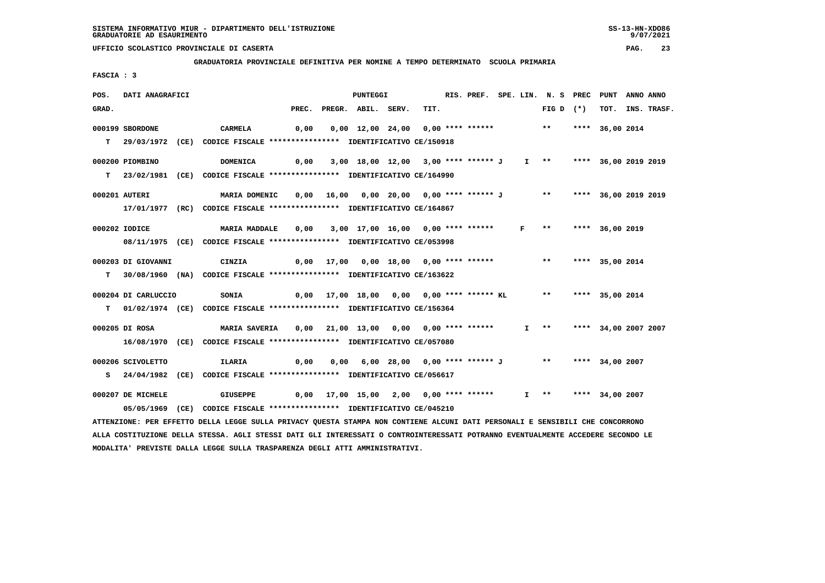**GRADUATORIA PROVINCIALE DEFINITIVA PER NOMINE A TEMPO DETERMINATO SCUOLA PRIMARIA**

 **FASCIA : 3**

| POS.  | DATI ANAGRAFICI     |                                                                                                                                 |      | <b>PUNTEGGI</b>                                                                     |      | RIS. PREF. SPE. LIN. N. S PREC |              |                           | PUNT            | ANNO ANNO |                  |
|-------|---------------------|---------------------------------------------------------------------------------------------------------------------------------|------|-------------------------------------------------------------------------------------|------|--------------------------------|--------------|---------------------------|-----------------|-----------|------------------|
| GRAD. |                     |                                                                                                                                 |      | PREC. PREGR. ABIL. SERV.                                                            | TIT. |                                |              | FIG D $(*)$               |                 |           | TOT. INS. TRASF. |
|       | 000199 SBORDONE     | <b>CARMELA</b>                                                                                                                  | 0,00 | 0,00 12,00 24,00 0,00 **** ******               **                                  |      |                                |              |                           | **** 36,00 2014 |           |                  |
|       |                     | T 29/03/1972 (CE) CODICE FISCALE **************** IDENTIFICATIVO CE/150918                                                      |      |                                                                                     |      |                                |              |                           |                 |           |                  |
|       |                     |                                                                                                                                 |      |                                                                                     |      |                                |              |                           |                 |           |                  |
|       | 000200 PIOMBINO     | <b>DOMENICA</b>                                                                                                                 | 0,00 | 3,00 18,00 12,00 3,00 **** ****** J                                                 |      |                                |              | I ** **** 36,00 2019 2019 |                 |           |                  |
|       |                     | T 23/02/1981 (CE) CODICE FISCALE **************** IDENTIFICATIVO CE/164990                                                      |      |                                                                                     |      |                                |              |                           |                 |           |                  |
|       |                     |                                                                                                                                 |      |                                                                                     |      |                                |              |                           |                 |           |                  |
|       | 000201 AUTERI       | MARIA DOMENIC                                                                                                                   |      | 0,00 16,00 0,00 20,00 0,00 **** ****** J            **         **** 36,00 2019 2019 |      |                                |              |                           |                 |           |                  |
|       |                     | 17/01/1977 (RC) CODICE FISCALE **************** IDENTIFICATIVO CE/164867                                                        |      |                                                                                     |      |                                |              |                           |                 |           |                  |
|       | 000202 IODICE       | MARIA MADDALE                                                                                                                   | 0,00 | 3,00 17,00 16,00 0,00 **** ******                                                   |      |                                | $\mathbf{F}$ | $\star\star$              | **** 36,00 2019 |           |                  |
|       |                     | 08/11/1975 (CE) CODICE FISCALE *************** IDENTIFICATIVO CE/053998                                                         |      |                                                                                     |      |                                |              |                           |                 |           |                  |
|       |                     |                                                                                                                                 |      |                                                                                     |      |                                |              |                           |                 |           |                  |
|       | 000203 DI GIOVANNI  | CINZIA                                                                                                                          |      | 0,00 17,00 0,00 18,00 0,00 **** ******                                              |      |                                |              | ** **** 35,00 2014        |                 |           |                  |
| T.    |                     | 30/08/1960 (NA) CODICE FISCALE **************** IDENTIFICATIVO CE/163622                                                        |      |                                                                                     |      |                                |              |                           |                 |           |                  |
|       |                     |                                                                                                                                 |      |                                                                                     |      |                                |              |                           |                 |           |                  |
|       | 000204 DI CARLUCCIO | SONIA<br>0,00  17,00 18,00  0,00  0,00 **** ****** KL     **   ****  35,00 2014                                                 |      |                                                                                     |      |                                |              |                           |                 |           |                  |
|       |                     | T 01/02/1974 (CE) CODICE FISCALE *************** IDENTIFICATIVO CE/156364                                                       |      |                                                                                     |      |                                |              |                           |                 |           |                  |
|       | 000205 DI ROSA      | <b>MARIA SAVERIA</b>                                                                                                            |      | 0,00 21,00 13,00 0,00 0,00 **** ******                                              |      |                                |              | I ** **** 34,00 2007 2007 |                 |           |                  |
|       |                     | 16/08/1970 (CE) CODICE FISCALE *************** IDENTIFICATIVO CE/057080                                                         |      |                                                                                     |      |                                |              |                           |                 |           |                  |
|       |                     |                                                                                                                                 |      |                                                                                     |      |                                |              |                           |                 |           |                  |
|       | 000206 SCIVOLETTO   | <b>ILARIA</b>                                                                                                                   | 0,00 | 0,00 6,00 28,00 0,00 **** ****** J ** **** 34,00 2007                               |      |                                |              |                           |                 |           |                  |
|       |                     | S 24/04/1982 (CE) CODICE FISCALE *************** IDENTIFICATIVO CE/056617                                                       |      |                                                                                     |      |                                |              |                           |                 |           |                  |
|       |                     |                                                                                                                                 |      |                                                                                     |      |                                |              |                           |                 |           |                  |
|       | 000207 DE MICHELE   | GIUSEPPE                                                                                                                        |      | 0,00 17,00 15,00 2,00 0,00 **** ******                                              |      |                                |              | I ** **** 34,00 2007      |                 |           |                  |
|       |                     | 05/05/1969 (CE) CODICE FISCALE *************** IDENTIFICATIVO CE/045210                                                         |      |                                                                                     |      |                                |              |                           |                 |           |                  |
|       |                     | ATTENZIONE: PER EFFETTO DELLA LEGGE SULLA PRIVACY QUESTA STAMPA NON CONTIENE ALCUNI DATI PERSONALI E SENSIBILI CHE CONCORRONO   |      |                                                                                     |      |                                |              |                           |                 |           |                  |
|       |                     | ALLA COSTITUZIONE DELLA STESSA. AGLI STESSI DATI GLI INTERESSATI O CONTROINTERESSATI POTRANNO EVENTUALMENTE ACCEDERE SECONDO LE |      |                                                                                     |      |                                |              |                           |                 |           |                  |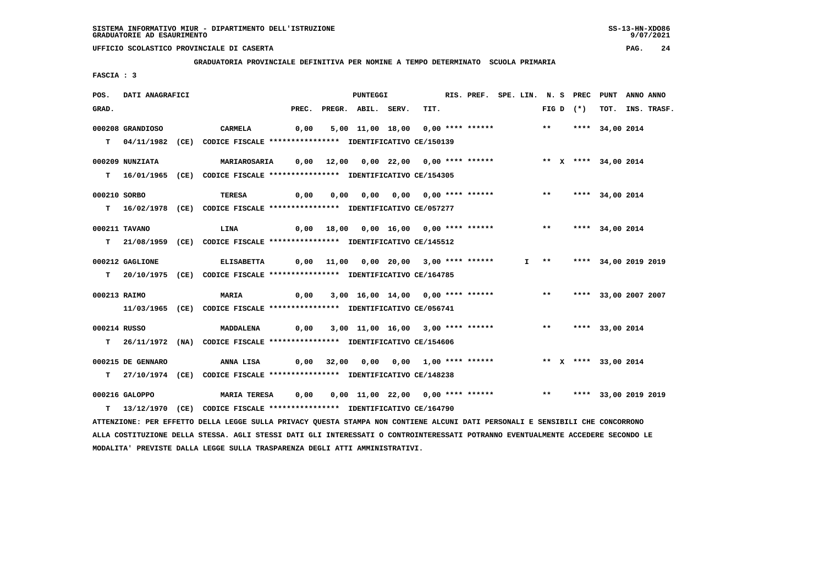**GRADUATORIA PROVINCIALE DEFINITIVA PER NOMINE A TEMPO DETERMINATO SCUOLA PRIMARIA**

 **FASCIA : 3**

| POS.         | DATI ANAGRAFICI   |                                                                                                                                 |      | <b>PUNTEGGI</b>                                                              |      | RIS. PREF. SPE. LIN. N. S PREC PUNT ANNO ANNO |  |               |             |                           |                  |
|--------------|-------------------|---------------------------------------------------------------------------------------------------------------------------------|------|------------------------------------------------------------------------------|------|-----------------------------------------------|--|---------------|-------------|---------------------------|------------------|
| GRAD.        |                   |                                                                                                                                 |      | PREC. PREGR. ABIL. SERV.                                                     | TIT. |                                               |  |               | FIG D $(*)$ |                           | TOT. INS. TRASF. |
|              | 000208 GRANDIOSO  | CARMELA                                                                                                                         | 0,00 | 5,00 11,00 18,00 0,00 **** ******             **       **** 34,00 2014       |      |                                               |  |               |             |                           |                  |
|              |                   |                                                                                                                                 |      |                                                                              |      |                                               |  |               |             |                           |                  |
|              |                   | T 04/11/1982 (CE) CODICE FISCALE *************** IDENTIFICATIVO CE/150139                                                       |      |                                                                              |      |                                               |  |               |             |                           |                  |
|              | 000209 NUNZIATA   | <b>MARIAROSARIA</b>                                                                                                             |      |                                                                              |      |                                               |  |               |             |                           |                  |
|              |                   | T 16/01/1965 (CE) CODICE FISCALE *************** IDENTIFICATIVO CE/154305                                                       |      |                                                                              |      |                                               |  |               |             |                           |                  |
|              |                   |                                                                                                                                 |      |                                                                              |      |                                               |  |               |             |                           |                  |
| 000210 SORBO |                   | <b>TERESA</b>                                                                                                                   |      |                                                                              |      |                                               |  |               |             | ** **** 34,00 2014        |                  |
|              |                   | T 16/02/1978 (CE) CODICE FISCALE **************** IDENTIFICATIVO CE/057277                                                      |      |                                                                              |      |                                               |  |               |             |                           |                  |
|              | 000211 TAVANO     | <b>LINA</b>                                                                                                                     |      | 0,00 18,00 0,00 16,00 0,00 **** ******                                       |      |                                               |  | $\star \star$ |             | **** 34,00 2014           |                  |
|              |                   | T 21/08/1959 (CE) CODICE FISCALE *************** IDENTIFICATIVO CE/145512                                                       |      |                                                                              |      |                                               |  |               |             |                           |                  |
|              |                   |                                                                                                                                 |      |                                                                              |      |                                               |  |               |             |                           |                  |
|              | 000212 GAGLIONE   | <b>ELISABETTA</b>                                                                                                               |      | 0,00 11,00 0,00 20,00 3,00 **** ******                                       |      |                                               |  |               |             | I ** **** 34,00 2019 2019 |                  |
|              |                   | T 20/10/1975 (CE) CODICE FISCALE *************** IDENTIFICATIVO CE/164785                                                       |      |                                                                              |      |                                               |  |               |             |                           |                  |
|              |                   |                                                                                                                                 |      |                                                                              |      |                                               |  |               |             |                           |                  |
| 000213 RAIMO |                   | <b>MARIA</b>                                                                                                                    |      | 0,00 3,00 16,00 14,00 0,00 **** ******           **     **** 33,00 2007 2007 |      |                                               |  |               |             |                           |                  |
|              |                   | 11/03/1965 (CE) CODICE FISCALE *************** IDENTIFICATIVO CE/056741                                                         |      |                                                                              |      |                                               |  |               |             |                           |                  |
|              |                   |                                                                                                                                 |      |                                                                              |      |                                               |  |               |             |                           |                  |
| 000214 RUSSO |                   | MADDALENA                                                                                                                       |      | 0,00 3,00 11,00 16,00 3,00 **** ****** *** *** **** 33,00 2014               |      |                                               |  |               |             |                           |                  |
|              |                   | T 26/11/1972 (NA) CODICE FISCALE **************** IDENTIFICATIVO CE/154606                                                      |      |                                                                              |      |                                               |  |               |             |                           |                  |
|              | 000215 DE GENNARO | ANNA LISA                                                                                                                       |      | 0,00 32,00 0,00 0,00 1,00 **** ******           ** x **** 33,00 2014         |      |                                               |  |               |             |                           |                  |
|              |                   | T 27/10/1974 (CE) CODICE FISCALE *************** IDENTIFICATIVO CE/148238                                                       |      |                                                                              |      |                                               |  |               |             |                           |                  |
|              |                   |                                                                                                                                 |      |                                                                              |      |                                               |  |               |             |                           |                  |
|              | 000216 GALOPPO    | <b>MARIA TERESA</b>                                                                                                             |      | 0,00 0,00 11,00 22,00 0,00 **** ****** *** *** **** 33,00 2019 2019          |      |                                               |  |               |             |                           |                  |
|              |                   | T 13/12/1970 (CE) CODICE FISCALE *************** IDENTIFICATIVO CE/164790                                                       |      |                                                                              |      |                                               |  |               |             |                           |                  |
|              |                   | ATTENZIONE: PER EFFETTO DELLA LEGGE SULLA PRIVACY QUESTA STAMPA NON CONTIENE ALCUNI DATI PERSONALI E SENSIBILI CHE CONCORRONO   |      |                                                                              |      |                                               |  |               |             |                           |                  |
|              |                   | ALLA COSTITUZIONE DELLA STESSA. AGLI STESSI DATI GLI INTERESSATI O CONTROINTERESSATI POTRANNO EVENTUALMENTE ACCEDERE SECONDO LE |      |                                                                              |      |                                               |  |               |             |                           |                  |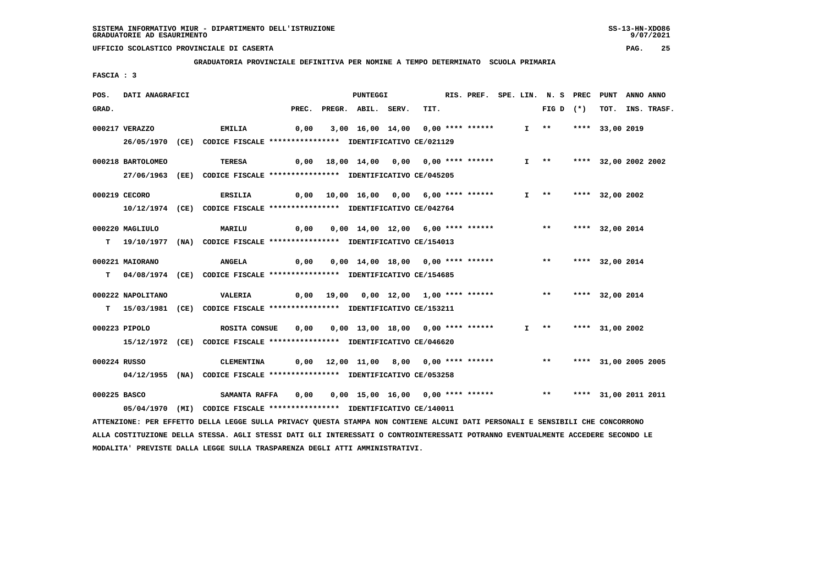**GRADUATORIA PROVINCIALE DEFINITIVA PER NOMINE A TEMPO DETERMINATO SCUOLA PRIMARIA**

 **FASCIA : 3**

| POS.  | DATI ANAGRAFICI   |                                                                                                                                 |      | <b>PUNTEGGI</b>                                                     |      | RIS. PREF. SPE. LIN. N. S PREC PUNT |  |                        |                      | ANNO ANNO |                  |
|-------|-------------------|---------------------------------------------------------------------------------------------------------------------------------|------|---------------------------------------------------------------------|------|-------------------------------------|--|------------------------|----------------------|-----------|------------------|
| GRAD. |                   |                                                                                                                                 |      | PREC. PREGR. ABIL. SERV.                                            | TIT. |                                     |  | $FIG D (*)$            |                      |           | TOT. INS. TRASF. |
|       | 000217 VERAZZO    | <b>EMILIA</b>                                                                                                                   | 0,00 | 3,00 16,00 14,00 0,00 **** ******                                   |      |                                     |  | $I \rightarrow *$      | **** 33,00 2019      |           |                  |
|       |                   |                                                                                                                                 |      |                                                                     |      |                                     |  |                        |                      |           |                  |
|       |                   | 26/05/1970 (CE) CODICE FISCALE *************** IDENTIFICATIVO CE/021129                                                         |      |                                                                     |      |                                     |  |                        |                      |           |                  |
|       | 000218 BARTOLOMEO | <b>TERESA</b>                                                                                                                   |      | 0,00 18,00 14,00 0,00 0,00 **** ******                              |      |                                     |  | $I \longrightarrow$    | **** 32,00 2002 2002 |           |                  |
|       |                   | 27/06/1963 (EE) CODICE FISCALE **************** IDENTIFICATIVO CE/045205                                                        |      |                                                                     |      |                                     |  |                        |                      |           |                  |
|       |                   |                                                                                                                                 |      |                                                                     |      |                                     |  |                        |                      |           |                  |
|       | 000219 CECORO     | <b>ERSILIA</b>                                                                                                                  |      |                                                                     |      |                                     |  | $I$ ** **** 32,00 2002 |                      |           |                  |
|       |                   | 10/12/1974 (CE) CODICE FISCALE *************** IDENTIFICATIVO CE/042764                                                         |      |                                                                     |      |                                     |  |                        |                      |           |                  |
|       | 000220 MAGLIULO   | <b>MARILU</b>                                                                                                                   | 0,00 | 0,00 14,00 12,00 6,00 **** ******                                   |      |                                     |  | $***$                  | **** 32,00 2014      |           |                  |
|       |                   | T 19/10/1977 (NA) CODICE FISCALE *************** IDENTIFICATIVO CE/154013                                                       |      |                                                                     |      |                                     |  |                        |                      |           |                  |
|       |                   |                                                                                                                                 |      |                                                                     |      |                                     |  |                        |                      |           |                  |
|       | 000221 MAIORANO   | <b>ANGELA</b>                                                                                                                   |      | $0,00$ $0,00$ $14,00$ $18,00$ $0,00$ $***$ **** ******              |      |                                     |  | ** **** 32,00 2014     |                      |           |                  |
|       |                   | T 04/08/1974 (CE) CODICE FISCALE *************** IDENTIFICATIVO CE/154685                                                       |      |                                                                     |      |                                     |  |                        |                      |           |                  |
|       |                   |                                                                                                                                 |      |                                                                     |      |                                     |  |                        |                      |           |                  |
|       | 000222 NAPOLITANO | <b>VALERIA</b>                                                                                                                  |      | 0,00 19,00 0,00 12,00 1,00 **** ******                              |      |                                     |  | $\star\star$           | **** 32,00 2014      |           |                  |
|       |                   | T 15/03/1981 (CE) CODICE FISCALE **************** IDENTIFICATIVO CE/153211                                                      |      |                                                                     |      |                                     |  |                        |                      |           |                  |
|       | 000223 PIPOLO     | ROSITA CONSUE                                                                                                                   | 0,00 | 0,00 13,00 18,00 0,00 **** ******                                   |      |                                     |  | I ** **** 31,00 2002   |                      |           |                  |
|       |                   | 15/12/1972 (CE) CODICE FISCALE *************** IDENTIFICATIVO CE/046620                                                         |      |                                                                     |      |                                     |  |                        |                      |           |                  |
|       |                   |                                                                                                                                 |      |                                                                     |      |                                     |  |                        |                      |           |                  |
|       | 000224 RUSSO      | <b>CLEMENTINA</b>                                                                                                               |      | 0,00 12,00 11,00 8,00 0,00 **** ****** *** *** **** 31,00 2005 2005 |      |                                     |  |                        |                      |           |                  |
|       |                   | 04/12/1955 (NA) CODICE FISCALE *************** IDENTIFICATIVO CE/053258                                                         |      |                                                                     |      |                                     |  |                        |                      |           |                  |
|       |                   |                                                                                                                                 |      |                                                                     |      |                                     |  |                        |                      |           |                  |
|       | 000225 BASCO      | <b>SAMANTA RAFFA</b>                                                                                                            | 0,00 | 0,00 15,00 16,00 0,00 **** ****** *** *** **** 31,00 2011 2011      |      |                                     |  |                        |                      |           |                  |
|       |                   | 05/04/1970 (MI) CODICE FISCALE *************** IDENTIFICATIVO CE/140011                                                         |      |                                                                     |      |                                     |  |                        |                      |           |                  |
|       |                   | ATTENZIONE: PER EFFETTO DELLA LEGGE SULLA PRIVACY QUESTA STAMPA NON CONTIENE ALCUNI DATI PERSONALI E SENSIBILI CHE CONCORRONO   |      |                                                                     |      |                                     |  |                        |                      |           |                  |
|       |                   | ALLA COSTITUZIONE DELLA STESSA. AGLI STESSI DATI GLI INTERESSATI O CONTROINTERESSATI POTRANNO EVENTUALMENTE ACCEDERE SECONDO LE |      |                                                                     |      |                                     |  |                        |                      |           |                  |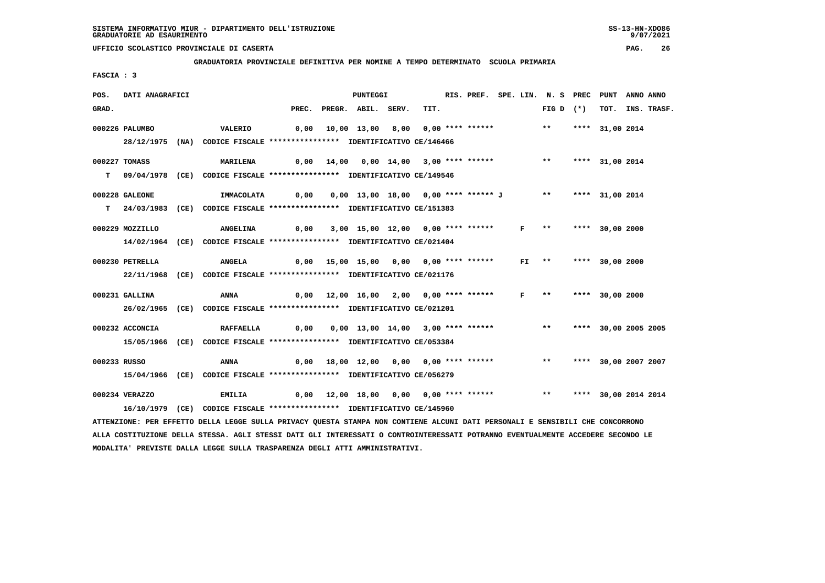**GRADUATORIA PROVINCIALE DEFINITIVA PER NOMINE A TEMPO DETERMINATO SCUOLA PRIMARIA**

 **FASCIA : 3**

| POS.         | DATI ANAGRAFICI |                                                                                                                                 |      | <b>PUNTEGGI</b>                                 |      | RIS. PREF. SPE. LIN. N. S PREC PUNT |              |              |                         |                      | ANNO ANNO |                  |
|--------------|-----------------|---------------------------------------------------------------------------------------------------------------------------------|------|-------------------------------------------------|------|-------------------------------------|--------------|--------------|-------------------------|----------------------|-----------|------------------|
| GRAD.        |                 |                                                                                                                                 |      | PREC. PREGR. ABIL. SERV.                        | TIT. |                                     |              |              | FIG D $(*)$             |                      |           | TOT. INS. TRASF. |
|              | 000226 PALUMBO  | VALERIO                                                                                                                         |      | 0,00 10,00 13,00 8,00 0,00 **** ******          |      |                                     |              | $***$        |                         | **** 31,00 2014      |           |                  |
|              |                 |                                                                                                                                 |      |                                                 |      |                                     |              |              |                         |                      |           |                  |
|              |                 | 28/12/1975 (NA) CODICE FISCALE *************** IDENTIFICATIVO CE/146466                                                         |      |                                                 |      |                                     |              |              |                         |                      |           |                  |
|              | 000227 TOMASS   | <b>MARILENA</b>                                                                                                                 |      | $0,00$ 14,00 0,00 14,00 3,00 **** ******        |      |                                     |              | $***$        |                         | **** 31,00 2014      |           |                  |
|              |                 | T 09/04/1978 (CE) CODICE FISCALE **************** IDENTIFICATIVO CE/149546                                                      |      |                                                 |      |                                     |              |              |                         |                      |           |                  |
|              |                 |                                                                                                                                 |      |                                                 |      |                                     |              |              |                         |                      |           |                  |
|              | 000228 GALEONE  | IMMACOLATA                                                                                                                      |      | 0,00  0,00  13,00  18,00  0,00  ****  ******  J |      |                                     |              |              | ** **** 31,00 2014      |                      |           |                  |
|              |                 | T 24/03/1983 (CE) CODICE FISCALE **************** IDENTIFICATIVO CE/151383                                                      |      |                                                 |      |                                     |              |              |                         |                      |           |                  |
|              | 000229 MOZZILLO | <b>ANGELINA</b>                                                                                                                 | 0,00 | 3,00 15,00 12,00 0,00 **** ******               |      |                                     | $\mathbf{F}$ | $\star\star$ |                         | **** 30,00 2000      |           |                  |
|              |                 |                                                                                                                                 |      |                                                 |      |                                     |              |              |                         |                      |           |                  |
|              |                 | 14/02/1964 (CE) CODICE FISCALE *************** IDENTIFICATIVO CE/021404                                                         |      |                                                 |      |                                     |              |              |                         |                      |           |                  |
|              | 000230 PETRELLA | <b>ANGELA</b>                                                                                                                   |      | 0,00 15,00 15,00 0,00 0,00 **** ******          |      |                                     |              | $FI$ **      |                         | **** 30,00 2000      |           |                  |
|              |                 | 22/11/1968 (CE) CODICE FISCALE *************** IDENTIFICATIVO CE/021176                                                         |      |                                                 |      |                                     |              |              |                         |                      |           |                  |
|              |                 |                                                                                                                                 |      |                                                 |      |                                     |              |              |                         |                      |           |                  |
|              | 000231 GALLINA  | ANNA                                                                                                                            |      | 0,00 12,00 16,00 2,00 0,00 **** ******          |      |                                     | $\mathbf{F}$ | $\star\star$ |                         | **** 30,00 2000      |           |                  |
|              |                 | 26/02/1965 (CE) CODICE FISCALE *************** IDENTIFICATIVO CE/021201                                                         |      |                                                 |      |                                     |              |              |                         |                      |           |                  |
|              | 000232 ACCONCIA | <b>RAFFAELLA</b>                                                                                                                | 0,00 | 0,00 13,00 14,00 3,00 **** ******               |      |                                     |              | $***$        |                         | **** 30,00 2005 2005 |           |                  |
|              |                 |                                                                                                                                 |      |                                                 |      |                                     |              |              |                         |                      |           |                  |
|              |                 | 15/05/1966 (CE) CODICE FISCALE *************** IDENTIFICATIVO CE/053384                                                         |      |                                                 |      |                                     |              |              |                         |                      |           |                  |
| 000233 RUSSO |                 | ANNA                                                                                                                            |      | 0,00 18,00 12,00 0,00 0,00 **** ******          |      |                                     |              |              | ** **** 30,00 2007 2007 |                      |           |                  |
|              |                 | 15/04/1966 (CE) CODICE FISCALE *************** IDENTIFICATIVO CE/056279                                                         |      |                                                 |      |                                     |              |              |                         |                      |           |                  |
|              |                 |                                                                                                                                 |      |                                                 |      |                                     |              |              |                         |                      |           |                  |
|              | 000234 VERAZZO  | EMILIA                                                                                                                          |      | $0,00$ 12,00 18,00 0,00 0,00 **** ******        |      |                                     |              | $\star\star$ |                         | **** 30,00 2014 2014 |           |                  |
|              |                 | 16/10/1979 (CE) CODICE FISCALE *************** IDENTIFICATIVO CE/145960                                                         |      |                                                 |      |                                     |              |              |                         |                      |           |                  |
|              |                 | ATTENZIONE: PER EFFETTO DELLA LEGGE SULLA PRIVACY QUESTA STAMPA NON CONTIENE ALCUNI DATI PERSONALI E SENSIBILI CHE CONCORRONO   |      |                                                 |      |                                     |              |              |                         |                      |           |                  |
|              |                 | ALLA COSTITUZIONE DELLA STESSA. AGLI STESSI DATI GLI INTERESSATI O CONTROINTERESSATI POTRANNO EVENTUALMENTE ACCEDERE SECONDO LE |      |                                                 |      |                                     |              |              |                         |                      |           |                  |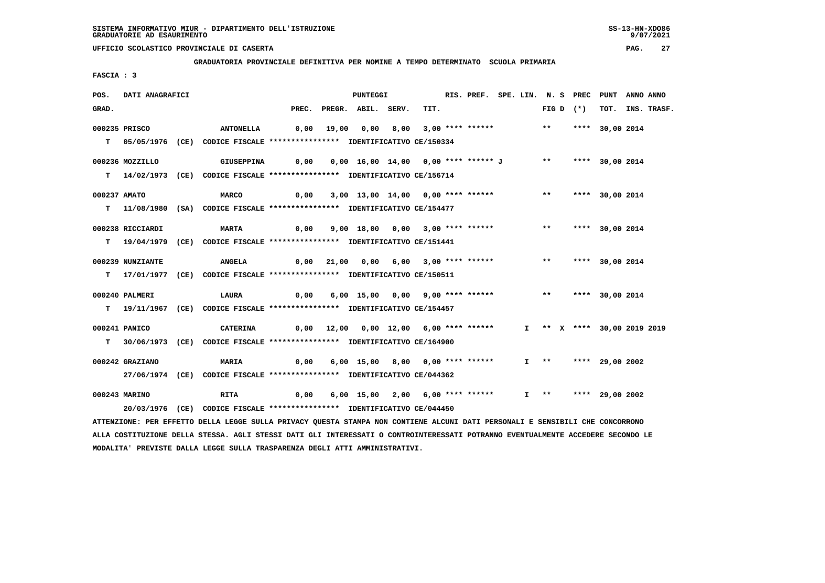**GRADUATORIA PROVINCIALE DEFINITIVA PER NOMINE A TEMPO DETERMINATO SCUOLA PRIMARIA**

 **FASCIA : 3**

| POS.  | DATI ANAGRAFICI  |                                                                                                                               |      | PUNTEGGI                 |                                                               | RIS. PREF. SPE. LIN. N. S PREC PUNT |  |  |             |                             | ANNO ANNO |                  |
|-------|------------------|-------------------------------------------------------------------------------------------------------------------------------|------|--------------------------|---------------------------------------------------------------|-------------------------------------|--|--|-------------|-----------------------------|-----------|------------------|
| GRAD. |                  |                                                                                                                               |      | PREC. PREGR. ABIL. SERV. | TIT.                                                          |                                     |  |  | FIG D $(*)$ |                             |           | TOT. INS. TRASF. |
|       | 000235 PRISCO    | <b>ANTONELLA</b>                                                                                                              |      |                          | 0,00 19,00 0,00 8,00 3,00 **** ******                         |                                     |  |  |             | ** **** 30,00 2014          |           |                  |
|       |                  | T 05/05/1976 (CE) CODICE FISCALE *************** IDENTIFICATIVO CE/150334                                                     |      |                          |                                                               |                                     |  |  |             |                             |           |                  |
|       |                  |                                                                                                                               |      |                          |                                                               |                                     |  |  |             |                             |           |                  |
|       | 000236 MOZZILLO  | <b>GIUSEPPINA</b>                                                                                                             | 0,00 |                          | 0,00 16,00 14,00 0,00 **** ****** J ** **** 30,00 2014        |                                     |  |  |             |                             |           |                  |
|       |                  | T 14/02/1973 (CE) CODICE FISCALE *************** IDENTIFICATIVO CE/156714                                                     |      |                          |                                                               |                                     |  |  |             |                             |           |                  |
|       | 000237 AMATO     | <b>MARCO</b>                                                                                                                  | 0,00 |                          | 3,00 13,00 14,00 0,00 **** ****** *** **** 30,00 2014         |                                     |  |  |             |                             |           |                  |
|       |                  | T 11/08/1980 (SA) CODICE FISCALE *************** IDENTIFICATIVO CE/154477                                                     |      |                          |                                                               |                                     |  |  |             |                             |           |                  |
|       |                  |                                                                                                                               |      |                          |                                                               |                                     |  |  |             |                             |           |                  |
|       | 000238 RICCIARDI | <b>MARTA</b>                                                                                                                  |      |                          | 0,00 9,00 18,00 0,00 3,00 **** ******                         |                                     |  |  |             | ** **** 30,00 2014          |           |                  |
|       |                  | T 19/04/1979 (CE) CODICE FISCALE **************** IDENTIFICATIVO CE/151441                                                    |      |                          |                                                               |                                     |  |  |             |                             |           |                  |
|       | 000239 NUNZIANTE | <b>ANGELA</b>                                                                                                                 |      |                          | 0,00 21,00 0,00 6,00 3,00 **** ****** *** *** **** 30,00 2014 |                                     |  |  |             |                             |           |                  |
|       |                  | T 17/01/1977 (CE) CODICE FISCALE *************** IDENTIFICATIVO CE/150511                                                     |      |                          |                                                               |                                     |  |  |             |                             |           |                  |
|       |                  |                                                                                                                               |      |                          |                                                               |                                     |  |  |             |                             |           |                  |
|       | 000240 PALMERI   | <b>LAURA</b>                                                                                                                  | 0,00 |                          | 6,00 15,00 0,00 9,00 **** ****** *** *** **** 30,00 2014      |                                     |  |  |             |                             |           |                  |
|       |                  | T 19/11/1967 (CE) CODICE FISCALE *************** IDENTIFICATIVO CE/154457                                                     |      |                          |                                                               |                                     |  |  |             |                             |           |                  |
|       | 000241 PANICO    | CATERINA                                                                                                                      |      |                          | 0,00 12,00 0,00 12,00 6,00 **** ******                        |                                     |  |  |             | I ** X **** 30,00 2019 2019 |           |                  |
|       |                  | T 30/06/1973 (CE) CODICE FISCALE *************** IDENTIFICATIVO CE/164900                                                     |      |                          |                                                               |                                     |  |  |             |                             |           |                  |
|       |                  |                                                                                                                               |      |                          |                                                               |                                     |  |  |             |                             |           |                  |
|       | 000242 GRAZIANO  | <b>MARIA</b>                                                                                                                  |      |                          | 0,00 6,00 15,00 8,00 0,00 **** ******                         |                                     |  |  |             | $I$ ** **** 29,00 2002      |           |                  |
|       |                  | 27/06/1974 (CE) CODICE FISCALE *************** IDENTIFICATIVO CE/044362                                                       |      |                          |                                                               |                                     |  |  |             |                             |           |                  |
|       | 000243 MARINO    | <b>RITA</b>                                                                                                                   |      |                          | 0,00 6,00 15,00 2,00 6,00 **** ******                         |                                     |  |  |             | $I$ ** **** 29,00 2002      |           |                  |
|       |                  | 20/03/1976 (CE) CODICE FISCALE *************** IDENTIFICATIVO CE/044450                                                       |      |                          |                                                               |                                     |  |  |             |                             |           |                  |
|       |                  | ATTENZIONE: PER EFFETTO DELLA LEGGE SULLA PRIVACY QUESTA STAMPA NON CONTIENE ALCUNI DATI PERSONALI E SENSIBILI CHE CONCORRONO |      |                          |                                                               |                                     |  |  |             |                             |           |                  |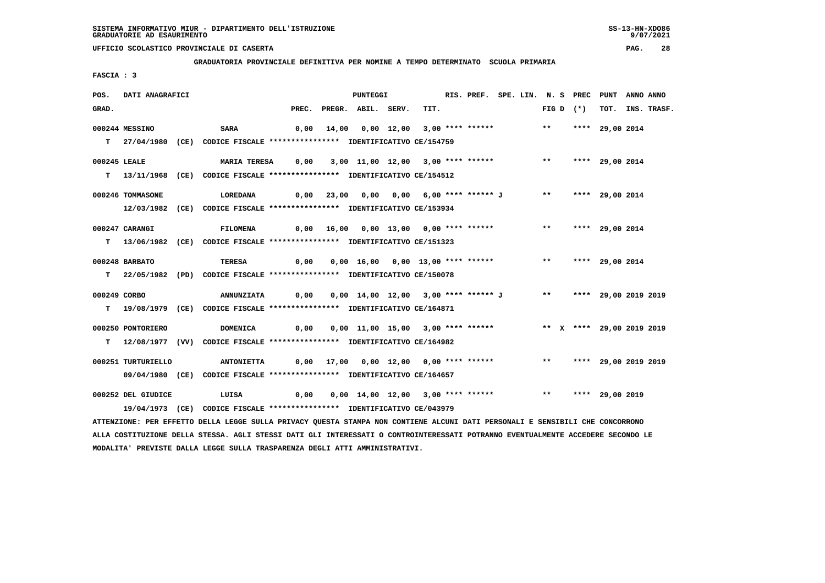**GRADUATORIA PROVINCIALE DEFINITIVA PER NOMINE A TEMPO DETERMINATO SCUOLA PRIMARIA**

 **FASCIA : 3**

| POS.  | DATI ANAGRAFICI    |                                                                                                                               |      | PUNTEGGI                 |                                                                     | RIS. PREF. SPE. LIN. N. S PREC PUNT ANNO ANNO |  |              |  |                           |                  |
|-------|--------------------|-------------------------------------------------------------------------------------------------------------------------------|------|--------------------------|---------------------------------------------------------------------|-----------------------------------------------|--|--------------|--|---------------------------|------------------|
| GRAD. |                    |                                                                                                                               |      | PREC. PREGR. ABIL. SERV. | TIT.                                                                |                                               |  | $FIGD (*)$   |  |                           | TOT. INS. TRASF. |
|       | 000244 MESSINO     | <b>SARA</b>                                                                                                                   |      |                          |                                                                     |                                               |  | $\star\star$ |  | **** 29,00 2014           |                  |
|       |                    | T 27/04/1980 (CE) CODICE FISCALE *************** IDENTIFICATIVO CE/154759                                                     |      |                          |                                                                     |                                               |  |              |  |                           |                  |
|       |                    |                                                                                                                               |      |                          |                                                                     |                                               |  |              |  |                           |                  |
|       | 000245 LEALE       | MARIA TERESA 0,00                                                                                                             |      |                          | 3,00 11,00 12,00 3,00 **** ****** *** *** **** 29,00 2014           |                                               |  |              |  |                           |                  |
|       |                    | T 13/11/1968 (CE) CODICE FISCALE **************** IDENTIFICATIVO CE/154512                                                    |      |                          |                                                                     |                                               |  |              |  |                           |                  |
|       | 000246 TOMMASONE   | LOREDANA                                                                                                                      |      |                          | 0,00 23,00 0,00 0,00 6,00 **** ****** J ** **** 29,00 2014          |                                               |  |              |  |                           |                  |
|       |                    | 12/03/1982 (CE) CODICE FISCALE *************** IDENTIFICATIVO CE/153934                                                       |      |                          |                                                                     |                                               |  |              |  |                           |                  |
|       |                    |                                                                                                                               |      |                          |                                                                     |                                               |  |              |  |                           |                  |
|       | 000247 CARANGI     | FILOMENA                                                                                                                      |      |                          | 0,00 16,00 0,00 13,00 0,00 **** ****** **** *** **** 29,00 2014     |                                               |  |              |  |                           |                  |
|       |                    | T 13/06/1982 (CE) CODICE FISCALE **************** IDENTIFICATIVO CE/151323                                                    |      |                          |                                                                     |                                               |  |              |  |                           |                  |
|       |                    |                                                                                                                               |      |                          |                                                                     |                                               |  |              |  |                           |                  |
|       | 000248 BARBATO     | TERESA                                                                                                                        | 0,00 |                          | 0,00 16,00 0,00 13,00 **** ****** *** *** **** 29,00 2014           |                                               |  |              |  |                           |                  |
|       |                    | T 22/05/1982 (PD) CODICE FISCALE *************** IDENTIFICATIVO CE/150078                                                     |      |                          |                                                                     |                                               |  |              |  |                           |                  |
|       | 000249 CORBO       | <b>ANNUNZIATA</b>                                                                                                             | 0,00 |                          | 0,00 14,00 12,00 3,00 **** ****** J ** **** 29,00 2019 2019         |                                               |  |              |  |                           |                  |
|       |                    | T 19/08/1979 (CE) CODICE FISCALE *************** IDENTIFICATIVO CE/164871                                                     |      |                          |                                                                     |                                               |  |              |  |                           |                  |
|       |                    |                                                                                                                               |      |                          |                                                                     |                                               |  |              |  |                           |                  |
|       | 000250 PONTORIERO  | DOMENICA                                                                                                                      | 0,00 |                          | 0,00 11,00 15,00 3,00 **** ******                                   |                                               |  |              |  | ** X **** 29,00 2019 2019 |                  |
|       |                    | T 12/08/1977 (VV) CODICE FISCALE *************** IDENTIFICATIVO CE/164982                                                     |      |                          |                                                                     |                                               |  |              |  |                           |                  |
|       |                    |                                                                                                                               |      |                          |                                                                     |                                               |  |              |  |                           |                  |
|       | 000251 TURTURIELLO | <b>ANTONIETTA</b>                                                                                                             |      |                          | 0,00 17,00 0,00 12,00 0,00 **** ****** *** *** **** 29,00 2019 2019 |                                               |  |              |  |                           |                  |
|       |                    | 09/04/1980 (CE) CODICE FISCALE *************** IDENTIFICATIVO CE/164657                                                       |      |                          |                                                                     |                                               |  |              |  |                           |                  |
|       | 000252 DEL GIUDICE | LUISA                                                                                                                         | 0,00 |                          | 0,00 14,00 12,00 3,00 **** ****** *** *** **** 29,00 2019           |                                               |  |              |  |                           |                  |
|       |                    | 19/04/1973 (CE) CODICE FISCALE *************** IDENTIFICATIVO CE/043979                                                       |      |                          |                                                                     |                                               |  |              |  |                           |                  |
|       |                    | ATTENZIONE: PER EFFETTO DELLA LEGGE SULLA PRIVACY QUESTA STAMPA NON CONTIENE ALCUNI DATI PERSONALI E SENSIBILI CHE CONCORRONO |      |                          |                                                                     |                                               |  |              |  |                           |                  |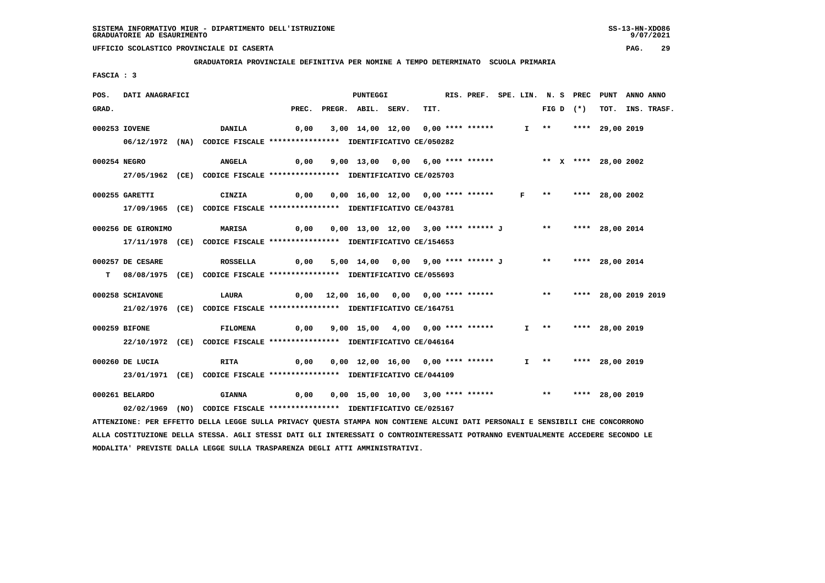**GRADUATORIA PROVINCIALE DEFINITIVA PER NOMINE A TEMPO DETERMINATO SCUOLA PRIMARIA**

 **FASCIA : 3**

| POS.  | DATI ANAGRAFICI                                                                                                                 |      |                 |      | <b>PUNTEGGI</b>                                           |      | RIS. PREF. SPE. LIN. N. S PREC |  |                       |             | <b>PUNT</b>          | ANNO ANNO |                  |
|-------|---------------------------------------------------------------------------------------------------------------------------------|------|-----------------|------|-----------------------------------------------------------|------|--------------------------------|--|-----------------------|-------------|----------------------|-----------|------------------|
| GRAD. |                                                                                                                                 |      |                 |      | PREC. PREGR. ABIL. SERV.                                  | TIT. |                                |  |                       | FIG D $(*)$ |                      |           | TOT. INS. TRASF. |
|       | 000253 IOVENE                                                                                                                   |      | DANILA          | 0,00 | 3,00 14,00 12,00 0,00 **** ******                         |      |                                |  | $I \rightarrow \star$ |             | **** 29,00 2019      |           |                  |
|       |                                                                                                                                 |      |                 |      |                                                           |      |                                |  |                       |             |                      |           |                  |
|       | 06/12/1972 (NA) CODICE FISCALE *************** IDENTIFICATIVO CE/050282                                                         |      |                 |      |                                                           |      |                                |  |                       |             |                      |           |                  |
|       | 000254 NEGRO                                                                                                                    |      | ANGELA          | 0,00 | 9,00 13,00 0,00 6,00 **** ****** * *** X **** 28,00 2002  |      |                                |  |                       |             |                      |           |                  |
|       | 27/05/1962 (CE) CODICE FISCALE *************** IDENTIFICATIVO CE/025703                                                         |      |                 |      |                                                           |      |                                |  |                       |             |                      |           |                  |
|       |                                                                                                                                 |      |                 |      |                                                           |      |                                |  |                       |             |                      |           |                  |
|       | 000255 GARETTI                                                                                                                  |      | CINZIA          | 0,00 | 0,00 16,00 12,00 0,00 **** ****** F ** **** 28,00 2002    |      |                                |  |                       |             |                      |           |                  |
|       | 17/09/1965 (CE) CODICE FISCALE *************** IDENTIFICATIVO CE/043781                                                         |      |                 |      |                                                           |      |                                |  |                       |             |                      |           |                  |
|       | 000256 DE GIRONIMO                                                                                                              |      | <b>MARISA</b>   | 0,00 | 0,00 13,00 12,00 3,00 **** ****** J ** **** 28,00 2014    |      |                                |  |                       |             |                      |           |                  |
|       |                                                                                                                                 |      |                 |      |                                                           |      |                                |  |                       |             |                      |           |                  |
|       | 17/11/1978 (CE) CODICE FISCALE *************** IDENTIFICATIVO CE/154653                                                         |      |                 |      |                                                           |      |                                |  |                       |             |                      |           |                  |
|       | 000257 DE CESARE                                                                                                                |      | <b>ROSSELLA</b> | 0,00 | 5,00 14,00 0,00 9,00 **** ****** J ** **** 28,00 2014     |      |                                |  |                       |             |                      |           |                  |
|       | T 08/08/1975 (CE) CODICE FISCALE **************** IDENTIFICATIVO CE/055693                                                      |      |                 |      |                                                           |      |                                |  |                       |             |                      |           |                  |
|       |                                                                                                                                 |      |                 |      |                                                           |      |                                |  |                       |             |                      |           |                  |
|       | 000258 SCHIAVONE                                                                                                                |      | LAURA           |      | 0,00 12,00 16,00 0,00 0,00 **** ******                    |      |                                |  | $\star \star$         |             | **** 28,00 2019 2019 |           |                  |
|       | 21/02/1976 (CE) CODICE FISCALE **************** IDENTIFICATIVO CE/164751                                                        |      |                 |      |                                                           |      |                                |  |                       |             |                      |           |                  |
|       |                                                                                                                                 |      |                 |      |                                                           |      |                                |  |                       |             |                      |           |                  |
|       | 000259 BIFONE                                                                                                                   |      | FILOMENA        | 0,00 | 9,00 15,00 4,00 0,00 **** ******                          |      |                                |  | $I \rightarrow \star$ |             | **** 28,00 2019      |           |                  |
|       | 22/10/1972 (CE) CODICE FISCALE *************** IDENTIFICATIVO CE/046164                                                         |      |                 |      |                                                           |      |                                |  |                       |             |                      |           |                  |
|       | 000260 DE LUCIA                                                                                                                 | RITA |                 | 0,00 | 0,00 12,00 16,00 0,00 **** ******                         |      |                                |  |                       |             | I ** **** 28,00 2019 |           |                  |
|       |                                                                                                                                 |      |                 |      |                                                           |      |                                |  |                       |             |                      |           |                  |
|       | 23/01/1971 (CE) CODICE FISCALE *************** IDENTIFICATIVO CE/044109                                                         |      |                 |      |                                                           |      |                                |  |                       |             |                      |           |                  |
|       | 000261 BELARDO                                                                                                                  |      | <b>GIANNA</b>   | 0,00 | 0,00 15,00 10,00 3,00 **** ****** *** *** **** 28,00 2019 |      |                                |  |                       |             |                      |           |                  |
|       | 02/02/1969 (NO) CODICE FISCALE *************** IDENTIFICATIVO CE/025167                                                         |      |                 |      |                                                           |      |                                |  |                       |             |                      |           |                  |
|       | ATTENZIONE: PER EFFETTO DELLA LEGGE SULLA PRIVACY QUESTA STAMPA NON CONTIENE ALCUNI DATI PERSONALI E SENSIBILI CHE CONCORRONO   |      |                 |      |                                                           |      |                                |  |                       |             |                      |           |                  |
|       | ALLA COSTITUZIONE DELLA STESSA. AGLI STESSI DATI GLI INTERESSATI O CONTROINTERESSATI POTRANNO EVENTUALMENTE ACCEDERE SECONDO LE |      |                 |      |                                                           |      |                                |  |                       |             |                      |           |                  |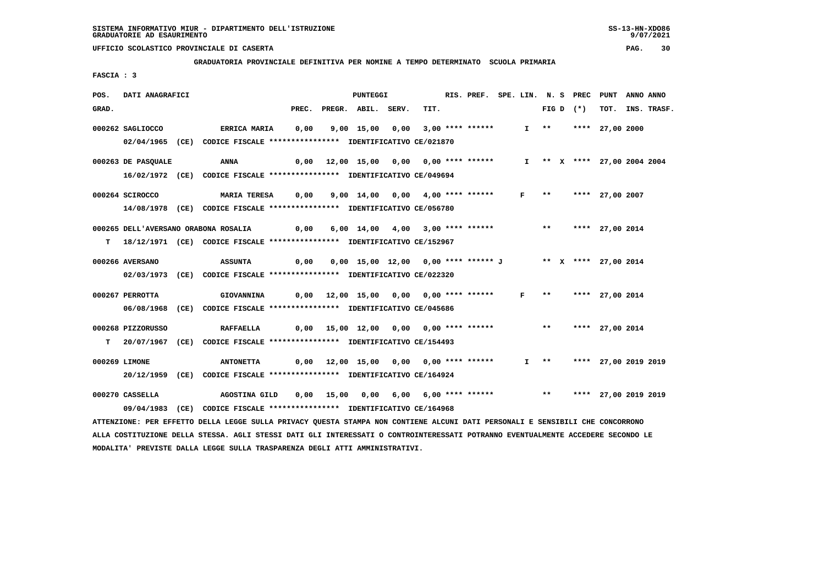**GRADUATORIA PROVINCIALE DEFINITIVA PER NOMINE A TEMPO DETERMINATO SCUOLA PRIMARIA**

 **FASCIA : 3**

| POS.  | DATI ANAGRAFICI    |                                                                                                                                 |                                                                      | <b>PUNTEGGI</b>                                                             |      | RIS. PREF. SPE. LIN. N. S PREC |  |  |             | <b>PUNT</b>                 | ANNO ANNO |                  |
|-------|--------------------|---------------------------------------------------------------------------------------------------------------------------------|----------------------------------------------------------------------|-----------------------------------------------------------------------------|------|--------------------------------|--|--|-------------|-----------------------------|-----------|------------------|
| GRAD. |                    |                                                                                                                                 | PREC.                                                                | PREGR. ABIL. SERV.                                                          | TIT. |                                |  |  | FIG D $(*)$ |                             |           | TOT. INS. TRASF. |
|       | 000262 SAGLIOCCO   | ERRICA MARIA       0,00      9,00   15,00    0,00    3,00  ****  ******                                                         |                                                                      |                                                                             |      |                                |  |  |             | I ** **** 27,00 2000        |           |                  |
|       |                    | 02/04/1965 (CE) CODICE FISCALE *************** IDENTIFICATIVO CE/021870                                                         |                                                                      |                                                                             |      |                                |  |  |             |                             |           |                  |
|       | 000263 DE PASQUALE | ANNA                                                                                                                            |                                                                      | 0,00 12,00 15,00 0,00 0,00 **** ******                                      |      |                                |  |  |             | I ** X **** 27,00 2004 2004 |           |                  |
|       |                    | 16/02/1972 (CE) CODICE FISCALE *************** IDENTIFICATIVO CE/049694                                                         |                                                                      |                                                                             |      |                                |  |  |             |                             |           |                  |
|       | 000264 SCIROCCO    | MARIA TERESA 0,00 9,00 14,00 0,00 4,00 **** ****** F ** **** 27,00 2007                                                         |                                                                      |                                                                             |      |                                |  |  |             |                             |           |                  |
|       |                    | 14/08/1978 (CE) CODICE FISCALE *************** IDENTIFICATIVO CE/056780                                                         |                                                                      |                                                                             |      |                                |  |  |             |                             |           |                  |
|       |                    | 000265 DELL'AVERSANO ORABONA ROSALIA 0,00                                                                                       |                                                                      | 6,00 14,00 4,00 3,00 **** ******                                            |      |                                |  |  |             | ** **** 27,00 2014          |           |                  |
|       |                    | T 18/12/1971 (CE) CODICE FISCALE **************** IDENTIFICATIVO CE/152967                                                      |                                                                      |                                                                             |      |                                |  |  |             |                             |           |                  |
|       | 000266 AVERSANO    | <b>ASSUNTA</b>                                                                                                                  | 0,00  0,00 15,00 12,00  0,00 **** ****** J      ** x **** 27,00 2014 |                                                                             |      |                                |  |  |             |                             |           |                  |
|       |                    | 02/03/1973 (CE) CODICE FISCALE *************** IDENTIFICATIVO CE/022320                                                         |                                                                      |                                                                             |      |                                |  |  |             |                             |           |                  |
|       | 000267 PERROTTA    | <b>GIOVANNINA</b>                                                                                                               |                                                                      |                                                                             |      |                                |  |  |             | F ** **** 27,00 2014        |           |                  |
|       |                    | 06/08/1968 (CE) CODICE FISCALE *************** IDENTIFICATIVO CE/045686                                                         |                                                                      |                                                                             |      |                                |  |  |             |                             |           |                  |
|       | 000268 PIZZORUSSO  | <b>RAFFAELLA</b>                                                                                                                | 0,00 15,00 12,00 0,00 0,00 **** ****** *** **                        |                                                                             |      |                                |  |  |             | **** 27,00 2014             |           |                  |
|       |                    | T 20/07/1967 (CE) CODICE FISCALE *************** IDENTIFICATIVO CE/154493                                                       |                                                                      |                                                                             |      |                                |  |  |             |                             |           |                  |
|       | 000269 LIMONE      | <b>ANTONETTA</b>                                                                                                                | 0,00 12,00 15,00 0,00 0,00 **** ******                               |                                                                             |      |                                |  |  |             | I ** **** 27,00 2019 2019   |           |                  |
|       |                    | 20/12/1959 (CE) CODICE FISCALE *************** IDENTIFICATIVO CE/164924                                                         |                                                                      |                                                                             |      |                                |  |  |             |                             |           |                  |
|       | 000270 CASSELLA    | <b>AGOSTINA GILD</b>                                                                                                            |                                                                      | 0,00 15,00 0,00 6,00 6,00 **** ******           **     **** 27,00 2019 2019 |      |                                |  |  |             |                             |           |                  |
|       |                    | 09/04/1983 (CE) CODICE FISCALE *************** IDENTIFICATIVO CE/164968                                                         |                                                                      |                                                                             |      |                                |  |  |             |                             |           |                  |
|       |                    | ATTENZIONE: PER EFFETTO DELLA LEGGE SULLA PRIVACY OUESTA STAMPA NON CONTIENE ALCUNI DATI PERSONALI E SENSIBILI CHE CONCORRONO   |                                                                      |                                                                             |      |                                |  |  |             |                             |           |                  |
|       |                    | ALLA COSTITUZIONE DELLA STESSA. AGLI STESSI DATI GLI INTERESSATI O CONTROINTERESSATI POTRANNO EVENTUALMENTE ACCEDERE SECONDO LE |                                                                      |                                                                             |      |                                |  |  |             |                             |           |                  |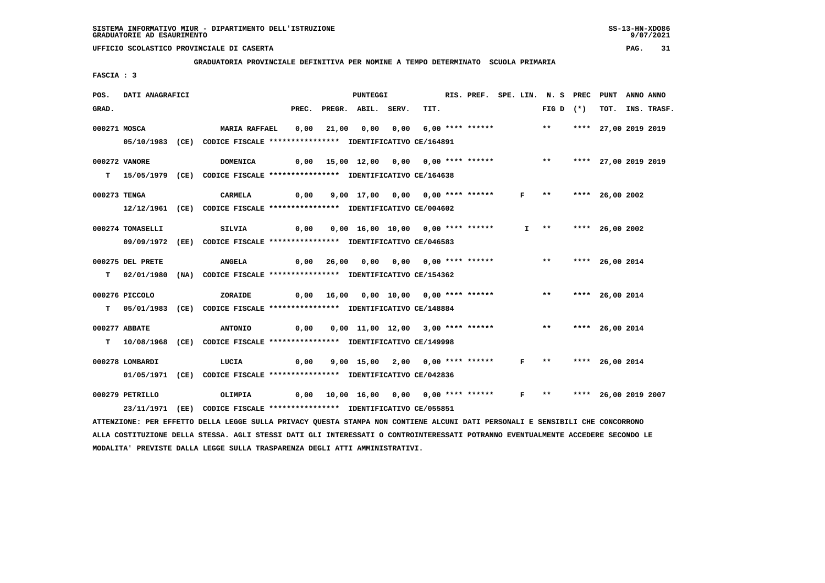**GRADUATORIA PROVINCIALE DEFINITIVA PER NOMINE A TEMPO DETERMINATO SCUOLA PRIMARIA**

 **FASCIA : 3**

| POS.  | DATI ANAGRAFICI  |                                                                                                                               |       |                                                                         | PUNTEGGI                                 |      | RIS. PREF. SPE. LIN. N. S PREC |              |                       | PUNT                 | ANNO ANNO        |
|-------|------------------|-------------------------------------------------------------------------------------------------------------------------------|-------|-------------------------------------------------------------------------|------------------------------------------|------|--------------------------------|--------------|-----------------------|----------------------|------------------|
| GRAD. |                  |                                                                                                                               | PREC. |                                                                         | PREGR. ABIL. SERV.                       | TIT. |                                |              | FIG D $(*)$           |                      | TOT. INS. TRASF. |
|       | 000271 MOSCA     | <b>MARIA RAFFAEL</b>                                                                                                          | 0,00  |                                                                         |                                          |      |                                |              |                       |                      |                  |
|       |                  | 05/10/1983 (CE) CODICE FISCALE *************** IDENTIFICATIVO CE/164891                                                       |       |                                                                         |                                          |      |                                |              |                       |                      |                  |
|       |                  |                                                                                                                               |       |                                                                         |                                          |      |                                |              |                       |                      |                  |
|       | 000272 VANORE    | <b>DOMENICA</b>                                                                                                               |       | 0,00 15,00 12,00 0,00 0,00 **** ****** *** **                           |                                          |      |                                |              |                       | **** 27,00 2019 2019 |                  |
|       |                  | T 15/05/1979 (CE) CODICE FISCALE *************** IDENTIFICATIVO CE/164638                                                     |       |                                                                         |                                          |      |                                |              |                       |                      |                  |
|       | 000273 TENGA     | CARMELA                                                                                                                       | 0,00  |                                                                         | 9,00 17,00 0,00 0,00 **** ******         |      |                                | F            | $***$                 | **** 26,00 2002      |                  |
|       |                  | 12/12/1961 (CE) CODICE FISCALE *************** IDENTIFICATIVO CE/004602                                                       |       |                                                                         |                                          |      |                                |              |                       |                      |                  |
|       |                  |                                                                                                                               |       |                                                                         |                                          |      |                                |              |                       |                      |                  |
|       | 000274 TOMASELLI | SILVIA                                                                                                                        | 0,00  |                                                                         | 0,00 16,00 10,00 0,00 **** ******        |      |                                |              | $I \rightarrow \star$ | **** 26,00 2002      |                  |
|       |                  | 09/09/1972 (EE) CODICE FISCALE *************** IDENTIFICATIVO CE/046583                                                       |       |                                                                         |                                          |      |                                |              |                       |                      |                  |
|       | 000275 DEL PRETE | <b>ANGELA</b>                                                                                                                 |       |                                                                         |                                          |      |                                |              |                       |                      |                  |
|       |                  |                                                                                                                               |       |                                                                         |                                          |      |                                |              |                       |                      |                  |
|       |                  | T 02/01/1980 (NA) CODICE FISCALE **************** IDENTIFICATIVO CE/154362                                                    |       |                                                                         |                                          |      |                                |              |                       |                      |                  |
|       | 000276 PICCOLO   | ZORAIDE                                                                                                                       |       | 0,00 16,00 0,00 10,00 0,00 **** ******                                  |                                          |      |                                |              | ** **** 26,00 2014    |                      |                  |
|       |                  | T 05/01/1983 (CE) CODICE FISCALE **************** IDENTIFICATIVO CE/148884                                                    |       |                                                                         |                                          |      |                                |              |                       |                      |                  |
|       | 000277 ABBATE    |                                                                                                                               |       |                                                                         | 0,00 11,00 12,00 3,00 **** ****** *** ** |      |                                |              |                       | **** 26,00 2014      |                  |
|       |                  | <b>ANTONIO</b>                                                                                                                | 0,00  |                                                                         |                                          |      |                                |              |                       |                      |                  |
|       |                  | T 10/08/1968 (CE) CODICE FISCALE *************** IDENTIFICATIVO CE/149998                                                     |       |                                                                         |                                          |      |                                |              |                       |                      |                  |
|       | 000278 LOMBARDI  | LUCIA                                                                                                                         | 0,00  |                                                                         | 9,00 15,00 2,00 0,00 **** ******         |      |                                | $\mathbf{F}$ | ** **** 26,00 2014    |                      |                  |
|       |                  | 01/05/1971 (CE) CODICE FISCALE *************** IDENTIFICATIVO CE/042836                                                       |       |                                                                         |                                          |      |                                |              |                       |                      |                  |
|       | 000279 PETRILLO  | OLIMPIA                                                                                                                       |       | 0,00 10,00 16,00  0,00  0,00 **** ******   F  **   **** 26,00 2019 2007 |                                          |      |                                |              |                       |                      |                  |
|       |                  | 23/11/1971 (EE) CODICE FISCALE *************** IDENTIFICATIVO CE/055851                                                       |       |                                                                         |                                          |      |                                |              |                       |                      |                  |
|       |                  | ATTENZIONE: PER EFFETTO DELLA LEGGE SULLA PRIVACY QUESTA STAMPA NON CONTIENE ALCUNI DATI PERSONALI E SENSIBILI CHE CONCORRONO |       |                                                                         |                                          |      |                                |              |                       |                      |                  |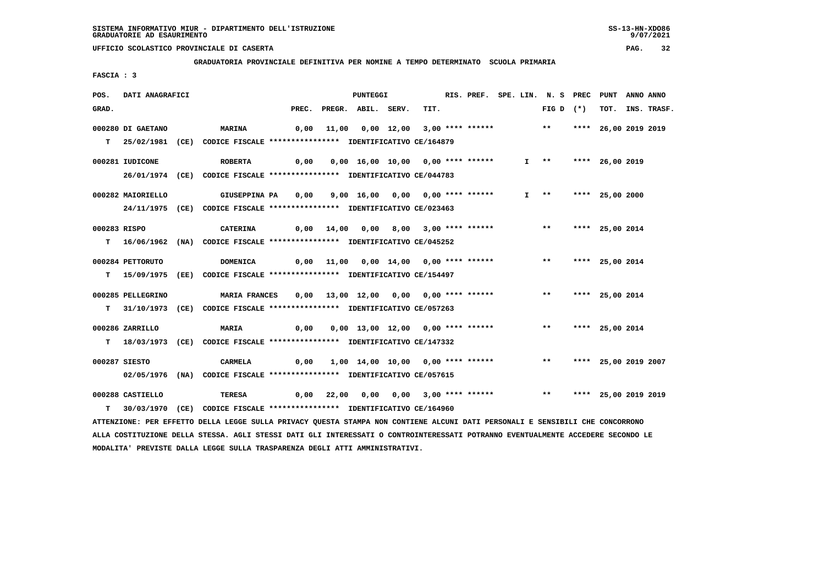**GRADUATORIA PROVINCIALE DEFINITIVA PER NOMINE A TEMPO DETERMINATO SCUOLA PRIMARIA**

 **FASCIA : 3**

| POS.  | DATI ANAGRAFICI   |                                                                                      |      | PUNTEGGI                                                                        |  | RIS. PREF. SPE. LIN. N. S PREC PUNT |  |                      |                      | ANNO ANNO |                  |
|-------|-------------------|--------------------------------------------------------------------------------------|------|---------------------------------------------------------------------------------|--|-------------------------------------|--|----------------------|----------------------|-----------|------------------|
| GRAD. |                   |                                                                                      |      | PREC. PREGR. ABIL. SERV.                                                        |  | TIT.                                |  | FIG D $(*)$          |                      |           | TOT. INS. TRASF. |
|       | 000280 DI GAETANO | <b>MARINA</b>                                                                        | 0,00 | 11,00 0,00 12,00 3,00 **** ****** *** **                                        |  |                                     |  |                      | **** 26,00 2019 2019 |           |                  |
|       |                   | T 25/02/1981 (CE) CODICE FISCALE **************** IDENTIFICATIVO CE/164879           |      |                                                                                 |  |                                     |  |                      |                      |           |                  |
|       | 000281 IUDICONE   | <b>ROBERTA</b>                                                                       |      |                                                                                 |  |                                     |  | I ** **** 26,00 2019 |                      |           |                  |
|       |                   | 26/01/1974 (CE) CODICE FISCALE *************** IDENTIFICATIVO CE/044783              |      |                                                                                 |  |                                     |  |                      |                      |           |                  |
|       | 000282 MAIORIELLO | GIUSEPPINA PA 0,00 9,00 16,00 0,00 0,00 **** ******                                  |      |                                                                                 |  |                                     |  | I ** **** 25,00 2000 |                      |           |                  |
|       |                   | 24/11/1975 (CE) CODICE FISCALE *************** IDENTIFICATIVO CE/023463              |      |                                                                                 |  |                                     |  |                      |                      |           |                  |
|       | 000283 RISPO      | <b>CATERINA</b>                                                                      |      | $0,00$ $14,00$ $0,00$ $8,00$ $3,00$ **** ****** *** **                          |  |                                     |  |                      | **** 25,00 2014      |           |                  |
|       |                   | T 16/06/1962 (NA) CODICE FISCALE **************** IDENTIFICATIVO CE/045252           |      |                                                                                 |  |                                     |  |                      |                      |           |                  |
|       | 000284 PETTORUTO  | <b>DOMENICA</b>                                                                      |      | 0,00 11,00 0,00 14,00 0,00 **** ****** *** **** 25,00 2014                      |  |                                     |  |                      |                      |           |                  |
|       |                   | T 15/09/1975 (EE) CODICE FISCALE **************** IDENTIFICATIVO CE/154497           |      |                                                                                 |  |                                     |  |                      |                      |           |                  |
|       | 000285 PELLEGRINO | <b>MARIA FRANCES</b>                                                                 |      | 0,00 13,00 12,00 0,00 0,00 **** ******                                          |  |                                     |  | ** **** 25,00 2014   |                      |           |                  |
|       |                   | T 31/10/1973 (CE) CODICE FISCALE **************** IDENTIFICATIVO CE/057263           |      |                                                                                 |  |                                     |  |                      |                      |           |                  |
|       | 000286 ZARRILLO   | <b>MARIA</b>                                                                         |      | 0,00  0,00  13,00  12,00  0,00  ****  ******    **    ***    ***    25,00  2014 |  |                                     |  |                      |                      |           |                  |
|       |                   | T 18/03/1973 (CE) CODICE FISCALE *************** IDENTIFICATIVO CE/147332            |      |                                                                                 |  |                                     |  |                      |                      |           |                  |
|       | 000287 SIESTO     | CARMELA                                                                              |      | $0,00$ 1,00 14,00 10,00 0,00 **** ****** *** **                                 |  |                                     |  |                      | **** 25,00 2019 2007 |           |                  |
|       |                   | 02/05/1976 (NA) CODICE FISCALE *************** IDENTIFICATIVO CE/057615              |      |                                                                                 |  |                                     |  |                      |                      |           |                  |
|       |                   |                                                                                      |      |                                                                                 |  |                                     |  |                      |                      |           |                  |
|       | 000288 CASTIELLO  | TERESA<br>T 30/03/1970 (CE) CODICE FISCALE **************** IDENTIFICATIVO CE/164960 |      | 0,00 22,00 0,00 0,00 3,00 **** ****** *** *** **** 25,00 2019 2019              |  |                                     |  |                      |                      |           |                  |
|       |                   |                                                                                      |      |                                                                                 |  |                                     |  |                      |                      |           |                  |

 **ATTENZIONE: PER EFFETTO DELLA LEGGE SULLA PRIVACY QUESTA STAMPA NON CONTIENE ALCUNI DATI PERSONALI E SENSIBILI CHE CONCORRONO ALLA COSTITUZIONE DELLA STESSA. AGLI STESSI DATI GLI INTERESSATI O CONTROINTERESSATI POTRANNO EVENTUALMENTE ACCEDERE SECONDO LE MODALITA' PREVISTE DALLA LEGGE SULLA TRASPARENZA DEGLI ATTI AMMINISTRATIVI.**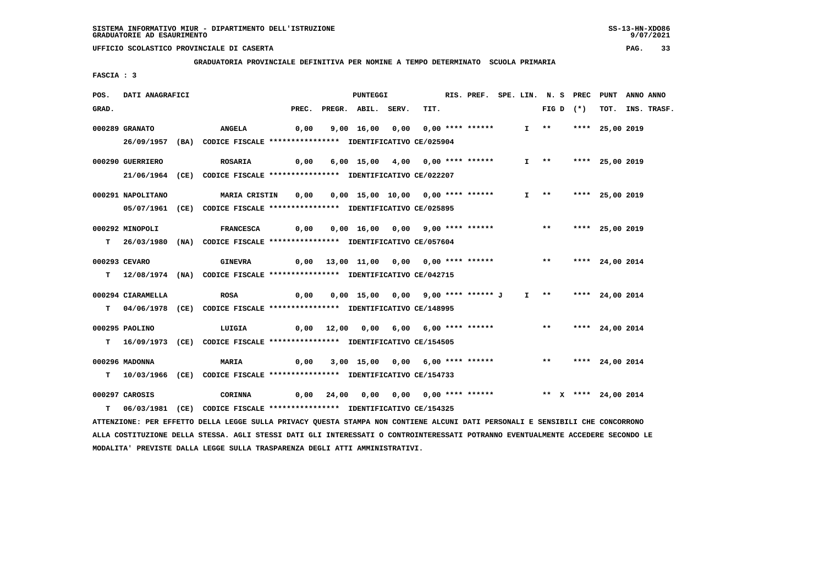**GRADUATORIA PROVINCIALE DEFINITIVA PER NOMINE A TEMPO DETERMINATO SCUOLA PRIMARIA**

 **FASCIA : 3**

| POS.  | DATI ANAGRAFICI   |                                                                                                                               |      | PUNTEGGI                                                                       |      | RIS. PREF. SPE. LIN. N. S PREC PUNT |  |                       |             |                      | ANNO ANNO |                  |
|-------|-------------------|-------------------------------------------------------------------------------------------------------------------------------|------|--------------------------------------------------------------------------------|------|-------------------------------------|--|-----------------------|-------------|----------------------|-----------|------------------|
| GRAD. |                   |                                                                                                                               |      | PREC. PREGR. ABIL. SERV.                                                       | TIT. |                                     |  |                       | $FIG D (*)$ |                      |           | TOT. INS. TRASF. |
|       | 000289 GRANATO    | <b>ANGELA</b>                                                                                                                 | 0,00 | 9,00 16,00 0,00 0,00 **** ******                                               |      |                                     |  |                       |             | I ** **** 25,00 2019 |           |                  |
|       |                   |                                                                                                                               |      |                                                                                |      |                                     |  |                       |             |                      |           |                  |
|       |                   | 26/09/1957 (BA) CODICE FISCALE *************** IDENTIFICATIVO CE/025904                                                       |      |                                                                                |      |                                     |  |                       |             |                      |           |                  |
|       | 000290 GUERRIERO  | <b>ROSARIA</b>                                                                                                                | 0,00 | 6,00 15,00 4,00 0,00 **** ******                                               |      |                                     |  | $I \rightarrow \star$ |             | **** 25,00 2019      |           |                  |
|       |                   | 21/06/1964 (CE) CODICE FISCALE *************** IDENTIFICATIVO CE/022207                                                       |      |                                                                                |      |                                     |  |                       |             |                      |           |                  |
|       |                   |                                                                                                                               |      |                                                                                |      |                                     |  |                       |             |                      |           |                  |
|       | 000291 NAPOLITANO | MARIA CRISTIN                                                                                                                 |      | 0,00  0,00  15,00  10,00  0,00  ****  ******                                   |      |                                     |  |                       |             | I ** **** 25,00 2019 |           |                  |
|       |                   | 05/07/1961 (CE) CODICE FISCALE *************** IDENTIFICATIVO CE/025895                                                       |      |                                                                                |      |                                     |  |                       |             |                      |           |                  |
|       | 000292 MINOPOLI   | <b>FRANCESCA</b>                                                                                                              |      | 0,00  0,00  16,00  0,00  9,00  ****  ******    **    ***    ***    25,00  2019 |      |                                     |  |                       |             |                      |           |                  |
|       |                   |                                                                                                                               |      |                                                                                |      |                                     |  |                       |             |                      |           |                  |
|       |                   | T 26/03/1980 (NA) CODICE FISCALE *************** IDENTIFICATIVO CE/057604                                                     |      |                                                                                |      |                                     |  |                       |             |                      |           |                  |
|       | 000293 CEVARO     | <b>GINEVRA</b>                                                                                                                |      | 0,00 13,00 11,00 0,00 0,00 **** ******             **     **** 24,00 2014      |      |                                     |  |                       |             |                      |           |                  |
|       |                   | T 12/08/1974 (NA) CODICE FISCALE *************** IDENTIFICATIVO CE/042715                                                     |      |                                                                                |      |                                     |  |                       |             |                      |           |                  |
|       |                   |                                                                                                                               |      |                                                                                |      |                                     |  |                       |             |                      |           |                  |
|       | 000294 CIARAMELLA | <b>ROSA</b>                                                                                                                   | 0,00 | 0,00 15,00 0,00 9,00 **** ****** J I ** **** 24,00 2014                        |      |                                     |  |                       |             |                      |           |                  |
|       |                   | T 04/06/1978 (CE) CODICE FISCALE *************** IDENTIFICATIVO CE/148995                                                     |      |                                                                                |      |                                     |  |                       |             |                      |           |                  |
|       | 000295 PAOLINO    | LUIGIA                                                                                                                        |      | $0,00$ 12,00 0,00 6,00 6,00 **** ******                                        |      |                                     |  |                       |             | ** **** 24,00 2014   |           |                  |
|       |                   | T 16/09/1973 (CE) CODICE FISCALE **************** IDENTIFICATIVO CE/154505                                                    |      |                                                                                |      |                                     |  |                       |             |                      |           |                  |
|       |                   |                                                                                                                               |      |                                                                                |      |                                     |  |                       |             |                      |           |                  |
|       | 000296 MADONNA    | <b>MARIA</b>                                                                                                                  | 0,00 | 3,00 15,00 0,00 6,00 **** ****** **** *** **** 24,00 2014                      |      |                                     |  |                       |             |                      |           |                  |
|       |                   | T  10/03/1966 (CE) CODICE FISCALE *************** IDENTIFICATIVO CE/154733                                                    |      |                                                                                |      |                                     |  |                       |             |                      |           |                  |
|       |                   |                                                                                                                               |      |                                                                                |      |                                     |  |                       |             |                      |           |                  |
|       | 000297 CAROSIS    | CORINNA                                                                                                                       |      | 0,00 24,00 0,00 0,00 0,00 **** ******     ** x **** 24,00 2014                 |      |                                     |  |                       |             |                      |           |                  |
|       |                   | T 06/03/1981 (CE) CODICE FISCALE **************** IDENTIFICATIVO CE/154325                                                    |      |                                                                                |      |                                     |  |                       |             |                      |           |                  |
|       |                   | ATTENZIONE: PER EFFETTO DELLA LEGGE SULLA PRIVACY QUESTA STAMPA NON CONTIENE ALCUNI DATI PERSONALI E SENSIBILI CHE CONCORRONO |      |                                                                                |      |                                     |  |                       |             |                      |           |                  |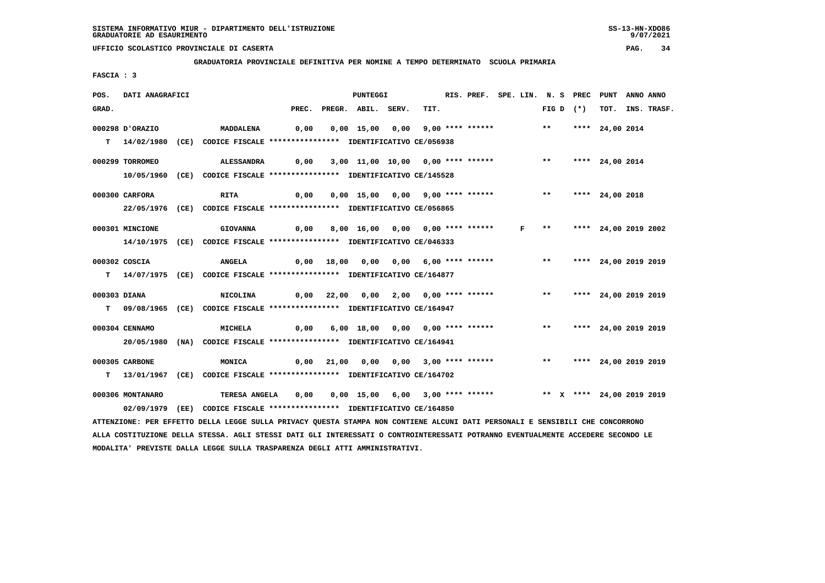**GRADUATORIA PROVINCIALE DEFINITIVA PER NOMINE A TEMPO DETERMINATO SCUOLA PRIMARIA**

 **FASCIA : 3**

| POS.         | DATI ANAGRAFICI  |      |                                                                                                                               |       | PUNTEGGI                           |      | RIS. PREF. SPE. LIN. N. S PREC PUNT |   |             |                           |                      | ANNO ANNO |             |
|--------------|------------------|------|-------------------------------------------------------------------------------------------------------------------------------|-------|------------------------------------|------|-------------------------------------|---|-------------|---------------------------|----------------------|-----------|-------------|
| GRAD.        |                  |      |                                                                                                                               | PREC. | PREGR. ABIL. SERV.                 | TIT. |                                     |   | FIG D $(*)$ |                           | тот.                 |           | INS. TRASF. |
|              | 000298 D'ORAZIO  |      | MADDALENA                                                                                                                     | 0,00  | $0,00$ 15,00 0,00 9,00 **** ****** |      |                                     |   | $***$       |                           | **** 24,00 2014      |           |             |
|              |                  |      | T 14/02/1980 (CE) CODICE FISCALE *************** IDENTIFICATIVO CE/056938                                                     |       |                                    |      |                                     |   |             |                           |                      |           |             |
|              |                  |      |                                                                                                                               |       |                                    |      |                                     |   | $***$       |                           |                      |           |             |
|              | 000299 TORROMEO  |      | ALESSANDRA<br>10/05/1960 (CE) CODICE FISCALE *************** IDENTIFICATIVO CE/145528                                         | 0,00  | 3,00 11,00 10,00 0,00 **** ******  |      |                                     |   |             |                           | **** 24,00 2014      |           |             |
|              |                  |      |                                                                                                                               |       |                                    |      |                                     |   |             |                           |                      |           |             |
|              | 000300 CARFORA   |      | <b>RITA</b>                                                                                                                   | 0,00  | 0,00 15,00 0,00 9,00 **** ******   |      |                                     |   | $***$       |                           | **** 24,00 2018      |           |             |
|              |                  |      | 22/05/1976 (CE) CODICE FISCALE *************** IDENTIFICATIVO CE/056865                                                       |       |                                    |      |                                     |   |             |                           |                      |           |             |
|              | 000301 MINCIONE  |      | <b>GIOVANNA</b>                                                                                                               | 0,00  | 8,00 16,00 0,00 0,00 **** ******   |      |                                     | F | $***$       |                           | **** 24,00 2019 2002 |           |             |
|              |                  |      | 14/10/1975 (CE) CODICE FISCALE *************** IDENTIFICATIVO CE/046333                                                       |       |                                    |      |                                     |   |             |                           |                      |           |             |
|              |                  |      |                                                                                                                               |       |                                    |      |                                     |   |             |                           |                      |           |             |
|              | 000302 COSCIA    |      | <b>ANGELA</b>                                                                                                                 | 0,00  |                                    |      |                                     |   | $***$       |                           | **** 24,00 2019 2019 |           |             |
|              |                  |      | T 14/07/1975 (CE) CODICE FISCALE **************** IDENTIFICATIVO CE/164877                                                    |       |                                    |      |                                     |   |             |                           |                      |           |             |
| 000303 DIANA |                  |      | NICOLINA                                                                                                                      | 0,00  | 22,00 0,00 2,00 0,00 **** ******   |      |                                     |   | $***$       |                           | **** 24,00 2019 2019 |           |             |
|              |                  |      | T 09/08/1965 (CE) CODICE FISCALE *************** IDENTIFICATIVO CE/164947                                                     |       |                                    |      |                                     |   |             |                           |                      |           |             |
|              |                  |      |                                                                                                                               |       |                                    |      |                                     |   |             |                           |                      |           |             |
|              | 000304 CENNAMO   |      | <b>MICHELA</b>                                                                                                                | 0,00  | 6,00 18,00 0,00 0,00 **** ******   |      |                                     |   |             | ** **** 24,00 2019 2019   |                      |           |             |
|              |                  |      | 20/05/1980 (NA) CODICE FISCALE *************** IDENTIFICATIVO CE/164941                                                       |       |                                    |      |                                     |   |             |                           |                      |           |             |
|              | 000305 CARBONE   |      | <b>MONICA</b>                                                                                                                 | 0,00  | 21,00 0,00 0,00 3,00 **** ******   |      |                                     |   | $***$       |                           | **** 24,00 2019 2019 |           |             |
|              |                  |      | T 13/01/1967 (CE) CODICE FISCALE *************** IDENTIFICATIVO CE/164702                                                     |       |                                    |      |                                     |   |             |                           |                      |           |             |
|              |                  |      |                                                                                                                               |       |                                    |      |                                     |   |             |                           |                      |           |             |
|              | 000306 MONTANARO |      | <b>TERESA ANGELA</b>                                                                                                          | 0,00  | 0,00 15,00 6,00 3,00 **** ******   |      |                                     |   |             | ** X **** 24,00 2019 2019 |                      |           |             |
|              | 02/09/1979       | (EE) | CODICE FISCALE **************** IDENTIFICATIVO CE/164850                                                                      |       |                                    |      |                                     |   |             |                           |                      |           |             |
|              |                  |      | ATTENZIONE: PER EFFETTO DELLA LEGGE SULLA PRIVACY QUESTA STAMPA NON CONTIENE ALCUNI DATI PERSONALI E SENSIBILI CHE CONCORRONO |       |                                    |      |                                     |   |             |                           |                      |           |             |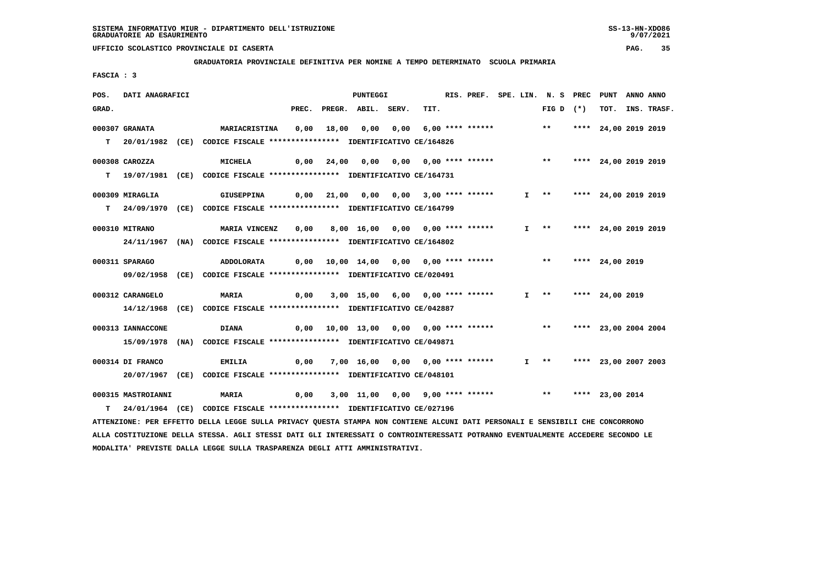**GRADUATORIA PROVINCIALE DEFINITIVA PER NOMINE A TEMPO DETERMINATO SCUOLA PRIMARIA**

 **FASCIA : 3**

| POS.  | DATI ANAGRAFICI    |                                                                                                                               |       |       | PUNTEGGI                                                      |      | RIS. PREF. SPE. LIN. N. S PREC |  |                             | PUNT                 | ANNO ANNO        |
|-------|--------------------|-------------------------------------------------------------------------------------------------------------------------------|-------|-------|---------------------------------------------------------------|------|--------------------------------|--|-----------------------------|----------------------|------------------|
| GRAD. |                    |                                                                                                                               | PREC. |       | PREGR. ABIL. SERV.                                            | TIT. |                                |  | FIG D $(*)$                 |                      | TOT. INS. TRASF. |
|       | 000307 GRANATA     | MARIACRISTINA                                                                                                                 | 0,00  |       | 18,00  0,00  0,00  6,00  ****  ******                         |      |                                |  | $***$                       | **** 24,00 2019 2019 |                  |
| T.    |                    | 20/01/1982 (CE) CODICE FISCALE **************** IDENTIFICATIVO CE/164826                                                      |       |       |                                                               |      |                                |  |                             |                      |                  |
|       |                    |                                                                                                                               |       |       |                                                               |      |                                |  |                             |                      |                  |
|       | 000308 CAROZZA     | <b>MICHELA</b>                                                                                                                | 0,00  | 24,00 | 0,00 0,00 0,00 **** ****** ** **                              |      |                                |  |                             | **** 24,00 2019 2019 |                  |
|       |                    | T 19/07/1981 (CE) CODICE FISCALE *************** IDENTIFICATIVO CE/164731                                                     |       |       |                                                               |      |                                |  |                             |                      |                  |
|       |                    |                                                                                                                               |       |       |                                                               |      |                                |  |                             |                      |                  |
|       | 000309 MIRAGLIA    | <b>GIUSEPPINA</b>                                                                                                             |       |       | 0,00 21,00 0,00 0,00 3,00 **** ******                         |      |                                |  | $I \quad * \quad$           | **** 24,00 2019 2019 |                  |
|       |                    | T 24/09/1970 (CE) CODICE FISCALE *************** IDENTIFICATIVO CE/164799                                                     |       |       |                                                               |      |                                |  |                             |                      |                  |
|       | 000310 MITRANO     | MARIA VINCENZ                                                                                                                 | 0,00  |       | 8,00 16,00 0,00 0,00 **** ******                              |      |                                |  | $I \rightarrow \star$       | **** 24,00 2019 2019 |                  |
|       |                    | 24/11/1967 (NA) CODICE FISCALE *************** IDENTIFICATIVO CE/164802                                                       |       |       |                                                               |      |                                |  |                             |                      |                  |
|       |                    |                                                                                                                               |       |       |                                                               |      |                                |  |                             |                      |                  |
|       | 000311 SPARAGO     | ADDOLORATA                                                                                                                    |       |       | 0,00 10,00 14,00 0,00 0,00 **** ******                        |      |                                |  | ** **** 24,00 2019          |                      |                  |
|       |                    | 09/02/1958 (CE) CODICE FISCALE **************** IDENTIFICATIVO CE/020491                                                      |       |       |                                                               |      |                                |  |                             |                      |                  |
|       | 000312 CARANGELO   | <b>MARIA</b>                                                                                                                  | 0,00  |       | 3,00 15,00 6,00 0,00 **** ******                              |      |                                |  | $I \longrightarrow$         | **** 24,00 2019      |                  |
|       |                    | 14/12/1968 (CE) CODICE FISCALE *************** IDENTIFICATIVO CE/042887                                                       |       |       |                                                               |      |                                |  |                             |                      |                  |
|       |                    |                                                                                                                               |       |       |                                                               |      |                                |  |                             |                      |                  |
|       | 000313 IANNACCONE  | <b>DIANA</b>                                                                                                                  |       |       | $0,00$ $10,00$ $13,00$ $0,00$ $0,00$ $***$ $***$ $***$        |      |                                |  |                             | **** 23,00 2004 2004 |                  |
|       |                    | 15/09/1978 (NA) CODICE FISCALE **************** IDENTIFICATIVO CE/049871                                                      |       |       |                                                               |      |                                |  |                             |                      |                  |
|       |                    |                                                                                                                               |       |       |                                                               |      |                                |  |                             |                      |                  |
|       | 000314 DI FRANCO   | <b>EMILIA</b>                                                                                                                 | 0,00  |       | 7,00 16,00 0,00 0,00 **** ******                              |      |                                |  | $I$ ** **** 23,00 2007 2003 |                      |                  |
|       |                    | 20/07/1967 (CE) CODICE FISCALE *************** IDENTIFICATIVO CE/048101                                                       |       |       |                                                               |      |                                |  |                             |                      |                  |
|       | 000315 MASTROIANNI | <b>MARIA</b>                                                                                                                  |       |       | 0,00 3,00 11,00 0,00 9,00 **** ****** *** *** **** 23,00 2014 |      |                                |  |                             |                      |                  |
| T.    |                    | 24/01/1964 (CE) CODICE FISCALE **************** IDENTIFICATIVO CE/027196                                                      |       |       |                                                               |      |                                |  |                             |                      |                  |
|       |                    | ATTENZIONE: PER EFFETTO DELLA LEGGE SULLA PRIVACY QUESTA STAMPA NON CONTIENE ALCUNI DATI PERSONALI E SENSIBILI CHE CONCORRONO |       |       |                                                               |      |                                |  |                             |                      |                  |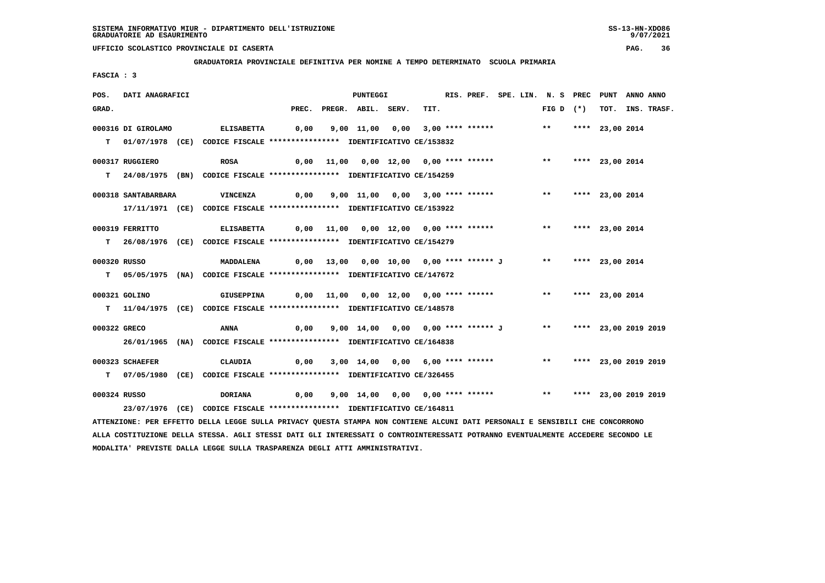**GRADUATORIA PROVINCIALE DEFINITIVA PER NOMINE A TEMPO DETERMINATO SCUOLA PRIMARIA**

 **FASCIA : 3**

| POS.         | DATI ANAGRAFICI     |                                                                                                                                 |                                                     | <b>PUNTEGGI</b>                                               |      | RIS. PREF. SPE. LIN. N. S PREC PUNT |  |                         |                 | ANNO ANNO |                  |
|--------------|---------------------|---------------------------------------------------------------------------------------------------------------------------------|-----------------------------------------------------|---------------------------------------------------------------|------|-------------------------------------|--|-------------------------|-----------------|-----------|------------------|
| GRAD.        |                     |                                                                                                                                 |                                                     | PREC. PREGR. ABIL. SERV.                                      | TIT. |                                     |  | FIG D $(*)$             |                 |           | TOT. INS. TRASF. |
|              | 000316 DI GIROLAMO  | <b>ELISABETTA</b>                                                                                                               | 0,00                                                | 9,00 11,00 0,00 3,00 **** ******               **             |      |                                     |  |                         | **** 23,00 2014 |           |                  |
|              |                     |                                                                                                                                 |                                                     |                                                               |      |                                     |  |                         |                 |           |                  |
| T.           |                     | 01/07/1978 (CE) CODICE FISCALE *************** IDENTIFICATIVO CE/153832                                                         |                                                     |                                                               |      |                                     |  |                         |                 |           |                  |
|              | 000317 RUGGIERO     | <b>ROSA</b>                                                                                                                     |                                                     | 0,00 11,00 0,00 12,00 0,00 **** ******                        |      |                                     |  | $***$                   | **** 23,00 2014 |           |                  |
|              |                     | T 24/08/1975 (BN) CODICE FISCALE **************** IDENTIFICATIVO CE/154259                                                      |                                                     |                                                               |      |                                     |  |                         |                 |           |                  |
|              |                     |                                                                                                                                 |                                                     |                                                               |      |                                     |  | ** **** 23,00 2014      |                 |           |                  |
|              | 000318 SANTABARBARA | <b>VINCENZA</b>                                                                                                                 |                                                     | 0,00 9,00 11,00 0,00 3,00 **** ******                         |      |                                     |  |                         |                 |           |                  |
|              |                     | 17/11/1971 (CE) CODICE FISCALE *************** IDENTIFICATIVO CE/153922                                                         |                                                     |                                                               |      |                                     |  |                         |                 |           |                  |
|              | 000319 FERRITTO     | <b>ELISABETTA</b>                                                                                                               | 0,00 11,00 0,00 12,00 0,00 **** ******           ** |                                                               |      |                                     |  |                         | **** 23,00 2014 |           |                  |
|              |                     | T 26/08/1976 (CE) CODICE FISCALE **************** IDENTIFICATIVO CE/154279                                                      |                                                     |                                                               |      |                                     |  |                         |                 |           |                  |
|              |                     |                                                                                                                                 |                                                     |                                                               |      |                                     |  |                         |                 |           |                  |
| 000320 RUSSO |                     | MADDALENA                                                                                                                       |                                                     | 0,00 13,00 0,00 10,00 0,00 **** ****** J ** **** 23,00 2014   |      |                                     |  |                         |                 |           |                  |
|              |                     | T 05/05/1975 (NA) CODICE FISCALE *************** IDENTIFICATIVO CE/147672                                                       |                                                     |                                                               |      |                                     |  |                         |                 |           |                  |
|              | 000321 GOLINO       | <b>GIUSEPPINA</b>                                                                                                               | 0,00 11,00 0,00 12,00 0,00 **** ******              |                                                               |      |                                     |  | ** **** 23,00 2014      |                 |           |                  |
|              |                     |                                                                                                                                 |                                                     |                                                               |      |                                     |  |                         |                 |           |                  |
|              |                     | T 11/04/1975 (CE) CODICE FISCALE **************** IDENTIFICATIVO CE/148578                                                      |                                                     |                                                               |      |                                     |  |                         |                 |           |                  |
| 000322 GRECO |                     | <b>ANNA</b>                                                                                                                     | 0,00                                                | 9,00 14,00 0,00 0,00 **** ****** J ** **** 23,00 2019 2019    |      |                                     |  |                         |                 |           |                  |
|              |                     | 26/01/1965 (NA) CODICE FISCALE *************** IDENTIFICATIVO CE/164838                                                         |                                                     |                                                               |      |                                     |  |                         |                 |           |                  |
|              |                     |                                                                                                                                 |                                                     |                                                               |      |                                     |  |                         |                 |           |                  |
|              | 000323 SCHAEFER     | CLAUDIA                                                                                                                         |                                                     | 0,00 3,00 14,00 0,00 6,00 **** ******                         |      |                                     |  | ** **** 23,00 2019 2019 |                 |           |                  |
|              |                     | T 07/05/1980 (CE) CODICE FISCALE *************** IDENTIFICATIVO CE/326455                                                       |                                                     |                                                               |      |                                     |  |                         |                 |           |                  |
| 000324 RUSSO |                     | <b>DORIANA</b>                                                                                                                  | 0,00                                                | 9,00 14,00 0,00 0,00 **** ****** *** *** **** 23,00 2019 2019 |      |                                     |  |                         |                 |           |                  |
|              |                     | 23/07/1976 (CE) CODICE FISCALE *************** IDENTIFICATIVO CE/164811                                                         |                                                     |                                                               |      |                                     |  |                         |                 |           |                  |
|              |                     | ATTENZIONE: PER EFFETTO DELLA LEGGE SULLA PRIVACY QUESTA STAMPA NON CONTIENE ALCUNI DATI PERSONALI E SENSIBILI CHE CONCORRONO   |                                                     |                                                               |      |                                     |  |                         |                 |           |                  |
|              |                     |                                                                                                                                 |                                                     |                                                               |      |                                     |  |                         |                 |           |                  |
|              |                     | ALLA COSTITUZIONE DELLA STESSA. AGLI STESSI DATI GLI INTERESSATI O CONTROINTERESSATI POTRANNO EVENTUALMENTE ACCEDERE SECONDO LE |                                                     |                                                               |      |                                     |  |                         |                 |           |                  |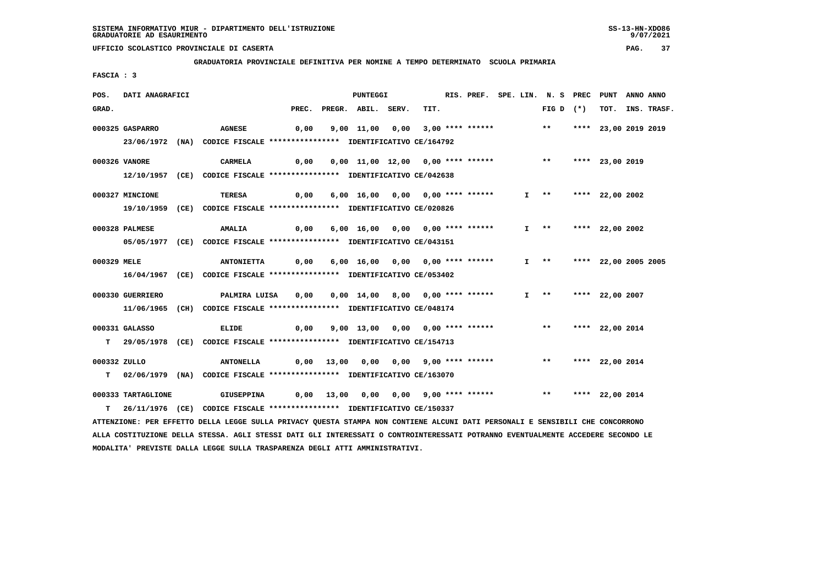**GRADUATORIA PROVINCIALE DEFINITIVA PER NOMINE A TEMPO DETERMINATO SCUOLA PRIMARIA**

 **FASCIA : 3**

| POS.         | DATI ANAGRAFICI    |                                                                                                                               |                                                                          | <b>PUNTEGGI</b>                                                             |      | RIS. PREF. SPE. LIN. N. S PREC PUNT ANNO ANNO |  |                        |  |                  |
|--------------|--------------------|-------------------------------------------------------------------------------------------------------------------------------|--------------------------------------------------------------------------|-----------------------------------------------------------------------------|------|-----------------------------------------------|--|------------------------|--|------------------|
| GRAD.        |                    |                                                                                                                               |                                                                          | PREC. PREGR. ABIL. SERV.                                                    | TIT. |                                               |  | $FIG D (*)$            |  | TOT. INS. TRASF. |
|              | 000325 GASPARRO    | <b>AGNESE</b>                                                                                                                 |                                                                          | 0,00 9,00 11,00 0,00 3,00 **** ******           **     **** 23,00 2019 2019 |      |                                               |  |                        |  |                  |
|              |                    | 23/06/1972 (NA) CODICE FISCALE *************** IDENTIFICATIVO CE/164792                                                       |                                                                          |                                                                             |      |                                               |  |                        |  |                  |
|              |                    |                                                                                                                               |                                                                          |                                                                             |      |                                               |  |                        |  |                  |
|              | 000326 VANORE      | CARMELA                                                                                                                       |                                                                          |                                                                             |      |                                               |  |                        |  |                  |
|              |                    | 12/10/1957 (CE) CODICE FISCALE *************** IDENTIFICATIVO CE/042638                                                       |                                                                          |                                                                             |      |                                               |  |                        |  |                  |
|              | 000327 MINCIONE    | TERESA                                                                                                                        | 0,00                                                                     | 6,00 16,00 0,00 0,00 **** ******                                            |      |                                               |  | $I$ ** **** 22,00 2002 |  |                  |
|              |                    | 19/10/1959 (CE) CODICE FISCALE *************** IDENTIFICATIVO CE/020826                                                       |                                                                          |                                                                             |      |                                               |  |                        |  |                  |
|              |                    |                                                                                                                               |                                                                          |                                                                             |      |                                               |  |                        |  |                  |
|              | 000328 PALMESE     | <b>AMALIA</b>                                                                                                                 | 0,00 6,00 16,00 0,00 0,00 **** ******                                    |                                                                             |      |                                               |  | $I$ ** **** 22,00 2002 |  |                  |
|              |                    | 05/05/1977 (CE) CODICE FISCALE *************** IDENTIFICATIVO CE/043151                                                       |                                                                          |                                                                             |      |                                               |  |                        |  |                  |
| 000329 MELE  |                    | <b>ANTONIETTA</b>                                                                                                             | 0,00  6,00 16,00  0,00  0,00 **** ******    I **   ****  22,00 2005 2005 |                                                                             |      |                                               |  |                        |  |                  |
|              |                    | 16/04/1967 (CE) CODICE FISCALE *************** IDENTIFICATIVO CE/053402                                                       |                                                                          |                                                                             |      |                                               |  |                        |  |                  |
|              |                    |                                                                                                                               |                                                                          |                                                                             |      |                                               |  |                        |  |                  |
|              | 000330 GUERRIERO   | PALMIRA LUISA     0,00    0,00   14,00    8,00    0,00  **** *****        I    **       ****   22,00  2007                    |                                                                          |                                                                             |      |                                               |  |                        |  |                  |
|              |                    | 11/06/1965 (CH) CODICE FISCALE *************** IDENTIFICATIVO CE/048174                                                       |                                                                          |                                                                             |      |                                               |  |                        |  |                  |
|              | 000331 GALASSO     | <b>ELIDE</b>                                                                                                                  |                                                                          | 0,00 9,00 13,00 0,00 0,00 **** ****** *** *** **** 22,00 2014               |      |                                               |  |                        |  |                  |
|              |                    | T 29/05/1978 (CE) CODICE FISCALE **************** IDENTIFICATIVO CE/154713                                                    |                                                                          |                                                                             |      |                                               |  |                        |  |                  |
|              |                    |                                                                                                                               |                                                                          |                                                                             |      |                                               |  |                        |  |                  |
| 000332 ZULLO |                    | <b>ANTONELLA</b>                                                                                                              |                                                                          | 0,00 13,00 0,00 0,00 9,00 **** ******                                       |      |                                               |  | ** **** 22,00 2014     |  |                  |
|              |                    | T 02/06/1979 (NA) CODICE FISCALE **************** IDENTIFICATIVO CE/163070                                                    |                                                                          |                                                                             |      |                                               |  |                        |  |                  |
|              | 000333 TARTAGLIONE |                                                                                                                               |                                                                          |                                                                             |      |                                               |  |                        |  |                  |
|              |                    | T 26/11/1976 (CE) CODICE FISCALE **************** IDENTIFICATIVO CE/150337                                                    |                                                                          |                                                                             |      |                                               |  |                        |  |                  |
|              |                    | ATTENZIONE: PER EFFETTO DELLA LEGGE SULLA PRIVACY QUESTA STAMPA NON CONTIENE ALCUNI DATI PERSONALI E SENSIBILI CHE CONCORRONO |                                                                          |                                                                             |      |                                               |  |                        |  |                  |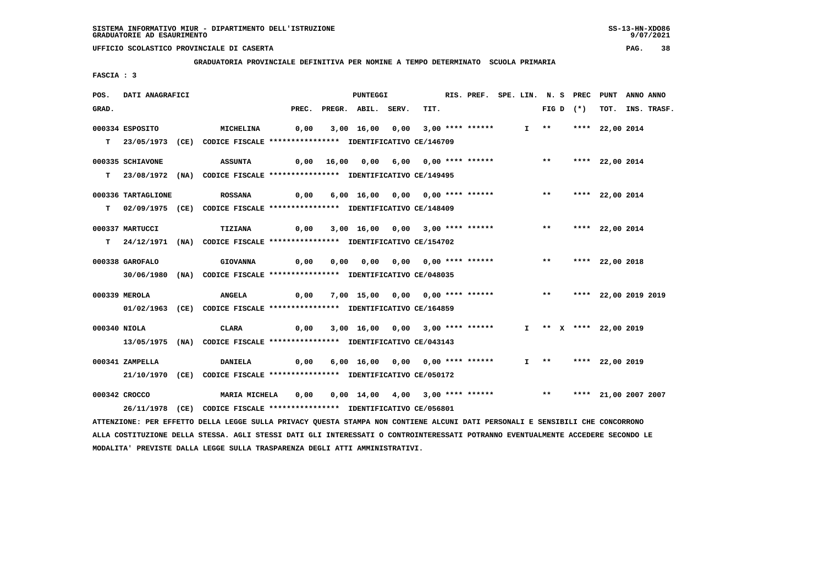**GRADUATORIA PROVINCIALE DEFINITIVA PER NOMINE A TEMPO DETERMINATO SCUOLA PRIMARIA**

 **FASCIA : 3**

| POS.  | DATI ANAGRAFICI    |                                                                                                                                 |      | <b>PUNTEGGI</b>                                                        |      | RIS. PREF. SPE. LIN. N. S PREC PUNT |  |       |             |                          | ANNO ANNO |                  |
|-------|--------------------|---------------------------------------------------------------------------------------------------------------------------------|------|------------------------------------------------------------------------|------|-------------------------------------|--|-------|-------------|--------------------------|-----------|------------------|
| GRAD. |                    |                                                                                                                                 |      | PREC. PREGR. ABIL. SERV.                                               | TIT. |                                     |  |       | $FIG D (*)$ |                          |           | TOT. INS. TRASF. |
|       | 000334 ESPOSITO    | <b>MICHELINA</b>                                                                                                                | 0,00 | 3,00 16,00 0,00 3,00 **** ******                                       |      |                                     |  |       |             | I ** **** 22,00 2014     |           |                  |
|       |                    | T 23/05/1973 (CE) CODICE FISCALE *************** IDENTIFICATIVO CE/146709                                                       |      |                                                                        |      |                                     |  |       |             |                          |           |                  |
|       |                    |                                                                                                                                 |      |                                                                        |      |                                     |  |       |             |                          |           |                  |
|       | 000335 SCHIAVONE   | <b>ASSUNTA</b>                                                                                                                  |      | 0,00 16,00 0,00 6,00 0,00 **** ****** *** **                           |      |                                     |  |       |             | **** 22,00 2014          |           |                  |
|       |                    | T 23/08/1972 (NA) CODICE FISCALE **************** IDENTIFICATIVO CE/149495                                                      |      |                                                                        |      |                                     |  |       |             |                          |           |                  |
|       |                    |                                                                                                                                 |      |                                                                        |      |                                     |  |       |             |                          |           |                  |
|       | 000336 TARTAGLIONE | <b>ROSSANA</b>                                                                                                                  |      | 0,00 6,00 16,00 0,00 0,00 **** ******                                  |      |                                     |  |       |             | ** **** 22,00 2014       |           |                  |
|       |                    | T 02/09/1975 (CE) CODICE FISCALE **************** IDENTIFICATIVO CE/148409                                                      |      |                                                                        |      |                                     |  |       |             |                          |           |                  |
|       | 000337 MARTUCCI    | TIZIANA                                                                                                                         | 0,00 | 3,00 16,00 0,00 3,00 **** ******                                       |      |                                     |  | $***$ |             | **** 22,00 2014          |           |                  |
|       |                    | T 24/12/1971 (NA) CODICE FISCALE **************** IDENTIFICATIVO CE/154702                                                      |      |                                                                        |      |                                     |  |       |             |                          |           |                  |
|       |                    |                                                                                                                                 |      |                                                                        |      |                                     |  |       |             |                          |           |                  |
|       | 000338 GAROFALO    | <b>GIOVANNA</b>                                                                                                                 | 0,00 |                                                                        |      |                                     |  |       |             | ** **** 22,00 2018       |           |                  |
|       |                    | 30/06/1980 (NA) CODICE FISCALE **************** IDENTIFICATIVO CE/048035                                                        |      |                                                                        |      |                                     |  |       |             |                          |           |                  |
|       | 000339 MEROLA      | <b>ANGELA</b>                                                                                                                   | 0,00 | 7,00 15,00 0,00 0,00 **** ******           **     **** 22,00 2019 2019 |      |                                     |  |       |             |                          |           |                  |
|       |                    |                                                                                                                                 |      |                                                                        |      |                                     |  |       |             |                          |           |                  |
|       |                    | 01/02/1963 (CE) CODICE FISCALE *************** IDENTIFICATIVO CE/164859                                                         |      |                                                                        |      |                                     |  |       |             |                          |           |                  |
|       | 000340 NIOLA       | <b>CLARA</b>                                                                                                                    | 0,00 | 3,00 16,00 0,00 3,00 **** ******                                       |      |                                     |  |       |             | $I$ ** X **** 22,00 2019 |           |                  |
|       |                    | 13/05/1975 (NA) CODICE FISCALE *************** IDENTIFICATIVO CE/043143                                                         |      |                                                                        |      |                                     |  |       |             |                          |           |                  |
|       |                    |                                                                                                                                 |      |                                                                        |      |                                     |  |       |             |                          |           |                  |
|       | 000341 ZAMPELLA    | <b>DANIELA</b>                                                                                                                  |      | 0,00 6,00 16,00 0,00 0,00 **** ******                                  |      |                                     |  |       |             | $I$ ** **** 22,00 2019   |           |                  |
|       |                    | 21/10/1970 (CE) CODICE FISCALE *************** IDENTIFICATIVO CE/050172                                                         |      |                                                                        |      |                                     |  |       |             |                          |           |                  |
|       | 000342 CROCCO      | <b>MARIA MICHELA</b>                                                                                                            | 0,00 | 0,00 14,00 4,00 3,00 **** ****** *** **** 21,00 2007 2007              |      |                                     |  |       |             |                          |           |                  |
|       |                    | 26/11/1978 (CE) CODICE FISCALE *************** IDENTIFICATIVO CE/056801                                                         |      |                                                                        |      |                                     |  |       |             |                          |           |                  |
|       |                    | ATTENZIONE: PER EFFETTO DELLA LEGGE SULLA PRIVACY OUESTA STAMPA NON CONTIENE ALCUNI DATI PERSONALI E SENSIBILI CHE CONCORRONO   |      |                                                                        |      |                                     |  |       |             |                          |           |                  |
|       |                    | ALLA COSTITUZIONE DELLA STESSA. AGLI STESSI DATI GLI INTERESSATI O CONTROINTERESSATI POTRANNO EVENTUALMENTE ACCEDERE SECONDO LE |      |                                                                        |      |                                     |  |       |             |                          |           |                  |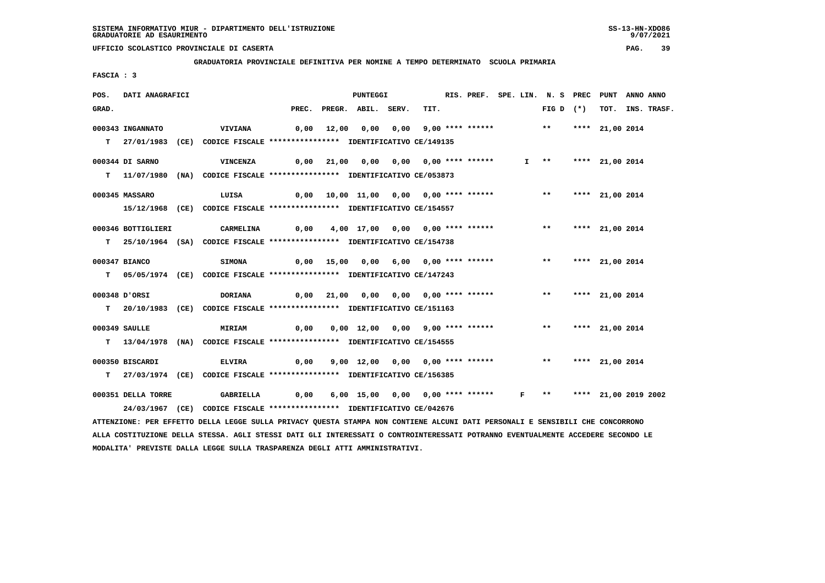**GRADUATORIA PROVINCIALE DEFINITIVA PER NOMINE A TEMPO DETERMINATO SCUOLA PRIMARIA**

 **FASCIA : 3**

| POS.  | DATI ANAGRAFICI    |                                                                                                                               |                                                               | <b>PUNTEGGI</b>                                                                    |  | RIS. PREF. SPE. LIN. N. S PREC PUNT |  |                        |  | ANNO ANNO |                  |
|-------|--------------------|-------------------------------------------------------------------------------------------------------------------------------|---------------------------------------------------------------|------------------------------------------------------------------------------------|--|-------------------------------------|--|------------------------|--|-----------|------------------|
| GRAD. |                    |                                                                                                                               |                                                               | PREC. PREGR. ABIL. SERV.                                                           |  | TIT.                                |  | FIG D $(*)$            |  |           | TOT. INS. TRASF. |
|       | 000343 INGANNATO   | <b>VIVIANA</b>                                                                                                                |                                                               | 0,00 12,00 0,00 0,00 9,00 **** ******           **     **** 21,00 2014             |  |                                     |  |                        |  |           |                  |
|       |                    | T 27/01/1983 (CE) CODICE FISCALE **************** IDENTIFICATIVO CE/149135                                                    |                                                               |                                                                                    |  |                                     |  |                        |  |           |                  |
|       |                    |                                                                                                                               |                                                               |                                                                                    |  |                                     |  |                        |  |           |                  |
|       | 000344 DI SARNO    | <b>VINCENZA</b>                                                                                                               | 0,00 21,00 0,00 0,00 0,00 **** ******                         |                                                                                    |  |                                     |  | $1$ ** **** 21,00 2014 |  |           |                  |
|       |                    | T 11/07/1980 (NA) CODICE FISCALE *************** IDENTIFICATIVO CE/053873                                                     |                                                               |                                                                                    |  |                                     |  |                        |  |           |                  |
|       | 000345 MASSARO     | LUISA                                                                                                                         |                                                               | 0,00 10,00 11,00 0,00 0,00 **** ****** *** *** **** 21,00 2014                     |  |                                     |  |                        |  |           |                  |
|       |                    | 15/12/1968 (CE) CODICE FISCALE *************** IDENTIFICATIVO CE/154557                                                       |                                                               |                                                                                    |  |                                     |  |                        |  |           |                  |
|       |                    |                                                                                                                               |                                                               |                                                                                    |  |                                     |  |                        |  |           |                  |
|       | 000346 BOTTIGLIERI | CARMELINA                                                                                                                     | 0,00 4,00 17,00 0,00 0,00 **** ****** *** *** **** 21,00 2014 |                                                                                    |  |                                     |  |                        |  |           |                  |
|       |                    | T 25/10/1964 (SA) CODICE FISCALE **************** IDENTIFICATIVO CE/154738                                                    |                                                               |                                                                                    |  |                                     |  |                        |  |           |                  |
|       |                    |                                                                                                                               |                                                               |                                                                                    |  |                                     |  |                        |  |           |                  |
|       | 000347 BIANCO      | <b>SIMONA</b>                                                                                                                 |                                                               | 0,00 15,00 0,00 6,00 0,00 **** ****** *** *** **** 21,00 2014                      |  |                                     |  |                        |  |           |                  |
|       |                    | T 05/05/1974 (CE) CODICE FISCALE *************** IDENTIFICATIVO CE/147243                                                     |                                                               |                                                                                    |  |                                     |  |                        |  |           |                  |
|       | 000348 D'ORSI      | <b>DORIANA</b>                                                                                                                |                                                               |                                                                                    |  |                                     |  |                        |  |           |                  |
|       |                    | T 20/10/1983 (CE) CODICE FISCALE **************** IDENTIFICATIVO CE/151163                                                    |                                                               |                                                                                    |  |                                     |  |                        |  |           |                  |
|       |                    |                                                                                                                               |                                                               |                                                                                    |  |                                     |  |                        |  |           |                  |
|       | 000349 SAULLE      | MIRIAM                                                                                                                        |                                                               | 0,00  0,00  12,00  0,00  9,00  ****  ******    **        ***    ***    21,00  2014 |  |                                     |  |                        |  |           |                  |
|       |                    | T 13/04/1978 (NA) CODICE FISCALE **************** IDENTIFICATIVO CE/154555                                                    |                                                               |                                                                                    |  |                                     |  |                        |  |           |                  |
|       |                    |                                                                                                                               |                                                               |                                                                                    |  |                                     |  |                        |  |           |                  |
|       | 000350 BISCARDI    | <b>ELVIRA</b>                                                                                                                 |                                                               | 0,00 9,00 12,00 0,00 0,00 **** ******                                              |  |                                     |  | ** **** 21,00 2014     |  |           |                  |
|       |                    | T 27/03/1974 (CE) CODICE FISCALE **************** IDENTIFICATIVO CE/156385                                                    |                                                               |                                                                                    |  |                                     |  |                        |  |           |                  |
|       | 000351 DELLA TORRE | GABRIELLA             0,00      6,00   15,00    0,00    0,00  ****  ****        F     **       ****    21,00  2019  2002      |                                                               |                                                                                    |  |                                     |  |                        |  |           |                  |
|       |                    | 24/03/1967 (CE) CODICE FISCALE *************** IDENTIFICATIVO CE/042676                                                       |                                                               |                                                                                    |  |                                     |  |                        |  |           |                  |
|       |                    | ATTENZIONE: PER EFFETTO DELLA LEGGE SULLA PRIVACY QUESTA STAMPA NON CONTIENE ALCUNI DATI PERSONALI E SENSIBILI CHE CONCORRONO |                                                               |                                                                                    |  |                                     |  |                        |  |           |                  |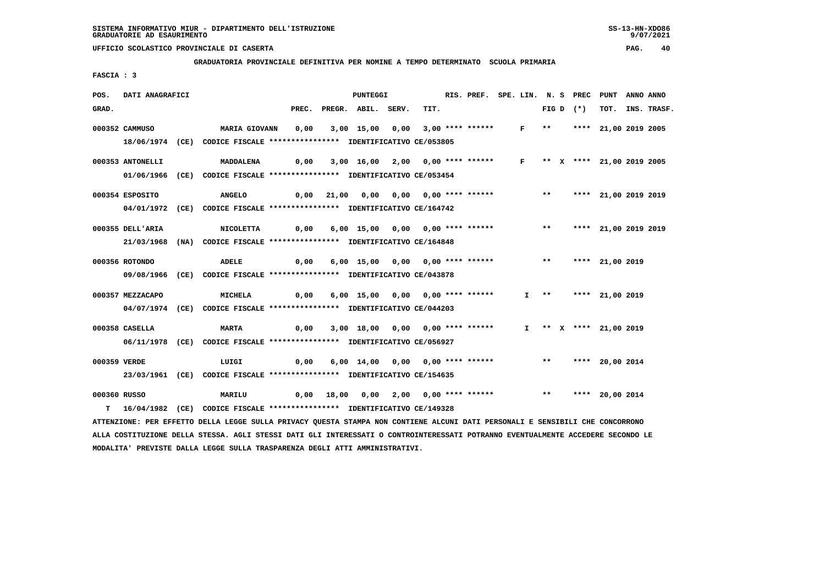**GRADUATORIA PROVINCIALE DEFINITIVA PER NOMINE A TEMPO DETERMINATO SCUOLA PRIMARIA**

 **FASCIA : 3**

| POS.  | DATI ANAGRAFICI  |                                                                           |      | PUNTEGGI                                                          |      | RIS. PREF. SPE. LIN. N. S PREC |  |       |             | PUNT                        | ANNO ANNO        |
|-------|------------------|---------------------------------------------------------------------------|------|-------------------------------------------------------------------|------|--------------------------------|--|-------|-------------|-----------------------------|------------------|
| GRAD. |                  |                                                                           |      | PREC. PREGR. ABIL. SERV.                                          | TIT. |                                |  |       | FIG D $(*)$ |                             | TOT. INS. TRASF. |
|       | 000352 CAMMUSO   | MARIA GIOVANN                                                             | 0,00 | 3,00 15,00 0,00 3,00 **** ******                                  |      |                                |  |       |             | $F$ ** **** 21,00 2019 2005 |                  |
|       |                  | 18/06/1974 (CE) CODICE FISCALE *************** IDENTIFICATIVO CE/053805   |      |                                                                   |      |                                |  |       |             |                             |                  |
|       | 000353 ANTONELLI | MADDALENA                                                                 |      | 0,00 3,00 16,00 2,00 0,00 **** ****** F ** X **** 21,00 2019 2005 |      |                                |  |       |             |                             |                  |
|       |                  | 01/06/1966 (CE) CODICE FISCALE *************** IDENTIFICATIVO CE/053454   |      |                                                                   |      |                                |  |       |             |                             |                  |
|       | 000354 ESPOSITO  | <b>ANGELO</b>                                                             |      | 0,00 21,00 0,00 0,00 0,00 **** ****** *** **                      |      |                                |  |       |             | **** 21,00 2019 2019        |                  |
|       |                  | 04/01/1972 (CE) CODICE FISCALE *************** IDENTIFICATIVO CE/164742   |      |                                                                   |      |                                |  |       |             |                             |                  |
|       | 000355 DELL'ARIA | <b>NICOLETTA</b>                                                          | 0,00 | 6,00 15,00 0,00 0,00 **** ****** *** **                           |      |                                |  |       |             | **** 21,00 2019 2019        |                  |
|       |                  | 21/03/1968 (NA) CODICE FISCALE *************** IDENTIFICATIVO CE/164848   |      |                                                                   |      |                                |  |       |             |                             |                  |
|       | 000356 ROTONDO   | ADELE                                                                     | 0,00 | 6,00 15,00 0,00 0,00 **** ****** *** **                           |      |                                |  |       |             | **** 21,00 2019             |                  |
|       |                  | 09/08/1966 (CE) CODICE FISCALE *************** IDENTIFICATIVO CE/043878   |      |                                                                   |      |                                |  |       |             |                             |                  |
|       | 000357 MEZZACAPO | MICHELA                                                                   | 0,00 | 6,00 15,00 0,00 0,00 **** ******                                  |      |                                |  |       |             | $I$ ** **** 21,00 2019      |                  |
|       |                  | 04/07/1974 (CE) CODICE FISCALE *************** IDENTIFICATIVO CE/044203   |      |                                                                   |      |                                |  |       |             |                             |                  |
|       | 000358 CASELLA   | <b>MARTA</b><br>$\sim$ 0,00                                               |      | 3,00 18,00 0,00 0,00 **** ******                                  |      |                                |  |       |             | $I$ ** X **** 21,00 2019    |                  |
|       |                  | 06/11/1978 (CE) CODICE FISCALE *************** IDENTIFICATIVO CE/056927   |      |                                                                   |      |                                |  |       |             |                             |                  |
|       |                  |                                                                           |      |                                                                   |      |                                |  |       |             |                             |                  |
|       | 000359 VERDE     | LUIGI                                                                     | 0,00 | 6,00 14,00 0,00 0,00 **** ****** *** *** **** 20,00 2014          |      |                                |  |       |             |                             |                  |
|       |                  | 23/03/1961 (CE) CODICE FISCALE *************** IDENTIFICATIVO CE/154635   |      |                                                                   |      |                                |  |       |             |                             |                  |
|       | 000360 RUSSO     | <b>MARILU</b>                                                             |      | 0,00 18,00 0,00 2,00 0,00 **** ******                             |      |                                |  | $***$ |             | **** 20,00 2014             |                  |
|       |                  | T 16/04/1982 (CE) CODICE FISCALE *************** IDENTIFICATIVO CE/149328 |      |                                                                   |      |                                |  |       |             |                             |                  |

 **ATTENZIONE: PER EFFETTO DELLA LEGGE SULLA PRIVACY QUESTA STAMPA NON CONTIENE ALCUNI DATI PERSONALI E SENSIBILI CHE CONCORRONO ALLA COSTITUZIONE DELLA STESSA. AGLI STESSI DATI GLI INTERESSATI O CONTROINTERESSATI POTRANNO EVENTUALMENTE ACCEDERE SECONDO LE MODALITA' PREVISTE DALLA LEGGE SULLA TRASPARENZA DEGLI ATTI AMMINISTRATIVI.**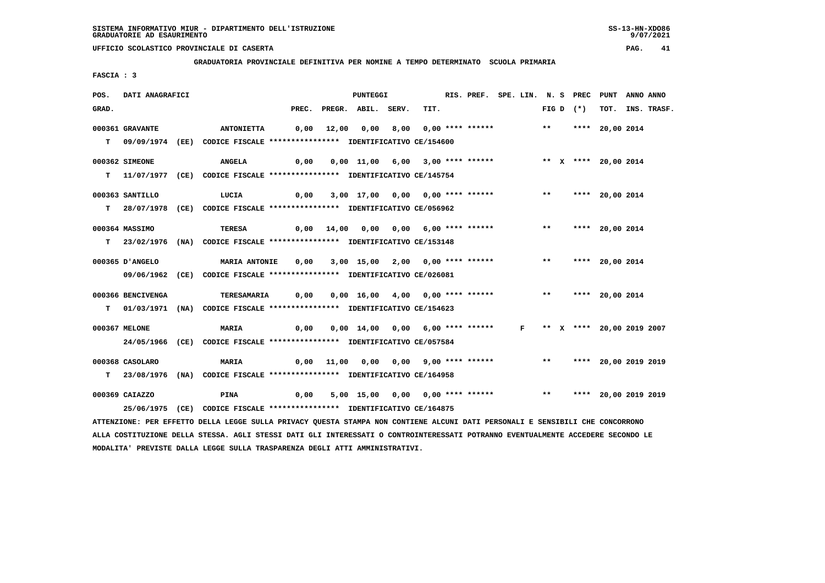**GRADUATORIA PROVINCIALE DEFINITIVA PER NOMINE A TEMPO DETERMINATO SCUOLA PRIMARIA**

 **FASCIA : 3**

| POS.  | DATI ANAGRAFICI   |                                                                                                                                 |      |            | <b>PUNTEGGI</b>                                                            |      | RIS. PREF. SPE. LIN. N. S PREC PUNT |  |       |             |                         | ANNO ANNO |                  |
|-------|-------------------|---------------------------------------------------------------------------------------------------------------------------------|------|------------|----------------------------------------------------------------------------|------|-------------------------------------|--|-------|-------------|-------------------------|-----------|------------------|
| GRAD. |                   |                                                                                                                                 |      |            | PREC. PREGR. ABIL. SERV.                                                   | TIT. |                                     |  |       | FIG D $(*)$ |                         |           | TOT. INS. TRASF. |
|       | 000361 GRAVANTE   | <b>ANTONIETTA</b>                                                                                                               |      | 0,00 12,00 |                                                                            |      |                                     |  |       |             |                         |           |                  |
|       |                   |                                                                                                                                 |      |            |                                                                            |      |                                     |  |       |             |                         |           |                  |
|       |                   | T 09/09/1974 (EE) CODICE FISCALE *************** IDENTIFICATIVO CE/154600                                                       |      |            |                                                                            |      |                                     |  |       |             |                         |           |                  |
|       | 000362 SIMEONE    | <b>ANGELA</b>                                                                                                                   | 0,00 |            | 0,00 11,00 6,00 3,00 **** ****** *** ** ** ** *** 20,00 2014               |      |                                     |  |       |             |                         |           |                  |
|       |                   | T 11/07/1977 (CE) CODICE FISCALE *************** IDENTIFICATIVO CE/145754                                                       |      |            |                                                                            |      |                                     |  |       |             |                         |           |                  |
|       | 000363 SANTILLO   | LUCIA                                                                                                                           |      |            | 0,00 3,00 17,00 0,00 0,00 **** ******                                      |      |                                     |  |       |             | ** **** 20,00 2014      |           |                  |
|       |                   |                                                                                                                                 |      |            |                                                                            |      |                                     |  |       |             |                         |           |                  |
|       |                   | T 28/07/1978 (CE) CODICE FISCALE *************** IDENTIFICATIVO CE/056962                                                       |      |            |                                                                            |      |                                     |  |       |             |                         |           |                  |
|       | 000364 MASSIMO    | TERESA                                                                                                                          |      |            | 0,00 14,00 0,00 0,00 6,00 **** ******                                      |      |                                     |  | $***$ |             | **** 20,00 2014         |           |                  |
|       |                   | T 23/02/1976 (NA) CODICE FISCALE **************** IDENTIFICATIVO CE/153148                                                      |      |            |                                                                            |      |                                     |  |       |             |                         |           |                  |
|       |                   |                                                                                                                                 |      |            |                                                                            |      |                                     |  |       |             |                         |           |                  |
|       | 000365 D'ANGELO   | <b>MARIA ANTONIE</b>                                                                                                            | 0,00 |            | 3,00 15,00 2,00 0,00 **** ******                                           |      |                                     |  |       |             | ** **** 20,00 2014      |           |                  |
|       |                   | 09/06/1962 (CE) CODICE FISCALE *************** IDENTIFICATIVO CE/026081                                                         |      |            |                                                                            |      |                                     |  |       |             |                         |           |                  |
|       | 000366 BENCIVENGA | <b>TERESAMARIA</b>                                                                                                              | 0,00 |            | 0,00 16,00 4,00 0,00 **** ****** *** *** **** 20,00 2014                   |      |                                     |  |       |             |                         |           |                  |
|       |                   |                                                                                                                                 |      |            |                                                                            |      |                                     |  |       |             |                         |           |                  |
|       |                   | T 01/03/1971 (NA) CODICE FISCALE **************** IDENTIFICATIVO CE/154623                                                      |      |            |                                                                            |      |                                     |  |       |             |                         |           |                  |
|       | 000367 MELONE     | <b>MARIA</b>                                                                                                                    | 0,00 |            | 0,00 14,00 0,00 6,00 **** ****** F ** X **** 20,00 2019 2007               |      |                                     |  |       |             |                         |           |                  |
|       |                   | 24/05/1966 (CE) CODICE FISCALE *************** IDENTIFICATIVO CE/057584                                                         |      |            |                                                                            |      |                                     |  |       |             |                         |           |                  |
|       |                   |                                                                                                                                 |      |            |                                                                            |      |                                     |  |       |             |                         |           |                  |
|       | 000368 CASOLARO   | <b>MARIA</b>                                                                                                                    |      |            | 0,00 11,00 0,00 0,00 9,00 **** ******                                      |      |                                     |  |       |             | ** **** 20,00 2019 2019 |           |                  |
|       |                   | T 23/08/1976 (NA) CODICE FISCALE *************** IDENTIFICATIVO CE/164958                                                       |      |            |                                                                            |      |                                     |  |       |             |                         |           |                  |
|       | 000369 CAIAZZO    | <b>PINA</b>                                                                                                                     | 0,00 |            | 5,00 15,00 0,00 0,00 **** ******               **     **** 20,00 2019 2019 |      |                                     |  |       |             |                         |           |                  |
|       |                   | 25/06/1975 (CE) CODICE FISCALE *************** IDENTIFICATIVO CE/164875                                                         |      |            |                                                                            |      |                                     |  |       |             |                         |           |                  |
|       |                   | ATTENZIONE: PER EFFETTO DELLA LEGGE SULLA PRIVACY QUESTA STAMPA NON CONTIENE ALCUNI DATI PERSONALI E SENSIBILI CHE CONCORRONO   |      |            |                                                                            |      |                                     |  |       |             |                         |           |                  |
|       |                   | ALLA COSTITUZIONE DELLA STESSA. AGLI STESSI DATI GLI INTERESSATI O CONTROINTERESSATI POTRANNO EVENTUALMENTE ACCEDERE SECONDO LE |      |            |                                                                            |      |                                     |  |       |             |                         |           |                  |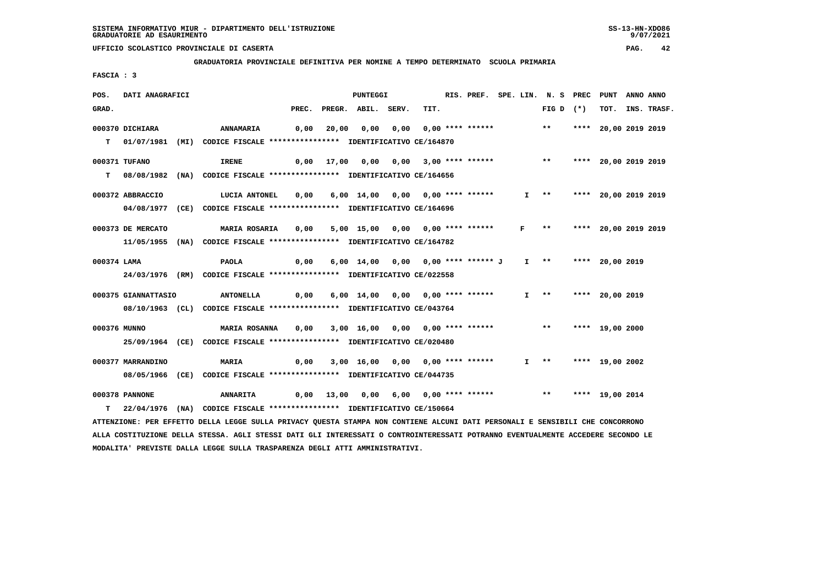**GRADUATORIA PROVINCIALE DEFINITIVA PER NOMINE A TEMPO DETERMINATO SCUOLA PRIMARIA**

 **FASCIA : 3**

| POS.        | DATI ANAGRAFICI     |                                                                                                                               |       |       | <b>PUNTEGGI</b>                                             |                                  | RIS. PREF. SPE. LIN. N. S PREC |  |                      | PUNT                 | ANNO ANNO |             |
|-------------|---------------------|-------------------------------------------------------------------------------------------------------------------------------|-------|-------|-------------------------------------------------------------|----------------------------------|--------------------------------|--|----------------------|----------------------|-----------|-------------|
| GRAD.       |                     |                                                                                                                               | PREC. |       | PREGR. ABIL. SERV.                                          | TIT.                             |                                |  | FIG D $(*)$          | тот.                 |           | INS. TRASF. |
|             | 000370 DICHIARA     | <b>ANNAMARIA</b>                                                                                                              | 0,00  | 20,00 |                                                             | 0,00 0,00 0,00 **** ****** ** ** |                                |  |                      | **** 20,00 2019 2019 |           |             |
| т           |                     | 01/07/1981 (MI) CODICE FISCALE *************** IDENTIFICATIVO CE/164870                                                       |       |       |                                                             |                                  |                                |  |                      |                      |           |             |
|             | 000371 TUFANO       | <b>IRENE</b>                                                                                                                  | 0,00  | 17,00 |                                                             | 0,00 0,00 3,00 **** ****** ** ** |                                |  |                      | **** 20,00 2019 2019 |           |             |
|             |                     | T 08/08/1982 (NA) CODICE FISCALE *************** IDENTIFICATIVO CE/164656                                                     |       |       |                                                             |                                  |                                |  |                      |                      |           |             |
|             | 000372 ABBRACCIO    | <b>LUCIA ANTONEL</b>                                                                                                          | 0,00  |       | 6,00 14,00 0,00 0,00 **** ******                            |                                  |                                |  | $I \quad * \quad$    | **** 20,00 2019 2019 |           |             |
|             |                     | 04/08/1977 (CE) CODICE FISCALE *************** IDENTIFICATIVO CE/164696                                                       |       |       |                                                             |                                  |                                |  |                      |                      |           |             |
|             | 000373 DE MERCATO   | <b>MARIA ROSARIA</b>                                                                                                          | 0,00  |       | 5,00 15,00 0,00 0,00 **** ****** F **                       |                                  |                                |  |                      | **** 20,00 2019 2019 |           |             |
|             |                     | 11/05/1955 (NA) CODICE FISCALE *************** IDENTIFICATIVO CE/164782                                                       |       |       |                                                             |                                  |                                |  |                      |                      |           |             |
| 000374 LAMA |                     | <b>PAOLA</b>                                                                                                                  | 0,00  |       | 6,00 14,00 0,00 0,00 **** ****** J                          |                                  |                                |  | I ** **** 20,00 2019 |                      |           |             |
|             |                     | 24/03/1976 (RM) CODICE FISCALE **************** IDENTIFICATIVO CE/022558                                                      |       |       |                                                             |                                  |                                |  |                      |                      |           |             |
|             | 000375 GIANNATTASIO | <b>ANTONELLA</b>                                                                                                              | 0,00  |       | 6,00 14,00 0,00 0,00 **** ******                            |                                  |                                |  | $I \longrightarrow$  | **** 20,00 2019      |           |             |
|             |                     | 08/10/1963 (CL) CODICE FISCALE *************** IDENTIFICATIVO CE/043764                                                       |       |       |                                                             |                                  |                                |  |                      |                      |           |             |
|             | 000376 MUNNO        | <b>MARIA ROSANNA</b>                                                                                                          | 0,00  |       | 3,00 16,00 0,00 0,00 **** ****** ** **                      |                                  |                                |  |                      | **** 19,00 2000      |           |             |
|             |                     | 25/09/1964 (CE) CODICE FISCALE *************** IDENTIFICATIVO CE/020480                                                       |       |       |                                                             |                                  |                                |  |                      |                      |           |             |
|             | 000377 MARRANDINO   | <b>MARIA</b>                                                                                                                  | 0,00  |       | 3,00 16,00 0,00 0,00 **** ******                            |                                  |                                |  | I ** **** 19,00 2002 |                      |           |             |
|             |                     | 08/05/1966 (CE) CODICE FISCALE *************** IDENTIFICATIVO CE/044735                                                       |       |       |                                                             |                                  |                                |  |                      |                      |           |             |
|             | 000378 PANNONE      | <b>ANNARITA</b>                                                                                                               |       |       | $0,00$ 13,00 0,00 6,00 0,00 **** ****** *** **** 19,00 2014 |                                  |                                |  |                      |                      |           |             |
| т           |                     | 22/04/1976 (NA) CODICE FISCALE **************** IDENTIFICATIVO CE/150664                                                      |       |       |                                                             |                                  |                                |  |                      |                      |           |             |
|             |                     | ATTENZIONE: PER EFFETTO DELLA LEGGE SULLA PRIVACY QUESTA STAMPA NON CONTIENE ALCUNI DATI PERSONALI E SENSIBILI CHE CONCORRONO |       |       |                                                             |                                  |                                |  |                      |                      |           |             |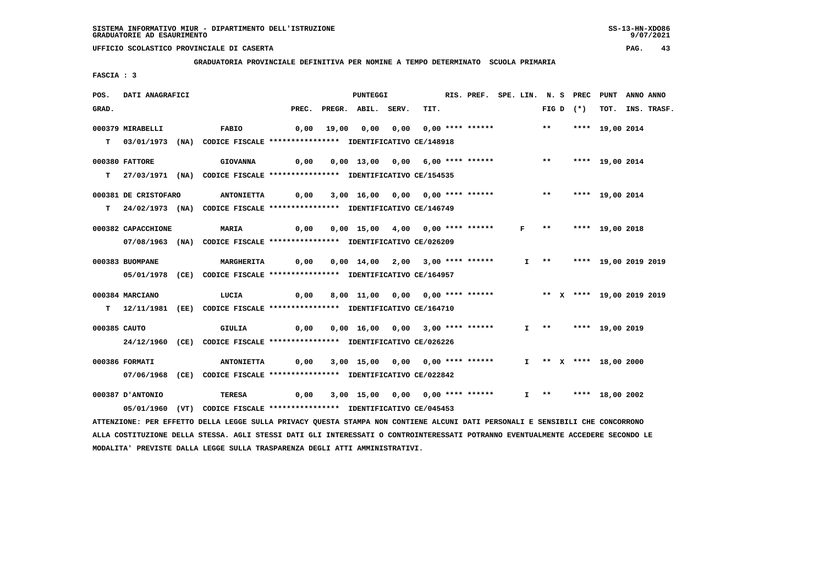**GRADUATORIA PROVINCIALE DEFINITIVA PER NOMINE A TEMPO DETERMINATO SCUOLA PRIMARIA**

 **FASCIA : 3**

| POS.         | DATI ANAGRAFICI      |                                                                                                                               |       | PUNTEGGI                                                          |      | RIS. PREF. SPE. LIN. N. S PREC PUNT |  |  |             |                           | ANNO ANNO |                  |
|--------------|----------------------|-------------------------------------------------------------------------------------------------------------------------------|-------|-------------------------------------------------------------------|------|-------------------------------------|--|--|-------------|---------------------------|-----------|------------------|
| GRAD.        |                      |                                                                                                                               | PREC. | PREGR. ABIL. SERV.                                                | TIT. |                                     |  |  | FIG D $(*)$ |                           |           | TOT. INS. TRASF. |
|              | 000379 MIRABELLI     | <b>FABIO</b>                                                                                                                  |       | 0,00 19,00 0,00 0,00 0,00 **** ****** *** **                      |      |                                     |  |  |             | **** 19,00 2014           |           |                  |
|              |                      |                                                                                                                               |       |                                                                   |      |                                     |  |  |             |                           |           |                  |
|              |                      | T 03/01/1973 (NA) CODICE FISCALE **************** IDENTIFICATIVO CE/148918                                                    |       |                                                                   |      |                                     |  |  |             |                           |           |                  |
|              | 000380 FATTORE       | <b>GIOVANNA</b>                                                                                                               | 0,00  | 0,00 13,00 0,00 6,00 **** ****** *** **                           |      |                                     |  |  |             | **** 19,00 2014           |           |                  |
|              |                      | T 27/03/1971 (NA) CODICE FISCALE *************** IDENTIFICATIVO CE/154535                                                     |       |                                                                   |      |                                     |  |  |             |                           |           |                  |
|              |                      |                                                                                                                               |       |                                                                   |      |                                     |  |  |             |                           |           |                  |
|              | 000381 DE CRISTOFARO | <b>ANTONIETTA</b>                                                                                                             | 0,00  | 3,00 16,00 0,00 0,00 **** ****** *** *** **** 19,00 2014          |      |                                     |  |  |             |                           |           |                  |
|              |                      | T 24/02/1973 (NA) CODICE FISCALE **************** IDENTIFICATIVO CE/146749                                                    |       |                                                                   |      |                                     |  |  |             |                           |           |                  |
|              |                      |                                                                                                                               |       |                                                                   |      |                                     |  |  |             |                           |           |                  |
|              | 000382 CAPACCHIONE   | <b>MARIA</b>                                                                                                                  | 0,00  | 0,00 15,00 4,00 0,00 **** ****** F ** **** 19,00 2018             |      |                                     |  |  |             |                           |           |                  |
|              |                      | 07/08/1963 (NA) CODICE FISCALE *************** IDENTIFICATIVO CE/026209                                                       |       |                                                                   |      |                                     |  |  |             |                           |           |                  |
|              | 000383 BUOMPANE      | <b>MARGHERITA</b>                                                                                                             | 0,00  | 0,00 14,00 2,00 3,00 **** ******                                  |      |                                     |  |  |             | I ** **** 19,00 2019 2019 |           |                  |
|              |                      | 05/01/1978 (CE) CODICE FISCALE *************** IDENTIFICATIVO CE/164957                                                       |       |                                                                   |      |                                     |  |  |             |                           |           |                  |
|              |                      |                                                                                                                               |       |                                                                   |      |                                     |  |  |             |                           |           |                  |
|              | 000384 MARCIANO      | LUCIA                                                                                                                         | 0,00  | 8,00 11,00 0,00 0,00 **** ****** *** ** ** X **** 19,00 2019 2019 |      |                                     |  |  |             |                           |           |                  |
|              |                      | T 12/11/1981 (EE) CODICE FISCALE **************** IDENTIFICATIVO CE/164710                                                    |       |                                                                   |      |                                     |  |  |             |                           |           |                  |
|              |                      |                                                                                                                               |       |                                                                   |      |                                     |  |  |             |                           |           |                  |
| 000385 CAUTO |                      | GIULIA                                                                                                                        | 0,00  | 0,00 16,00 0,00 3,00 **** ******                                  |      |                                     |  |  |             | I ** **** 19,00 2019      |           |                  |
|              |                      | 24/12/1960 (CE) CODICE FISCALE *************** IDENTIFICATIVO CE/026226                                                       |       |                                                                   |      |                                     |  |  |             |                           |           |                  |
|              | 000386 FORMATI       | <b>ANTONIETTA</b>                                                                                                             | 0,00  | 3,00 15,00 0,00 0,00 **** ******                                  |      |                                     |  |  |             | $I$ ** X **** 18,00 2000  |           |                  |
|              |                      | 07/06/1968 (CE) CODICE FISCALE *************** IDENTIFICATIVO CE/022842                                                       |       |                                                                   |      |                                     |  |  |             |                           |           |                  |
|              |                      |                                                                                                                               |       |                                                                   |      |                                     |  |  |             |                           |           |                  |
|              | 000387 D'ANTONIO     | <b>TERESA</b>                                                                                                                 | 0,00  | 3,00 15,00 0,00 0,00 **** ******                                  |      |                                     |  |  |             | $I$ ** **** 18,00 2002    |           |                  |
|              | 05/01/1960           | (VT) CODICE FISCALE **************** IDENTIFICATIVO CE/045453                                                                 |       |                                                                   |      |                                     |  |  |             |                           |           |                  |
|              |                      | ATTENZIONE: PER EFFETTO DELLA LEGGE SULLA PRIVACY QUESTA STAMPA NON CONTIENE ALCUNI DATI PERSONALI E SENSIBILI CHE CONCORRONO |       |                                                                   |      |                                     |  |  |             |                           |           |                  |
|              |                      |                                                                                                                               |       |                                                                   |      |                                     |  |  |             |                           |           |                  |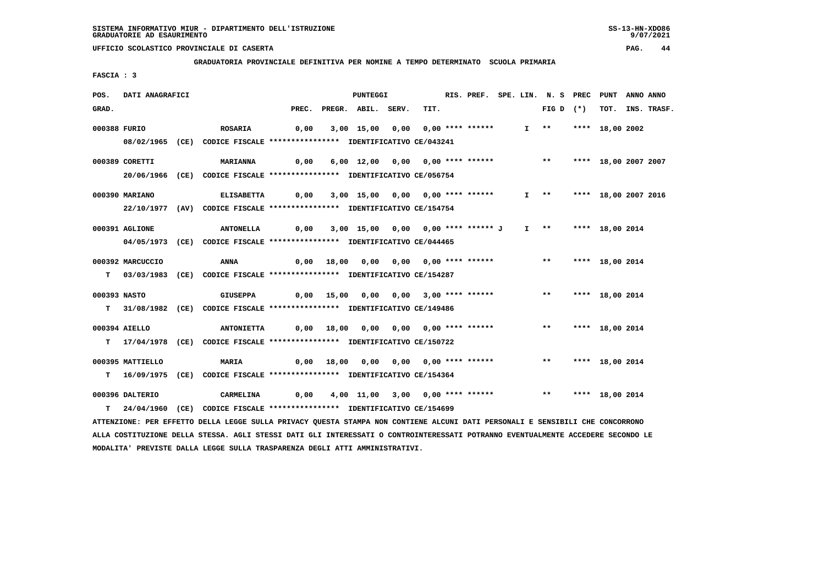**GRADUATORIA PROVINCIALE DEFINITIVA PER NOMINE A TEMPO DETERMINATO SCUOLA PRIMARIA**

 **FASCIA : 3**

| POS.         | DATI ANAGRAFICI  |                                                                                                                               |                                                                            | PUNTEGGI                                                   |      |  |  | RIS. PREF. SPE. LIN. N. S PREC PUNT |                 | ANNO ANNO |                  |
|--------------|------------------|-------------------------------------------------------------------------------------------------------------------------------|----------------------------------------------------------------------------|------------------------------------------------------------|------|--|--|-------------------------------------|-----------------|-----------|------------------|
| GRAD.        |                  |                                                                                                                               | PREC.                                                                      | PREGR. ABIL. SERV.                                         | TIT. |  |  | $FIGD (*)$                          |                 |           | TOT. INS. TRASF. |
| 000388 FURIO |                  | <b>EXECUTE ROSARIA</b>                                                                                                        |                                                                            | 0,00 3,00 15,00 0,00 0,00 **** ****** 1 ** **** 18,00 2002 |      |  |  |                                     |                 |           |                  |
|              |                  |                                                                                                                               |                                                                            |                                                            |      |  |  |                                     |                 |           |                  |
|              |                  | 08/02/1965 (CE) CODICE FISCALE *************** IDENTIFICATIVO CE/043241                                                       |                                                                            |                                                            |      |  |  |                                     |                 |           |                  |
|              | 000389 CORETTI   | <b>MARIANNA</b>                                                                                                               |                                                                            |                                                            |      |  |  |                                     |                 |           |                  |
|              |                  | 20/06/1966 (CE) CODICE FISCALE *************** IDENTIFICATIVO CE/056754                                                       |                                                                            |                                                            |      |  |  |                                     |                 |           |                  |
|              |                  |                                                                                                                               |                                                                            |                                                            |      |  |  |                                     |                 |           |                  |
|              | 000390 MARIANO   | <b>ELISABETTA</b>                                                                                                             | 0,00                                                                       | 3,00 15,00 0,00 0,00 **** ****** 1 ** **** 18,00 2007 2016 |      |  |  |                                     |                 |           |                  |
|              |                  | 22/10/1977 (AV) CODICE FISCALE *************** IDENTIFICATIVO CE/154754                                                       |                                                                            |                                                            |      |  |  |                                     |                 |           |                  |
|              | 000391 AGLIONE   |                                                                                                                               | ANTONELLA 0,00 3,00 15,00 0,00 0,00 **** ****** J I ** **** 18,00 2014     |                                                            |      |  |  |                                     |                 |           |                  |
|              |                  | 04/05/1973 (CE) CODICE FISCALE *************** IDENTIFICATIVO CE/044465                                                       |                                                                            |                                                            |      |  |  |                                     |                 |           |                  |
|              |                  |                                                                                                                               |                                                                            |                                                            |      |  |  |                                     |                 |           |                  |
|              | 000392 MARCUCCIO | ANNA                                                                                                                          | 0,00 18,00 0,00 0,00 0,00 **** ******     **  **** 18,00 2014              |                                                            |      |  |  |                                     |                 |           |                  |
|              |                  | T 03/03/1983 (CE) CODICE FISCALE **************** IDENTIFICATIVO CE/154287                                                    |                                                                            |                                                            |      |  |  |                                     |                 |           |                  |
|              |                  |                                                                                                                               |                                                                            |                                                            |      |  |  |                                     |                 |           |                  |
| 000393 NASTO |                  | <b>GIUSEPPA</b>                                                                                                               |                                                                            | 0,00 15,00 0,00 0,00 3,00 **** ****** *** **               |      |  |  |                                     | **** 18,00 2014 |           |                  |
|              |                  | T 31/08/1982 (CE) CODICE FISCALE *************** IDENTIFICATIVO CE/149486                                                     |                                                                            |                                                            |      |  |  |                                     |                 |           |                  |
|              | 000394 AIELLO    | <b>ANTONIETTA</b>                                                                                                             | 0,00 18,00 0,00 0,00 0,00 **** ******               **     **** 18,00 2014 |                                                            |      |  |  |                                     |                 |           |                  |
|              |                  | T 17/04/1978 (CE) CODICE FISCALE *************** IDENTIFICATIVO CE/150722                                                     |                                                                            |                                                            |      |  |  |                                     |                 |           |                  |
|              |                  |                                                                                                                               |                                                                            |                                                            |      |  |  |                                     |                 |           |                  |
|              | 000395 MATTIELLO | <b>MARIA</b>                                                                                                                  |                                                                            | 0,00 18,00 0,00 0,00 0,00 **** ****** *** **** 18,00 2014  |      |  |  |                                     |                 |           |                  |
|              |                  | T 16/09/1975 (CE) CODICE FISCALE *************** IDENTIFICATIVO CE/154364                                                     |                                                                            |                                                            |      |  |  |                                     |                 |           |                  |
|              |                  |                                                                                                                               |                                                                            |                                                            |      |  |  |                                     |                 |           |                  |
|              | 000396 DALTERIO  | CARMELINA        0,00  4,00 11,00  3,00  0,00 **** ******      **   **** 18,00 2014                                           |                                                                            |                                                            |      |  |  |                                     |                 |           |                  |
|              |                  | T 24/04/1960 (CE) CODICE FISCALE **************** IDENTIFICATIVO CE/154699                                                    |                                                                            |                                                            |      |  |  |                                     |                 |           |                  |
|              |                  | ATTENZIONE: PER EFFETTO DELLA LEGGE SULLA PRIVACY QUESTA STAMPA NON CONTIENE ALCUNI DATI PERSONALI E SENSIBILI CHE CONCORRONO |                                                                            |                                                            |      |  |  |                                     |                 |           |                  |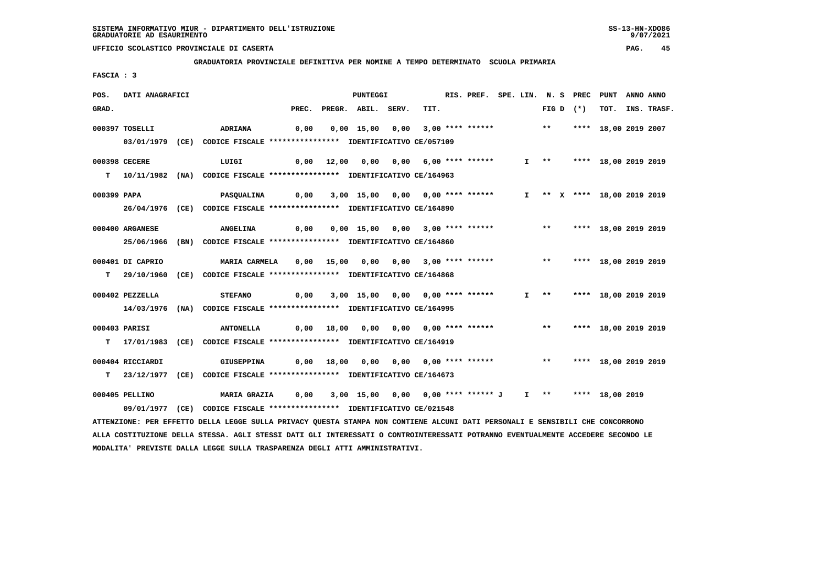**GRADUATORIA PROVINCIALE DEFINITIVA PER NOMINE A TEMPO DETERMINATO SCUOLA PRIMARIA**

 **FASCIA : 3**

| POS.        | DATI ANAGRAFICI  |                                                                                                                               |       | PUNTEGGI                                                                    |      | RIS. PREF. SPE. LIN. N. S PREC PUNT |  |                     |             |                             | ANNO ANNO |             |
|-------------|------------------|-------------------------------------------------------------------------------------------------------------------------------|-------|-----------------------------------------------------------------------------|------|-------------------------------------|--|---------------------|-------------|-----------------------------|-----------|-------------|
| GRAD.       |                  |                                                                                                                               | PREC. | PREGR. ABIL. SERV.                                                          | TIT. |                                     |  |                     | $FIG D (*)$ | тот.                        |           | INS. TRASF. |
|             | 000397 TOSELLI   | <b>ADRIANA</b>                                                                                                                | 0,00  | 0,00 15,00 0,00 3,00 **** ****** *** *** **** 18,00 2019 2007               |      |                                     |  |                     |             |                             |           |             |
|             |                  |                                                                                                                               |       |                                                                             |      |                                     |  |                     |             |                             |           |             |
|             |                  | 03/01/1979 (CE) CODICE FISCALE *************** IDENTIFICATIVO CE/057109                                                       |       |                                                                             |      |                                     |  |                     |             |                             |           |             |
|             | 000398 CECERE    | LUIGI                                                                                                                         | 0,00  | 12,00  0,00  0,00  6,00  ****  ******                                       |      |                                     |  |                     |             | I ** **** 18,00 2019 2019   |           |             |
|             |                  | T  10/11/1982 (NA) CODICE FISCALE **************** IDENTIFICATIVO CE/164963                                                   |       |                                                                             |      |                                     |  |                     |             |                             |           |             |
|             |                  |                                                                                                                               |       |                                                                             |      |                                     |  |                     |             |                             |           |             |
| 000399 PAPA |                  | <b>PASQUALINA</b>                                                                                                             | 0,00  | 3,00 15,00 0,00 0,00 **** ******                                            |      |                                     |  |                     |             | I ** X **** 18,00 2019 2019 |           |             |
|             |                  | 26/04/1976 (CE) CODICE FISCALE *************** IDENTIFICATIVO CE/164890                                                       |       |                                                                             |      |                                     |  |                     |             |                             |           |             |
|             |                  |                                                                                                                               |       |                                                                             |      |                                     |  |                     |             |                             |           |             |
|             | 000400 ARGANESE  | <b>ANGELINA</b>                                                                                                               | 0,00  | 0,00 15,00 0,00 3,00 **** ****** *** *** **** 18,00 2019 2019               |      |                                     |  |                     |             |                             |           |             |
|             |                  | 25/06/1966 (BN) CODICE FISCALE *************** IDENTIFICATIVO CE/164860                                                       |       |                                                                             |      |                                     |  |                     |             |                             |           |             |
|             |                  |                                                                                                                               |       |                                                                             |      |                                     |  |                     |             |                             |           |             |
|             | 000401 DI CAPRIO | <b>MARIA CARMELA</b>                                                                                                          |       | 0,00 15,00 0,00 0,00 3,00 **** ******           **     **** 18,00 2019 2019 |      |                                     |  |                     |             |                             |           |             |
|             |                  | T 29/10/1960 (CE) CODICE FISCALE *************** IDENTIFICATIVO CE/164868                                                     |       |                                                                             |      |                                     |  |                     |             |                             |           |             |
|             | 000402 PEZZELLA  | <b>STEFANO</b>                                                                                                                | 0,00  | 3,00 15,00 0,00 0,00 **** ******                                            |      |                                     |  | $I \longrightarrow$ |             | **** 18,00 2019 2019        |           |             |
|             |                  | 14/03/1976 (NA) CODICE FISCALE *************** IDENTIFICATIVO CE/164995                                                       |       |                                                                             |      |                                     |  |                     |             |                             |           |             |
|             |                  |                                                                                                                               |       |                                                                             |      |                                     |  |                     |             |                             |           |             |
|             | 000403 PARISI    | <b>ANTONELLA</b>                                                                                                              |       | 0,00 18,00 0,00 0,00 0,00 **** ****** *** **                                |      |                                     |  |                     |             | **** 18,00 2019 2019        |           |             |
|             |                  | T 17/01/1983 (CE) CODICE FISCALE *************** IDENTIFICATIVO CE/164919                                                     |       |                                                                             |      |                                     |  |                     |             |                             |           |             |
|             |                  |                                                                                                                               |       |                                                                             |      |                                     |  |                     |             |                             |           |             |
|             | 000404 RICCIARDI | GIUSEPPINA                                                                                                                    |       |                                                                             |      |                                     |  |                     |             |                             |           |             |
|             |                  | T 23/12/1977 (CE) CODICE FISCALE **************** IDENTIFICATIVO CE/164673                                                    |       |                                                                             |      |                                     |  |                     |             |                             |           |             |
|             | 000405 PELLINO   | MARIA GRAZIA 0,00 3,00 15,00 0,00 0,00 **** ****** J I ** ***** 18,00 2019                                                    |       |                                                                             |      |                                     |  |                     |             |                             |           |             |
|             |                  |                                                                                                                               |       |                                                                             |      |                                     |  |                     |             |                             |           |             |
|             |                  | 09/01/1977 (CE) CODICE FISCALE *************** IDENTIFICATIVO CE/021548                                                       |       |                                                                             |      |                                     |  |                     |             |                             |           |             |
|             |                  | ATTENZIONE: PER EFFETTO DELLA LEGGE SULLA PRIVACY QUESTA STAMPA NON CONTIENE ALCUNI DATI PERSONALI E SENSIBILI CHE CONCORRONO |       |                                                                             |      |                                     |  |                     |             |                             |           |             |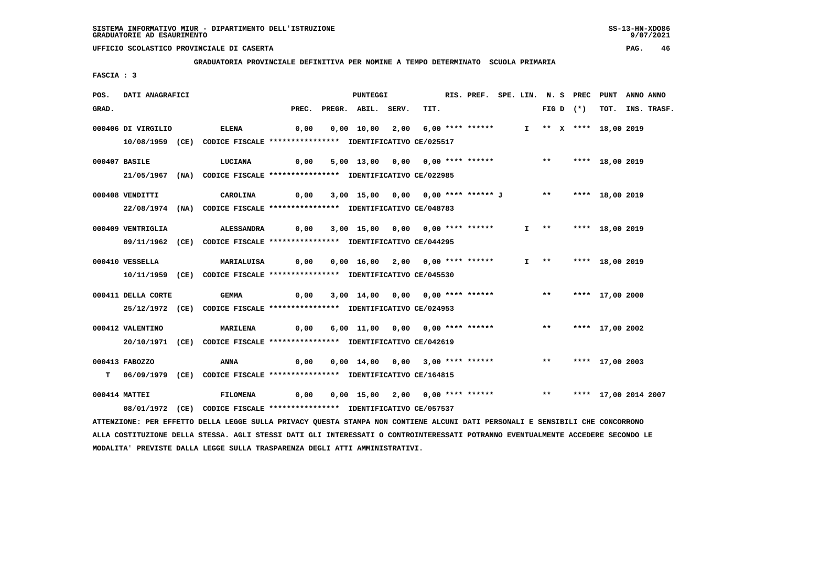**GRADUATORIA PROVINCIALE DEFINITIVA PER NOMINE A TEMPO DETERMINATO SCUOLA PRIMARIA**

 **FASCIA : 3**

| POS.  | DATI ANAGRAFICI    |                                                                                                                               |      | PUNTEGGI                                                      |      | RIS. PREF. SPE. LIN. N. S PREC PUNT |  |  |             |                      | ANNO ANNO |                  |
|-------|--------------------|-------------------------------------------------------------------------------------------------------------------------------|------|---------------------------------------------------------------|------|-------------------------------------|--|--|-------------|----------------------|-----------|------------------|
| GRAD. |                    |                                                                                                                               |      | PREC. PREGR. ABIL. SERV.                                      | TIT. |                                     |  |  | FIG D $(*)$ |                      |           | TOT. INS. TRASF. |
|       | 000406 DI VIRGILIO | <b>ELENA</b>                                                                                                                  | 0,00 |                                                               |      |                                     |  |  |             |                      |           |                  |
|       |                    |                                                                                                                               |      |                                                               |      |                                     |  |  |             |                      |           |                  |
|       |                    | 10/08/1959 (CE) CODICE FISCALE *************** IDENTIFICATIVO CE/025517                                                       |      |                                                               |      |                                     |  |  |             |                      |           |                  |
|       | 000407 BASILE      | <b>LUCIANA</b>                                                                                                                | 0,00 | 5,00 13,00 0,00 0,00 **** ****** *** **                       |      |                                     |  |  |             | **** 18,00 2019      |           |                  |
|       |                    | 21/05/1967 (NA) CODICE FISCALE *************** IDENTIFICATIVO CE/022985                                                       |      |                                                               |      |                                     |  |  |             |                      |           |                  |
|       |                    |                                                                                                                               |      |                                                               |      |                                     |  |  |             |                      |           |                  |
|       | 000408 VENDITTI    | CAROLINA                                                                                                                      | 0,00 | 3,00 15,00 0,00 0,00 **** ****** J ** **** 18,00 2019         |      |                                     |  |  |             |                      |           |                  |
|       |                    | 22/08/1974 (NA) CODICE FISCALE *************** IDENTIFICATIVO CE/048783                                                       |      |                                                               |      |                                     |  |  |             |                      |           |                  |
|       |                    |                                                                                                                               |      |                                                               |      |                                     |  |  |             |                      |           |                  |
|       | 000409 VENTRIGLIA  | ALESSANDRA                                                                                                                    |      | $0,00$ $3,00$ $15,00$ $0,00$ $0,00$ $***$ **** ******         |      |                                     |  |  |             | I ** **** 18,00 2019 |           |                  |
|       |                    | 09/11/1962 (CE) CODICE FISCALE *************** IDENTIFICATIVO CE/044295                                                       |      |                                                               |      |                                     |  |  |             |                      |           |                  |
|       |                    |                                                                                                                               |      |                                                               |      |                                     |  |  |             |                      |           |                  |
|       | 000410 VESSELLA    | MARIALUISA                                                                                                                    | 0,00 | 0,00 16,00 2,00 0,00 **** ******                              |      |                                     |  |  |             | I ** **** 18,00 2019 |           |                  |
|       |                    | 10/11/1959 (CE) CODICE FISCALE *************** IDENTIFICATIVO CE/045530                                                       |      |                                                               |      |                                     |  |  |             |                      |           |                  |
|       |                    |                                                                                                                               |      |                                                               |      |                                     |  |  |             |                      |           |                  |
|       | 000411 DELLA CORTE | <b>GEMMA</b>                                                                                                                  | 0,00 | 3,00 14,00 0,00 0,00 **** ****** *** *** **** 17,00 2000      |      |                                     |  |  |             |                      |           |                  |
|       |                    | 25/12/1972 (CE) CODICE FISCALE *************** IDENTIFICATIVO CE/024953                                                       |      |                                                               |      |                                     |  |  |             |                      |           |                  |
|       | 000412 VALENTINO   | <b>MARILENA</b>                                                                                                               |      | 0,00 6,00 11,00 0,00 0,00 **** ****** *** *** **** 17,00 2002 |      |                                     |  |  |             |                      |           |                  |
|       |                    |                                                                                                                               |      |                                                               |      |                                     |  |  |             |                      |           |                  |
|       |                    | 20/10/1971 (CE) CODICE FISCALE *************** IDENTIFICATIVO CE/042619                                                       |      |                                                               |      |                                     |  |  |             |                      |           |                  |
|       | 000413 FABOZZO     | ANNA                                                                                                                          | 0,00 | 0,00 14,00 0,00 3,00 **** ****** *** *** **** 17,00 2003      |      |                                     |  |  |             |                      |           |                  |
|       |                    | T 06/09/1979 (CE) CODICE FISCALE **************** IDENTIFICATIVO CE/164815                                                    |      |                                                               |      |                                     |  |  |             |                      |           |                  |
|       |                    |                                                                                                                               |      |                                                               |      |                                     |  |  |             |                      |           |                  |
|       | 000414 MATTEI      | <b>FILOMENA</b>                                                                                                               | 0,00 | 0,00 15,00 2,00 0,00 **** ****** *** *** **** 17,00 2014 2007 |      |                                     |  |  |             |                      |           |                  |
|       |                    | 08/01/1972 (CE) CODICE FISCALE *************** IDENTIFICATIVO CE/057537                                                       |      |                                                               |      |                                     |  |  |             |                      |           |                  |
|       |                    | ATTENZIONE: PER EFFETTO DELLA LEGGE SULLA PRIVACY QUESTA STAMPA NON CONTIENE ALCUNI DATI PERSONALI E SENSIBILI CHE CONCORRONO |      |                                                               |      |                                     |  |  |             |                      |           |                  |
|       |                    |                                                                                                                               |      |                                                               |      |                                     |  |  |             |                      |           |                  |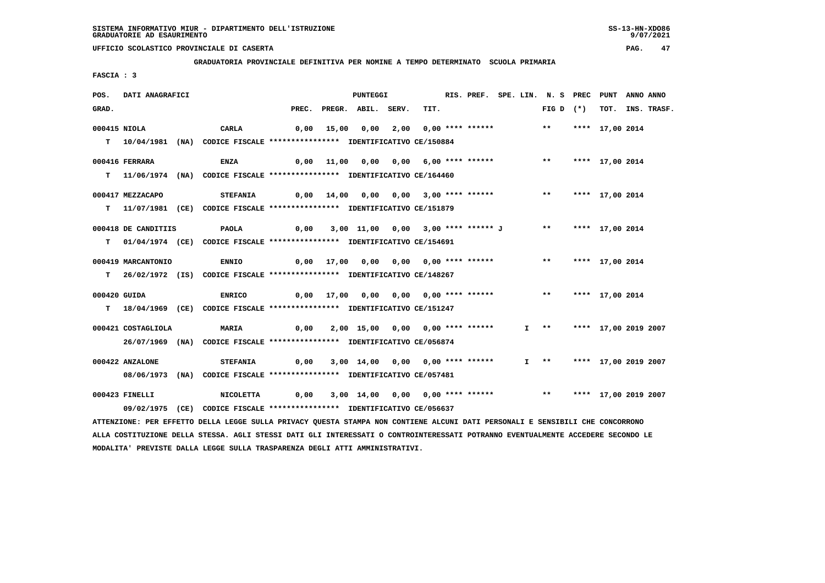**GRADUATORIA PROVINCIALE DEFINITIVA PER NOMINE A TEMPO DETERMINATO SCUOLA PRIMARIA**

 **FASCIA : 3**

| POS.  | DATI ANAGRAFICI     |                                                                            |                                                                                                                               |       | PUNTEGGI                                             |                            | RIS. PREF. SPE. LIN. N. S PREC PUNT |  |                       |                      | ANNO ANNO |             |
|-------|---------------------|----------------------------------------------------------------------------|-------------------------------------------------------------------------------------------------------------------------------|-------|------------------------------------------------------|----------------------------|-------------------------------------|--|-----------------------|----------------------|-----------|-------------|
| GRAD. |                     |                                                                            | PREC.                                                                                                                         |       | PREGR. ABIL. SERV.                                   | TIT.                       |                                     |  | $FIG D (*)$           | тот.                 |           | INS. TRASF. |
|       | 000415 NIOLA        | CARLA                                                                      | 0,00                                                                                                                          | 15,00 |                                                      | 0,00 2,00 0,00 **** ****** |                                     |  | $***$                 | **** 17,00 2014      |           |             |
|       |                     |                                                                            |                                                                                                                               |       |                                                      |                            |                                     |  |                       |                      |           |             |
| т     |                     | 10/04/1981 (NA) CODICE FISCALE *************** IDENTIFICATIVO CE/150884    |                                                                                                                               |       |                                                      |                            |                                     |  |                       |                      |           |             |
|       | 000416 FERRARA      | <b>ENZA</b>                                                                |                                                                                                                               |       | $0,00$ 11,00 0,00 0,00 6,00 **** ******              |                            |                                     |  | $***$                 | **** 17,00 2014      |           |             |
|       |                     | T 11/06/1974 (NA) CODICE FISCALE *************** IDENTIFICATIVO CE/164460  |                                                                                                                               |       |                                                      |                            |                                     |  |                       |                      |           |             |
|       | 000417 MEZZACAPO    | <b>STEFANIA</b>                                                            |                                                                                                                               |       | $0,00$ $14,00$ $0,00$ $0,00$ $3,00$ $***$ **** ***** |                            |                                     |  |                       | ** **** 17,00 2014   |           |             |
|       |                     |                                                                            |                                                                                                                               |       |                                                      |                            |                                     |  |                       |                      |           |             |
|       |                     | T 11/07/1981 (CE) CODICE FISCALE **************** IDENTIFICATIVO CE/151879 |                                                                                                                               |       |                                                      |                            |                                     |  |                       |                      |           |             |
|       | 000418 DE CANDITIIS | <b>PAOLA</b>                                                               | 0,00                                                                                                                          |       | 3,00 11,00 0,00 3,00 **** ****** J                   |                            |                                     |  | $***$                 | **** 17,00 2014      |           |             |
|       |                     | T 01/04/1974 (CE) CODICE FISCALE **************** IDENTIFICATIVO CE/154691 |                                                                                                                               |       |                                                      |                            |                                     |  |                       |                      |           |             |
|       |                     |                                                                            |                                                                                                                               |       |                                                      |                            |                                     |  |                       |                      |           |             |
|       | 000419 MARCANTONIO  | <b>ENNIO</b>                                                               |                                                                                                                               |       | $0,00$ 17,00 0,00 0,00 0,00 **** ******              |                            |                                     |  | $***$                 | **** 17,00 2014      |           |             |
|       |                     | T 26/02/1972 (IS) CODICE FISCALE **************** IDENTIFICATIVO CE/148267 |                                                                                                                               |       |                                                      |                            |                                     |  |                       |                      |           |             |
|       | 000420 GUIDA        | <b>ENRICO</b>                                                              |                                                                                                                               |       | 0,00 17,00 0,00 0,00 0,00 **** ******                |                            |                                     |  | $\star\star$          | **** 17,00 2014      |           |             |
|       |                     |                                                                            |                                                                                                                               |       |                                                      |                            |                                     |  |                       |                      |           |             |
|       |                     | T 18/04/1969 (CE) CODICE FISCALE **************** IDENTIFICATIVO CE/151247 |                                                                                                                               |       |                                                      |                            |                                     |  |                       |                      |           |             |
|       | 000421 COSTAGLIOLA  | <b>MARIA</b>                                                               | 0,00                                                                                                                          |       | 2,00 15,00 0,00 0,00 **** ******                     |                            |                                     |  | $I \quad * \quad$     | **** 17,00 2019 2007 |           |             |
|       |                     | 26/07/1969 (NA) CODICE FISCALE *************** IDENTIFICATIVO CE/056874    |                                                                                                                               |       |                                                      |                            |                                     |  |                       |                      |           |             |
|       |                     |                                                                            |                                                                                                                               |       |                                                      |                            |                                     |  |                       |                      |           |             |
|       | 000422 ANZALONE     | <b>STEFANIA</b>                                                            | 0,00                                                                                                                          |       | 3,00 14,00 0,00 0,00 **** ******                     |                            |                                     |  | $I \rightarrow \star$ | **** 17,00 2019 2007 |           |             |
|       |                     | 08/06/1973 (NA) CODICE FISCALE **************** IDENTIFICATIVO CE/057481   |                                                                                                                               |       |                                                      |                            |                                     |  |                       |                      |           |             |
|       | 000423 FINELLI      | <b>NICOLETTA</b>                                                           | 0,00                                                                                                                          |       | 3,00 14,00 0,00 0,00 **** ******                     |                            |                                     |  | $\star \star$         | **** 17,00 2019 2007 |           |             |
|       |                     | 09/02/1975 (CE) CODICE FISCALE *************** IDENTIFICATIVO CE/056637    |                                                                                                                               |       |                                                      |                            |                                     |  |                       |                      |           |             |
|       |                     |                                                                            |                                                                                                                               |       |                                                      |                            |                                     |  |                       |                      |           |             |
|       |                     |                                                                            | ATTENZIONE: PER EFFETTO DELLA LEGGE SULLA PRIVACY QUESTA STAMPA NON CONTIENE ALCUNI DATI PERSONALI E SENSIBILI CHE CONCORRONO |       |                                                      |                            |                                     |  |                       |                      |           |             |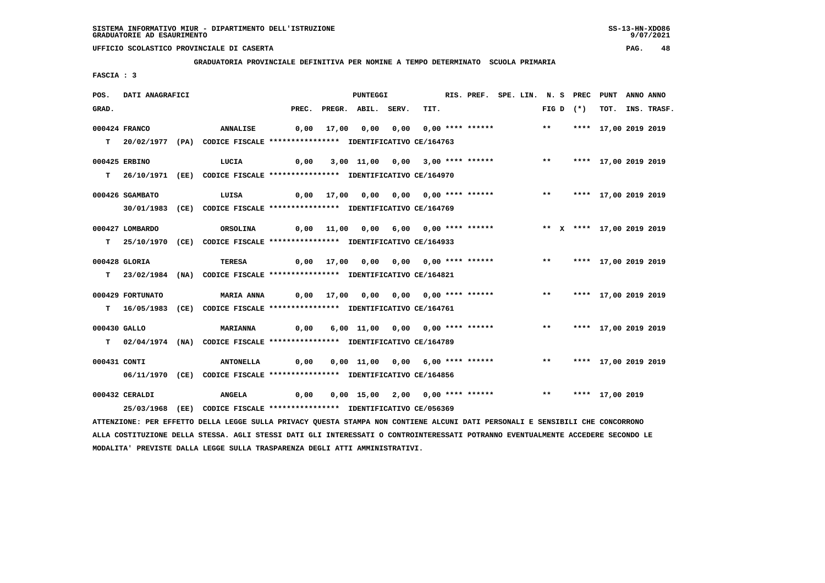**GRADUATORIA PROVINCIALE DEFINITIVA PER NOMINE A TEMPO DETERMINATO SCUOLA PRIMARIA**

 **FASCIA : 3**

| POS.         | DATI ANAGRAFICI  |                                                                                                                               |                                       | PUNTEGGI                                                                    |      | RIS. PREF. SPE. LIN. N. S PREC PUNT |  |       |                           |                      | ANNO ANNO |                  |
|--------------|------------------|-------------------------------------------------------------------------------------------------------------------------------|---------------------------------------|-----------------------------------------------------------------------------|------|-------------------------------------|--|-------|---------------------------|----------------------|-----------|------------------|
| GRAD.        |                  |                                                                                                                               | PREC.                                 | PREGR. ABIL. SERV.                                                          | TIT. |                                     |  |       | FIG D $(*)$               |                      |           | TOT. INS. TRASF. |
|              | 000424 FRANCO    | <b>ANNALISE</b>                                                                                                               | 0,00                                  | 17,00 0,00 0,00 0,00 **** ****** ** **                                      |      |                                     |  |       |                           | **** 17,00 2019 2019 |           |                  |
|              |                  |                                                                                                                               |                                       |                                                                             |      |                                     |  |       |                           |                      |           |                  |
|              |                  | T 20/02/1977 (PA) CODICE FISCALE *************** IDENTIFICATIVO CE/164763                                                     |                                       |                                                                             |      |                                     |  |       |                           |                      |           |                  |
|              | 000425 ERBINO    | LUCIA                                                                                                                         | 0,00                                  |                                                                             |      |                                     |  |       |                           |                      |           |                  |
|              |                  | T 26/10/1971 (EE) CODICE FISCALE *************** IDENTIFICATIVO CE/164970                                                     |                                       |                                                                             |      |                                     |  |       |                           |                      |           |                  |
|              |                  |                                                                                                                               |                                       |                                                                             |      |                                     |  |       |                           |                      |           |                  |
|              | 000426 SGAMBATO  | LUISA                                                                                                                         |                                       |                                                                             |      |                                     |  |       |                           |                      |           |                  |
|              |                  | 30/01/1983 (CE) CODICE FISCALE *************** IDENTIFICATIVO CE/164769                                                       |                                       |                                                                             |      |                                     |  |       |                           |                      |           |                  |
|              |                  |                                                                                                                               |                                       |                                                                             |      |                                     |  |       |                           |                      |           |                  |
|              | 000427 LOMBARDO  | ORSOLINA                                                                                                                      |                                       | 0,00 11,00 0,00 6,00 0,00 **** ******                                       |      |                                     |  |       | ** X **** 17,00 2019 2019 |                      |           |                  |
|              |                  | T 25/10/1970 (CE) CODICE FISCALE *************** IDENTIFICATIVO CE/164933                                                     |                                       |                                                                             |      |                                     |  |       |                           |                      |           |                  |
|              |                  |                                                                                                                               |                                       |                                                                             |      |                                     |  |       |                           |                      |           |                  |
|              | 000428 GLORIA    | TERESA                                                                                                                        |                                       | 0,00 17,00 0,00 0,00 0,00 **** ******           **     **** 17,00 2019 2019 |      |                                     |  |       |                           |                      |           |                  |
|              |                  | T 23/02/1984 (NA) CODICE FISCALE **************** IDENTIFICATIVO CE/164821                                                    |                                       |                                                                             |      |                                     |  |       |                           |                      |           |                  |
|              | 000429 FORTUNATO | <b>MARIA ANNA</b>                                                                                                             | 0,00 17,00 0,00 0,00 0,00 **** ****** |                                                                             |      |                                     |  | $***$ |                           | **** 17,00 2019 2019 |           |                  |
|              |                  | T 16/05/1983 (CE) CODICE FISCALE **************** IDENTIFICATIVO CE/164761                                                    |                                       |                                                                             |      |                                     |  |       |                           |                      |           |                  |
|              |                  |                                                                                                                               |                                       |                                                                             |      |                                     |  |       |                           |                      |           |                  |
| 000430 GALLO |                  | <b>MARIANNA</b>                                                                                                               | 0,00                                  | 6,00 11,00 0,00 0,00 **** ****** *** **                                     |      |                                     |  |       |                           | **** 17,00 2019 2019 |           |                  |
|              |                  | T 02/04/1974 (NA) CODICE FISCALE *************** IDENTIFICATIVO CE/164789                                                     |                                       |                                                                             |      |                                     |  |       |                           |                      |           |                  |
|              |                  |                                                                                                                               |                                       |                                                                             |      |                                     |  |       |                           |                      |           |                  |
| 000431 CONTI |                  | <b>ANTONELLA</b>                                                                                                              | 0,00                                  | 0,00 11,00 0,00 6,00 **** ******                                            |      |                                     |  |       | ** **** 17,00 2019 2019   |                      |           |                  |
|              |                  | 06/11/1970 (CE) CODICE FISCALE *************** IDENTIFICATIVO CE/164856                                                       |                                       |                                                                             |      |                                     |  |       |                           |                      |           |                  |
|              |                  |                                                                                                                               |                                       |                                                                             |      |                                     |  |       |                           |                      |           |                  |
|              | 000432 CERALDI   | <b>ANGELA</b>                                                                                                                 | 0,00                                  | 0,00 15,00 2,00 0,00 **** ****** *** *** **** 17,00 2019                    |      |                                     |  |       |                           |                      |           |                  |
|              | 25/03/1968 (EE)  | CODICE FISCALE **************** IDENTIFICATIVO CE/056369                                                                      |                                       |                                                                             |      |                                     |  |       |                           |                      |           |                  |
|              |                  | ATTENZIONE: PER EFFETTO DELLA LEGGE SULLA PRIVACY QUESTA STAMPA NON CONTIENE ALCUNI DATI PERSONALI E SENSIBILI CHE CONCORRONO |                                       |                                                                             |      |                                     |  |       |                           |                      |           |                  |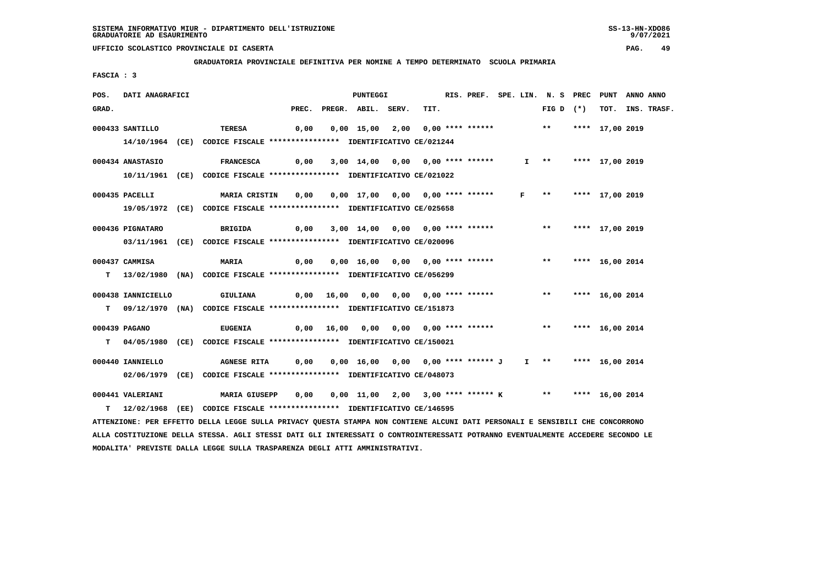**GRADUATORIA PROVINCIALE DEFINITIVA PER NOMINE A TEMPO DETERMINATO SCUOLA PRIMARIA**

 **FASCIA : 3**

| POS.  | DATI ANAGRAFICI    |                                                                                                                               |       | <b>PUNTEGGI</b>                                                            |  | RIS. PREF. SPE. LIN. N. S PREC PUNT ANNO ANNO |  |             |  |                  |
|-------|--------------------|-------------------------------------------------------------------------------------------------------------------------------|-------|----------------------------------------------------------------------------|--|-----------------------------------------------|--|-------------|--|------------------|
| GRAD. |                    |                                                                                                                               | PREC. | PREGR. ABIL. SERV.                                                         |  | TIT.                                          |  | FIG D $(*)$ |  | TOT. INS. TRASF. |
|       | 000433 SANTILLO    | <b>TERESA</b>                                                                                                                 | 0,00  | 0,00 15,00 2,00 0,00 **** ******             **     **** 17,00 2019        |  |                                               |  |             |  |                  |
|       |                    | 14/10/1964 (CE) CODICE FISCALE *************** IDENTIFICATIVO CE/021244                                                       |       |                                                                            |  |                                               |  |             |  |                  |
|       |                    |                                                                                                                               |       |                                                                            |  |                                               |  |             |  |                  |
|       | 000434 ANASTASIO   |                                                                                                                               |       |                                                                            |  |                                               |  |             |  |                  |
|       |                    | 10/11/1961 (CE) CODICE FISCALE *************** IDENTIFICATIVO CE/021022                                                       |       |                                                                            |  |                                               |  |             |  |                  |
|       | 000435 PACELLI     | <b>MARIA CRISTIN 0,00</b>                                                                                                     |       | 0,00 17,00 0,00 0,00 **** ****** F ** **** 17,00 2019                      |  |                                               |  |             |  |                  |
|       |                    | 19/05/1972 (CE) CODICE FISCALE *************** IDENTIFICATIVO CE/025658                                                       |       |                                                                            |  |                                               |  |             |  |                  |
|       | 000436 PIGNATARO   | BRIGIDA                                                                                                                       |       | 0,00 3,00 14,00 0,00 0,00 **** ******               **     **** 17,00 2019 |  |                                               |  |             |  |                  |
|       |                    |                                                                                                                               |       |                                                                            |  |                                               |  |             |  |                  |
|       |                    | 03/11/1961 (CE) CODICE FISCALE *************** IDENTIFICATIVO CE/020096                                                       |       |                                                                            |  |                                               |  |             |  |                  |
|       | 000437 CAMMISA     | <b>MARIA</b>                                                                                                                  |       | 0,00 0,00 16,00 0,00 0,00 **** ****** *** **** 16,00 2014                  |  |                                               |  |             |  |                  |
|       |                    | T 13/02/1980 (NA) CODICE FISCALE **************** IDENTIFICATIVO CE/056299                                                    |       |                                                                            |  |                                               |  |             |  |                  |
|       |                    |                                                                                                                               |       |                                                                            |  |                                               |  |             |  |                  |
|       | 000438 IANNICIELLO |                                                                                                                               |       |                                                                            |  |                                               |  |             |  |                  |
|       |                    | T 09/12/1970 (NA) CODICE FISCALE *************** IDENTIFICATIVO CE/151873                                                     |       |                                                                            |  |                                               |  |             |  |                  |
|       | 000439 PAGANO      | <b>EUGENIA</b>                                                                                                                |       | 0,00 16,00 0,00 0,00 0,00 **** ******               ** *   **** 16,00 2014 |  |                                               |  |             |  |                  |
|       |                    | T 04/05/1980 (CE) CODICE FISCALE **************** IDENTIFICATIVO CE/150021                                                    |       |                                                                            |  |                                               |  |             |  |                  |
|       |                    |                                                                                                                               |       |                                                                            |  |                                               |  |             |  |                  |
|       | 000440 IANNIELLO   | <b>AGNESE RITA</b>                                                                                                            |       | 0,00  0,00  16,00  0,00  0,00  ****  ****** J  I  **  ****  16,00  2014    |  |                                               |  |             |  |                  |
|       |                    | 02/06/1979 (CE) CODICE FISCALE *************** IDENTIFICATIVO CE/048073                                                       |       |                                                                            |  |                                               |  |             |  |                  |
|       | 000441 VALERIANI   | MARIA GIUSEPP 0,00 0,00 11,00 2,00 3,00 **** ****** K *** **** 16,00 2014                                                     |       |                                                                            |  |                                               |  |             |  |                  |
|       |                    | T 12/02/1968 (EE) CODICE FISCALE **************** IDENTIFICATIVO CE/146595                                                    |       |                                                                            |  |                                               |  |             |  |                  |
|       |                    | ATTENZIONE: PER EFFETTO DELLA LEGGE SULLA PRIVACY QUESTA STAMPA NON CONTIENE ALCUNI DATI PERSONALI E SENSIBILI CHE CONCORRONO |       |                                                                            |  |                                               |  |             |  |                  |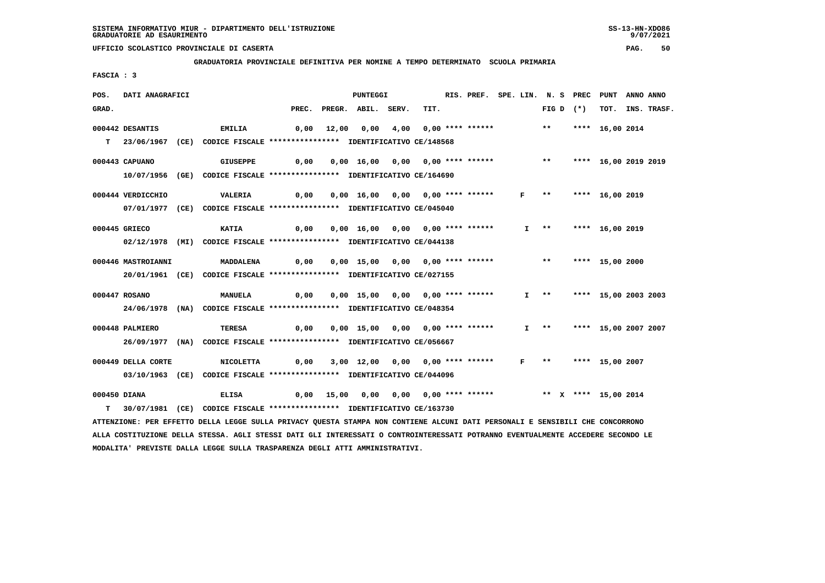**GRADUATORIA PROVINCIALE DEFINITIVA PER NOMINE A TEMPO DETERMINATO SCUOLA PRIMARIA**

 **FASCIA : 3**

| POS.  | DATI ANAGRAFICI    |                                                                                                                               |       | PUNTEGGI                                |      | RIS. PREF. SPE. LIN. N. S PREC |   |                       |             | PUNT                      | ANNO ANNO        |
|-------|--------------------|-------------------------------------------------------------------------------------------------------------------------------|-------|-----------------------------------------|------|--------------------------------|---|-----------------------|-------------|---------------------------|------------------|
| GRAD. |                    |                                                                                                                               | PREC. | PREGR. ABIL. SERV.                      | TIT. |                                |   |                       | FIG D $(*)$ |                           | TOT. INS. TRASF. |
|       | 000442 DESANTIS    | <b>EMILIA</b>                                                                                                                 |       | 0,00 12,00 0,00 4,00 0,00 **** ******   |      |                                |   | $***$                 |             | **** 16,00 2014           |                  |
|       |                    |                                                                                                                               |       |                                         |      |                                |   |                       |             |                           |                  |
|       |                    | T 23/06/1967 (CE) CODICE FISCALE **************** IDENTIFICATIVO CE/148568                                                    |       |                                         |      |                                |   |                       |             |                           |                  |
|       | 000443 CAPUANO     | GIUSEPPE                                                                                                                      | 0,00  | 0,00 16,00 0,00 0,00 **** ******        |      |                                |   | $\star \star$         |             | **** 16,00 2019 2019      |                  |
|       |                    | 10/07/1956 (GE) CODICE FISCALE *************** IDENTIFICATIVO CE/164690                                                       |       |                                         |      |                                |   |                       |             |                           |                  |
|       |                    |                                                                                                                               |       |                                         |      |                                |   |                       |             |                           |                  |
|       | 000444 VERDICCHIO  | VALERIA                                                                                                                       | 0,00  | 0,00 16,00 0,00 0,00 **** ******        |      |                                |   | $F \rightarrow \star$ |             | **** 16,00 2019           |                  |
|       |                    | 07/01/1977 (CE) CODICE FISCALE *************** IDENTIFICATIVO CE/045040                                                       |       |                                         |      |                                |   |                       |             |                           |                  |
|       | 000445 GRIECO      | KATIA                                                                                                                         | 0,00  | 0,00 16,00 0,00 0,00 **** ******        |      |                                |   |                       |             | I ** **** 16,00 2019      |                  |
|       |                    | 02/12/1978 (MI) CODICE FISCALE *************** IDENTIFICATIVO CE/044138                                                       |       |                                         |      |                                |   |                       |             |                           |                  |
|       |                    |                                                                                                                               |       |                                         |      |                                |   |                       |             |                           |                  |
|       | 000446 MASTROIANNI | <b>MADDALENA</b>                                                                                                              | 0,00  | 0,00 15,00 0,00 0,00 **** ******        |      |                                |   | $***$                 |             | **** 15,00 2000           |                  |
|       |                    | 20/01/1961 (CE) CODICE FISCALE *************** IDENTIFICATIVO CE/027155                                                       |       |                                         |      |                                |   |                       |             |                           |                  |
|       | 000447 ROSANO      | <b>MANUELA</b>                                                                                                                | 0,00  | 0,00 15,00 0,00 0,00 **** ******        |      |                                |   | $I \rightarrow \star$ |             | **** 15,00 2003 2003      |                  |
|       |                    | 24/06/1978 (NA) CODICE FISCALE *************** IDENTIFICATIVO CE/048354                                                       |       |                                         |      |                                |   |                       |             |                           |                  |
|       |                    |                                                                                                                               |       |                                         |      |                                |   |                       |             |                           |                  |
|       | 000448 PALMIERO    | TERESA                                                                                                                        | 0,00  | 0,00 15,00 0,00 0,00 **** ******        |      |                                |   |                       |             | I ** **** 15,00 2007 2007 |                  |
|       |                    | 26/09/1977 (NA) CODICE FISCALE *************** IDENTIFICATIVO CE/056667                                                       |       |                                         |      |                                |   |                       |             |                           |                  |
|       |                    |                                                                                                                               |       |                                         |      |                                |   | $***$                 |             |                           |                  |
|       | 000449 DELLA CORTE | NICOLETTA                                                                                                                     | 0,00  | 3,00 12,00 0,00 0,00 **** ******        |      |                                | F |                       |             | **** 15,00 2007           |                  |
|       |                    | 03/10/1963 (CE) CODICE FISCALE **************** IDENTIFICATIVO CE/044096                                                      |       |                                         |      |                                |   |                       |             |                           |                  |
|       | 000450 DIANA       | ELISA                                                                                                                         |       | $0,00$ 15,00 0,00 0,00 0,00 **** ****** |      |                                |   |                       |             | ** X **** 15,00 2014      |                  |
| т     |                    | 30/07/1981 (CE) CODICE FISCALE **************** IDENTIFICATIVO CE/163730                                                      |       |                                         |      |                                |   |                       |             |                           |                  |
|       |                    | ATTENZIONE: PER EFFETTO DELLA LEGGE SULLA PRIVACY QUESTA STAMPA NON CONTIENE ALCUNI DATI PERSONALI E SENSIBILI CHE CONCORRONO |       |                                         |      |                                |   |                       |             |                           |                  |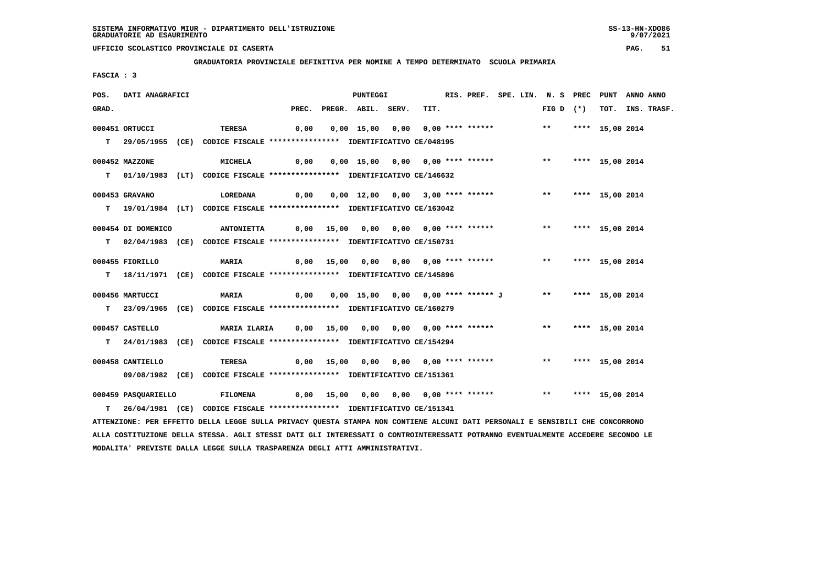**GRADUATORIA PROVINCIALE DEFINITIVA PER NOMINE A TEMPO DETERMINATO SCUOLA PRIMARIA**

 **FASCIA : 3**

| POS.  | DATI ANAGRAFICI     |                                                                            |      | <b>PUNTEGGI</b>                                       |      |  |  | RIS. PREF. SPE. LIN. N. S PREC PUNT |                 | ANNO ANNO |                  |
|-------|---------------------|----------------------------------------------------------------------------|------|-------------------------------------------------------|------|--|--|-------------------------------------|-----------------|-----------|------------------|
| GRAD. |                     |                                                                            |      | PREC. PREGR. ABIL. SERV.                              | TIT. |  |  | FIG D $(*)$                         |                 |           | TOT. INS. TRASF. |
|       | 000451 ORTUCCI      | TERESA                                                                     | 0,00 | 0,00 15,00 0,00 0,00 **** ****** ** **                |      |  |  |                                     | **** 15,00 2014 |           |                  |
|       |                     | T 29/05/1955 (CE) CODICE FISCALE **************** IDENTIFICATIVO CE/048195 |      |                                                       |      |  |  |                                     |                 |           |                  |
|       | 000452 MAZZONE      | MICHELA                                                                    |      |                                                       |      |  |  | ** **** 15,00 2014                  |                 |           |                  |
|       |                     | T 01/10/1983 (LT) CODICE FISCALE *************** IDENTIFICATIVO CE/146632  |      |                                                       |      |  |  |                                     |                 |           |                  |
|       | 000453 GRAVANO      | <b>LOREDANA</b>                                                            |      |                                                       |      |  |  | ** **** 15,00 2014                  |                 |           |                  |
|       |                     | T 19/01/1984 (LT) CODICE FISCALE **************** IDENTIFICATIVO CE/163042 |      |                                                       |      |  |  |                                     |                 |           |                  |
|       | 000454 DI DOMENICO  | <b>ANTONIETTA</b>                                                          |      | 0,00 15,00 0,00 0,00 0,00 **** ******           **    |      |  |  |                                     | **** 15,00 2014 |           |                  |
|       |                     | T 02/04/1983 (CE) CODICE FISCALE *************** IDENTIFICATIVO CE/150731  |      |                                                       |      |  |  |                                     |                 |           |                  |
|       | 000455 FIORILLO     | <b>MARIA</b>                                                               |      | 0,00 15,00 0,00 0,00 0,00 **** ******                 |      |  |  | $\star\star$                        | **** 15,00 2014 |           |                  |
|       |                     | T 18/11/1971 (CE) CODICE FISCALE **************** IDENTIFICATIVO CE/145896 |      |                                                       |      |  |  |                                     |                 |           |                  |
|       | 000456 MARTUCCI     | <b>MARIA</b>                                                               | 0,00 | 0,00 15,00 0,00 0,00 **** ****** J ** **** 15,00 2014 |      |  |  |                                     |                 |           |                  |
|       |                     | T 23/09/1965 (CE) CODICE FISCALE **************** IDENTIFICATIVO CE/160279 |      |                                                       |      |  |  |                                     |                 |           |                  |
|       | 000457 CASTELLO     | MARIA ILARIA      0,00   15,00   0,00   0,00   0,00  **** ******           |      |                                                       |      |  |  | ** **** 15,00 2014                  |                 |           |                  |
|       |                     | T 24/01/1983 (CE) CODICE FISCALE **************** IDENTIFICATIVO CE/154294 |      |                                                       |      |  |  |                                     |                 |           |                  |
|       | 000458 CANTIELLO    | TERESA                                                                     |      | 0,00 15,00 0,00 0,00 0,00 **** ****** ** **           |      |  |  |                                     | **** 15,00 2014 |           |                  |
|       |                     | 09/08/1982 (CE) CODICE FISCALE *************** IDENTIFICATIVO CE/151361    |      |                                                       |      |  |  |                                     |                 |           |                  |
|       | 000459 PASQUARIELLO | <b>FILOMENA</b>                                                            |      | 0,00 15,00 0,00 0,00 0,00 **** ******                 |      |  |  | $***$                               | **** 15,00 2014 |           |                  |
|       |                     | T 26/04/1981 (CE) CODICE FISCALE **************** IDENTIFICATIVO CE/151341 |      |                                                       |      |  |  |                                     |                 |           |                  |

 **ATTENZIONE: PER EFFETTO DELLA LEGGE SULLA PRIVACY QUESTA STAMPA NON CONTIENE ALCUNI DATI PERSONALI E SENSIBILI CHE CONCORRONO ALLA COSTITUZIONE DELLA STESSA. AGLI STESSI DATI GLI INTERESSATI O CONTROINTERESSATI POTRANNO EVENTUALMENTE ACCEDERE SECONDO LE MODALITA' PREVISTE DALLA LEGGE SULLA TRASPARENZA DEGLI ATTI AMMINISTRATIVI.**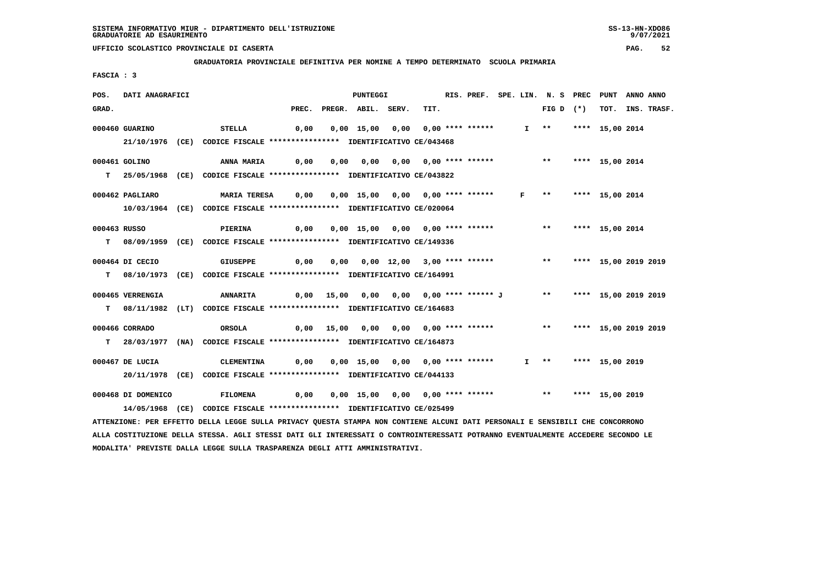**GRADUATORIA PROVINCIALE DEFINITIVA PER NOMINE A TEMPO DETERMINATO SCUOLA PRIMARIA**

 **FASCIA : 3**

| POS.         | DATI ANAGRAFICI    |                                                                                                                               |       |      | PUNTEGGI                                                  |                                                | RIS. PREF. SPE. LIN. N. S PREC PUNT |  |                      |                      | ANNO ANNO |                  |
|--------------|--------------------|-------------------------------------------------------------------------------------------------------------------------------|-------|------|-----------------------------------------------------------|------------------------------------------------|-------------------------------------|--|----------------------|----------------------|-----------|------------------|
| GRAD.        |                    |                                                                                                                               | PREC. |      | PREGR. ABIL. SERV.                                        | TIT.                                           |                                     |  | $FIG D (*)$          |                      |           | TOT. INS. TRASF. |
|              | 000460 GUARINO     | <b>STELLA</b>                                                                                                                 | 0,00  |      | 0,00 15,00 0,00 0,00 **** ****** 1 ** **** 15,00 2014     |                                                |                                     |  |                      |                      |           |                  |
|              |                    |                                                                                                                               |       |      |                                                           |                                                |                                     |  |                      |                      |           |                  |
|              |                    | 21/10/1976 (CE) CODICE FISCALE *************** IDENTIFICATIVO CE/043468                                                       |       |      |                                                           |                                                |                                     |  |                      |                      |           |                  |
|              | 000461 GOLINO      | <b>ANNA MARIA</b>                                                                                                             | 0,00  | 0,00 |                                                           | 0,00 0,00 0,00 **** ****** *** **** 15,00 2014 |                                     |  |                      |                      |           |                  |
|              |                    | T 25/05/1968 (CE) CODICE FISCALE *************** IDENTIFICATIVO CE/043822                                                     |       |      |                                                           |                                                |                                     |  |                      |                      |           |                  |
|              |                    |                                                                                                                               |       |      |                                                           |                                                |                                     |  |                      |                      |           |                  |
|              | 000462 PAGLIARO    | <b>MARIA TERESA</b>                                                                                                           | 0,00  |      | 0,00 15,00 0,00 0,00 **** ****** F ** **** 15,00 2014     |                                                |                                     |  |                      |                      |           |                  |
|              |                    | 10/03/1964 (CE) CODICE FISCALE *************** IDENTIFICATIVO CE/020064                                                       |       |      |                                                           |                                                |                                     |  |                      |                      |           |                  |
| 000463 RUSSO |                    | PIERINA                                                                                                                       |       |      | 0,00 15,00 0,00 0,00 **** ****** *** *** **** 15,00 2014  |                                                |                                     |  |                      |                      |           |                  |
|              |                    |                                                                                                                               | 0,00  |      |                                                           |                                                |                                     |  |                      |                      |           |                  |
|              |                    | T 08/09/1959 (CE) CODICE FISCALE *************** IDENTIFICATIVO CE/149336                                                     |       |      |                                                           |                                                |                                     |  |                      |                      |           |                  |
|              | 000464 DI CECIO    | <b>GIUSEPPE</b>                                                                                                               | 0,00  |      | 0,00 0,00 12,00 3,00 **** ****** *** **** 15,00 2019 2019 |                                                |                                     |  |                      |                      |           |                  |
|              |                    | T 08/10/1973 (CE) CODICE FISCALE *************** IDENTIFICATIVO CE/164991                                                     |       |      |                                                           |                                                |                                     |  |                      |                      |           |                  |
|              |                    |                                                                                                                               |       |      |                                                           |                                                |                                     |  |                      |                      |           |                  |
|              | 000465 VERRENGIA   | <b>ANNARITA</b>                                                                                                               |       |      | 0,00 15,00 0,00 0,00 0,00 **** ****** J **                |                                                |                                     |  |                      | **** 15,00 2019 2019 |           |                  |
|              |                    | T 08/11/1982 (LT) CODICE FISCALE *************** IDENTIFICATIVO CE/164683                                                     |       |      |                                                           |                                                |                                     |  |                      |                      |           |                  |
|              |                    |                                                                                                                               |       |      |                                                           |                                                |                                     |  |                      |                      |           |                  |
|              | 000466 CORRADO     | <b>ORSOLA</b>                                                                                                                 |       |      |                                                           |                                                |                                     |  |                      |                      |           |                  |
|              |                    | T 28/03/1977 (NA) CODICE FISCALE *************** IDENTIFICATIVO CE/164873                                                     |       |      |                                                           |                                                |                                     |  |                      |                      |           |                  |
|              | 000467 DE LUCIA    | CLEMENTINA                                                                                                                    | 0,00  |      | 0,00 15,00 0,00 0,00 **** ******                          |                                                |                                     |  | I ** **** 15,00 2019 |                      |           |                  |
|              |                    | 20/11/1978 (CE) CODICE FISCALE *************** IDENTIFICATIVO CE/044133                                                       |       |      |                                                           |                                                |                                     |  |                      |                      |           |                  |
|              |                    |                                                                                                                               |       |      |                                                           |                                                |                                     |  |                      |                      |           |                  |
|              | 000468 DI DOMENICO | <b>FILOMENA</b>                                                                                                               | 0,00  |      |                                                           |                                                |                                     |  |                      |                      |           |                  |
|              |                    | 14/05/1968 (CE) CODICE FISCALE *************** IDENTIFICATIVO CE/025499                                                       |       |      |                                                           |                                                |                                     |  |                      |                      |           |                  |
|              |                    | ATTENZIONE: PER EFFETTO DELLA LEGGE SULLA PRIVACY QUESTA STAMPA NON CONTIENE ALCUNI DATI PERSONALI E SENSIBILI CHE CONCORRONO |       |      |                                                           |                                                |                                     |  |                      |                      |           |                  |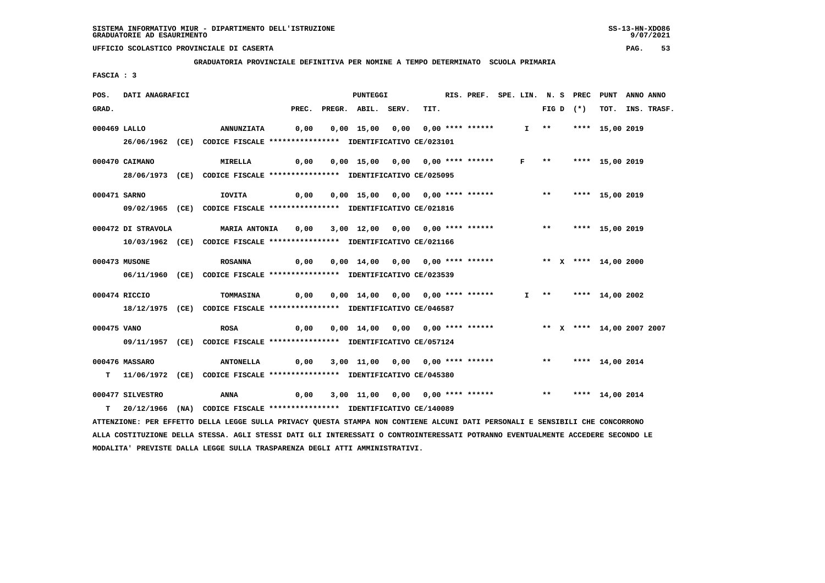**GRADUATORIA PROVINCIALE DEFINITIVA PER NOMINE A TEMPO DETERMINATO SCUOLA PRIMARIA**

 **FASCIA : 3**

| POS.         | DATI ANAGRAFICI    |                                                                                                                               |       | PUNTEGGI                                                            |      | RIS. PREF. SPE. LIN. N. S PREC PUNT |                             |                       |             |                        | ANNO ANNO |                  |
|--------------|--------------------|-------------------------------------------------------------------------------------------------------------------------------|-------|---------------------------------------------------------------------|------|-------------------------------------|-----------------------------|-----------------------|-------------|------------------------|-----------|------------------|
| GRAD.        |                    |                                                                                                                               | PREC. | PREGR. ABIL. SERV.                                                  | TIT. |                                     |                             |                       | FIG D $(*)$ |                        |           | TOT. INS. TRASF. |
| 000469 LALLO |                    | <b>ANNUNZIATA</b>                                                                                                             | 0,00  | 0,00 15,00 0,00 0,00 **** ******                                    |      |                                     |                             | $I \rightarrow \star$ |             | **** 15,00 2019        |           |                  |
|              |                    |                                                                                                                               |       |                                                                     |      |                                     |                             |                       |             |                        |           |                  |
|              |                    | 26/06/1962 (CE) CODICE FISCALE *************** IDENTIFICATIVO CE/023101                                                       |       |                                                                     |      |                                     |                             |                       |             |                        |           |                  |
|              | 000470 CAIMANO     | <b>MIRELLA</b>                                                                                                                | 0,00  | 0,00 15,00 0,00 0,00 **** ******                                    |      |                                     | $F \rightarrow \star \star$ |                       |             | **** 15,00 2019        |           |                  |
|              |                    | 28/06/1973 (CE) CODICE FISCALE *************** IDENTIFICATIVO CE/025095                                                       |       |                                                                     |      |                                     |                             |                       |             |                        |           |                  |
|              |                    |                                                                                                                               |       |                                                                     |      |                                     |                             |                       |             |                        |           |                  |
| 000471 SARNO |                    | IOVITA                                                                                                                        | 0,00  | 0,00 15,00 0,00 0,00 **** ******             **     **** 15,00 2019 |      |                                     |                             |                       |             |                        |           |                  |
|              |                    | 09/02/1965 (CE) CODICE FISCALE *************** IDENTIFICATIVO CE/021816                                                       |       |                                                                     |      |                                     |                             |                       |             |                        |           |                  |
|              | 000472 DI STRAVOLA | MARIA ANTONIA 0,00 3,00 12,00 0,00 0,00 **** ****** *** **** 15,00 2019                                                       |       |                                                                     |      |                                     |                             |                       |             |                        |           |                  |
|              |                    |                                                                                                                               |       |                                                                     |      |                                     |                             |                       |             |                        |           |                  |
|              |                    | 10/03/1962 (CE) CODICE FISCALE *************** IDENTIFICATIVO CE/021166                                                       |       |                                                                     |      |                                     |                             |                       |             |                        |           |                  |
|              | 000473 MUSONE      | <b>ROSANNA</b>                                                                                                                | 0,00  | 0,00 14,00 0,00 0,00 **** ******                                    |      |                                     |                             |                       |             | ** X **** 14,00 2000   |           |                  |
|              |                    | 06/11/1960 (CE) CODICE FISCALE *************** IDENTIFICATIVO CE/023539                                                       |       |                                                                     |      |                                     |                             |                       |             |                        |           |                  |
|              |                    |                                                                                                                               |       |                                                                     |      |                                     |                             |                       |             |                        |           |                  |
|              | 000474 RICCIO      | TOMMASINA                                                                                                                     | 0,00  | 0,00 14,00 0,00 0,00 **** ******                                    |      |                                     |                             |                       |             | $1$ ** **** 14,00 2002 |           |                  |
|              |                    | 18/12/1975 (CE) CODICE FISCALE *************** IDENTIFICATIVO CE/046587                                                       |       |                                                                     |      |                                     |                             |                       |             |                        |           |                  |
| 000475 VANO  |                    | <b>ROSA</b>                                                                                                                   | 0,00  | 0,00 14,00  0,00  0,00 **** ******      **  x **** 14,00 2007 2007  |      |                                     |                             |                       |             |                        |           |                  |
|              |                    |                                                                                                                               |       |                                                                     |      |                                     |                             |                       |             |                        |           |                  |
|              |                    | 09/11/1957 (CE) CODICE FISCALE *************** IDENTIFICATIVO CE/057124                                                       |       |                                                                     |      |                                     |                             |                       |             |                        |           |                  |
|              | 000476 MASSARO     | <b>ANTONELLA</b>                                                                                                              | 0,00  | 3,00 11,00 0,00 0,00 **** ******                                    |      |                                     |                             | $***$                 |             | **** 14,00 2014        |           |                  |
|              |                    | T 11/06/1972 (CE) CODICE FISCALE *************** IDENTIFICATIVO CE/045380                                                     |       |                                                                     |      |                                     |                             |                       |             |                        |           |                  |
|              |                    |                                                                                                                               |       |                                                                     |      |                                     |                             |                       |             |                        |           |                  |
|              | 000477 SILVESTRO   | ANNA                                                                                                                          | 0,00  | 3,00 11,00 0,00 0,00 **** ******                                    |      |                                     |                             |                       |             | ** **** 14,00 2014     |           |                  |
|              |                    | T 20/12/1966 (NA) CODICE FISCALE **************** IDENTIFICATIVO CE/140089                                                    |       |                                                                     |      |                                     |                             |                       |             |                        |           |                  |
|              |                    | ATTENZIONE: PER EFFETTO DELLA LEGGE SULLA PRIVACY QUESTA STAMPA NON CONTIENE ALCUNI DATI PERSONALI E SENSIBILI CHE CONCORRONO |       |                                                                     |      |                                     |                             |                       |             |                        |           |                  |
|              |                    |                                                                                                                               |       |                                                                     |      |                                     |                             |                       |             |                        |           |                  |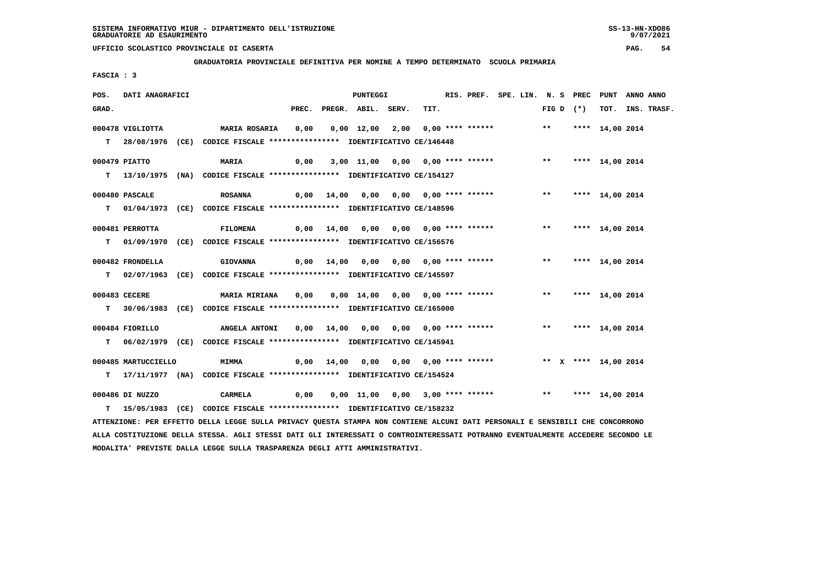**GRADUATORIA PROVINCIALE DEFINITIVA PER NOMINE A TEMPO DETERMINATO SCUOLA PRIMARIA**

 **FASCIA : 3**

| POS.  | DATI ANAGRAFICI     |                                                                                                                               |      | PUNTEGGI                                                                 |      | RIS. PREF. SPE. LIN. N. S PREC PUNT ANNO ANNO |  |  |            |                    |                  |
|-------|---------------------|-------------------------------------------------------------------------------------------------------------------------------|------|--------------------------------------------------------------------------|------|-----------------------------------------------|--|--|------------|--------------------|------------------|
| GRAD. |                     |                                                                                                                               |      | PREC. PREGR. ABIL. SERV.                                                 | TIT. |                                               |  |  | $FIGD (*)$ |                    | TOT. INS. TRASF. |
|       | 000478 VIGLIOTTA    | MARIA ROSARIA 0,00 0,00 12,00 2,00 0,00 **** ****** *** **** 14,00 2014                                                       |      |                                                                          |      |                                               |  |  |            |                    |                  |
|       |                     |                                                                                                                               |      |                                                                          |      |                                               |  |  |            |                    |                  |
|       |                     | T 28/08/1976 (CE) CODICE FISCALE *************** IDENTIFICATIVO CE/146448                                                     |      |                                                                          |      |                                               |  |  |            |                    |                  |
|       | 000479 PIATTO       | <b>MARIA</b>                                                                                                                  | 0,00 | 3,00 11,00 0,00 0,00 **** ****** *** *** **** 14,00 2014                 |      |                                               |  |  |            |                    |                  |
|       |                     | T 13/10/1975 (NA) CODICE FISCALE *************** IDENTIFICATIVO CE/154127                                                     |      |                                                                          |      |                                               |  |  |            |                    |                  |
|       |                     |                                                                                                                               |      | 0,00 14,00 0,00 0,00 0,00 **** ****** *** **** 14,00 2014                |      |                                               |  |  |            |                    |                  |
|       | 000480 PASCALE      | <b>ROSANNA</b>                                                                                                                |      |                                                                          |      |                                               |  |  |            |                    |                  |
|       |                     | T 01/04/1973 (CE) CODICE FISCALE *************** IDENTIFICATIVO CE/148596                                                     |      |                                                                          |      |                                               |  |  |            |                    |                  |
|       | 000481 PERROTTA     | FILOMENA                                                                                                                      |      | 0,00 14,00 0,00 0,00 0,00 **** ******                                    |      |                                               |  |  |            | ** **** 14,00 2014 |                  |
|       |                     | T 01/09/1970 (CE) CODICE FISCALE **************** IDENTIFICATIVO CE/156576                                                    |      |                                                                          |      |                                               |  |  |            |                    |                  |
|       |                     |                                                                                                                               |      |                                                                          |      |                                               |  |  |            |                    |                  |
|       | 000482 FRONDELLA    | <b>GIOVANNA</b>                                                                                                               |      | 0,00 14,00 0,00 0,00 0,00 **** ******             **     **** 14,00 2014 |      |                                               |  |  |            |                    |                  |
|       |                     | T 02/07/1963 (CE) CODICE FISCALE *************** IDENTIFICATIVO CE/145597                                                     |      |                                                                          |      |                                               |  |  |            |                    |                  |
|       |                     |                                                                                                                               |      |                                                                          |      |                                               |  |  |            |                    |                  |
|       | 000483 CECERE       | <b>MARIA MIRIANA</b>                                                                                                          | 0,00 | 0,00 14,00 0,00 0,00 **** ****** *** **** 14,00 2014                     |      |                                               |  |  |            |                    |                  |
|       |                     | T 30/06/1983 (CE) CODICE FISCALE *************** IDENTIFICATIVO CE/165000                                                     |      |                                                                          |      |                                               |  |  |            |                    |                  |
|       | 000484 FIORILLO     | ANGELA ANTONI 0,00 14,00 0,00 0,00 0,00 **** ******                                                                           |      |                                                                          |      |                                               |  |  |            | ** **** 14,00 2014 |                  |
|       |                     | T 06/02/1979 (CE) CODICE FISCALE *************** IDENTIFICATIVO CE/145941                                                     |      |                                                                          |      |                                               |  |  |            |                    |                  |
|       |                     |                                                                                                                               |      |                                                                          |      |                                               |  |  |            |                    |                  |
|       | 000485 MARTUCCIELLO | <b>MIMMA</b>                                                                                                                  |      | 0,00 14,00 0,00 0,00 0,00 **** ****** * *** * **** 14,00 2014            |      |                                               |  |  |            |                    |                  |
|       |                     | T 17/11/1977 (NA) CODICE FISCALE *************** IDENTIFICATIVO CE/154524                                                     |      |                                                                          |      |                                               |  |  |            |                    |                  |
|       | 000486 DI NUZZO     | CARMELA                                                                                                                       | 0,00 | 0,00 11,00 0,00 3,00 **** ****** *** *** **** 14,00 2014                 |      |                                               |  |  |            |                    |                  |
|       |                     | T 15/05/1983 (CE) CODICE FISCALE *************** IDENTIFICATIVO CE/158232                                                     |      |                                                                          |      |                                               |  |  |            |                    |                  |
|       |                     |                                                                                                                               |      |                                                                          |      |                                               |  |  |            |                    |                  |
|       |                     | ATTENZIONE: PER EFFETTO DELLA LEGGE SULLA PRIVACY QUESTA STAMPA NON CONTIENE ALCUNI DATI PERSONALI E SENSIBILI CHE CONCORRONO |      |                                                                          |      |                                               |  |  |            |                    |                  |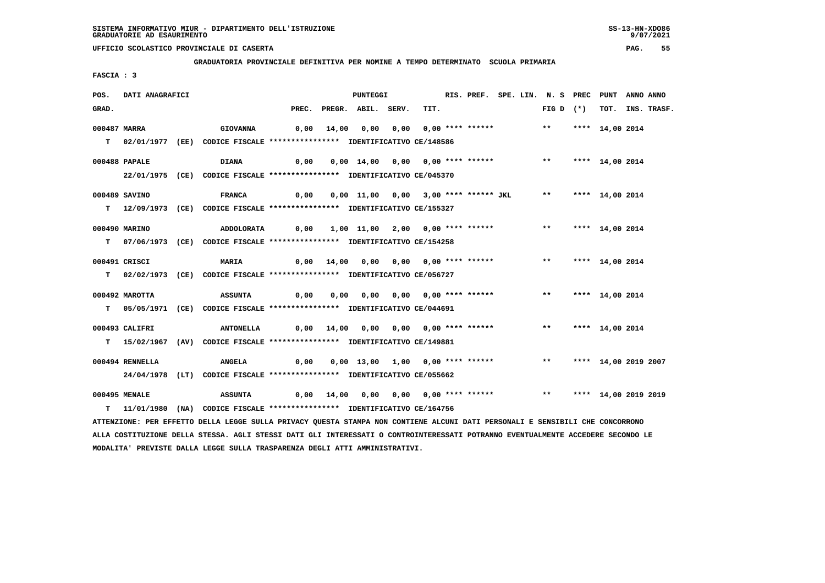**GRADUATORIA PROVINCIALE DEFINITIVA PER NOMINE A TEMPO DETERMINATO SCUOLA PRIMARIA**

 **FASCIA : 3**

| POS.         | DATI ANAGRAFICI |                                                                            |                                       | PUNTEGGI                                        |      |  |  | RIS. PREF. SPE. LIN. N. S PREC PUNT |                      | ANNO ANNO |                  |
|--------------|-----------------|----------------------------------------------------------------------------|---------------------------------------|-------------------------------------------------|------|--|--|-------------------------------------|----------------------|-----------|------------------|
| GRAD.        |                 |                                                                            |                                       | PREC. PREGR. ABIL. SERV.                        | TIT. |  |  | FIG D $(*)$                         |                      |           | TOT. INS. TRASF. |
| 000487 MARRA |                 | <b>GIOVANNA</b>                                                            | 0,00                                  | 14,00 0,00 0,00 0,00 **** ****** *** **         |      |  |  |                                     | **** 14,00 2014      |           |                  |
|              |                 | T 02/01/1977 (EE) CODICE FISCALE *************** IDENTIFICATIVO CE/148586  |                                       |                                                 |      |  |  |                                     |                      |           |                  |
|              |                 |                                                                            |                                       |                                                 |      |  |  |                                     |                      |           |                  |
|              | 000488 PAPALE   | <b>DIANA</b>                                                               | 0,00                                  | 0,00 14,00 0,00 0,00 **** ******                |      |  |  | ** **** 14,00 2014                  |                      |           |                  |
|              |                 | 22/01/1975 (CE) CODICE FISCALE *************** IDENTIFICATIVO CE/045370    |                                       |                                                 |      |  |  |                                     |                      |           |                  |
|              | 000489 SAVINO   | <b>FRANCA</b>                                                              | 0,00                                  | 0,00 11,00 0,00 3,00 **** ****** JKL         ** |      |  |  |                                     | **** 14,00 2014      |           |                  |
|              |                 |                                                                            |                                       |                                                 |      |  |  |                                     |                      |           |                  |
|              |                 | T 12/09/1973 (CE) CODICE FISCALE *************** IDENTIFICATIVO CE/155327  |                                       |                                                 |      |  |  |                                     |                      |           |                  |
|              | 000490 MARINO   | ADDOLORATA                                                                 | 0,00                                  | 1,00 11,00 2,00 0,00 **** ******                |      |  |  | ** **** 14,00 2014                  |                      |           |                  |
|              |                 | T 07/06/1973 (CE) CODICE FISCALE **************** IDENTIFICATIVO CE/154258 |                                       |                                                 |      |  |  |                                     |                      |           |                  |
|              |                 |                                                                            |                                       |                                                 |      |  |  |                                     |                      |           |                  |
|              | 000491 CRISCI   | <b>MARIA</b>                                                               |                                       | 0,00 14,00 0,00 0,00 0,00 **** ******           |      |  |  | $***$                               | **** 14,00 2014      |           |                  |
|              |                 | T 02/02/1973 (CE) CODICE FISCALE *************** IDENTIFICATIVO CE/056727  |                                       |                                                 |      |  |  |                                     |                      |           |                  |
|              |                 |                                                                            |                                       |                                                 |      |  |  |                                     |                      |           |                  |
|              | 000492 MAROTTA  | <b>ASSUNTA</b>                                                             | 0,00                                  |                                                 |      |  |  | ** **** 14,00 2014                  |                      |           |                  |
|              |                 | T 05/05/1971 (CE) CODICE FISCALE **************** IDENTIFICATIVO CE/044691 |                                       |                                                 |      |  |  |                                     |                      |           |                  |
|              | 000493 CALIFRI  | <b>ANTONELLA</b>                                                           | 0,00 14,00 0,00 0,00 0,00 **** ****** |                                                 |      |  |  | ** **** 14,00 2014                  |                      |           |                  |
|              |                 | T 15/02/1967 (AV) CODICE FISCALE **************** IDENTIFICATIVO CE/149881 |                                       |                                                 |      |  |  |                                     |                      |           |                  |
|              |                 |                                                                            |                                       |                                                 |      |  |  |                                     |                      |           |                  |
|              | 000494 RENNELLA | <b>ANGELA</b>                                                              | 0,00                                  | 0,00 13,00 1,00 0,00 **** ****** *** **         |      |  |  |                                     | **** 14,00 2019 2007 |           |                  |
|              |                 | 24/04/1978 (LT) CODICE FISCALE *************** IDENTIFICATIVO CE/055662    |                                       |                                                 |      |  |  |                                     |                      |           |                  |
|              |                 |                                                                            |                                       |                                                 |      |  |  |                                     |                      |           |                  |
|              | 000495 MENALE   | <b>ASSUNTA</b>                                                             |                                       |                                                 |      |  |  |                                     |                      |           |                  |
|              |                 | T 11/01/1980 (NA) CODICE FISCALE *************** IDENTIFICATIVO CE/164756  |                                       |                                                 |      |  |  |                                     |                      |           |                  |

 **ATTENZIONE: PER EFFETTO DELLA LEGGE SULLA PRIVACY QUESTA STAMPA NON CONTIENE ALCUNI DATI PERSONALI E SENSIBILI CHE CONCORRONO ALLA COSTITUZIONE DELLA STESSA. AGLI STESSI DATI GLI INTERESSATI O CONTROINTERESSATI POTRANNO EVENTUALMENTE ACCEDERE SECONDO LE MODALITA' PREVISTE DALLA LEGGE SULLA TRASPARENZA DEGLI ATTI AMMINISTRATIVI.**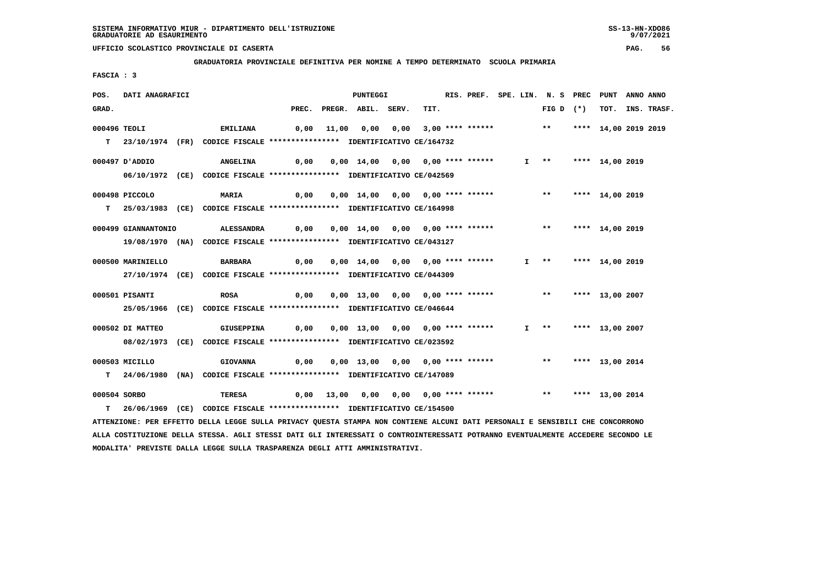**GRADUATORIA PROVINCIALE DEFINITIVA PER NOMINE A TEMPO DETERMINATO SCUOLA PRIMARIA**

 **FASCIA : 3**

| POS.         | DATI ANAGRAFICI     |                                                                                                                               |                                                                                  | PUNTEGGI                                                            |      | RIS. PREF. SPE. LIN. N. S PREC PUNT |  |                        |                 | ANNO ANNO        |
|--------------|---------------------|-------------------------------------------------------------------------------------------------------------------------------|----------------------------------------------------------------------------------|---------------------------------------------------------------------|------|-------------------------------------|--|------------------------|-----------------|------------------|
| GRAD.        |                     |                                                                                                                               |                                                                                  | PREC. PREGR. ABIL. SERV.                                            | TIT. |                                     |  | FIG D $(*)$            |                 | TOT. INS. TRASF. |
| 000496 TEOLI |                     | <b>EMILIANA</b>                                                                                                               |                                                                                  | 0,00 11,00 0,00 0,00 3,00 **** ****** **** *** **** 14,00 2019 2019 |      |                                     |  |                        |                 |                  |
|              |                     |                                                                                                                               |                                                                                  |                                                                     |      |                                     |  |                        |                 |                  |
|              |                     | T  23/10/1974 (FR) CODICE FISCALE *************** IDENTIFICATIVO CE/164732                                                    |                                                                                  |                                                                     |      |                                     |  |                        |                 |                  |
|              | 000497 D'ADDIO      | <b>ANGELINA</b>                                                                                                               | 0,00                                                                             | 0,00 14,00 0,00 0,00 **** ******                                    |      |                                     |  | $I$ ** **** 14,00 2019 |                 |                  |
|              |                     | 06/10/1972 (CE) CODICE FISCALE *************** IDENTIFICATIVO CE/042569                                                       |                                                                                  |                                                                     |      |                                     |  |                        |                 |                  |
|              |                     |                                                                                                                               |                                                                                  |                                                                     |      |                                     |  |                        |                 |                  |
|              | 000498 PICCOLO      | <b>MARIA</b>                                                                                                                  | 0,00                                                                             | 0,00 14,00 0,00 0,00 **** ****** *** **                             |      |                                     |  |                        | **** 14,00 2019 |                  |
|              |                     | T 25/03/1983 (CE) CODICE FISCALE *************** IDENTIFICATIVO CE/164998                                                     |                                                                                  |                                                                     |      |                                     |  |                        |                 |                  |
|              | 000499 GIANNANTONIO | ALESSANDRA                                                                                                                    | 0,00  0,00  14,00  0,00  0,00  ****  ******    **    ***    ***    14,00    2019 |                                                                     |      |                                     |  |                        |                 |                  |
|              |                     | 19/08/1970 (NA) CODICE FISCALE *************** IDENTIFICATIVO CE/043127                                                       |                                                                                  |                                                                     |      |                                     |  |                        |                 |                  |
|              |                     |                                                                                                                               |                                                                                  |                                                                     |      |                                     |  |                        |                 |                  |
|              | 000500 MARINIELLO   | <b>BARBARA</b>                                                                                                                |                                                                                  |                                                                     |      |                                     |  | I ** **** 14,00 2019   |                 |                  |
|              |                     | 27/10/1974 (CE) CODICE FISCALE *************** IDENTIFICATIVO CE/044309                                                       |                                                                                  |                                                                     |      |                                     |  |                        |                 |                  |
|              |                     |                                                                                                                               |                                                                                  |                                                                     |      |                                     |  |                        |                 |                  |
|              | 000501 PISANTI      | <b>ROSA</b>                                                                                                                   | $\sim$ 0,00                                                                      | 0,00 13,00 0,00 0,00 **** ******    **    *** 13,00 2007            |      |                                     |  |                        |                 |                  |
|              |                     | 25/05/1966 (CE) CODICE FISCALE *************** IDENTIFICATIVO CE/046644                                                       |                                                                                  |                                                                     |      |                                     |  |                        |                 |                  |
|              | 000502 DI MATTEO    | GIUSEPPINA                                                                                                                    |                                                                                  |                                                                     |      |                                     |  | $I \rightarrow \star$  | **** 13,00 2007 |                  |
|              |                     | 08/02/1973 (CE) CODICE FISCALE *************** IDENTIFICATIVO CE/023592                                                       |                                                                                  |                                                                     |      |                                     |  |                        |                 |                  |
|              |                     |                                                                                                                               |                                                                                  |                                                                     |      |                                     |  |                        |                 |                  |
|              | 000503 MICILLO      | <b>GIOVANNA</b>                                                                                                               | 0,00                                                                             | 0,00 13,00 0,00 0,00 **** ******                                    |      |                                     |  | ** **** 13,00 2014     |                 |                  |
|              |                     | T 24/06/1980 (NA) CODICE FISCALE **************** IDENTIFICATIVO CE/147089                                                    |                                                                                  |                                                                     |      |                                     |  |                        |                 |                  |
|              |                     |                                                                                                                               |                                                                                  |                                                                     |      |                                     |  |                        |                 |                  |
| 000504 SORBO |                     | TERESA                                                                                                                        | 0,00 13,00 0,00 0,00 0,00 **** ******               **       **** 13,00 2014     |                                                                     |      |                                     |  |                        |                 |                  |
|              |                     | T 26/06/1969 (CE) CODICE FISCALE *************** IDENTIFICATIVO CE/154500                                                     |                                                                                  |                                                                     |      |                                     |  |                        |                 |                  |
|              |                     | ATTENZIONE: PER EFFETTO DELLA LEGGE SULLA PRIVACY QUESTA STAMPA NON CONTIENE ALCUNI DATI PERSONALI E SENSIBILI CHE CONCORRONO |                                                                                  |                                                                     |      |                                     |  |                        |                 |                  |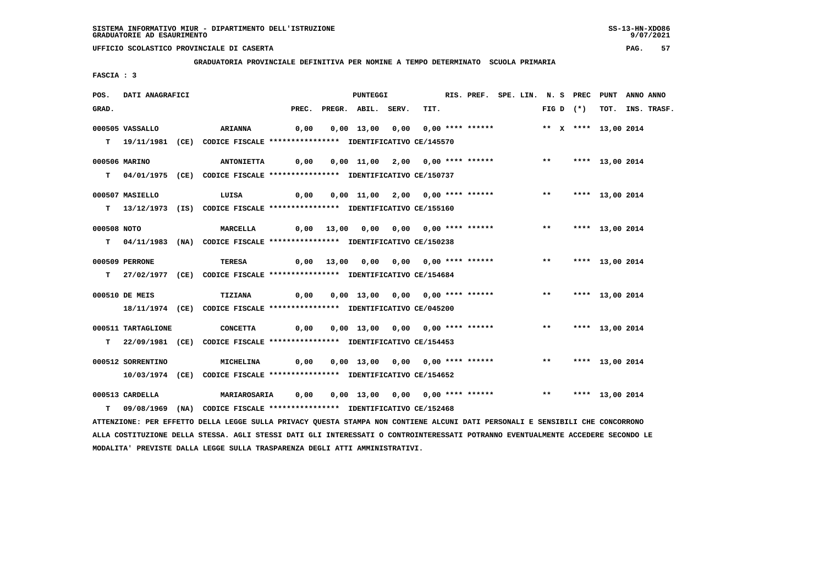**GRADUATORIA PROVINCIALE DEFINITIVA PER NOMINE A TEMPO DETERMINATO SCUOLA PRIMARIA**

 **FASCIA : 3**

| POS.        | DATI ANAGRAFICI    |                                                                                                                               |                                                                                     | <b>PUNTEGGI</b>                                                            |      | RIS. PREF. SPE. LIN. N. S PREC PUNT ANNO ANNO |  |  |             |                    |                  |
|-------------|--------------------|-------------------------------------------------------------------------------------------------------------------------------|-------------------------------------------------------------------------------------|----------------------------------------------------------------------------|------|-----------------------------------------------|--|--|-------------|--------------------|------------------|
| GRAD.       |                    |                                                                                                                               |                                                                                     | PREC. PREGR. ABIL. SERV.                                                   | TIT. |                                               |  |  | FIG D $(*)$ |                    | TOT. INS. TRASF. |
|             | 000505 VASSALLO    | <b>ARIANNA</b>                                                                                                                |                                                                                     |                                                                            |      |                                               |  |  |             |                    |                  |
|             |                    | T 19/11/1981 (CE) CODICE FISCALE **************** IDENTIFICATIVO CE/145570                                                    |                                                                                     |                                                                            |      |                                               |  |  |             |                    |                  |
|             |                    |                                                                                                                               |                                                                                     |                                                                            |      |                                               |  |  |             |                    |                  |
|             | 000506 MARINO      | <b>ANTONIETTA</b>                                                                                                             | 0,00  0,00  11,00  2,00  0,00  ****  ******    **         ***    ***    13,00  2014 |                                                                            |      |                                               |  |  |             |                    |                  |
|             |                    | T 04/01/1975 (CE) CODICE FISCALE *************** IDENTIFICATIVO CE/150737                                                     |                                                                                     |                                                                            |      |                                               |  |  |             |                    |                  |
|             | 000507 MASIELLO    | LUISA                                                                                                                         | 0,00                                                                                | 0,00 11,00 2,00 0,00 **** ******             **     **** 13,00 2014        |      |                                               |  |  |             |                    |                  |
|             |                    | T 13/12/1973 (IS) CODICE FISCALE **************** IDENTIFICATIVO CE/155160                                                    |                                                                                     |                                                                            |      |                                               |  |  |             |                    |                  |
|             |                    |                                                                                                                               |                                                                                     |                                                                            |      |                                               |  |  |             |                    |                  |
| 000508 NOTO |                    | MARCELLA                                                                                                                      | 0,00 13,00 0,00 0,00 0,00 **** ******               **       **** 13,00 2014        |                                                                            |      |                                               |  |  |             |                    |                  |
|             |                    | T 04/11/1983 (NA) CODICE FISCALE **************** IDENTIFICATIVO CE/150238                                                    |                                                                                     |                                                                            |      |                                               |  |  |             |                    |                  |
|             | 000509 PERRONE     | TERESA                                                                                                                        |                                                                                     | 0,00 13,00 0,00 0,00 0,00 **** ******               **     **** 13,00 2014 |      |                                               |  |  |             |                    |                  |
|             |                    | T 27/02/1977 (CE) CODICE FISCALE *************** IDENTIFICATIVO CE/154684                                                     |                                                                                     |                                                                            |      |                                               |  |  |             |                    |                  |
|             |                    |                                                                                                                               |                                                                                     |                                                                            |      |                                               |  |  |             |                    |                  |
|             | 000510 DE MEIS     | <b>TIZIANA</b>                                                                                                                |                                                                                     |                                                                            |      |                                               |  |  |             |                    |                  |
|             |                    | 18/11/1974 (CE) CODICE FISCALE *************** IDENTIFICATIVO CE/045200                                                       |                                                                                     |                                                                            |      |                                               |  |  |             |                    |                  |
|             | 000511 TARTAGLIONE | <b>CONCETTA</b>                                                                                                               | 0,00  0,00  13,00  0,00  0,00  ****  ******            **      ****    13,00  2014  |                                                                            |      |                                               |  |  |             |                    |                  |
|             |                    | T 22/09/1981 (CE) CODICE FISCALE **************** IDENTIFICATIVO CE/154453                                                    |                                                                                     |                                                                            |      |                                               |  |  |             |                    |                  |
|             |                    |                                                                                                                               |                                                                                     |                                                                            |      |                                               |  |  |             |                    |                  |
|             | 000512 SORRENTINO  | <b>MICHELINA</b>                                                                                                              |                                                                                     |                                                                            |      |                                               |  |  |             | ** **** 13,00 2014 |                  |
|             |                    | 10/03/1974 (CE) CODICE FISCALE *************** IDENTIFICATIVO CE/154652                                                       |                                                                                     |                                                                            |      |                                               |  |  |             |                    |                  |
|             | 000513 CARDELLA    |                                                                                                                               |                                                                                     |                                                                            |      |                                               |  |  |             |                    |                  |
|             |                    | T 09/08/1969 (NA) CODICE FISCALE *************** IDENTIFICATIVO CE/152468                                                     |                                                                                     |                                                                            |      |                                               |  |  |             |                    |                  |
|             |                    | ATTENZIONE: PER EFFETTO DELLA LEGGE SULLA PRIVACY QUESTA STAMPA NON CONTIENE ALCUNI DATI PERSONALI E SENSIBILI CHE CONCORRONO |                                                                                     |                                                                            |      |                                               |  |  |             |                    |                  |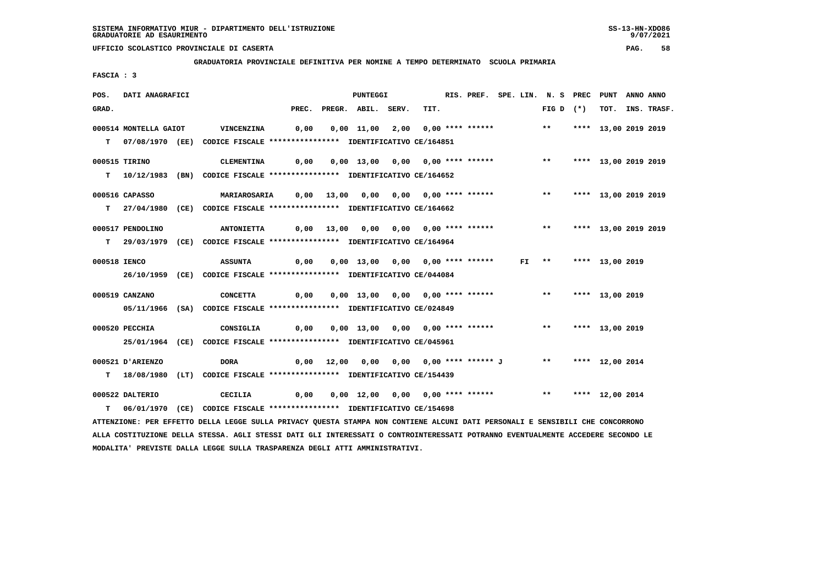**GRADUATORIA PROVINCIALE DEFINITIVA PER NOMINE A TEMPO DETERMINATO SCUOLA PRIMARIA**

 **FASCIA : 3**

| POS.         | DATI ANAGRAFICI       |                                                                                                                               |      | PUNTEGGI                                                                    |      | RIS. PREF. SPE. LIN. N. S PREC PUNT ANNO ANNO |  |            |                      |                  |
|--------------|-----------------------|-------------------------------------------------------------------------------------------------------------------------------|------|-----------------------------------------------------------------------------|------|-----------------------------------------------|--|------------|----------------------|------------------|
| GRAD.        |                       |                                                                                                                               |      | PREC. PREGR. ABIL. SERV.                                                    | TIT. |                                               |  | $FIGD (*)$ |                      | TOT. INS. TRASF. |
|              | 000514 MONTELLA GAIOT | VINCENZINA                                                                                                                    | 0,00 | 0,00 11,00 2,00 0,00 **** ****** *** **                                     |      |                                               |  |            | **** 13,00 2019 2019 |                  |
|              |                       |                                                                                                                               |      |                                                                             |      |                                               |  |            |                      |                  |
|              |                       | T 07/08/1970 (EE) CODICE FISCALE *************** IDENTIFICATIVO CE/164851                                                     |      |                                                                             |      |                                               |  |            |                      |                  |
|              | 000515 TIRINO         | CLEMENTINA                                                                                                                    | 0,00 | 0,00 13,00 0,00 0,00 **** ******             **       **** 13,00 2019 2019  |      |                                               |  |            |                      |                  |
|              |                       | T 10/12/1983 (BN) CODICE FISCALE *************** IDENTIFICATIVO CE/164652                                                     |      |                                                                             |      |                                               |  |            |                      |                  |
|              |                       |                                                                                                                               |      |                                                                             |      |                                               |  |            |                      |                  |
|              | 000516 CAPASSO        | <b>MARIAROSARIA</b>                                                                                                           |      |                                                                             |      |                                               |  |            |                      |                  |
|              |                       | T 27/04/1980 (CE) CODICE FISCALE *************** IDENTIFICATIVO CE/164662                                                     |      |                                                                             |      |                                               |  |            |                      |                  |
|              | 000517 PENDOLINO      | <b>ANTONIETTA</b>                                                                                                             |      | 0,00 13,00 0,00 0,00 0,00 **** ******           **     **** 13,00 2019 2019 |      |                                               |  |            |                      |                  |
|              |                       | T 29/03/1979 (CE) CODICE FISCALE *************** IDENTIFICATIVO CE/164964                                                     |      |                                                                             |      |                                               |  |            |                      |                  |
|              |                       |                                                                                                                               |      |                                                                             |      |                                               |  |            |                      |                  |
| 000518 IENCO |                       | <b>ASSUNTA</b>                                                                                                                |      | 0,00  0,00  13,00  0,00  0,00  ****  ******  FI  **  ****  13,00  2019      |      |                                               |  |            |                      |                  |
|              |                       | 26/10/1959 (CE) CODICE FISCALE *************** IDENTIFICATIVO CE/044084                                                       |      |                                                                             |      |                                               |  |            |                      |                  |
|              |                       |                                                                                                                               |      |                                                                             |      |                                               |  |            |                      |                  |
|              | 000519 CANZANO        | <b>CONCETTA</b>                                                                                                               | 0,00 | 0,00 13,00 0,00 0,00 **** ****** ** **                                      |      |                                               |  |            | **** 13,00 2019      |                  |
|              |                       | 05/11/1966 (SA) CODICE FISCALE *************** IDENTIFICATIVO CE/024849                                                       |      |                                                                             |      |                                               |  |            |                      |                  |
|              | 000520 PECCHIA        | CONSIGLIA                                                                                                                     | 0,00 | 0,00 13,00 0,00 0,00 **** ****** *** *** **** 13,00 2019                    |      |                                               |  |            |                      |                  |
|              |                       | 25/01/1964 (CE) CODICE FISCALE *************** IDENTIFICATIVO CE/045961                                                       |      |                                                                             |      |                                               |  |            |                      |                  |
|              |                       |                                                                                                                               |      |                                                                             |      |                                               |  |            |                      |                  |
|              | 000521 D'ARIENZO      | DORA                                                                                                                          |      | 0,00 12,00 0,00 0,00 0,00 **** ****** J ** **** 12,00 2014                  |      |                                               |  |            |                      |                  |
|              |                       | T 18/08/1980 (LT) CODICE FISCALE *************** IDENTIFICATIVO CE/154439                                                     |      |                                                                             |      |                                               |  |            |                      |                  |
|              |                       |                                                                                                                               |      |                                                                             |      |                                               |  |            |                      |                  |
|              | 000522 DALTERIO       | CECILIA                                                                                                                       |      | 0,00 0,00 12,00 0,00 0,00 **** ****** *** *** **** 12,00 2014               |      |                                               |  |            |                      |                  |
|              |                       | T 06/01/1970 (CE) CODICE FISCALE *************** IDENTIFICATIVO CE/154698                                                     |      |                                                                             |      |                                               |  |            |                      |                  |
|              |                       | ATTENZIONE: PER EFFETTO DELLA LEGGE SULLA PRIVACY QUESTA STAMPA NON CONTIENE ALCUNI DATI PERSONALI E SENSIBILI CHE CONCORRONO |      |                                                                             |      |                                               |  |            |                      |                  |

 **ALLA COSTITUZIONE DELLA STESSA. AGLI STESSI DATI GLI INTERESSATI O CONTROINTERESSATI POTRANNO EVENTUALMENTE ACCEDERE SECONDO LE**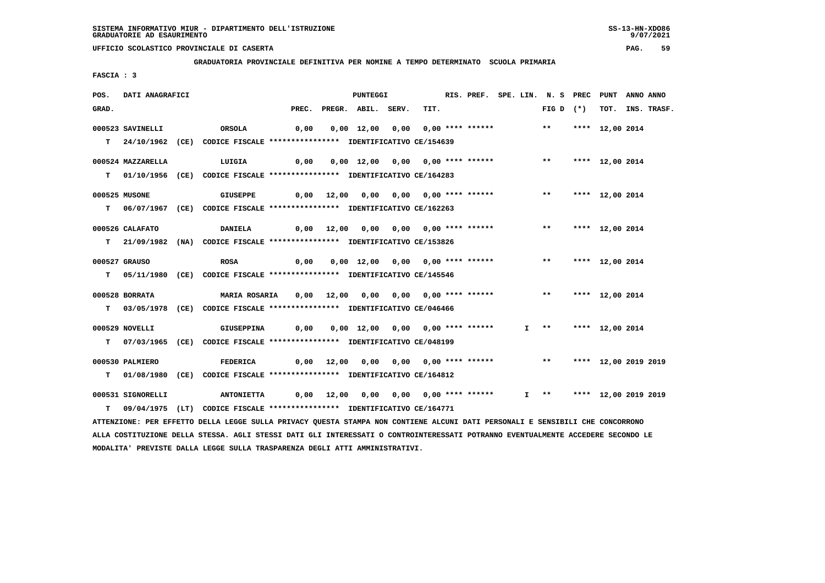**GRADUATORIA PROVINCIALE DEFINITIVA PER NOMINE A TEMPO DETERMINATO SCUOLA PRIMARIA**

 **FASCIA : 3**

| POS.  | DATI ANAGRAFICI   |                                                                                                                                 |      | <b>PUNTEGGI</b>                         |                           |  |  | RIS. PREF. SPE. LIN. N. S PREC PUNT |                 | ANNO ANNO |                  |
|-------|-------------------|---------------------------------------------------------------------------------------------------------------------------------|------|-----------------------------------------|---------------------------|--|--|-------------------------------------|-----------------|-----------|------------------|
| GRAD. |                   |                                                                                                                                 |      | PREC. PREGR. ABIL. SERV.                | TIT.                      |  |  | FIG D $(*)$                         |                 |           | TOT. INS. TRASF. |
|       | 000523 SAVINELLI  | ORSOLA                                                                                                                          | 0,00 | $0,00$ 12,00 0,00 0,00 **** ******      |                           |  |  | $***$                               | **** 12,00 2014 |           |                  |
|       |                   | T 24/10/1962 (CE) CODICE FISCALE *************** IDENTIFICATIVO CE/154639                                                       |      |                                         |                           |  |  |                                     |                 |           |                  |
|       |                   |                                                                                                                                 |      |                                         |                           |  |  |                                     |                 |           |                  |
|       | 000524 MAZZARELLA | LUIGIA                                                                                                                          | 0,00 | 0,00 12,00 0,00 0,00 **** ******        |                           |  |  | $***$                               | **** 12,00 2014 |           |                  |
|       |                   | T 01/10/1956 (CE) CODICE FISCALE **************** IDENTIFICATIVO CE/164283                                                      |      |                                         |                           |  |  |                                     |                 |           |                  |
|       |                   |                                                                                                                                 |      |                                         |                           |  |  |                                     |                 |           |                  |
|       | 000525 MUSONE     | <b>GIUSEPPE</b>                                                                                                                 |      | 0,00 12,00 0,00 0,00 0,00 **** ******   |                           |  |  | ** **** 12,00 2014                  |                 |           |                  |
|       |                   | T 06/07/1967 (CE) CODICE FISCALE **************** IDENTIFICATIVO CE/162263                                                      |      |                                         |                           |  |  |                                     |                 |           |                  |
|       |                   |                                                                                                                                 |      |                                         |                           |  |  | $***$                               |                 |           |                  |
|       | 000526 CALAFATO   | <b>DANIELA</b>                                                                                                                  | 0,00 | 12,00 0,00                              | $0,00$ $0,00$ **** ****** |  |  |                                     | **** 12,00 2014 |           |                  |
|       |                   | T 21/09/1982 (NA) CODICE FISCALE **************** IDENTIFICATIVO CE/153826                                                      |      |                                         |                           |  |  |                                     |                 |           |                  |
|       | 000527 GRAUSO     | <b>ROSA</b>                                                                                                                     | 0,00 | 0,00 12,00 0,00 0,00 **** ******        |                           |  |  | $***$                               | **** 12,00 2014 |           |                  |
|       |                   | T 05/11/1980 (CE) CODICE FISCALE *************** IDENTIFICATIVO CE/145546                                                       |      |                                         |                           |  |  |                                     |                 |           |                  |
|       |                   |                                                                                                                                 |      |                                         |                           |  |  |                                     |                 |           |                  |
|       | 000528 BORRATA    | MARIA ROSARIA     0,00    12,00    0,00    0,00    0,00   ****  ******                                                          |      |                                         |                           |  |  | ** **** 12,00 2014                  |                 |           |                  |
|       |                   | T 03/05/1978 (CE) CODICE FISCALE **************** IDENTIFICATIVO CE/046466                                                      |      |                                         |                           |  |  |                                     |                 |           |                  |
|       |                   |                                                                                                                                 |      |                                         |                           |  |  |                                     |                 |           |                  |
|       | 000529 NOVELLI    | GIUSEPPINA                                                                                                                      | 0,00 | 0,00 12,00 0,00 0,00 **** ******        |                           |  |  | $I \rightarrow \star$               | **** 12,00 2014 |           |                  |
|       |                   | T 07/03/1965 (CE) CODICE FISCALE **************** IDENTIFICATIVO CE/048199                                                      |      |                                         |                           |  |  |                                     |                 |           |                  |
|       | 000530 PALMIERO   | <b>FEDERICA</b>                                                                                                                 |      | 0,00 12,00 0,00 0,00 0,00 **** ******   |                           |  |  | ** **** 12,00 2019 2019             |                 |           |                  |
|       |                   |                                                                                                                                 |      |                                         |                           |  |  |                                     |                 |           |                  |
| т     |                   | 01/08/1980 (CE) CODICE FISCALE *************** IDENTIFICATIVO CE/164812                                                         |      |                                         |                           |  |  |                                     |                 |           |                  |
|       | 000531 SIGNORELLI | <b>ANTONIETTA</b>                                                                                                               |      | $0,00$ 12,00 0,00 0,00 0,00 **** ****** |                           |  |  | I ** **** 12,00 2019 2019           |                 |           |                  |
| т     |                   | 09/04/1975 (LT) CODICE FISCALE **************** IDENTIFICATIVO CE/164771                                                        |      |                                         |                           |  |  |                                     |                 |           |                  |
|       |                   | ATTENZIONE: PER EFFETTO DELLA LEGGE SULLA PRIVACY QUESTA STAMPA NON CONTIENE ALCUNI DATI PERSONALI E SENSIBILI CHE CONCORRONO   |      |                                         |                           |  |  |                                     |                 |           |                  |
|       |                   | ALLA COSTITUZIONE DELLA STESSA. AGLI STESSI DATI GLI INTERESSATI O CONTROINTERESSATI POTRANNO EVENTUALMENTE ACCEDERE SECONDO LE |      |                                         |                           |  |  |                                     |                 |           |                  |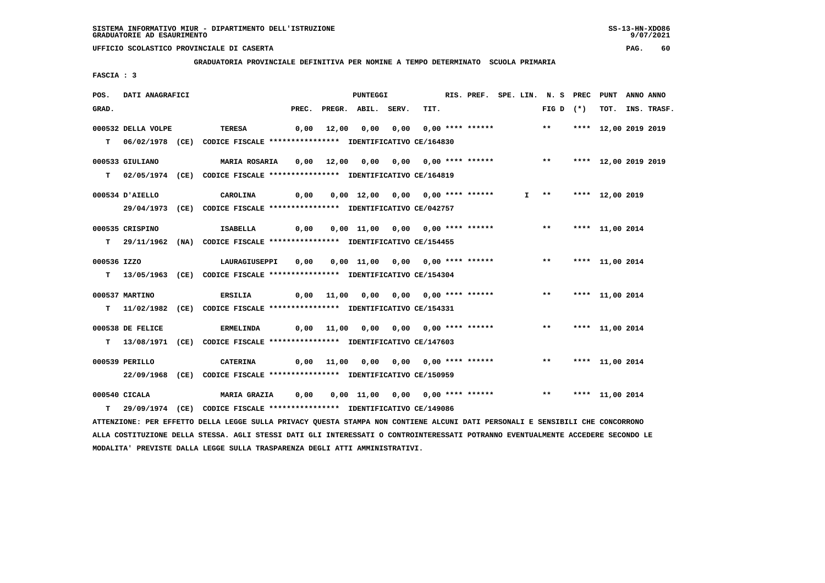**GRADUATORIA PROVINCIALE DEFINITIVA PER NOMINE A TEMPO DETERMINATO SCUOLA PRIMARIA**

 **FASCIA : 3**

| POS.        | DATI ANAGRAFICI    |                                                                              |      | PUNTEGGI                                           |  |      |  | RIS. PREF. SPE. LIN. N. S PREC PUNT |                      | ANNO ANNO |                  |
|-------------|--------------------|------------------------------------------------------------------------------|------|----------------------------------------------------|--|------|--|-------------------------------------|----------------------|-----------|------------------|
| GRAD.       |                    |                                                                              |      | PREC. PREGR. ABIL. SERV.                           |  | TIT. |  | FIG D $(*)$                         |                      |           | TOT. INS. TRASF. |
|             | 000532 DELLA VOLPE | TERESA                                                                       | 0,00 | 12,00 0,00 0,00 0,00 **** ****** ** **             |  |      |  |                                     | **** 12,00 2019 2019 |           |                  |
|             |                    | T 06/02/1978 (CE) CODICE FISCALE *************** IDENTIFICATIVO CE/164830    |      |                                                    |  |      |  |                                     |                      |           |                  |
|             | 000533 GIULIANO    |                                                                              |      |                                                    |  |      |  |                                     |                      |           |                  |
|             |                    | T 02/05/1974 (CE) CODICE FISCALE **************** IDENTIFICATIVO CE/164819   |      |                                                    |  |      |  |                                     |                      |           |                  |
|             | 000534 D'AIELLO    | CAROLINA          0,00     0,00    12,00     0,00     0,00    ****    ****** |      |                                                    |  |      |  | $I$ ** **** 12,00 2019              |                      |           |                  |
|             |                    | 29/04/1973 (CE) CODICE FISCALE *************** IDENTIFICATIVO CE/042757      |      |                                                    |  |      |  |                                     |                      |           |                  |
|             | 000535 CRISPINO    | ISABELLA                                                                     | 0,00 | 0,00 11,00 0,00 0,00 **** ****** *** **            |  |      |  |                                     | **** 11,00 2014      |           |                  |
|             |                    | T 29/11/1962 (NA) CODICE FISCALE *************** IDENTIFICATIVO CE/154455    |      |                                                    |  |      |  |                                     |                      |           |                  |
| 000536 IZZO |                    |                                                                              |      |                                                    |  |      |  |                                     | **** 11,00 2014      |           |                  |
|             |                    | T 13/05/1963 (CE) CODICE FISCALE **************** IDENTIFICATIVO CE/154304   |      |                                                    |  |      |  |                                     |                      |           |                  |
|             | 000537 MARTINO     | ERSILIA                                                                      |      | 0,00 11,00 0,00 0,00 0,00 **** ****** *** **       |  |      |  |                                     | **** 11,00 2014      |           |                  |
|             |                    | T 11/02/1982 (CE) CODICE FISCALE **************** IDENTIFICATIVO CE/154331   |      |                                                    |  |      |  |                                     |                      |           |                  |
|             | 000538 DE FELICE   | <b>ERMELINDA</b>                                                             |      | 0,00 11,00 0,00 0,00 0,00 **** ******           ** |  |      |  |                                     | **** 11,00 2014      |           |                  |
|             |                    | T 13/08/1971 (CE) CODICE FISCALE *************** IDENTIFICATIVO CE/147603    |      |                                                    |  |      |  |                                     |                      |           |                  |
|             | 000539 PERILLO     | CATERINA                                                                     |      | $0,00$ 11,00 0,00 0,00 0,00 **** ******            |  |      |  | $***$                               | **** 11,00 2014      |           |                  |
|             |                    | 22/09/1968 (CE) CODICE FISCALE *************** IDENTIFICATIVO CE/150959      |      |                                                    |  |      |  |                                     |                      |           |                  |
|             | 000540 CICALA      | <b>MARIA GRAZIA</b>                                                          | 0,00 | 0,00 11,00 0,00 0,00 **** ****** *** **            |  |      |  |                                     | **** 11,00 2014      |           |                  |
|             |                    | T 29/09/1974 (CE) CODICE FISCALE *************** IDENTIFICATIVO CE/149086    |      |                                                    |  |      |  |                                     |                      |           |                  |

 **ATTENZIONE: PER EFFETTO DELLA LEGGE SULLA PRIVACY QUESTA STAMPA NON CONTIENE ALCUNI DATI PERSONALI E SENSIBILI CHE CONCORRONO ALLA COSTITUZIONE DELLA STESSA. AGLI STESSI DATI GLI INTERESSATI O CONTROINTERESSATI POTRANNO EVENTUALMENTE ACCEDERE SECONDO LE MODALITA' PREVISTE DALLA LEGGE SULLA TRASPARENZA DEGLI ATTI AMMINISTRATIVI.**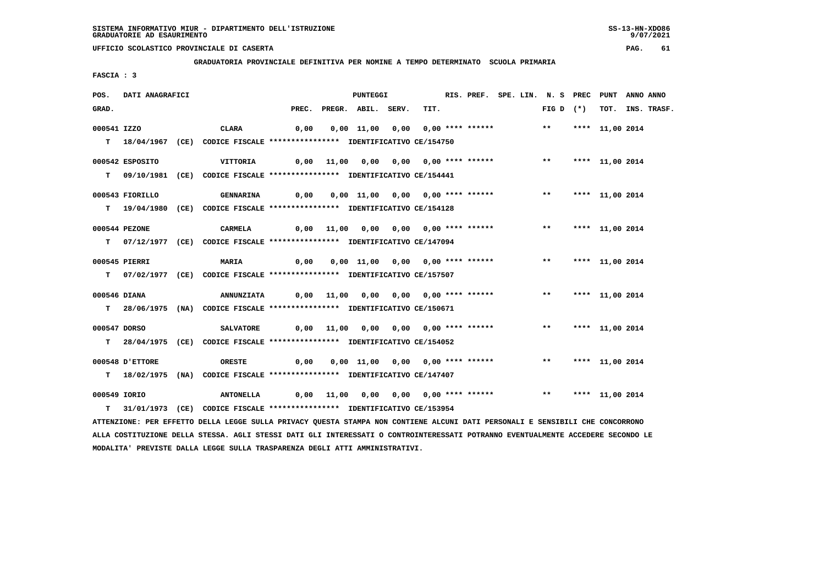**GRADUATORIA PROVINCIALE DEFINITIVA PER NOMINE A TEMPO DETERMINATO SCUOLA PRIMARIA**

 **FASCIA : 3**

| POS.         | DATI ANAGRAFICI | <b>PUNTEGGI</b>                                                                                                               |                                                                             |  |                                                                         |  |      |  |  | RIS. PREF. SPE. LIN. N. S PREC PUNT ANNO ANNO |                 |                  |
|--------------|-----------------|-------------------------------------------------------------------------------------------------------------------------------|-----------------------------------------------------------------------------|--|-------------------------------------------------------------------------|--|------|--|--|-----------------------------------------------|-----------------|------------------|
| GRAD.        |                 |                                                                                                                               |                                                                             |  | PREC. PREGR. ABIL. SERV.                                                |  | TIT. |  |  | FIG D $(*)$                                   |                 | TOT. INS. TRASF. |
| 000541 IZZO  |                 | CLARA                                                                                                                         | 0,00                                                                        |  | 0,00 11,00 0,00 0,00 **** ******               **       **** 11,00 2014 |  |      |  |  |                                               |                 |                  |
|              |                 | T 18/04/1967 (CE) CODICE FISCALE *************** IDENTIFICATIVO CE/154750                                                     |                                                                             |  |                                                                         |  |      |  |  |                                               |                 |                  |
|              | 000542 ESPOSITO | VITTORIA                                                                                                                      | 0,00 11,00 0,00 0,00 0,00 **** ******     **  **** 11,00 2014               |  |                                                                         |  |      |  |  |                                               |                 |                  |
|              |                 | T 09/10/1981 (CE) CODICE FISCALE *************** IDENTIFICATIVO CE/154441                                                     |                                                                             |  |                                                                         |  |      |  |  |                                               |                 |                  |
|              | 000543 FIORILLO | <b>GENNARINA</b>                                                                                                              | 0,00                                                                        |  | 0,00 11,00 0,00 0,00 **** ****** *** **** 11,00 2014                    |  |      |  |  |                                               |                 |                  |
|              |                 | T 19/04/1980 (CE) CODICE FISCALE *************** IDENTIFICATIVO CE/154128                                                     |                                                                             |  |                                                                         |  |      |  |  |                                               |                 |                  |
|              | 000544 PEZONE   | CARMELA                                                                                                                       | 0,00 11,00 0,00 0,00 0,00 **** ******               **       *** 11,00 2014 |  |                                                                         |  |      |  |  |                                               |                 |                  |
|              |                 | T 07/12/1977 (CE) CODICE FISCALE *************** IDENTIFICATIVO CE/147094                                                     |                                                                             |  |                                                                         |  |      |  |  |                                               |                 |                  |
|              | 000545 PIERRI   | <b>MARIA</b>                                                                                                                  |                                                                             |  |                                                                         |  |      |  |  |                                               |                 |                  |
|              |                 | T 07/02/1977 (CE) CODICE FISCALE *************** IDENTIFICATIVO CE/157507                                                     |                                                                             |  |                                                                         |  |      |  |  |                                               |                 |                  |
| 000546 DIANA |                 |                                                                                                                               |                                                                             |  |                                                                         |  |      |  |  |                                               | **** 11,00 2014 |                  |
|              |                 | T 28/06/1975 (NA) CODICE FISCALE *************** IDENTIFICATIVO CE/150671                                                     |                                                                             |  |                                                                         |  |      |  |  |                                               |                 |                  |
| 000547 DORSO |                 | <b>SALVATORE</b>                                                                                                              |                                                                             |  | 0,00 11,00 0,00 0,00 0,00 **** ******           **                      |  |      |  |  |                                               | **** 11,00 2014 |                  |
|              |                 | T 28/04/1975 (CE) CODICE FISCALE *************** IDENTIFICATIVO CE/154052                                                     |                                                                             |  |                                                                         |  |      |  |  |                                               |                 |                  |
|              | 000548 D'ETTORE | ORESTE                                                                                                                        | 0,00                                                                        |  | 0,00 11,00 0,00 0,00 **** ****** *** **** 11,00 2014                    |  |      |  |  |                                               |                 |                  |
|              |                 | T 18/02/1975 (NA) CODICE FISCALE **************** IDENTIFICATIVO CE/147407                                                    |                                                                             |  |                                                                         |  |      |  |  |                                               |                 |                  |
| 000549 IORIO |                 | ANTONELLA        0,00  11,00  0,00  0,00  0,00 ****    *******      **  ****  11,00 2014                                      |                                                                             |  |                                                                         |  |      |  |  |                                               |                 |                  |
|              |                 | T 31/01/1973 (CE) CODICE FISCALE *************** IDENTIFICATIVO CE/153954                                                     |                                                                             |  |                                                                         |  |      |  |  |                                               |                 |                  |
|              |                 | ATTENZIONE: PER EFFETTO DELLA LEGGE SULLA PRIVACY QUESTA STAMPA NON CONTIENE ALCUNI DATI PERSONALI E SENSIBILI CHE CONCORRONO |                                                                             |  |                                                                         |  |      |  |  |                                               |                 |                  |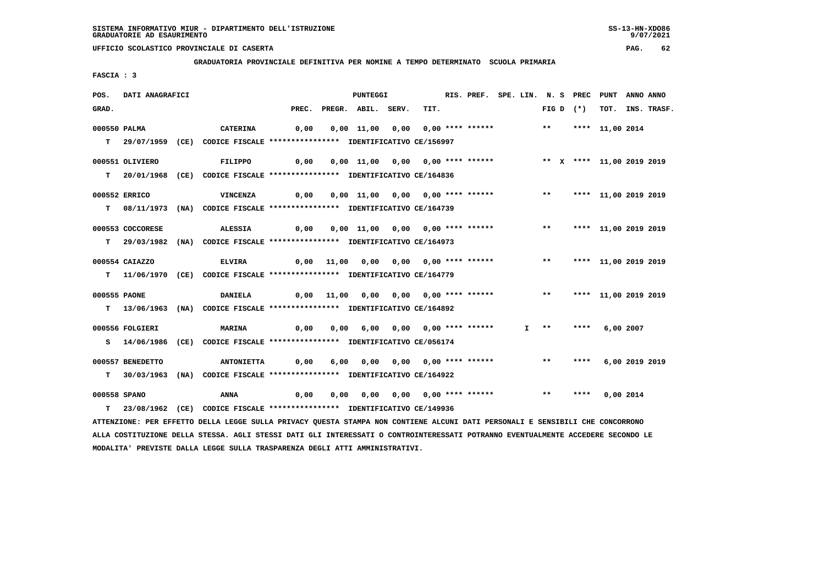**GRADUATORIA PROVINCIALE DEFINITIVA PER NOMINE A TEMPO DETERMINATO SCUOLA PRIMARIA**

 **FASCIA : 3**

| POS.                                                                                                                          | DATI ANAGRAFICI  |  |                                                                                                                                 |       |      |                                       | <b>PUNTEGGI</b> |      |  | RIS. PREF. SPE. LIN. N. S PREC PUNT |  |  |                           |      |                         | ANNO ANNO      |                  |
|-------------------------------------------------------------------------------------------------------------------------------|------------------|--|---------------------------------------------------------------------------------------------------------------------------------|-------|------|---------------------------------------|-----------------|------|--|-------------------------------------|--|--|---------------------------|------|-------------------------|----------------|------------------|
| GRAD.                                                                                                                         |                  |  |                                                                                                                                 | PREC. |      | PREGR. ABIL. SERV.                    |                 | TIT. |  |                                     |  |  | FIG D $(*)$               |      |                         |                | TOT. INS. TRASF. |
| 000550 PALMA                                                                                                                  |                  |  | <b>CATERINA</b>                                                                                                                 | 0,00  |      | $0,00$ 11,00 0,00 0,00 **** ******    |                 |      |  |                                     |  |  | $***$                     |      | **** 11,00 2014         |                |                  |
|                                                                                                                               |                  |  | T 29/07/1959 (CE) CODICE FISCALE *************** IDENTIFICATIVO CE/156997                                                       |       |      |                                       |                 |      |  |                                     |  |  |                           |      |                         |                |                  |
|                                                                                                                               |                  |  |                                                                                                                                 |       |      |                                       |                 |      |  |                                     |  |  |                           |      |                         |                |                  |
|                                                                                                                               | 000551 OLIVIERO  |  | FILIPPO                                                                                                                         | 0,00  |      | 0,00 11,00 0,00 0,00 **** ******      |                 |      |  |                                     |  |  | ** X **** 11,00 2019 2019 |      |                         |                |                  |
|                                                                                                                               |                  |  | T 20/01/1968 (CE) CODICE FISCALE **************** IDENTIFICATIVO CE/164836                                                      |       |      |                                       |                 |      |  |                                     |  |  |                           |      |                         |                |                  |
|                                                                                                                               |                  |  |                                                                                                                                 |       |      |                                       |                 |      |  |                                     |  |  |                           |      |                         |                |                  |
|                                                                                                                               | 000552 ERRICO    |  | VINCENZA                                                                                                                        | 0,00  |      | 0,00 11,00 0,00 0,00 **** ******      |                 |      |  |                                     |  |  |                           |      | ** **** 11,00 2019 2019 |                |                  |
|                                                                                                                               |                  |  | T 08/11/1973 (NA) CODICE FISCALE *************** IDENTIFICATIVO CE/164739                                                       |       |      |                                       |                 |      |  |                                     |  |  |                           |      |                         |                |                  |
|                                                                                                                               | 000553 COCCORESE |  | <b>ALESSIA</b>                                                                                                                  | 0,00  |      | 0,00 11,00 0,00 0,00 **** ******      |                 |      |  |                                     |  |  | $***$                     |      | **** 11,00 2019 2019    |                |                  |
|                                                                                                                               |                  |  | T 29/03/1982 (NA) CODICE FISCALE **************** IDENTIFICATIVO CE/164973                                                      |       |      |                                       |                 |      |  |                                     |  |  |                           |      |                         |                |                  |
|                                                                                                                               |                  |  |                                                                                                                                 |       |      |                                       |                 |      |  |                                     |  |  |                           |      |                         |                |                  |
|                                                                                                                               | 000554 CAIAZZO   |  | <b>ELVIRA</b>                                                                                                                   |       |      | 0,00 11,00 0,00 0,00 0,00 **** ****** |                 |      |  |                                     |  |  | $***$                     |      | **** 11,00 2019 2019    |                |                  |
|                                                                                                                               |                  |  | T 11/06/1970 (CE) CODICE FISCALE *************** IDENTIFICATIVO CE/164779                                                       |       |      |                                       |                 |      |  |                                     |  |  |                           |      |                         |                |                  |
|                                                                                                                               |                  |  |                                                                                                                                 |       |      |                                       |                 |      |  |                                     |  |  |                           |      |                         |                |                  |
| 000555 PAONE                                                                                                                  |                  |  | <b>DANIELA</b>                                                                                                                  | 0,00  |      |                                       |                 |      |  |                                     |  |  | $***$                     |      | **** 11,00 2019 2019    |                |                  |
|                                                                                                                               |                  |  | T 13/06/1963 (NA) CODICE FISCALE *************** IDENTIFICATIVO CE/164892                                                       |       |      |                                       |                 |      |  |                                     |  |  |                           |      |                         |                |                  |
|                                                                                                                               | 000556 FOLGIERI  |  | <b>MARINA</b>                                                                                                                   | 0,00  |      | 0,00 6,00 0,00 0,00 **** ******       |                 |      |  |                                     |  |  | $I \rightarrow \star$     | **** |                         | 6,00 2007      |                  |
|                                                                                                                               |                  |  | S 14/06/1986 (CE) CODICE FISCALE **************** IDENTIFICATIVO CE/056174                                                      |       |      |                                       |                 |      |  |                                     |  |  |                           |      |                         |                |                  |
|                                                                                                                               |                  |  |                                                                                                                                 |       |      |                                       |                 |      |  |                                     |  |  |                           |      |                         |                |                  |
|                                                                                                                               | 000557 BENEDETTO |  | <b>ANTONIETTA</b>                                                                                                               | 0,00  | 6,00 | 0,00                                  |                 |      |  |                                     |  |  | $***$                     | **** |                         | 6,00 2019 2019 |                  |
| T.                                                                                                                            |                  |  | 30/03/1963 (NA) CODICE FISCALE **************** IDENTIFICATIVO CE/164922                                                        |       |      |                                       |                 |      |  |                                     |  |  |                           |      |                         |                |                  |
|                                                                                                                               |                  |  |                                                                                                                                 |       |      |                                       |                 |      |  |                                     |  |  | $***$                     | **** |                         |                |                  |
| 000558 SPANO                                                                                                                  |                  |  | ANNA                                                                                                                            | 0,00  | 0,00 |                                       |                 |      |  |                                     |  |  |                           |      |                         | 0,00 2014      |                  |
| T.                                                                                                                            |                  |  | 23/08/1962 (CE) CODICE FISCALE *************** IDENTIFICATIVO CE/149936                                                         |       |      |                                       |                 |      |  |                                     |  |  |                           |      |                         |                |                  |
| ATTENZIONE: PER EFFETTO DELLA LEGGE SULLA PRIVACY QUESTA STAMPA NON CONTIENE ALCUNI DATI PERSONALI E SENSIBILI CHE CONCORRONO |                  |  |                                                                                                                                 |       |      |                                       |                 |      |  |                                     |  |  |                           |      |                         |                |                  |
|                                                                                                                               |                  |  | ALLA COSTITUZIONE DELLA STESSA. AGLI STESSI DATI GLI INTERESSATI O CONTROINTERESSATI POTRANNO EVENTUALMENTE ACCEDERE SECONDO LE |       |      |                                       |                 |      |  |                                     |  |  |                           |      |                         |                |                  |